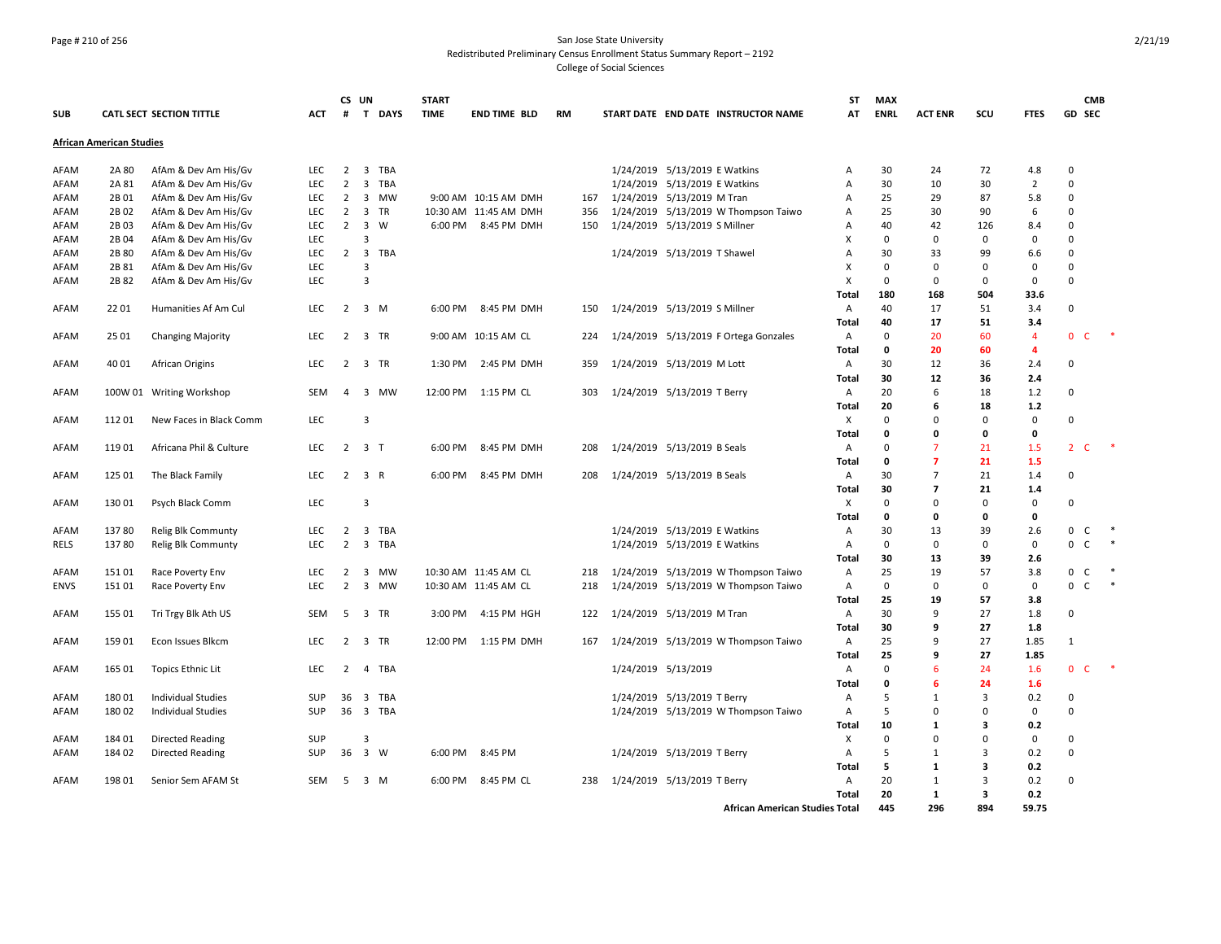#### Page # 210 of 256 San Jose State University Redistributed Preliminary Census Enrollment Status Summary Report – 2192 College of Social Sciences

**SUB CATL SECT SECTION TITTLE ACT CS UN # T DAYS START TIME END TIME BLD RM START DATE END DATE INSTRUCTOR NAME ST MAX AT ENRL ACT ENR SCU FTES GD CMB SEC African American Studies** AFAM 2A 80 AfAm & Dev Am His/Gv LEC 2 3 TBA 10 1/24/2019 5/13/2019 5/13/2019 E Watkins A 30 24 72 4.8 0 AFAM 2A 81 AfAm & Dev Am His/Gv LEC 2 3 TBA 100 10 1/24/2019 5/13/2019 5/13/2019 E Watkins A 30 10 30 2 0 AFAM 2B 01 AfAm & Dev Am His/Gv LEC 2 3 MW 9:00 AM 10:15 AM DMH 167 1/24/2019 5/13/2019 M Tran A 25 29 87 5.8 0 AFAM 2B 02 AfAm & Dev Am His/Gv LEC 2 3 TR 10:30 AM 11:45 AM DMH 356 1/24/2019 5/13/2019 W Thompson Taiwo A 25 30 90 6 0 AFAM 2B 03 AfAm & Dev Am His/Gv LEC 2 3 W 6:00 PM 8:45 PM DMH 150 1/24/2019 5/13/2019 S Millner A 40 42 126 8.4 0 AFAM 2B 04 AfAm & Dev Am His/Gv LEC 3 X 0 0 0 0 0 AFAM 2B 80 AfAm & Dev Am His/Gv LEC 2 3 TBA 100 100 100 100 1/24/2019 5/13/2019 T Shawel A 30 33 99 6.6 0 AFAM 2B 81 AfAm & Dev Am His/Gv LEC 3 X 0 0 0 0 0 AFAM 2B 82 AfAm & Dev Am His/Gv LEC 3 X 0 0 0 0 0 **Total 180 168 504 33.6** AFAM 2201 Humanities Af Am Cul LEC 2 3 M 6:00 PM 8:45 PM DMH 150 1/24/2019 5/13/2019 S Millner A 40 17 51 3.4 0 **Total 40 17 51 3.4** AFAM 25 01 Changing Majority LEC 2 3 TR 9:00 AM 10:15 AM CL 224 1/24/2019 5/13/2019 F Ortega Gonzales A 0 20 60 4 0 C \* **Total 0 20 60 4** AFAM 40 01 African Origins LEC 2 3 TR 1:30 PM 2:45 PM DMH 359 1/24/2019 5/13/2019 M Lott A 30 12 36 2.4 0 **Total 30 12 36 2.4** AFAM 100W 01 Writing Workshop SEM 4 3 MW 12:00 PM 1:15 PM CL 303 1/24/2019 5/13/2019 T Berry A 20 6 18 1.2 0 **Total 20 6 18 1.2** AFAM 112 01 New Faces in Black Comm LEC 3 X 0 0 0 0 0 **Total 0 0 0 0** AFAM 119 01 Africana Phil & Culture LEC 2 3 T 6:00 PM 8:45 PM DMH 208 1/24/2019 5/13/2019 B Seals A 0 7 21 1.5 2 C \* **Total 0 7 21 1.5** AFAM 125 01 The Black Family . LEC 2 3 R 6:00 PM 8:45 PM DMH 208 1/24/2019 5/13/2019 B Seals . A 30 7 21 1.4 0 **Total 30 7 21 1.4** AFAM 130 01 Psych Black Comm LEC 3 X 0 0 0 0 0 **Total 0 0 0 0** AFAM 13780 Relig Blk Communty LEC 2 3 TBA 1/24/2019 5/13/2019 E Watkins A 30 13 39 2.6 0 C \* RELS 13780 Relig Blk Communty LEC 2 3 TBA 1/24/2019 5/13/2019 E Watkins A 0 0 0 0 0 0 C \* **Total 30 13 39 2.6** AFAM 151 01 Race Poverty Env LEC 2 3 MW 10:30 AM 11:45 AM CL 218 1/24/2019 5/13/2019 W Thompson Taiwo A 25 19 57 3.8 0 C \* ENVS 151 01 Race Poverty Env LEC 2 3 MW 10:30 AM 11:45 AM CL 218 1/24/2019 5/13/2019 W Thompson Taiwo A 0 0 0 0 0 C \* **Total 25 19 57 3.8** AFAM 155 01 Tri Trgy Blk Ath US SEM 5 3 TR 3:00 PM 4:15 PM HGH 122 1/24/2019 5/13/2019 M Tran A 30 9 27 1.8 0 **Total 30 9 27 1.8** AFAM 15901 Econ Issues Blkcm 
LEC 2 3 TR 12:00 PM 1:15 PM DMH 167 1/24/2019 5/13/2019 W Thompson Taiwo A 25 9 27 1.85 1 **Total 25 9 27 1.85** AFAM 165 01 Topics Ethnic Lit LEC 2 4 TBA 1/24/2019 5/13/2019 A 0 6 24 1.6 0 C \* **Total 0 6 24 1.6** AFAM 180 01 Individual Studies SUP 36 3 TBA 1/24/2019 5/13/2019 5/13/2019 T Berry A 5 1 3 0.2 0 AFAM 180 02 Individual Studies 50 SUP 36 3 TBA 10 10 10 124/2019 5/13/2019 S/13/2019 W Thompson Taiwo A 5 0 0 0 0 0 **Total 10 1 3 0.2** AFAM 184 01 Directed Reading SUP 3 X 0 0 0 0 0 AFAM 18402 Directed Reading SUP 36 3 W 6:00 PM 8:45 PM 1/24/2019 5/13/2019 T Berry A 5 1 3 0.2 0 **Total 5 1 3 0.2** AFAM 198 01 Senior Sem AFAM St SEM 5 3 M 6:00 PM 8:45 PM CL 238 1/24/2019 5/13/2019 T Berry A 20 1 3 0.2 0 **Total 20 1 3 0.2**

**African American Studies Total 445 296 894 59.75**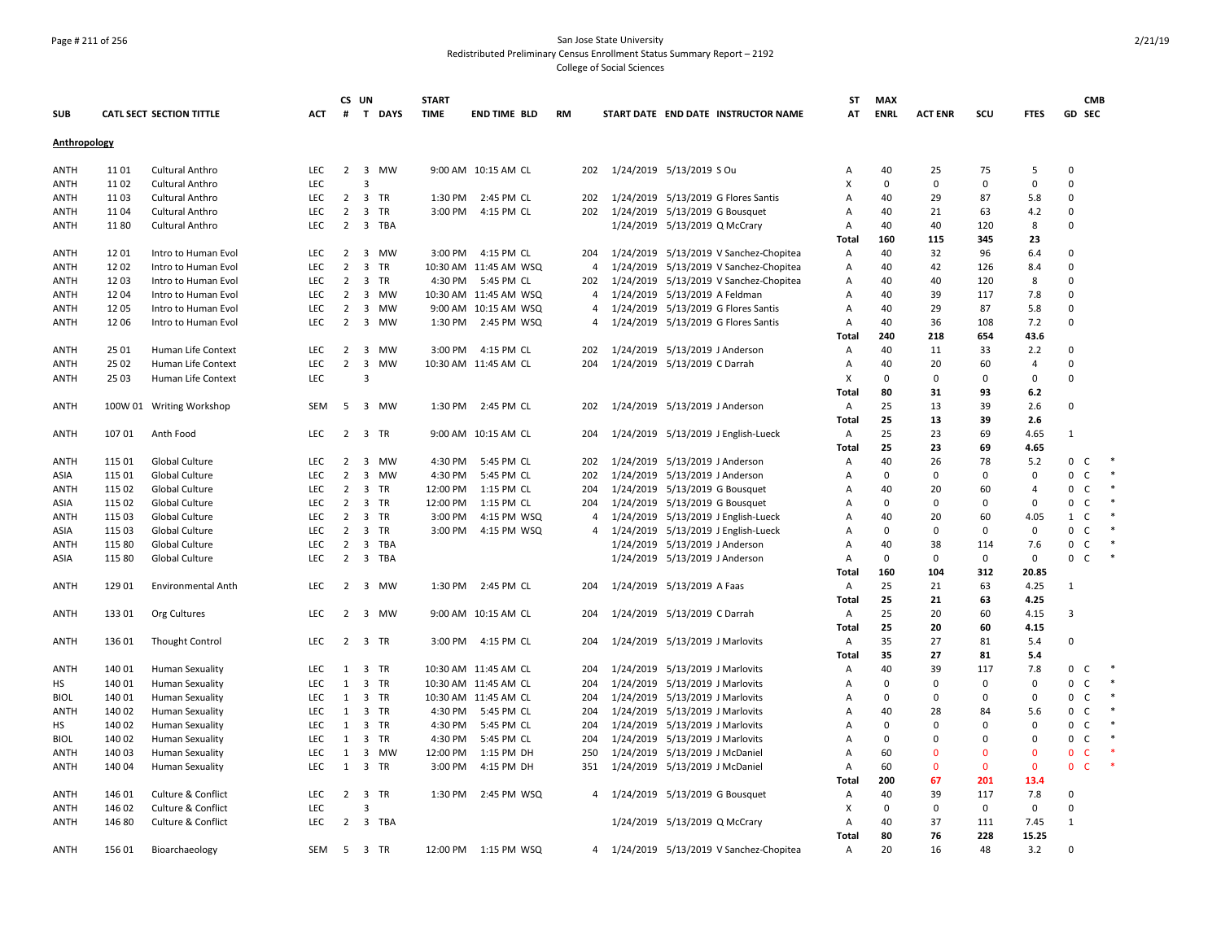# Page # 211 of 256 San Jose State University Redistributed Preliminary Census Enrollment Status Summary Report – 2192

College of Social Sciences

| <b>SUB</b>          |                  | <b>CATL SECT SECTION TITTLE</b> | ACT                      | CS UN           | # T DAYS                             | <b>START</b><br><b>TIME</b> | <b>END TIME BLD</b>                        | <b>RM</b> |                | START DATE END DATE INSTRUCTOR NAME      | ST<br>AT       | <b>MAX</b><br><b>ENRL</b> | <b>ACT ENR</b> | SCU         | <b>FTES</b>    | <b>GD SEC</b>     | <b>CMB</b> |
|---------------------|------------------|---------------------------------|--------------------------|-----------------|--------------------------------------|-----------------------------|--------------------------------------------|-----------|----------------|------------------------------------------|----------------|---------------------------|----------------|-------------|----------------|-------------------|------------|
|                     |                  |                                 |                          |                 |                                      |                             |                                            |           |                |                                          |                |                           |                |             |                |                   |            |
| Anthropology        |                  |                                 |                          |                 |                                      |                             |                                            |           |                |                                          |                |                           |                |             |                |                   |            |
| <b>ANTH</b>         | 11 01            | Cultural Anthro                 | <b>LEC</b>               | $\overline{2}$  | 3 MW                                 |                             | 9:00 AM 10:15 AM CL                        |           | 202            | 1/24/2019 5/13/2019 S Ou                 | A              | 40                        | 25             | 75          | 5              | 0                 |            |
| ANTH                | 1102             | <b>Cultural Anthro</b>          | <b>LEC</b>               |                 | 3                                    |                             |                                            |           |                |                                          | х              | 0                         | $\Omega$       | $\Omega$    | $\mathbf 0$    | $\Omega$          |            |
| ANTH                | 1103             | <b>Cultural Anthro</b>          | <b>LEC</b>               | $\overline{2}$  | 3 TR                                 |                             | 1:30 PM 2:45 PM CL                         |           | 202            | 1/24/2019 5/13/2019 G Flores Santis      | A              | 40                        | 29             | 87          | 5.8            | $\mathbf 0$       |            |
| <b>ANTH</b>         | 1104             | Cultural Anthro                 | <b>LEC</b>               | $\overline{2}$  | $\overline{3}$<br><b>TR</b>          |                             | 3:00 PM 4:15 PM CL                         |           | 202            | 1/24/2019 5/13/2019 G Bousquet           | A              | 40                        | 21             | 63          | 4.2            | $\Omega$          |            |
| ANTH                | 1180             | Cultural Anthro                 | <b>LEC</b>               | $\overline{2}$  | 3 TBA                                |                             |                                            |           |                | 1/24/2019 5/13/2019 Q McCrary            | Α              | 40                        | 40             | 120         | 8              | $\Omega$          |            |
|                     |                  |                                 |                          |                 |                                      |                             |                                            |           |                |                                          | Total          | 160                       | 115            | 345         | 23             |                   |            |
| <b>ANTH</b>         | 1201             | Intro to Human Evol             | <b>LEC</b>               | 2               | $\overline{3}$<br><b>MW</b>          |                             | 3:00 PM 4:15 PM CL                         |           | 204            | 1/24/2019 5/13/2019 V Sanchez-Chopitea   | A              | 40                        | 32             | 96          | 6.4            | $\Omega$          |            |
| ANTH                | 1202             | Intro to Human Evol             | LEC                      | $\overline{2}$  | 3<br>TR                              |                             | 10:30 AM 11:45 AM WSQ                      |           | 4              | 1/24/2019 5/13/2019 V Sanchez-Chopitea   | Α              | 40                        | 42             | 126         | 8.4            | 0                 |            |
| ANTH                | 1203             | Intro to Human Evol             | <b>LEC</b>               | $\overline{2}$  | $\overline{\mathbf{3}}$<br>TR        |                             | 4:30 PM 5:45 PM CL                         |           | 202            | 1/24/2019 5/13/2019 V Sanchez-Chopitea   | Α              | 40                        | 40             | 120         | 8              | $\Omega$          |            |
| ANTH                | 1204             | Intro to Human Evol             | <b>LEC</b>               | $\overline{2}$  | 3<br>MW                              |                             | 10:30 AM 11:45 AM WSQ                      |           | $\overline{4}$ | 1/24/2019 5/13/2019 A Feldman            | Α              | 40                        | 39             | 117         | 7.8            | $\mathbf 0$       |            |
| <b>ANTH</b>         | 1205             | Intro to Human Evol             | <b>LEC</b>               | $\overline{2}$  | 3 MW                                 |                             | 9:00 AM 10:15 AM WSQ                       |           | 4              | 1/24/2019 5/13/2019 G Flores Santis      | Α              | 40                        | 29             | 87          | 5.8            | $\Omega$          |            |
| ANTH                | 1206             | Intro to Human Evol             | <b>LEC</b>               | $\overline{2}$  | 3 MW                                 |                             | 1:30 PM 2:45 PM WSQ                        |           | 4              | 1/24/2019 5/13/2019 G Flores Santis      | Α              | 40                        | 36             | 108         | 7.2            | 0                 |            |
|                     |                  |                                 |                          |                 |                                      |                             |                                            |           |                |                                          | Total          | 240                       | 218            | 654         | 43.6           |                   |            |
| <b>ANTH</b>         | 25 01            | Human Life Context              | <b>LEC</b>               | 2               | 3 MW                                 |                             | 3:00 PM 4:15 PM CL                         |           | 202            | 1/24/2019 5/13/2019 J Anderson           | A              | 40                        | 11             | 33          | 2.2            | $\mathbf 0$       |            |
| <b>ANTH</b>         | 25 02            | Human Life Context              | LEC                      | $\overline{2}$  | 3<br>MW                              |                             | 10:30 AM 11:45 AM CL                       |           | 204            | 1/24/2019 5/13/2019 C Darrah             | Α              | 40                        | 20             | 60          | $\overline{4}$ | 0                 |            |
| ANTH                | 25 03            | Human Life Context              | <b>LEC</b>               |                 | 3                                    |                             |                                            |           |                |                                          | X              | $\mathbf 0$               | 0              | $\Omega$    | $\mathbf 0$    | $\mathbf 0$       |            |
|                     |                  |                                 |                          |                 |                                      |                             |                                            |           |                |                                          | Total          | 80                        | 31             | 93          | 6.2            |                   |            |
| ANTH                |                  | 100W 01 Writing Workshop        | SEM                      | 5               | 3 MW                                 |                             | 1:30 PM 2:45 PM CL                         |           | 202            | 1/24/2019 5/13/2019 J Anderson           | Α              | 25                        | 13             | 39          | 2.6            | 0                 |            |
|                     |                  |                                 |                          |                 |                                      |                             |                                            |           |                |                                          | Total          | 25                        | 13             | 39          | 2.6            |                   |            |
| ANTH                | 107 01           | Anth Food                       | <b>LEC</b>               | $\overline{2}$  | 3 TR                                 |                             | 9:00 AM 10:15 AM CL                        |           | 204            | 1/24/2019 5/13/2019 J English-Lueck      | Α              | 25                        | 23             | 69          | 4.65           | $\mathbf{1}$      |            |
|                     |                  |                                 |                          |                 |                                      |                             |                                            |           |                |                                          | Total          | 25                        | 23             | 69          | 4.65           |                   |            |
| ANTH                | 115 01           | Global Culture                  | LEC                      | 2               | 3<br>MW                              |                             | 4:30 PM 5:45 PM CL                         |           | 202            | 1/24/2019 5/13/2019 J Anderson           | Α              | 40                        | 26             | 78          | 5.2            | 0<br>C            |            |
| ASIA                | 115 01           | Global Culture                  | <b>LEC</b>               | $\overline{2}$  | 3 MW                                 |                             | 4:30 PM 5:45 PM CL                         |           | 202            | 1/24/2019 5/13/2019 J Anderson           | Α              | $\mathbf 0$               | $\Omega$       | $\Omega$    | $\mathbf 0$    | $\mathbf 0$<br>C  |            |
| <b>ANTH</b>         | 115 02           | Global Culture                  | <b>LEC</b>               | 2               | $\overline{\mathbf{3}}$<br><b>TR</b> |                             | 12:00 PM 1:15 PM CL                        |           | 204            | 1/24/2019 5/13/2019 G Bousquet           | Α              | 40                        | 20             | 60          | $\overline{4}$ | $\mathsf{C}$<br>0 |            |
| ASIA                | 115 02           | Global Culture                  | <b>LEC</b>               | $\overline{2}$  | $\overline{3}$<br>TR                 |                             | 12:00 PM 1:15 PM CL                        |           | 204            | 1/24/2019 5/13/2019 G Bousquet           | Α              | 0                         | $\mathbf 0$    | $\Omega$    | 0              | $\mathsf{C}$<br>0 |            |
| ANTH                | 115 03           | Global Culture                  | <b>LEC</b>               | $\overline{2}$  | 3<br><b>TR</b>                       | 3:00 PM                     | 4:15 PM WSQ                                |           | 4              | 1/24/2019 5/13/2019 J English-Lueck      | Α              | 40                        | 20             | 60          | 4.05           | $\mathbf{1}$<br>C |            |
| ASIA                | 115 03           | <b>Global Culture</b>           | <b>LEC</b>               | 2               | $\overline{\mathbf{3}}$<br>TR        |                             | 3:00 PM 4:15 PM WSQ                        |           | $\overline{4}$ | 1/24/2019 5/13/2019 J English-Lueck      | A              | $\mathbf 0$               | $\Omega$       | $\Omega$    | $\mathbf 0$    | $\mathsf{C}$<br>0 |            |
| <b>ANTH</b>         | 115 80           | Global Culture                  | <b>LEC</b>               | $\overline{2}$  | 3 TBA                                |                             |                                            |           |                | 1/24/2019 5/13/2019 J Anderson           | Α              | 40                        | 38             | 114         | 7.6            | $\mathsf{C}$<br>0 |            |
| ASIA                | 115 80           | Global Culture                  | <b>LEC</b>               | $\overline{2}$  | 3 TBA                                |                             |                                            |           |                | 1/24/2019 5/13/2019 J Anderson           | Α              | 0                         | $\mathbf 0$    | $\mathbf 0$ | 0              | 0<br>C            | $\ast$     |
|                     |                  |                                 |                          |                 |                                      |                             |                                            |           |                |                                          | Total          | 160                       | 104            | 312         | 20.85          |                   |            |
| <b>ANTH</b>         | 129 01           | Environmental Anth              | <b>LEC</b>               | $\overline{2}$  | 3 MW                                 |                             | 1:30 PM 2:45 PM CL                         |           | 204            | 1/24/2019 5/13/2019 A Faas               | Α              | 25                        | 21             | 63          | 4.25           | $\mathbf{1}$      |            |
|                     |                  |                                 |                          |                 |                                      |                             |                                            |           |                |                                          | Total          | 25                        | 21             | 63          | 4.25           |                   |            |
| ANTH                | 133 01           | Org Cultures                    | <b>LEC</b>               | 2               | 3 MW                                 |                             | 9:00 AM 10:15 AM CL                        |           | 204            | 1/24/2019 5/13/2019 C Darrah             | A              | 25                        | 20             | 60          | 4.15           | 3                 |            |
|                     |                  |                                 |                          |                 |                                      |                             |                                            |           |                |                                          | Total          | 25                        | 20             | 60          | 4.15           |                   |            |
| ANTH                | 136 01           | <b>Thought Control</b>          | <b>LEC</b>               | $\overline{2}$  | $\overline{3}$<br>TR                 | 3:00 PM                     | 4:15 PM CL                                 |           | 204            | 1/24/2019 5/13/2019 J Marlovits          | Α              | 35                        | 27             | 81          | 5.4            | $\mathbf 0$       |            |
|                     |                  |                                 |                          |                 |                                      |                             |                                            |           |                |                                          | Total          | 35                        | 27             | 81          | 5.4            |                   |            |
| <b>ANTH</b>         | 140 01           | <b>Human Sexuality</b>          | <b>LEC</b>               | 1               | $\overline{\mathbf{3}}$<br><b>TR</b> |                             | 10:30 AM 11:45 AM CL                       |           | 204            | 1/24/2019 5/13/2019 J Marlovits          | Α              | 40                        | 39             | 117         | 7.8            | 0<br>C            |            |
| HS                  | 140 01           |                                 | LEC                      | 1               | 3<br>TR                              |                             | 10:30 AM 11:45 AM CL                       |           | 204            | 1/24/2019 5/13/2019 J Marlovits          | Α              | $\Omega$                  | $\Omega$       | $\Omega$    | 0              | 0<br>$\mathsf{C}$ | $\ast$     |
|                     |                  | <b>Human Sexuality</b>          |                          |                 | 3 TR                                 |                             |                                            |           |                |                                          |                | 0                         | 0              | $\Omega$    |                | 0<br>C            |            |
| <b>BIOL</b><br>ANTH | 140 01<br>140 02 | <b>Human Sexuality</b>          | <b>LEC</b><br><b>LEC</b> | 1               | $\overline{\mathbf{3}}$<br>TR        |                             | 10:30 AM 11:45 AM CL<br>4:30 PM 5:45 PM CL |           | 204<br>204     | 1/24/2019 5/13/2019 J Marlovits          | Α              | 40                        | 28             | 84          | 0<br>5.6       | $\mathbf 0$<br>C  |            |
|                     |                  | <b>Human Sexuality</b>          |                          | 1               | 3 TR                                 |                             |                                            |           |                | 1/24/2019 5/13/2019 J Marlovits          | Α              |                           | $\Omega$       | $\Omega$    |                |                   |            |
| HS                  | 140 02           | <b>Human Sexuality</b>          | <b>LEC</b><br><b>LEC</b> | 1               |                                      | 4:30 PM                     | 5:45 PM CL                                 |           | 204            | 1/24/2019 5/13/2019 J Marlovits          | $\overline{A}$ | $\mathbf 0$               | $\Omega$       | $\Omega$    | $\mathbf 0$    | $\mathsf C$<br>0  |            |
| <b>BIOL</b>         | 140 02           | <b>Human Sexuality</b>          |                          | 1               | 3 TR                                 |                             | 4:30 PM 5:45 PM CL                         |           | 204            | 1/24/2019 5/13/2019 J Marlovits          | A              | $\mathbf 0$               |                |             | $\mathbf 0$    | 0<br>$\mathsf{C}$ |            |
| ANTH                | 140 03           | <b>Human Sexuality</b>          | <b>LEC</b>               | 1               | 3 MW                                 | 12:00 PM                    | 1:15 PM DH                                 |           | 250            | 1/24/2019 5/13/2019 J McDaniel           | Α              | 60                        | $\Omega$       | $\Omega$    | $\mathbf{0}$   | $\mathbf 0$<br>c  |            |
| ANTH                | 140 04           | Human Sexuality                 | <b>LEC</b>               | 1               | 3 TR                                 | 3:00 PM                     | 4:15 PM DH                                 |           | 351            | 1/24/2019 5/13/2019 J McDaniel           | A              | 60                        | $\Omega$       | $\Omega$    | $\mathbf{0}$   | $\mathbf{0}$<br>C |            |
|                     |                  |                                 |                          |                 |                                      |                             |                                            |           |                |                                          | Total          | 200                       | 67             | 201         | 13.4           |                   |            |
| ANTH                | 146 01           | Culture & Conflict              | <b>LEC</b>               | 2               | 3<br>TR                              |                             | 1:30 PM 2:45 PM WSQ                        |           |                | 1/24/2019 5/13/2019 G Bousquet           | Α              | 40                        | 39             | 117         | 7.8            | 0                 |            |
| ANTH                | 146 02           | Culture & Conflict              | <b>LEC</b>               |                 | 3                                    |                             |                                            |           |                |                                          | X              | $\mathbf 0$               | $\mathbf 0$    | $\mathbf 0$ | $\mathbf 0$    | $\mathbf 0$       |            |
| <b>ANTH</b>         | 146 80           | Culture & Conflict              | <b>LEC</b>               | $\overline{2}$  | 3 TBA                                |                             |                                            |           |                | 1/24/2019 5/13/2019 Q McCrary            | $\overline{A}$ | 40                        | 37             | 111         | 7.45           | $\mathbf{1}$      |            |
|                     |                  |                                 |                          |                 |                                      |                             |                                            |           |                |                                          | Total          | 80                        | 76             | 228         | 15.25          |                   |            |
| ANTH                | 156 01           | Bioarchaeology                  | SEM                      | $5\overline{5}$ | 3 TR                                 |                             | 12:00 PM   1:15 PM   WSQ                   |           |                | 4 1/24/2019 5/13/2019 V Sanchez-Chopitea | Α              | 20                        | 16             | 48          | 3.2            | $\Omega$          |            |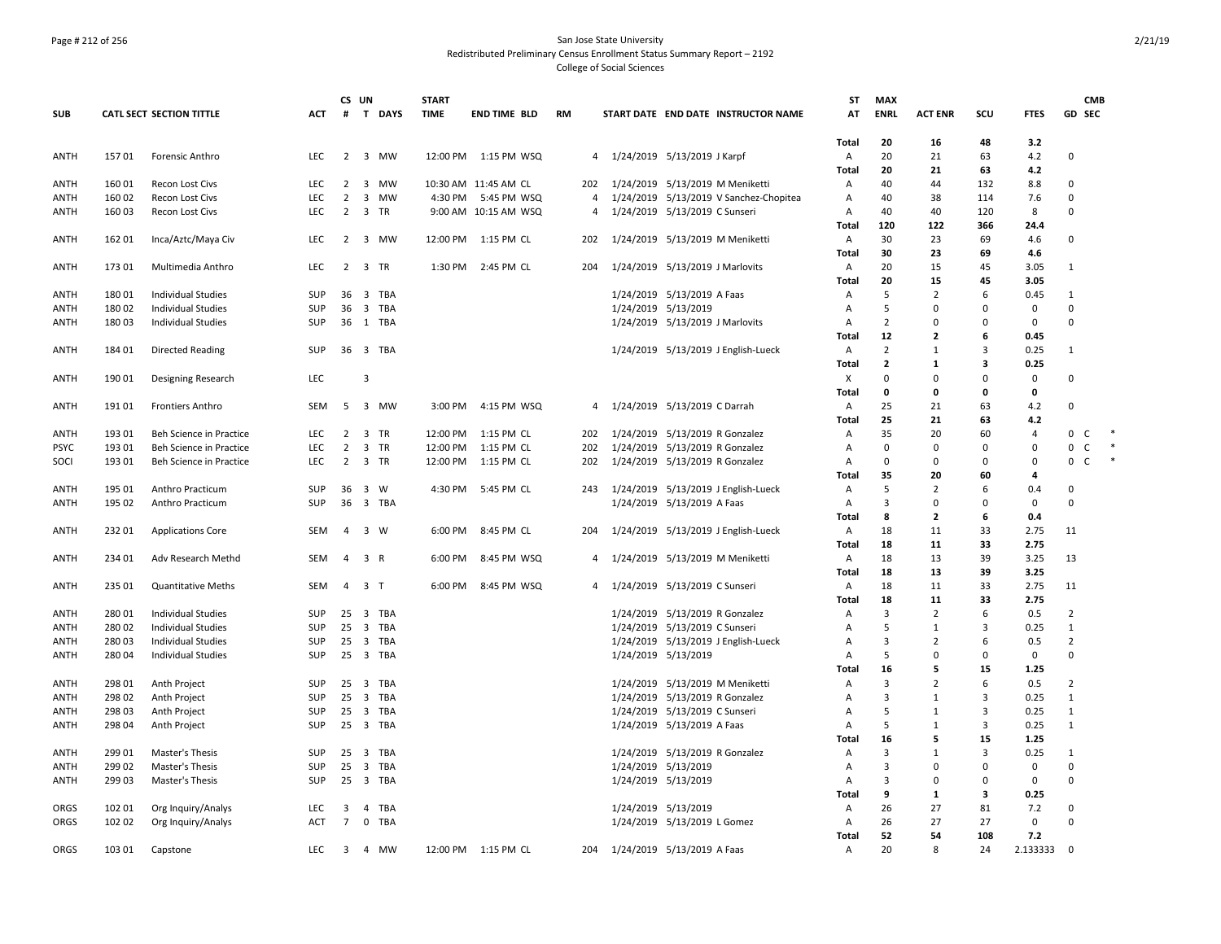### Page # 212 of 256 San Jose State University Redistributed Preliminary Census Enrollment Status Summary Report – 2192 College of Social Sciences

|             |        |                                 |            |                         | CS UN                          | <b>START</b> |                          |           |                |                     |                                        | <b>ST</b>    | <b>MAX</b>     |                |                |                |                | <b>CMB</b> |
|-------------|--------|---------------------------------|------------|-------------------------|--------------------------------|--------------|--------------------------|-----------|----------------|---------------------|----------------------------------------|--------------|----------------|----------------|----------------|----------------|----------------|------------|
| <b>SUB</b>  |        | <b>CATL SECT SECTION TITTLE</b> | ACT        | #                       | T DAYS                         | <b>TIME</b>  | <b>END TIME BLD</b>      | <b>RM</b> |                |                     | START DATE END DATE INSTRUCTOR NAME    | AT           | <b>ENRL</b>    | <b>ACT ENR</b> | SCU            | <b>FTES</b>    | GD SEC         |            |
|             |        |                                 |            |                         |                                |              |                          |           |                |                     |                                        | <b>Total</b> | 20             | 16             | 48             | 3.2            |                |            |
| ANTH        | 15701  | Forensic Anthro                 | <b>LEC</b> | 2                       | 3 MW                           |              | 12:00 PM   1:15 PM   WSQ |           | 4              |                     | 1/24/2019 5/13/2019 J Karpf            | Α            | 20             | 21             | 63             | 4.2            | 0              |            |
|             |        |                                 |            |                         |                                |              |                          |           |                |                     |                                        | Total        | 20             | 21             | 63             | 4.2            |                |            |
| <b>ANTH</b> | 160 01 | Recon Lost Civs                 | <b>LEC</b> | 2                       | 3 MW                           |              | 10:30 AM 11:45 AM CL     |           | 202            |                     | 1/24/2019 5/13/2019 M Meniketti        | Α            | 40             | 44             | 132            | 8.8            | 0              |            |
| ANTH        | 160 02 | Recon Lost Civs                 | <b>LEC</b> | $\overline{2}$          | $\overline{3}$<br><b>MW</b>    |              | 4:30 PM 5:45 PM WSQ      |           | 4              |                     | 1/24/2019 5/13/2019 V Sanchez-Chopitea | Α            | 40             | 38             | 114            | 7.6            | $\mathbf 0$    |            |
| ANTH        | 160 03 | Recon Lost Civs                 | <b>LEC</b> | $\overline{2}$          | 3 TR                           |              | 9:00 AM 10:15 AM WSQ     |           | 4              |                     | 1/24/2019 5/13/2019 C Sunseri          | Α            | 40             | 40             | 120            | 8              | $\Omega$       |            |
|             |        |                                 |            |                         |                                |              |                          |           |                |                     |                                        | Total        | 120            | 122            | 366            | 24.4           |                |            |
| ANTH        | 162 01 | Inca/Aztc/Maya Civ              | LEC        | 2                       | 3 MW                           |              | 12:00 PM 1:15 PM CL      |           | 202            |                     | 1/24/2019 5/13/2019 M Meniketti        | Α            | 30             | 23             | 69             | 4.6            | 0              |            |
|             |        |                                 |            |                         |                                |              |                          |           |                |                     |                                        | Total        | 30             | 23             | 69             | 4.6            |                |            |
| <b>ANTH</b> | 173 01 | Multimedia Anthro               | LEC.       |                         | 2 3 TR                         |              | 1:30 PM 2:45 PM CL       |           | 204            |                     | 1/24/2019 5/13/2019 J Marlovits        | Α            | 20             | 15             | 45             | 3.05           | $\mathbf{1}$   |            |
|             |        |                                 |            |                         |                                |              |                          |           |                |                     |                                        | Total        | 20             | 15             | 45             | 3.05           |                |            |
| <b>ANTH</b> | 18001  | <b>Individual Studies</b>       | <b>SUP</b> | 36                      | 3 TBA                          |              |                          |           |                |                     | 1/24/2019 5/13/2019 A Faas             | A            | 5              | $\overline{2}$ | 6              | 0.45           | 1              |            |
| <b>ANTH</b> | 180 02 | <b>Individual Studies</b>       | SUP        | 36                      | 3 TBA                          |              |                          |           |                | 1/24/2019 5/13/2019 |                                        | Α            | 5              | $\Omega$       | $\Omega$       | $\mathbf 0$    | $\Omega$       |            |
| ANTH        | 18003  | <b>Individual Studies</b>       | <b>SUP</b> | 36                      | 1 TBA                          |              |                          |           |                |                     | 1/24/2019 5/13/2019 J Marlovits        | Α            | $\overline{2}$ | $\Omega$       | 0              | 0              | $\Omega$       |            |
|             |        |                                 |            |                         |                                |              |                          |           |                |                     |                                        | <b>Total</b> | 12             | $\overline{2}$ | 6              | 0.45           |                |            |
| <b>ANTH</b> | 184 01 | Directed Reading                | SUP        |                         | 36 3 TBA                       |              |                          |           |                |                     | 1/24/2019 5/13/2019 J English-Lueck    | Α            | $\overline{2}$ | $\mathbf{1}$   | 3              | 0.25           | $\mathbf{1}$   |            |
|             |        |                                 |            |                         |                                |              |                          |           |                |                     |                                        | Total        | $\overline{2}$ | 1              | 3              | 0.25           |                |            |
| <b>ANTH</b> | 190 01 | Designing Research              | <b>LEC</b> |                         | $\overline{3}$                 |              |                          |           |                |                     |                                        | X            | $\mathbf 0$    | $\Omega$       | $\Omega$       | $\mathbf 0$    | $\Omega$       |            |
|             |        |                                 |            |                         |                                |              |                          |           |                |                     |                                        | <b>Total</b> | 0              | 0              | 0              | 0              |                |            |
| ANTH        | 19101  | <b>Frontiers Anthro</b>         | <b>SEM</b> | 5                       | 3 MW                           |              | 3:00 PM 4:15 PM WSQ      |           | $\overline{a}$ |                     | 1/24/2019 5/13/2019 C Darrah           | Α            | 25             | 21             | 63             | 4.2            | $\Omega$       |            |
|             |        |                                 |            |                         |                                |              |                          |           |                |                     |                                        | Total        | 25             | 21             | 63             | 4.2            |                |            |
| <b>ANTH</b> | 193 01 | Beh Science in Practice         | <b>LEC</b> | $\overline{2}$          | $\overline{3}$<br><b>TR</b>    |              | 12:00 PM 1:15 PM CL      |           | 202            |                     | 1/24/2019 5/13/2019 R Gonzalez         | Α            | 35             | 20             | 60             | $\overline{4}$ | 0<br>C         |            |
| <b>PSYC</b> | 193 01 | Beh Science in Practice         | <b>LEC</b> | $\overline{2}$          | 3<br><b>TR</b>                 |              | 12:00 PM 1:15 PM CL      |           | 202            |                     | 1/24/2019 5/13/2019 R Gonzalez         | Α            | $\mathbf 0$    | $\mathbf 0$    | $\Omega$       | $\mathsf 0$    | C<br>0         |            |
| SOCI        | 193 01 | Beh Science in Practice         | <b>LEC</b> | $\overline{2}$          | 3 TR                           |              | 12:00 PM 1:15 PM CL      |           | 202            |                     | 1/24/2019 5/13/2019 R Gonzalez         | A            | $\mathbf 0$    | $\Omega$       | $\Omega$       | $\mathbf 0$    | C<br>0         |            |
|             |        |                                 |            |                         |                                |              |                          |           |                |                     |                                        | Total        | 35             | 20             | 60             | 4              |                |            |
| ANTH        | 195 01 | Anthro Practicum                | SUP        | 36                      | 3 W                            |              | 4:30 PM 5:45 PM CL       |           | 243            |                     | 1/24/2019 5/13/2019 J English-Lueck    | Α            | 5              | $\overline{2}$ | 6              | 0.4            | 0              |            |
| <b>ANTH</b> | 195 02 | Anthro Practicum                | <b>SUP</b> | 36                      | 3 TBA                          |              |                          |           |                |                     | 1/24/2019 5/13/2019 A Faas             | A            | 3              | $\Omega$       | $\Omega$       | $\mathbf{0}$   | $\mathbf 0$    |            |
|             |        |                                 |            |                         |                                |              |                          |           |                |                     |                                        | Total        | 8              | $\mathbf{z}$   | 6              | 0.4            |                |            |
| <b>ANTH</b> | 23201  | <b>Applications Core</b>        | <b>SEM</b> | $\overline{a}$          | 3 W                            | 6:00 PM      | 8:45 PM CL               |           | 204            |                     | 1/24/2019 5/13/2019 J English-Lueck    | Α            | 18             | 11             | 33             | 2.75           | 11             |            |
|             |        |                                 |            |                         |                                |              |                          |           |                |                     |                                        | Total        | 18             | 11             | 33             | 2.75           |                |            |
| ANTH        | 234 01 | Adv Research Methd              | SEM        | 4                       | 3 R                            | 6:00 PM      | 8:45 PM WSQ              |           | 4              |                     | 1/24/2019 5/13/2019 M Meniketti        | Α            | 18             | 13             | 39             | 3.25           | 13             |            |
|             |        |                                 |            |                         |                                |              |                          |           |                |                     |                                        | <b>Total</b> | 18             | 13             | 39             | 3.25           |                |            |
| <b>ANTH</b> | 235 01 | <b>Quantitative Meths</b>       | SEM        |                         | 4 3 T                          | 6:00 PM      | 8:45 PM WSQ              |           | 4              |                     | 1/24/2019 5/13/2019 C Sunseri          | Α            | 18             | 11             | 33             | 2.75           | 11             |            |
|             |        |                                 |            |                         |                                |              |                          |           |                |                     |                                        | Total        | 18             | 11             | 33             | 2.75           |                |            |
| <b>ANTH</b> | 280 01 | <b>Individual Studies</b>       | <b>SUP</b> | 25                      | 3 TBA                          |              |                          |           |                |                     | 1/24/2019 5/13/2019 R Gonzalez         | Α            | 3              | $\overline{2}$ | 6              | 0.5            | $\overline{2}$ |            |
| <b>ANTH</b> | 28002  | <b>Individual Studies</b>       | <b>SUP</b> | 25                      | 3 TBA                          |              |                          |           |                |                     | 1/24/2019 5/13/2019 C Sunseri          | Α            | 5              | $\mathbf{1}$   | $\mathbf{a}$   | 0.25           | $\mathbf{1}$   |            |
| ANTH        | 28003  | <b>Individual Studies</b>       | SUP        | 25                      | 3 TBA                          |              |                          |           |                |                     | 1/24/2019 5/13/2019 J English-Lueck    | A            | 3              | $\overline{2}$ | 6              | 0.5            | $\overline{2}$ |            |
| ANTH        | 280 04 | <b>Individual Studies</b>       | <b>SUP</b> |                         | 25 3 TBA                       |              |                          |           |                |                     | 1/24/2019 5/13/2019                    | A            | 5              | $\Omega$       | $\Omega$       | $\mathbf 0$    | 0              |            |
|             |        |                                 |            |                         |                                |              |                          |           |                |                     |                                        | <b>Total</b> | 16             | 5              | 15             | 1.25           |                |            |
| ANTH        | 298 01 | Anth Project                    | SUP        | 25                      | 3 TBA                          |              |                          |           |                |                     | 1/24/2019 5/13/2019 M Meniketti        | Α            | 3              | $\overline{2}$ | 6              | 0.5            | $\overline{2}$ |            |
| <b>ANTH</b> | 298 02 | Anth Project                    | <b>SUP</b> | 25                      | 3 TBA                          |              |                          |           |                |                     | 1/24/2019 5/13/2019 R Gonzalez         | A            | 3              | 1              | $\overline{3}$ | 0.25           | 1              |            |
| ANTH        | 298 03 | Anth Project                    | <b>SUP</b> | 25                      | 3 TBA                          |              |                          |           |                |                     | 1/24/2019 5/13/2019 C Sunseri          | Α            | 5              | 1              | 3              | 0.25           | $\mathbf{1}$   |            |
| ANTH        | 298 04 | Anth Project                    | <b>SUP</b> | 25                      | 3 TBA                          |              |                          |           |                |                     | 1/24/2019 5/13/2019 A Faas             | A            | 5              | $\mathbf{1}$   | 3              | 0.25           | 1              |            |
|             |        |                                 |            |                         |                                |              |                          |           |                |                     |                                        | Total        | 16             | 5              | 15             | 1.25           |                |            |
| <b>ANTH</b> | 299 01 | Master's Thesis                 | SUP        | 25                      | $\overline{\mathbf{3}}$<br>TBA |              |                          |           |                |                     | 1/24/2019 5/13/2019 R Gonzalez         | Α            | 3              | 1              | $\overline{3}$ | 0.25           | 1              |            |
| ANTH        | 299 02 | Master's Thesis                 | SUP        | 25                      | 3 TBA                          |              |                          |           |                | 1/24/2019 5/13/2019 |                                        | A            | 3              | $\Omega$       | 0              | 0              | $\Omega$       |            |
| <b>ANTH</b> | 299 03 | Master's Thesis                 | <b>SUP</b> | 25                      | 3 TBA                          |              |                          |           |                |                     | 1/24/2019 5/13/2019                    | A            | 3              | $\Omega$       | $\Omega$       | $\mathbf 0$    | $\mathbf 0$    |            |
|             |        |                                 |            |                         |                                |              |                          |           |                |                     |                                        | <b>Total</b> | 9              | $\mathbf{1}$   | 3              | 0.25           |                |            |
| <b>ORGS</b> | 102 01 | Org Inquiry/Analys              | <b>LEC</b> | 3                       | TBA<br>4                       |              |                          |           |                | 1/24/2019 5/13/2019 |                                        | Α            | 26             | 27             | 81             | 7.2            | $\mathbf 0$    |            |
| <b>ORGS</b> | 102 02 | Org Inquiry/Analys              | <b>ACT</b> | $\overline{7}$          | 0 TBA                          |              |                          |           |                |                     | 1/24/2019 5/13/2019 L Gomez            | A            | 26             | 27             | 27             | $\mathbf 0$    | $\Omega$       |            |
|             |        |                                 |            |                         |                                |              |                          |           |                |                     |                                        | <b>Total</b> | 52             | 54             | 108            | 7.2            |                |            |
| ORGS        | 103 01 | Capstone                        | LEC        | $\overline{\mathbf{3}}$ | 4 MW                           |              | 12:00 PM 1:15 PM CL      |           | 204            |                     | 1/24/2019 5/13/2019 A Faas             | A            | 20             | $\mathsf{R}$   | 24             | 2.133333       | $\Omega$       |            |
|             |        |                                 |            |                         |                                |              |                          |           |                |                     |                                        |              |                |                |                |                |                |            |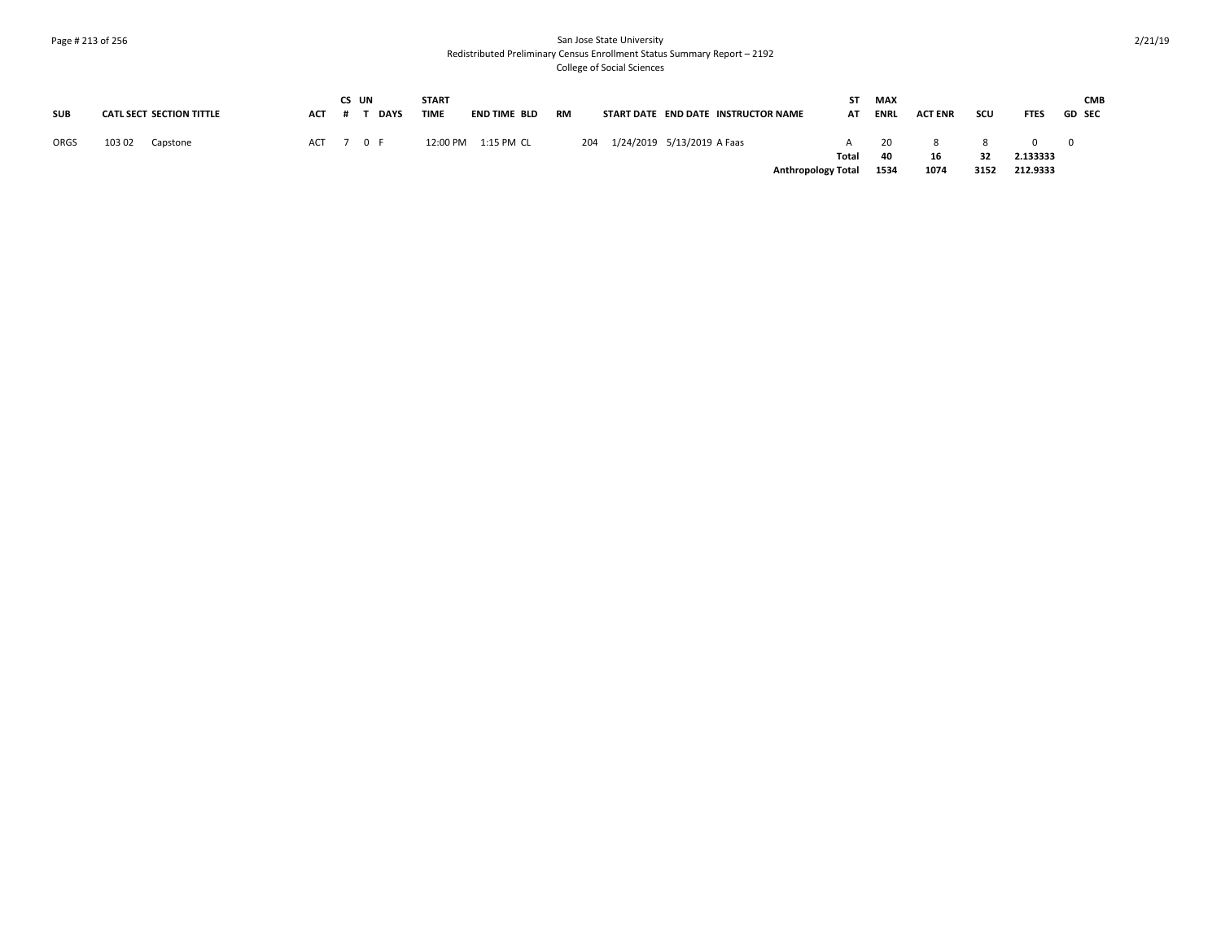### Page # 213 of 256 San Jose State University Redistributed Preliminary Census Enrollment Status Summary Report – 2192 College of Social Sciences

|            |                                 |           | CS UN |             | <b>START</b> |              |    |     |                            |                                     | ST    | MAX     |                |      |             | <b>CMB</b>    |
|------------|---------------------------------|-----------|-------|-------------|--------------|--------------|----|-----|----------------------------|-------------------------------------|-------|---------|----------------|------|-------------|---------------|
| <b>SUB</b> | <b>CATL SECT SECTION TITTLE</b> | АСТ       |       | <b>DAYS</b> | <b>TIME</b>  | END TIME BLD | RM |     |                            | START DATE END DATE INSTRUCTOR NAME |       | AT ENRL | <b>ACT ENR</b> | scu  | <b>FTES</b> | <b>GD SEC</b> |
| ORGS       | 103 02<br>Capstone              | ACT 7 0 F |       |             | 12:00 PM     | 1:15 PM CL   |    | 204 | 1/24/2019 5/13/2019 A Faas |                                     |       | -20     |                |      |             |               |
|            |                                 |           |       |             |              |              |    |     |                            |                                     | Total | 40      | 16             | 32   | 2.133333    |               |
|            |                                 |           |       |             |              |              |    |     |                            | <b>Anthropology Total</b>           |       | 1534    | 1074           | 3152 | 212.9333    |               |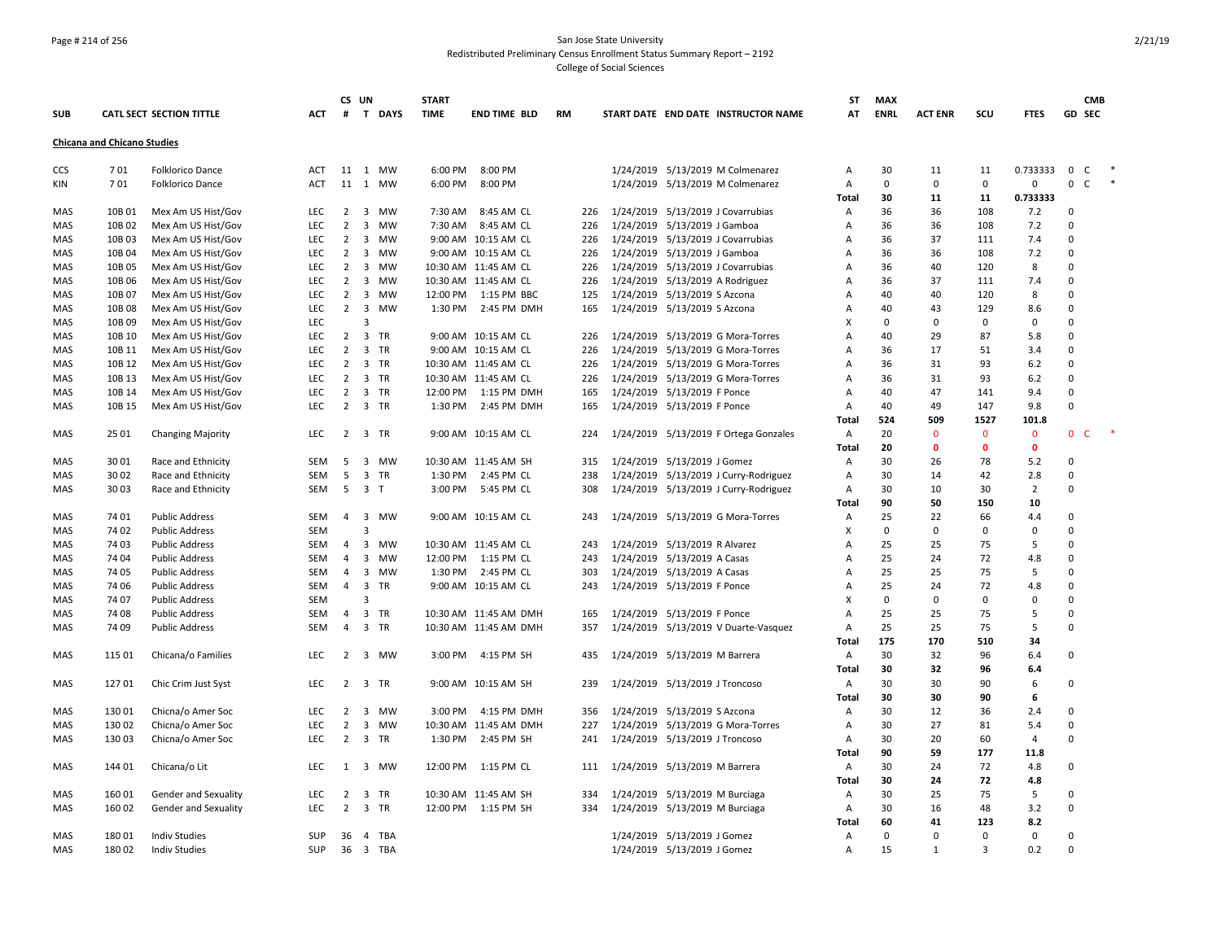### Page # 214 of 256 San Jose State University Redistributed Preliminary Census Enrollment Status Summary Report – 2192 College of Social Sciences

| SUB |                                    | <b>CATL SECT SECTION TITTLE</b>        | <b>ACT</b> | CS UN<br>#     |                         | T DAYS    | <b>START</b><br><b>TIME</b> | <b>END TIME BLD</b>      | <b>RM</b> |     | START DATE END DATE INSTRUCTOR NAME   | <b>ST</b><br>AT | <b>MAX</b><br><b>ENRL</b> | <b>ACT ENR</b> | scu                         | <b>FTES</b>        | GD SEC                  | <b>CMB</b> |  |
|-----|------------------------------------|----------------------------------------|------------|----------------|-------------------------|-----------|-----------------------------|--------------------------|-----------|-----|---------------------------------------|-----------------|---------------------------|----------------|-----------------------------|--------------------|-------------------------|------------|--|
|     | <b>Chicana and Chicano Studies</b> |                                        |            |                |                         |           |                             |                          |           |     |                                       |                 |                           |                |                             |                    |                         |            |  |
| CCS | 701                                | <b>Folklorico Dance</b>                | ACT        | 11             | 1 MW                    |           | 6:00 PM                     | 8:00 PM                  |           |     | 1/24/2019 5/13/2019 M Colmenarez      | Α               | 30                        | 11             | 11                          | 0.733333           | 0                       | C          |  |
| KIN | 701                                | <b>Folklorico Dance</b>                | <b>ACT</b> | 11             | 1 MW                    |           | 6:00 PM                     | 8:00 PM                  |           |     | 1/24/2019 5/13/2019 M Colmenarez      | Α               | $\mathbf 0$               | $\Omega$       | $\mathbf 0$                 | $\mathbf 0$        | $\mathbf 0$             | C          |  |
|     |                                    |                                        |            |                |                         |           |                             |                          |           |     |                                       | Total           | 30                        | 11             | 11                          | 0.733333           |                         |            |  |
| MAS | 10B01                              | Mex Am US Hist/Gov                     | <b>LEC</b> | 2              | $\overline{\mathbf{3}}$ | MW        | 7:30 AM                     | 8:45 AM CL               |           | 226 | 1/24/2019 5/13/2019 J Covarrubias     | A               | 36                        | 36             | 108                         | 7.2                | $\Omega$                |            |  |
| MAS | 10B02                              | Mex Am US Hist/Gov                     | <b>LEC</b> | $\overline{2}$ | $\overline{\mathbf{3}}$ | MW        | 7:30 AM                     | 8:45 AM CL               |           | 226 | 1/24/2019 5/13/2019 J Gamboa          | Α               | 36                        | 36             | 108                         | 7.2                | $\Omega$                |            |  |
| MAS | 10B03                              | Mex Am US Hist/Gov                     | <b>LEC</b> | $\overline{2}$ | 3 MW                    |           |                             | 9:00 AM 10:15 AM CL      |           | 226 | 1/24/2019 5/13/2019 J Covarrubias     | A               | 36                        | 37             | 111                         | 7.4                | $\Omega$                |            |  |
| MAS | 10B04                              | Mex Am US Hist/Gov                     | LEC        | 2              | $\overline{\mathbf{3}}$ | <b>MW</b> |                             | 9:00 AM 10:15 AM CL      |           | 226 | 1/24/2019 5/13/2019 J Gamboa          | A               | 36                        | 36             | 108                         | 7.2                | $\Omega$                |            |  |
| MAS | 10B 05                             | Mex Am US Hist/Gov                     | LEC        | $\overline{2}$ | $\overline{\mathbf{3}}$ | MW        |                             | 10:30 AM 11:45 AM CL     |           | 226 | 1/24/2019 5/13/2019 J Covarrubias     | A               | 36                        | 40             | 120                         | 8                  | $\Omega$                |            |  |
| MAS | 10B 06                             | Mex Am US Hist/Gov                     | <b>LEC</b> | $\overline{2}$ | $\overline{\mathbf{3}}$ | MW        |                             | 10:30 AM 11:45 AM CL     |           | 226 | 1/24/2019 5/13/2019 A Rodriguez       | A               | 36                        | 37             | 111                         | 7.4                | $\Omega$                |            |  |
| MAS | 10B 07                             | Mex Am US Hist/Gov                     | LEC        | $\overline{2}$ | $\overline{\mathbf{3}}$ | MW        |                             | 12:00 PM   1:15 PM   BBC |           | 125 | 1/24/2019 5/13/2019 S Azcona          | A               | 40                        | 40             | 120                         | 8                  | $\mathbf 0$             |            |  |
| MAS | 10B08                              | Mex Am US Hist/Gov                     | <b>LEC</b> | $\overline{2}$ | $\overline{3}$          | MW        |                             | 1:30 PM 2:45 PM DMH      |           | 165 | 1/24/2019 5/13/2019 S Azcona          | A               | 40                        | 43             | 129                         | 8.6                | $\Omega$                |            |  |
| MAS | 10B09                              | Mex Am US Hist/Gov                     | LEC        |                | 3                       |           |                             |                          |           |     |                                       | x               | 0                         | 0              | $\Omega$                    | $\mathbf 0$        | $\Omega$                |            |  |
| MAS | 10B 10                             | Mex Am US Hist/Gov                     | LEC        | $\overline{2}$ | $\overline{\mathbf{3}}$ | <b>TR</b> |                             | 9:00 AM 10:15 AM CL      |           | 226 | 1/24/2019 5/13/2019 G Mora-Torres     | A               | 40                        | 29             | 87                          | 5.8                | $\mathbf 0$             |            |  |
| MAS | 10B 11                             | Mex Am US Hist/Gov                     | <b>LEC</b> | 2              | $\overline{3}$          | <b>TR</b> |                             | 9:00 AM 10:15 AM CL      |           | 226 | 1/24/2019 5/13/2019 G Mora-Torres     | A               | 36                        | 17             | 51                          | 3.4                | $\Omega$                |            |  |
| MAS | 10B 12                             | Mex Am US Hist/Gov                     | LEC        | $\overline{2}$ | $\overline{\mathbf{3}}$ | <b>TR</b> |                             | 10:30 AM 11:45 AM CL     |           | 226 | 1/24/2019 5/13/2019 G Mora-Torres     | A               | 36                        | 31             | 93                          | 6.2                | $\Omega$                |            |  |
| MAS | 10B 13                             | Mex Am US Hist/Gov                     | LEC        | $\overline{2}$ | $\overline{\mathbf{3}}$ | <b>TR</b> |                             | 10:30 AM 11:45 AM CL     |           | 226 | 1/24/2019 5/13/2019 G Mora-Torres     | A               | 36                        | 31             | 93                          | 6.2                | $\Omega$                |            |  |
| MAS | 10B 14                             | Mex Am US Hist/Gov                     | <b>LEC</b> | $\overline{2}$ | 3 TR                    |           |                             | 12:00 PM 1:15 PM DMH     |           | 165 | 1/24/2019 5/13/2019 F Ponce           | A               | 40                        | 47             | 141                         | 9.4                | $\Omega$                |            |  |
| MAS | 10B 15                             | Mex Am US Hist/Gov                     | <b>LEC</b> | $\overline{2}$ | $\overline{3}$          | <b>TR</b> |                             | 1:30 PM 2:45 PM DMH      |           | 165 | 1/24/2019 5/13/2019 F Ponce           | A               | 40                        | 49             | 147                         | 9.8                | $\Omega$                |            |  |
|     |                                    |                                        |            |                |                         |           |                             |                          |           |     |                                       | Total           | 524                       | 509            | 1527                        | 101.8              |                         |            |  |
| MAS | 25 01                              | <b>Changing Majority</b>               | <b>LEC</b> |                | 2 3 TR                  |           |                             | 9:00 AM 10:15 AM CL      |           | 224 | 1/24/2019 5/13/2019 F Ortega Gonzales | Α               | 20                        | $\mathbf{0}$   | $\mathbf{0}$                | $\mathbf{0}$       | $\mathbf{0}$            | C          |  |
|     |                                    |                                        |            |                |                         |           |                             |                          |           |     |                                       | Total           | 20                        | $\mathbf{0}$   | $\mathbf{0}$                | $\mathbf{0}$       |                         |            |  |
| MAS | 3001                               | Race and Ethnicity                     | SEM        | 5              | $\overline{\mathbf{3}}$ | MW        |                             | 10:30 AM 11:45 AM SH     |           | 315 | 1/24/2019 5/13/2019 J Gomez           | Α               | 30                        | 26             | 78                          | 5.2                | $\mathbf 0$             |            |  |
| MAS | 3002                               | Race and Ethnicity                     | SEM        | 5              | 3 TR                    |           |                             | 1:30 PM 2:45 PM CL       |           | 238 | 1/24/2019 5/13/2019 J Curry-Rodriguez | Α               | 30                        | 14             | 42                          | 2.8                | $\Omega$                |            |  |
| MAS | 3003                               | Race and Ethnicity                     | SEM        | -5             | 3 <sub>1</sub>          |           |                             | 3:00 PM 5:45 PM CL       |           | 308 | 1/24/2019 5/13/2019 J Curry-Rodriguez | Α               | 30                        | 10             | 30                          | $\overline{2}$     | $\Omega$                |            |  |
|     |                                    |                                        |            |                |                         |           |                             |                          |           |     |                                       | Total           | 90                        | 50             | 150                         | 10                 |                         |            |  |
| MAS | 74 01                              | <b>Public Address</b>                  | SEM        | 4              | $\overline{\mathbf{3}}$ | <b>MW</b> |                             | 9:00 AM 10:15 AM CL      |           | 243 | 1/24/2019 5/13/2019 G Mora-Torres     | Α               | 25                        | 22             | 66                          | 4.4                | $\Omega$                |            |  |
| MAS | 74 02                              | <b>Public Address</b>                  | <b>SEM</b> |                | $\overline{3}$          |           |                             |                          |           |     |                                       | X               | 0                         | $\mathbf 0$    | $\mathbf 0$                 | $\Omega$           | $\Omega$                |            |  |
| MAS | 74 03                              | <b>Public Address</b>                  | SEM        | 4              | $\overline{\mathbf{3}}$ | MW        |                             | 10:30 AM 11:45 AM CL     |           | 243 | 1/24/2019 5/13/2019 R Alvarez         | A               | 25                        | 25             | 75                          | 5                  | $\Omega$                |            |  |
| MAS | 74 04                              | <b>Public Address</b>                  | SEM        | 4              | $\overline{\mathbf{3}}$ | MW        |                             | 12:00 PM 1:15 PM CL      |           | 243 | 1/24/2019 5/13/2019 A Casas           | A               | 25                        | 24             | 72                          | 4.8                | $\mathbf 0$             |            |  |
| MAS | 74 05                              | <b>Public Address</b>                  | <b>SEM</b> | $\overline{4}$ | $\overline{3}$          | <b>MW</b> |                             | 1:30 PM 2:45 PM CL       |           | 303 | 1/24/2019 5/13/2019 A Casas           | A               | 25                        | 25             | 75                          | 5                  | $\Omega$                |            |  |
| MAS | 74 06                              | <b>Public Address</b>                  | SEM        | $\overline{4}$ | 3 TR                    |           |                             | 9:00 AM 10:15 AM CL      |           | 243 | 1/24/2019 5/13/2019 F Ponce           | A               | 25                        | 24             | 72                          | 4.8                | $\Omega$                |            |  |
| MAS | 74 07                              | <b>Public Address</b>                  | SEM        |                | $\overline{3}$          |           |                             |                          |           |     |                                       | X               | 0                         | $\Omega$       | $\mathbf 0$                 | $\mathbf 0$        | $\Omega$                |            |  |
| MAS | 74 08                              | <b>Public Address</b>                  | SEM        | 4              | $\overline{\mathbf{3}}$ | <b>TR</b> |                             | 10:30 AM 11:45 AM DMH    |           | 165 | 1/24/2019 5/13/2019 F Ponce           | A               | 25                        | 25             | 75                          | 5                  | $\Omega$                |            |  |
| MAS | 74 09                              | <b>Public Address</b>                  | SEM        | $\overline{4}$ | 3 TR                    |           |                             | 10:30 AM 11:45 AM DMH    |           | 357 | 1/24/2019  5/13/2019 V Duarte-Vasquez | Α               | 25                        | 25             | 75                          | 5                  | $\mathbf 0$             |            |  |
|     |                                    |                                        |            |                |                         |           |                             |                          |           |     |                                       | Total           | 175                       | 170            | 510                         | 34                 |                         |            |  |
| MAS | 115 01                             | Chicana/o Families                     | <b>LEC</b> | 2              | 3 MW                    |           |                             | 3:00 PM 4:15 PM SH       |           | 435 | 1/24/2019 5/13/2019 M Barrera         | Α               | 30                        | 32             | 96                          | 6.4                | $\Omega$                |            |  |
|     |                                    |                                        |            |                |                         |           |                             |                          |           |     |                                       | <b>Total</b>    | 30                        | 32             | 96                          | 6.4                |                         |            |  |
| MAS | 127 01                             | Chic Crim Just Syst                    | <b>LEC</b> | $\overline{2}$ | $\overline{\mathbf{3}}$ | <b>TR</b> |                             | 9:00 AM 10:15 AM SH      |           | 239 | 1/24/2019 5/13/2019 J Troncoso        | Α               | 30                        | 30             | 90                          | 6                  | $\Omega$                |            |  |
|     |                                    |                                        |            |                |                         |           |                             |                          |           |     |                                       | Total           | 30                        | 30             | 90                          | 6                  |                         |            |  |
| MAS | 130 01                             | Chicna/o Amer Soc                      | <b>LEC</b> | $\overline{2}$ | $\overline{\mathbf{3}}$ | <b>MW</b> | 3:00 PM                     | 4:15 PM DMH              |           | 356 | 1/24/2019 5/13/2019 S Azcona          |                 | 30                        | 12             | 36                          | 2.4                | $\mathbf 0$             |            |  |
|     | 130 02                             |                                        | <b>LEC</b> | $\overline{2}$ | $\overline{\mathbf{3}}$ | <b>MW</b> |                             | 10:30 AM 11:45 AM DMH    |           | 227 | 1/24/2019 5/13/2019 G Mora-Torres     | Α<br>Α          | 30                        | 27             | 81                          | 5.4                | $\Omega$                |            |  |
| MAS | 13003                              | Chicna/o Amer Soc<br>Chicna/o Amer Soc | <b>LEC</b> |                | 2 3 TR                  |           |                             | 1:30 PM 2:45 PM SH       |           | 241 |                                       | A               | 30                        | 20             | 60                          | 4                  | $\Omega$                |            |  |
| MAS |                                    |                                        |            |                |                         |           |                             |                          |           |     | 1/24/2019 5/13/2019 J Troncoso        |                 | 90                        | 59             | 177                         | 11.8               |                         |            |  |
|     |                                    |                                        |            | 1              |                         |           |                             |                          |           |     |                                       | Total           | 30                        | 24             | 72                          |                    | 0                       |            |  |
| MAS | 144 01                             | Chicana/o Lit                          | LEC        |                | $\overline{\mathbf{3}}$ | MW        | 12:00 PM                    | 1:15 PM CL               |           | 111 | 1/24/2019 5/13/2019 M Barrera         | Α               |                           |                |                             | 4.8                |                         |            |  |
|     |                                    |                                        |            |                |                         |           |                             |                          |           |     |                                       | Total           | 30                        | 24             | 72                          | 4.8                |                         |            |  |
| MAS | 160 01                             | Gender and Sexuality                   | LEC        | 2              | $\overline{\mathbf{3}}$ | TR        |                             | 10:30 AM 11:45 AM SH     |           | 334 | 1/24/2019 5/13/2019 M Burciaga        | Α               | 30                        | 25             | 75                          | 5                  | $\mathbf 0$             |            |  |
| MAS | 160 02                             | Gender and Sexuality                   | <b>LEC</b> | $\overline{2}$ | 3 TR                    |           |                             | 12:00 PM 1:15 PM SH      |           | 334 | 1/24/2019 5/13/2019 M Burciaga        | Α               | 30                        | 16             | 48<br>123                   | 3.2                | $\mathbf 0$             |            |  |
|     |                                    |                                        |            |                |                         |           |                             |                          |           |     |                                       | Total           | 60<br>$\Omega$            | 41<br>O        |                             | 8.2<br>$\mathbf 0$ |                         |            |  |
| MAS | 180 01                             | <b>Indiv Studies</b>                   | SUP<br>SUP | 36<br>36       | $\overline{4}$          | TBA       |                             |                          |           |     | 1/24/2019 5/13/2019 J Gomez           | Α               | 15                        | $\mathbf{1}$   | $\mathbf 0$<br>$\mathbf{a}$ | 0.2                | $\mathbf 0$<br>$\Omega$ |            |  |
| MAS | 180 02                             | <b>Indiv Studies</b>                   |            |                | 3 TBA                   |           |                             |                          |           |     | 1/24/2019 5/13/2019 J Gomez           | A               |                           |                |                             |                    |                         |            |  |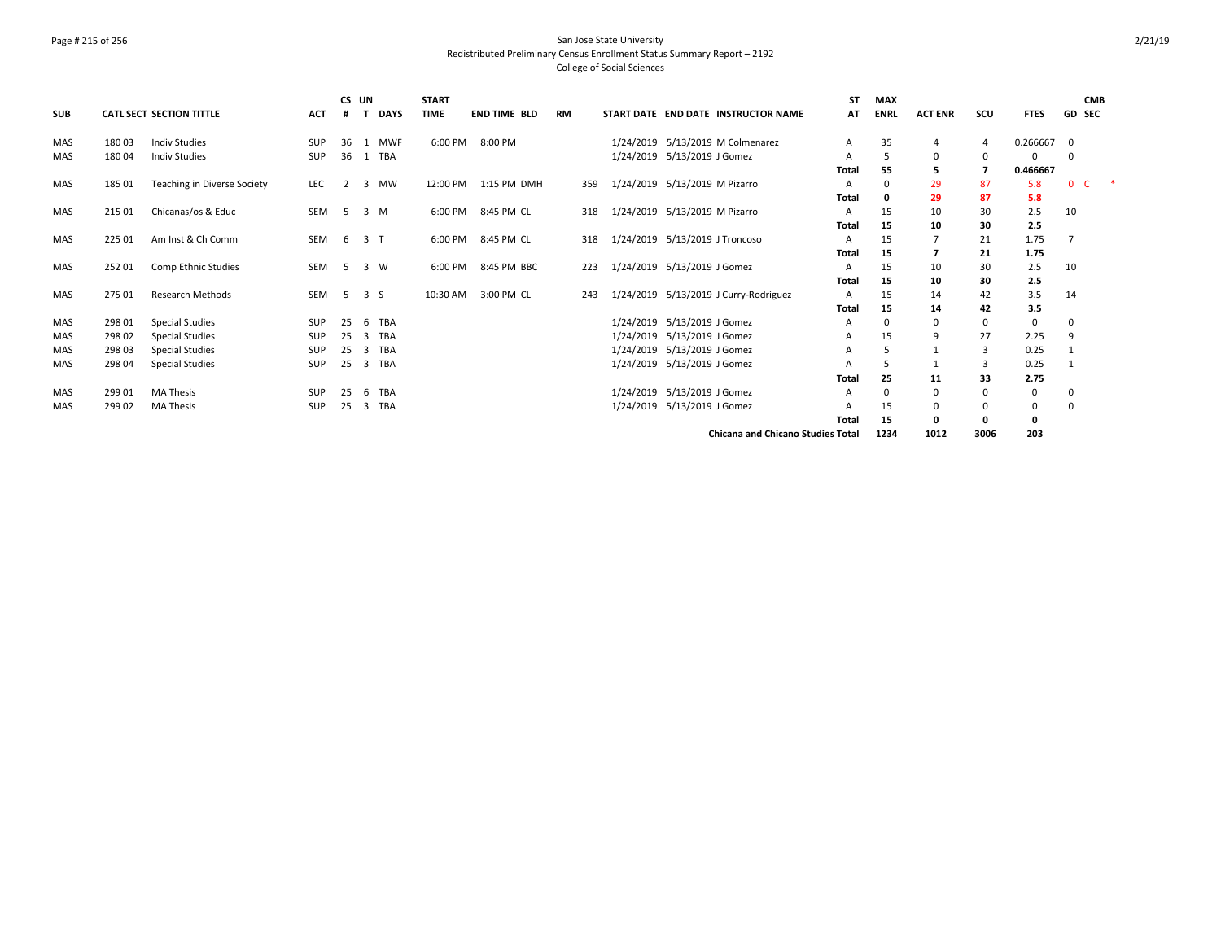### Page # 215 of 256 San Jose State University Redistributed Preliminary Census Enrollment Status Summary Report – 2192 College of Social Sciences

| <b>SUB</b> |        | <b>CATL SECT SECTION TITTLE</b> | <b>ACT</b> | CS UN<br># | <b>DAYS</b>     | <b>START</b><br><b>TIME</b> | <b>END TIME BLD</b>    | <b>RM</b> |     | START DATE END DATE INSTRUCTOR NAME      | <b>ST</b><br>AT | <b>MAX</b><br><b>ENRL</b> | <b>ACT ENR</b> | scu            | <b>FTES</b> | <b>CMB</b><br><b>GD SEC</b> |  |
|------------|--------|---------------------------------|------------|------------|-----------------|-----------------------------|------------------------|-----------|-----|------------------------------------------|-----------------|---------------------------|----------------|----------------|-------------|-----------------------------|--|
| MAS        | 18003  | <b>Indiv Studies</b>            | <b>SUP</b> | 36         | 1 MWF           | 6:00 PM                     | 8:00 PM                |           |     | 1/24/2019 5/13/2019 M Colmenarez         | A               | 35                        | 4              | $\overline{4}$ | 0.266667    | $\Omega$                    |  |
| MAS        | 180 04 | <b>Indiv Studies</b>            | SUP        | 36         | 1 TBA           |                             |                        |           |     | 1/24/2019 5/13/2019 J Gomez              | A               | 5                         | $\Omega$       |                | $\Omega$    | $\Omega$                    |  |
|            |        |                                 |            |            |                 |                             |                        |           |     |                                          | Total           | 55                        | 5              |                | 0.466667    |                             |  |
| MAS        | 185 01 | Teaching in Diverse Society     | <b>LEC</b> | 2          | <b>MW</b><br>3  |                             | 12:00 PM   1:15 PM DMH |           | 359 | 1/24/2019 5/13/2019 M Pizarro            | A               | 0                         | 29             | 87             | 5.8         | 0 <sup>o</sup>              |  |
|            |        |                                 |            |            |                 |                             |                        |           |     |                                          | Total           | 0                         | 29             | 87             | 5.8         |                             |  |
| MAS        | 215 01 | Chicanas/os & Educ              | SEM        | -5         | 3 M             |                             | 6:00 PM 8:45 PM CL     |           | 318 | 1/24/2019 5/13/2019 M Pizarro            | A               | 15                        | 10             | 30             | 2.5         | 10                          |  |
|            |        |                                 |            |            |                 |                             |                        |           |     |                                          | Total           | 15                        | 10             | 30             | 2.5         |                             |  |
| <b>MAS</b> | 225 01 | Am Inst & Ch Comm               | SEM        | 6          | 3 <sub>1</sub>  |                             | 6:00 PM 8:45 PM CL     |           | 318 | 1/24/2019 5/13/2019 J Troncoso           | A               | 15                        |                | 21             | 1.75        |                             |  |
|            |        |                                 |            |            |                 |                             |                        |           |     |                                          | Total           | 15                        | $\overline{7}$ | 21             | 1.75        |                             |  |
| MAS        | 252 01 | Comp Ethnic Studies             | SEM        | -5         | 3 W             | 6:00 PM                     | 8:45 PM BBC            |           | 223 | 1/24/2019 5/13/2019 J Gomez              | A               | 15                        | 10             | 30             | 2.5         | 10                          |  |
|            |        |                                 |            |            |                 |                             |                        |           |     |                                          | Total           | 15                        | 10             | 30             | 2.5         |                             |  |
| MAS        | 275 01 | Research Methods                | SEM        | -5         | 3 <sub>5</sub>  | 10:30 AM                    | 3:00 PM CL             |           | 243 | 1/24/2019 5/13/2019 J Curry-Rodriguez    | $\overline{A}$  | 15                        | 14             | 42             | 3.5         | 14                          |  |
|            |        |                                 |            |            |                 |                             |                        |           |     |                                          | <b>Total</b>    | 15                        | 14             | 42             | 3.5         |                             |  |
| <b>MAS</b> | 298 01 | <b>Special Studies</b>          | <b>SUP</b> | 25         | <b>TBA</b><br>6 |                             |                        |           |     | 1/24/2019 5/13/2019 J Gomez              | A               | 0                         | 0              | $\Omega$       | 0           | 0                           |  |
| <b>MAS</b> | 298 02 | <b>Special Studies</b>          | <b>SUP</b> | 25         | <b>TBA</b><br>3 |                             |                        |           |     | 1/24/2019 5/13/2019 J Gomez              | Α               | 15                        | 9              | 27             | 2.25        | 9                           |  |
| <b>MAS</b> | 298 03 | <b>Special Studies</b>          | <b>SUP</b> | 25         | <b>TBA</b><br>3 |                             |                        |           |     | 1/24/2019 5/13/2019 J Gomez              |                 | 5                         | $\mathbf{1}$   | 3              | 0.25        |                             |  |
| <b>MAS</b> | 298 04 | <b>Special Studies</b>          | <b>SUP</b> | 25         | TBA<br>3        |                             |                        |           |     | 1/24/2019 5/13/2019 J Gomez              |                 | 5                         |                | 3              | 0.25        |                             |  |
|            |        |                                 |            |            |                 |                             |                        |           |     |                                          | <b>Total</b>    | 25                        | 11             | 33             | 2.75        |                             |  |
| MAS        | 299 01 | <b>MA Thesis</b>                | <b>SUP</b> | 25         | <b>TBA</b><br>6 |                             |                        |           |     | 1/24/2019 5/13/2019 J Gomez              | А               | 0                         | 0              |                | 0           | 0                           |  |
| MAS        | 299 02 | <b>MA Thesis</b>                | <b>SUP</b> | 25         | <b>TBA</b><br>3 |                             |                        |           |     | 1/24/2019 5/13/2019 J Gomez              |                 | 15                        | $\Omega$       |                | 0           | $\Omega$                    |  |
|            |        |                                 |            |            |                 |                             |                        |           |     |                                          | Total           | 15                        | 0              |                | 0           |                             |  |
|            |        |                                 |            |            |                 |                             |                        |           |     | <b>Chicana and Chicano Studies Total</b> |                 | 1234                      | 1012           | 3006           | 203         |                             |  |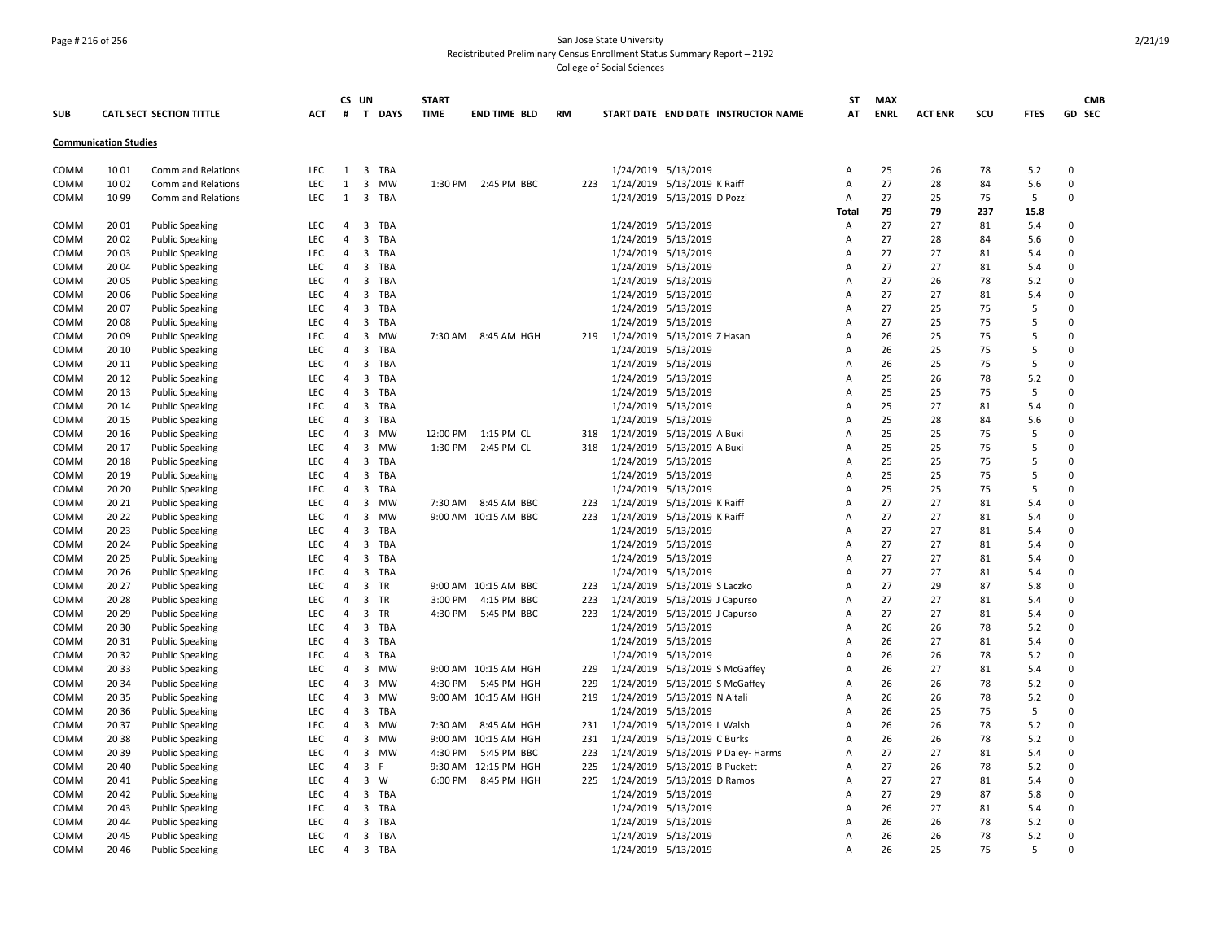### Page # 216 of 256 San Jose State University Redistributed Preliminary Census Enrollment Status Summary Report – 2192

College of Social Sciences

|            |                              |                                 |            |                | CS UN                                 | <b>START</b> |                      |           |     |                     |                                     | ST    | <b>MAX</b>  |                |     |             | <b>CMB</b>  |
|------------|------------------------------|---------------------------------|------------|----------------|---------------------------------------|--------------|----------------------|-----------|-----|---------------------|-------------------------------------|-------|-------------|----------------|-----|-------------|-------------|
| <b>SUB</b> |                              | <b>CATL SECT SECTION TITTLE</b> | ACT        | #              | T<br><b>DAYS</b>                      | <b>TIME</b>  | <b>END TIME BLD</b>  | <b>RM</b> |     |                     | START DATE END DATE INSTRUCTOR NAME | AT    | <b>ENRL</b> | <b>ACT ENR</b> | scu | <b>FTES</b> | GD SEC      |
|            | <b>Communication Studies</b> |                                 |            |                |                                       |              |                      |           |     |                     |                                     |       |             |                |     |             |             |
| COMM       | 1001                         | Comm and Relations              | <b>LEC</b> |                | 1 3 TBA                               |              |                      |           |     |                     | 1/24/2019 5/13/2019                 | А     | 25          | 26             | 78  | 5.2         | 0           |
| COMM       | 1002                         | Comm and Relations              | <b>LEC</b> | 1              | 3<br><b>MW</b>                        |              | 1:30 PM 2:45 PM BBC  |           | 223 |                     | 1/24/2019 5/13/2019 K Raiff         | A     | 27          | 28             | 84  | 5.6         | $\mathbf 0$ |
| COMM       | 1099                         | Comm and Relations              | <b>LEC</b> |                | 1 3 TBA                               |              |                      |           |     |                     | 1/24/2019 5/13/2019 D Pozzi         | А     | 27          | 25             | 75  | 5           | $\mathbf 0$ |
|            |                              |                                 |            |                |                                       |              |                      |           |     |                     |                                     | Total | 79          | 79             | 237 | 15.8        |             |
| COMM       | 2001                         | <b>Public Speaking</b>          | LEC        | $\overline{4}$ | $\overline{\mathbf{3}}$<br><b>TBA</b> |              |                      |           |     |                     | 1/24/2019 5/13/2019                 | А     | 27          | 27             | 81  | 5.4         | $\mathbf 0$ |
| COMM       | 20 02                        | <b>Public Speaking</b>          | <b>LEC</b> | 4              | 3<br><b>TBA</b>                       |              |                      |           |     |                     | 1/24/2019 5/13/2019                 | А     | 27          | 28             | 84  | 5.6         | 0           |
| COMM       | 2003                         | <b>Public Speaking</b>          | <b>LEC</b> | $\overline{4}$ | 3 TBA                                 |              |                      |           |     |                     | 1/24/2019 5/13/2019                 | Α     | 27          | 27             | 81  | 5.4         | $\mathbf 0$ |
| COMM       | 20 04                        | <b>Public Speaking</b>          | <b>LEC</b> | $\overline{4}$ | 3 TBA                                 |              |                      |           |     |                     | 1/24/2019 5/13/2019                 | А     | 27          | 27             | 81  | 5.4         | $\mathbf 0$ |
| COMM       | 2005                         | <b>Public Speaking</b>          | <b>LEC</b> | $\overline{4}$ | 3 TBA                                 |              |                      |           |     | 1/24/2019 5/13/2019 |                                     | А     | 27          | 26             | 78  | 5.2         | $\Omega$    |
| COMM       | 20 06                        | <b>Public Speaking</b>          | LEC        | 4              | <b>TBA</b><br>3                       |              |                      |           |     |                     | 1/24/2019 5/13/2019                 | A     | 27          | 27             | 81  | 5.4         | 0           |
| COMM       | 2007                         | <b>Public Speaking</b>          | <b>LEC</b> | $\overline{4}$ | 3<br>TBA                              |              |                      |           |     |                     | 1/24/2019 5/13/2019                 | А     | 27          | 25             | 75  | 5           | $\Omega$    |
| COMM       | 2008                         | <b>Public Speaking</b>          | <b>LEC</b> | $\overline{4}$ | 3 TBA                                 |              |                      |           |     |                     | 1/24/2019 5/13/2019                 | A     | 27          | 25             | 75  | 5           | $\mathbf 0$ |
| COMM       | 2009                         | <b>Public Speaking</b>          | <b>LEC</b> | $\overline{4}$ | 3<br><b>MW</b>                        |              | 7:30 AM 8:45 AM HGH  |           | 219 |                     | 1/24/2019 5/13/2019 Z Hasan         | A     | 26          | 25             | 75  | 5           | $\Omega$    |
| COMM       | 20 10                        | <b>Public Speaking</b>          | LEC        | $\overline{4}$ | 3 TBA                                 |              |                      |           |     |                     | 1/24/2019 5/13/2019                 | Α     | 26          | 25             | 75  | 5           | $\Omega$    |
| COMM       | 20 11                        | <b>Public Speaking</b>          | LEC        | 4              | 3 TBA                                 |              |                      |           |     |                     | 1/24/2019 5/13/2019                 | A     | 26          | 25             | 75  | 5           | $\Omega$    |
| COMM       | 20 12                        | <b>Public Speaking</b>          | <b>LEC</b> | $\overline{4}$ | $\overline{\mathbf{3}}$<br>TBA        |              |                      |           |     |                     | 1/24/2019 5/13/2019                 | А     | 25          | 26             | 78  | 5.2         | $\Omega$    |
| COMM       | 2013                         | <b>Public Speaking</b>          | LEC        | $\overline{4}$ | 3 TBA                                 |              |                      |           |     |                     | 1/24/2019 5/13/2019                 | А     | 25          | 25             | 75  | 5           | $\mathbf 0$ |
| COMM       | 20 14                        | <b>Public Speaking</b>          | <b>LEC</b> | $\overline{4}$ | 3 TBA                                 |              |                      |           |     |                     | 1/24/2019 5/13/2019                 | А     | 25          | 27             | 81  | 5.4         | $\mathbf 0$ |
| COMM       | 20 15                        | <b>Public Speaking</b>          | <b>LEC</b> | 4              | 3<br><b>TBA</b>                       |              |                      |           |     |                     | 1/24/2019 5/13/2019                 | Α     | 25          | 28             | 84  | 5.6         | $\mathbf 0$ |
| COMM       | 20 16                        | <b>Public Speaking</b>          | <b>LEC</b> | $\overline{4}$ | 3<br><b>MW</b>                        |              | 12:00 PM 1:15 PM CL  |           | 318 |                     | 1/24/2019 5/13/2019 A Buxi          | A     | 25          | 25             | 75  | 5           | $\Omega$    |
| COMM       | 20 17                        | <b>Public Speaking</b>          | LEC        | $\overline{4}$ | 3<br><b>MW</b>                        |              | 1:30 PM 2:45 PM CL   |           | 318 |                     | 1/24/2019 5/13/2019 A Buxi          | A     | 25          | 25             | 75  | 5           | $\mathbf 0$ |
| COMM       | 20 18                        | <b>Public Speaking</b>          | <b>LEC</b> | 4              | 3<br>TBA                              |              |                      |           |     |                     | 1/24/2019 5/13/2019                 | А     | 25          | 25             | 75  | 5           | $\Omega$    |
| COMM       | 20 19                        | <b>Public Speaking</b>          | LEC        | $\overline{4}$ | 3 TBA                                 |              |                      |           |     |                     | 1/24/2019 5/13/2019                 | A     | 25          | 25             | 75  | 5           | $\Omega$    |
| COMM       | 20 20                        | <b>Public Speaking</b>          | LEC        | 4              | 3<br>TBA                              |              |                      |           |     |                     | 1/24/2019 5/13/2019                 | A     | 25          | 25             | 75  | 5           | $\Omega$    |
| COMM       | 20 21                        | <b>Public Speaking</b>          | <b>LEC</b> | $\overline{4}$ | 3 MW                                  |              | 7:30 AM 8:45 AM BBC  |           | 223 |                     | 1/24/2019 5/13/2019 K Raiff         | А     | 27          | 27             | 81  | 5.4         | $\Omega$    |
| COMM       | 20 22                        | <b>Public Speaking</b>          | <b>LEC</b> | $\overline{4}$ | $\overline{3}$<br><b>MW</b>           |              | 9:00 AM 10:15 AM BBC |           | 223 |                     | 1/24/2019 5/13/2019 K Raiff         | A     | 27          | 27             | 81  | 5.4         | $\mathbf 0$ |
| COMM       | 2023                         | <b>Public Speaking</b>          | LEC        | $\overline{4}$ | 3<br><b>TBA</b>                       |              |                      |           |     |                     | 1/24/2019 5/13/2019                 | Α     | 27          | 27             | 81  | 5.4         | 0           |
| COMM       | 20 24                        | <b>Public Speaking</b>          | <b>LEC</b> | $\overline{4}$ | $\overline{\mathbf{3}}$<br>TBA        |              |                      |           |     |                     | 1/24/2019 5/13/2019                 | A     | 27          | 27             | 81  | 5.4         | $\mathbf 0$ |
| COMM       | 20 25                        | <b>Public Speaking</b>          | <b>LEC</b> | $\overline{4}$ | 3<br>TBA                              |              |                      |           |     |                     | 1/24/2019 5/13/2019                 | A     | 27          | 27             | 81  | 5.4         | $\Omega$    |
| COMM       | 20 26                        | <b>Public Speaking</b>          | <b>LEC</b> | $\overline{4}$ | 3 TBA                                 |              |                      |           |     |                     | 1/24/2019 5/13/2019                 | A     | 27          | 27             | 81  | 5.4         | $\Omega$    |
| COMM       | 20 27                        | <b>Public Speaking</b>          | <b>LEC</b> | $\overline{4}$ | $\overline{3}$<br>TR                  |              | 9:00 AM 10:15 AM BBC |           | 223 |                     | 1/24/2019 5/13/2019 S Laczko        | А     | 27          | 29             | 87  | 5.8         | $\Omega$    |
| COMM       | 2028                         | <b>Public Speaking</b>          | <b>LEC</b> | $\overline{4}$ | 3 TR                                  | 3:00 PM      | 4:15 PM BBC          |           | 223 |                     | 1/24/2019 5/13/2019 J Capurso       | Α     | 27          | 27             | 81  | 5.4         | $\mathbf 0$ |
| COMM       | 20 29                        | <b>Public Speaking</b>          | <b>LEC</b> | 4              | 3 TR                                  |              | 4:30 PM 5:45 PM BBC  |           | 223 |                     | 1/24/2019 5/13/2019 J Capurso       | А     | 27          | 27             | 81  | 5.4         | $\mathbf 0$ |
| COMM       | 20 30                        | <b>Public Speaking</b>          | <b>LEC</b> | $\overline{4}$ | 3 TBA                                 |              |                      |           |     |                     | 1/24/2019 5/13/2019                 | А     | 26          | 26             | 78  | 5.2         | $\Omega$    |
| COMM       | 2031                         | <b>Public Speaking</b>          | LEC        | 4              | <b>TBA</b><br>3                       |              |                      |           |     |                     | 1/24/2019 5/13/2019                 | А     | 26          | 27             | 81  | 5.4         | 0           |
| COMM       | 2032                         | <b>Public Speaking</b>          | <b>LEC</b> | $\overline{4}$ | 3 TBA                                 |              |                      |           |     |                     | 1/24/2019 5/13/2019                 | А     | 26          | 26             | 78  | 5.2         | 0           |
| COMM       | 2033                         | <b>Public Speaking</b>          | <b>LEC</b> | $\overline{4}$ | 3 MW                                  |              | 9:00 AM 10:15 AM HGH |           | 229 |                     | 1/24/2019 5/13/2019 S McGaffey      | A     | 26          | 27             | 81  | 5.4         | $\mathbf 0$ |
| COMM       | 2034                         | <b>Public Speaking</b>          | <b>LEC</b> | $\overline{4}$ | 3<br><b>MW</b>                        |              | 4:30 PM 5:45 PM HGH  |           | 229 |                     | 1/24/2019 5/13/2019 S McGaffey      | А     | 26          | 26             | 78  | 5.2         | $\Omega$    |
| COMM       | 2035                         | <b>Public Speaking</b>          | LEC        | $\overline{4}$ | 3 MW                                  |              | 9:00 AM 10:15 AM HGH |           | 219 |                     | 1/24/2019 5/13/2019 N Aitali        | A     | 26          | 26             | 78  | 5.2         | $\mathbf 0$ |
| COMM       | 20 36                        | <b>Public Speaking</b>          | LEC        | 4              | 3 TBA                                 |              |                      |           |     |                     | 1/24/2019 5/13/2019                 | Α     | 26          | 25             | 75  | 5           | $\Omega$    |
| COMM       | 2037                         | <b>Public Speaking</b>          | <b>LEC</b> | $\overline{4}$ | 3<br><b>MW</b>                        | 7:30 AM      | 8:45 AM HGH          |           | 231 |                     | 1/24/2019 5/13/2019 L Walsh         | Α     | 26          | 26             | 78  | 5.2         | $\Omega$    |
| COMM       | 2038                         | <b>Public Speaking</b>          | <b>LEC</b> | $\overline{4}$ | $\overline{\mathbf{3}}$<br>MW         |              | 9:00 AM 10:15 AM HGH |           | 231 |                     | 1/24/2019 5/13/2019 C Burks         | А     | 26          | 26             | 78  | 5.2         | $\mathbf 0$ |
| COMM       | 2039                         | <b>Public Speaking</b>          | <b>LEC</b> | $\overline{4}$ | 3 MW                                  | 4:30 PM      | 5:45 PM BBC          |           | 223 |                     | 1/24/2019 5/13/2019 P Daley- Harms  | Α     | 27          | 27             | 81  | 5.4         | $\Omega$    |
| COMM       | 2040                         | <b>Public Speaking</b>          | LEC        | 4              | 3<br>F                                |              | 9:30 AM 12:15 PM HGH |           | 225 |                     | 1/24/2019 5/13/2019 B Puckett       | А     | 27          | 26             | 78  | 5.2         | $\mathbf 0$ |
| COMM       | 2041                         | <b>Public Speaking</b>          | <b>LEC</b> | $\overline{4}$ | 3<br>W                                |              | 6:00 PM 8:45 PM HGH  |           | 225 |                     | 1/24/2019 5/13/2019 D Ramos         | А     | 27          | 27             | 81  | 5.4         | 0           |
| COMM       | 2042                         | <b>Public Speaking</b>          | <b>LEC</b> | 4              | 3 TBA                                 |              |                      |           |     |                     | 1/24/2019 5/13/2019                 | A     | 27          | 29             | 87  | 5.8         | 0           |
| COMM       | 2043                         | <b>Public Speaking</b>          | <b>LEC</b> | $\overline{4}$ | 3<br>TBA                              |              |                      |           |     |                     | 1/24/2019 5/13/2019                 | A     | 26          | 27             | 81  | 5.4         | $\Omega$    |
| COMM       | 2044                         | <b>Public Speaking</b>          | LEC        | $\overline{4}$ | 3 TBA                                 |              |                      |           |     |                     | 1/24/2019 5/13/2019                 | Α     | 26          | 26             | 78  | 5.2         | $\Omega$    |
| COMM       | 2045                         | <b>Public Speaking</b>          | LEC        | 4              | 3 TBA                                 |              |                      |           |     |                     | 1/24/2019 5/13/2019                 | А     | 26          | 26             | 78  | 5.2         | $\Omega$    |
| COMM       | 2046                         | <b>Public Speaking</b>          | <b>LEC</b> | $\overline{4}$ | 3 TBA                                 |              |                      |           |     |                     | 1/24/2019 5/13/2019                 | A     | 26          | 25             | 75  | 5           | $\Omega$    |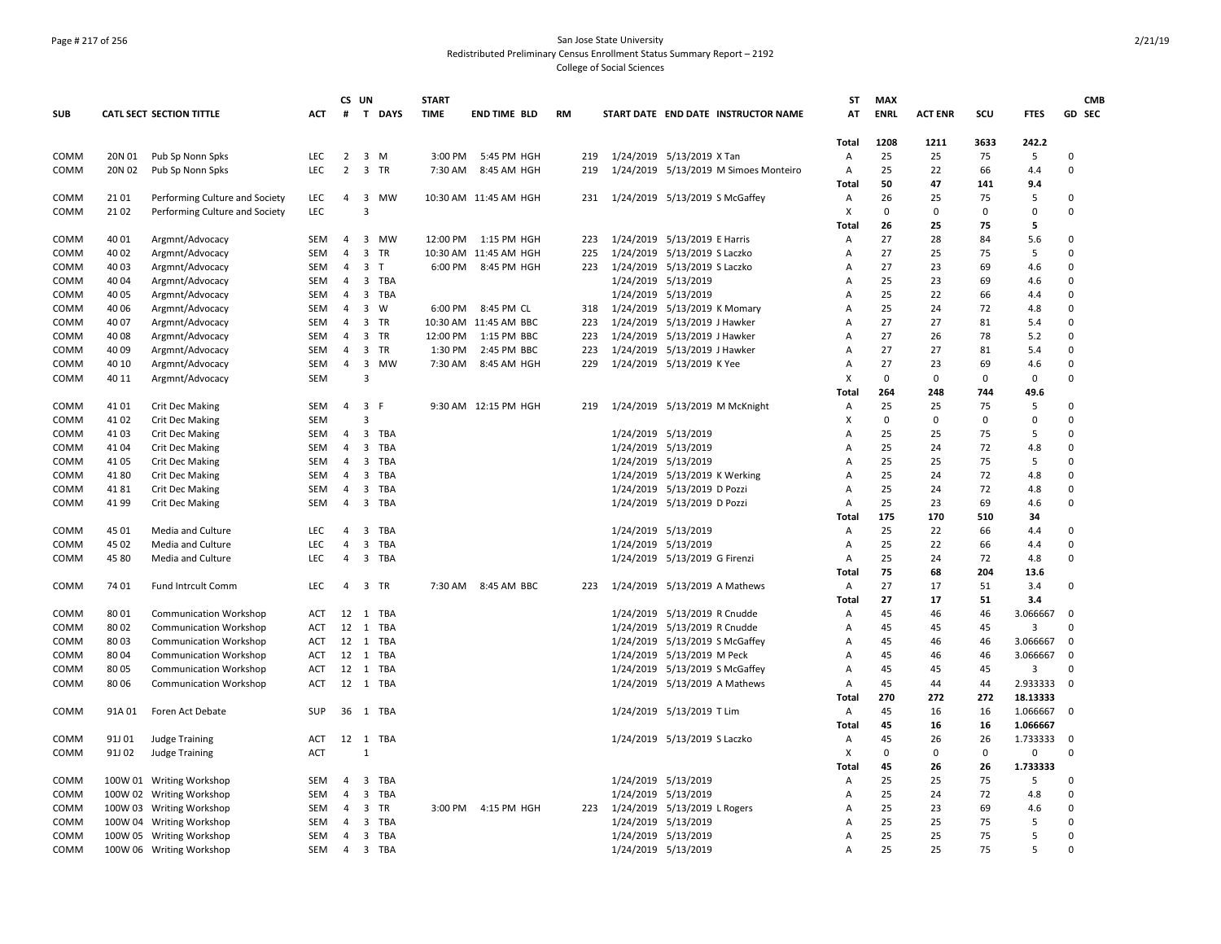### Page # 217 of 256 San Jose State University Redistributed Preliminary Census Enrollment Status Summary Report – 2192 College of Social Sciences

|              |        |                                                |            |                | CS UN          |            | <b>START</b> |                       |           |     |                                |                                         | <b>ST</b>         | <b>MAX</b>  |                |             |                      | <b>CMB</b>           |
|--------------|--------|------------------------------------------------|------------|----------------|----------------|------------|--------------|-----------------------|-----------|-----|--------------------------------|-----------------------------------------|-------------------|-------------|----------------|-------------|----------------------|----------------------|
| <b>SUB</b>   |        | <b>CATL SECT SECTION TITTLE</b>                | <b>ACT</b> |                |                | # T DAYS   | <b>TIME</b>  | <b>END TIME BLD</b>   | <b>RM</b> |     |                                | START DATE END DATE INSTRUCTOR NAME     | AT                | <b>ENRL</b> | <b>ACT ENR</b> | scu         | <b>FTES</b>          | GD SEC               |
|              |        |                                                |            |                |                |            |              |                       |           |     |                                |                                         |                   |             |                |             |                      |                      |
| COMM         | 20N 01 | Pub Sp Nonn Spks                               | <b>LEC</b> | $2^{\circ}$    | 3 M            |            | 3:00 PM      | 5:45 PM HGH           |           | 219 | 1/24/2019 5/13/2019 X Tan      |                                         | <b>Total</b><br>А | 1208<br>25  | 1211<br>25     | 3633<br>75  | 242.2<br>5           | $\Omega$             |
|              | 20N 02 | Pub Sp Nonn Spks                               | LEC        | $\overline{2}$ |                | 3 TR       | 7:30 AM      | 8:45 AM HGH           |           | 219 |                                | 1/24/2019  5/13/2019  M Simoes Monteiro |                   | 25          | 22             | 66          | 4.4                  | $\Omega$             |
| COMM         |        |                                                |            |                |                |            |              |                       |           |     |                                |                                         | Α<br>Total        | 50          | 47             | 141         | 9.4                  |                      |
| COMM         | 2101   | Performing Culture and Society                 | LEC        | $\overline{4}$ |                | 3 MW       |              | 10:30 AM 11:45 AM HGH |           | 231 | 1/24/2019 5/13/2019 S McGaffey |                                         | Α                 | 26          | 25             | 75          | 5                    | $\Omega$             |
| COMM         | 2102   | Performing Culture and Society                 | LEC        |                | 3              |            |              |                       |           |     |                                |                                         | Х                 | $\Omega$    | 0              | $\Omega$    | $\Omega$             | $\Omega$             |
|              |        |                                                |            |                |                |            |              |                       |           |     |                                |                                         | Total             | 26          | 25             | 75          | 5                    |                      |
| COMM         | 40 01  | Argmnt/Advocacy                                | SEM        | $\overline{4}$ |                | 3 MW       | 12:00 PM     | 1:15 PM HGH           |           | 223 | 1/24/2019 5/13/2019 E Harris   |                                         | А                 | 27          | 28             | 84          | 5.6                  | $\Omega$             |
| COMM         | 40 02  | Argmnt/Advocacy                                | <b>SEM</b> | $\overline{4}$ | 3              | <b>TR</b>  |              | 10:30 AM 11:45 AM HGH |           | 225 | 1/24/2019 5/13/2019 S Laczko   |                                         | A                 | 27          | 25             | 75          | 5                    | O                    |
| COMM         | 40 03  | Argmnt/Advocacy                                | SEM        | $\overline{4}$ | 3 <sub>T</sub> |            | 6:00 PM      | 8:45 PM HGH           |           | 223 | 1/24/2019 5/13/2019 S Laczko   |                                         | А                 | 27          | 23             | 69          | 4.6                  | $\Omega$             |
| COMM         | 40 04  | Argmnt/Advocacy                                | SEM        | $\overline{4}$ |                | 3 TBA      |              |                       |           |     | 1/24/2019 5/13/2019            |                                         | Α                 | 25          | 23             | 69          | 4.6                  | $\Omega$             |
| COMM         | 40 05  | Argmnt/Advocacy                                | SEM        | $\overline{a}$ |                | 3 TBA      |              |                       |           |     | 1/24/2019 5/13/2019            |                                         | А                 | 25          | 22             | 66          | 4.4                  | $\Omega$             |
| COMM         | 40 06  | Argmnt/Advocacy                                | SEM        | $\overline{4}$ | $\mathbf{3}$   | W          | 6:00 PM      | 8:45 PM CL            |           | 318 | 1/24/2019 5/13/2019 K Momary   |                                         | А                 | 25          | 24             | 72          | 4.8                  | $\Omega$             |
| COMM         | 40 07  | Argmnt/Advocacy                                | <b>SEM</b> | $\overline{4}$ |                | 3 TR       |              | 10:30 AM 11:45 AM BBC |           | 223 | 1/24/2019 5/13/2019 J Hawker   |                                         | A                 | 27          | 27             | 81          | 5.4                  | $\Omega$             |
| COMM         | 40 08  | Argmnt/Advocacy                                | SEM        | $\overline{4}$ | 3              | TR         | 12:00 PM     | 1:15 PM BBC           |           | 223 | 1/24/2019 5/13/2019 J Hawker   |                                         | А                 | 27          | 26             | 78          | 5.2                  | $\Omega$             |
| COMM         | 40 09  | Argmnt/Advocacy                                | SEM        | $\overline{4}$ |                | 3 TR       | 1:30 PM      | 2:45 PM BBC           |           | 223 | 1/24/2019 5/13/2019 J Hawker   |                                         | A                 | 27          | 27             | 81          | 5.4                  | $\Omega$             |
| COMM         | 40 10  | Argmnt/Advocacy                                | <b>SEM</b> | $\overline{4}$ |                | 3 MW       | 7:30 AM      | 8:45 AM HGH           |           | 229 | 1/24/2019 5/13/2019 K Yee      |                                         | Α                 | 27          | 23             | 69          | 4.6                  | $\Omega$             |
| COMM         | 40 11  | Argmnt/Advocacy                                | SEM        |                | 3              |            |              |                       |           |     |                                |                                         | X                 | $\Omega$    | $\mathbf 0$    | $\mathbf 0$ | $\mathbf 0$          | $\Omega$             |
|              |        |                                                |            |                |                |            |              |                       |           |     |                                |                                         | Total             | 264         | 248            | 744         | 49.6                 |                      |
| COMM         | 4101   | <b>Crit Dec Making</b>                         | SEM        |                | 4 3 F          |            |              | 9:30 AM 12:15 PM HGH  |           | 219 |                                | 1/24/2019 5/13/2019 M McKnight          | Α                 | 25          | 25             | 75          | 5                    | $\Omega$             |
| COMM         | 4102   | <b>Crit Dec Making</b>                         | <b>SEM</b> |                | 3              |            |              |                       |           |     |                                |                                         | x                 | 0           | 0              | 0           | $\Omega$             | $\Omega$             |
| COMM         | 4103   | <b>Crit Dec Making</b>                         | SEM        | $\overline{4}$ |                | 3 TBA      |              |                       |           |     | 1/24/2019 5/13/2019            |                                         | A                 | 25          | 25             | 75          | .5                   | $\Omega$             |
| COMM         | 4104   | <b>Crit Dec Making</b>                         | <b>SEM</b> | $\overline{4}$ | 3              | TBA        |              |                       |           |     | 1/24/2019 5/13/2019            |                                         | Α                 | 25          | 24             | 72          | 4.8                  | $\Omega$             |
| COMM         | 4105   | Crit Dec Making                                | SEM        | 4              | 3              | TBA        |              |                       |           |     | 1/24/2019 5/13/2019            |                                         | А                 | 25          | 25             | 75          | 5                    | $\Omega$             |
| COMM         | 4180   | Crit Dec Making                                | <b>SEM</b> | $\overline{4}$ |                | 3 TBA      |              |                       |           |     | 1/24/2019 5/13/2019 K Werking  |                                         | A                 | 25          | 24             | 72          | 4.8                  | $\Omega$             |
| COMM         | 4181   | <b>Crit Dec Making</b>                         | <b>SEM</b> | 4              |                | 3 TBA      |              |                       |           |     | 1/24/2019 5/13/2019 D Pozzi    |                                         | Α                 | 25          | 24             | 72          | 4.8                  | $\mathbf 0$          |
| COMM         | 4199   | Crit Dec Making                                | <b>SEM</b> | $\overline{4}$ | $\overline{3}$ | TBA        |              |                       |           |     | 1/24/2019 5/13/2019 D Pozzi    |                                         | A                 | 25          | 23             | 69          | 4.6                  | $\Omega$             |
|              |        |                                                |            |                |                |            |              |                       |           |     |                                |                                         | Total             | 175         | 170            | 510         | 34                   |                      |
| COMM         | 45 01  | Media and Culture                              | <b>LEC</b> | $\overline{4}$ | 3              | TBA        |              |                       |           |     | 1/24/2019 5/13/2019            |                                         | А                 | 25          | 22             | 66          | 4.4                  | $\Omega$             |
| COMM         | 45 02  | Media and Culture                              | LEC        | 4              | 3              | TBA        |              |                       |           |     | 1/24/2019 5/13/2019            |                                         | Α                 | 25          | 22             | 66          | 4.4                  | $\Omega$             |
| COMM         | 45 80  | Media and Culture                              | <b>LEC</b> | $\overline{4}$ |                | 3 TBA      |              |                       |           |     | 1/24/2019 5/13/2019 G Firenzi  |                                         | Α                 | 25          | 24             | 72          | 4.8                  | $\mathbf 0$          |
|              |        |                                                |            |                |                |            |              |                       |           |     |                                |                                         | Total             | 75          | 68             | 204         | 13.6                 |                      |
| COMM         | 74 01  | Fund Intrcult Comm                             | LEC        | 4              |                | 3 TR       | 7:30 AM      | 8:45 AM BBC           |           | 223 |                                | 1/24/2019 5/13/2019 A Mathews           | Α                 | 27          | 17             | 51          | 3.4                  | $\Omega$             |
|              |        |                                                |            |                |                |            |              |                       |           |     |                                |                                         | Total             | 27          | 17             | 51          | 3.4                  |                      |
| COMM         | 8001   | <b>Communication Workshop</b>                  | <b>ACT</b> |                |                | 12 1 TBA   |              |                       |           |     | 1/24/2019 5/13/2019 R Cnudde   |                                         | A                 | 45          | 46             | 46          | 3.066667             | $\mathbf 0$          |
| COMM         | 8002   | <b>Communication Workshop</b>                  | ACT        |                |                | 12 1 TBA   |              |                       |           |     | 1/24/2019 5/13/2019 R Cnudde   |                                         | А                 | 45          | 45             | 45          | 3                    | $\Omega$             |
| COMM         | 8003   | <b>Communication Workshop</b>                  | <b>ACT</b> |                |                | 12 1 TBA   |              |                       |           |     |                                | 1/24/2019 5/13/2019 S McGaffey          | А                 | 45          | 46             | 46          | 3.066667             | $\mathbf 0$          |
| COMM         | 8004   | <b>Communication Workshop</b>                  | <b>ACT</b> |                |                | 12 1 TBA   |              |                       |           |     | 1/24/2019 5/13/2019 M Peck     |                                         | Α                 | 45          | 46             | 46          | 3.066667             | $\Omega$             |
| COMM         | 8005   | <b>Communication Workshop</b>                  | ACT        |                |                | 12 1 TBA   |              |                       |           |     |                                | 1/24/2019 5/13/2019 S McGaffey          | А                 | 45          | 45             | 45          | 3                    | $\Omega$<br>$\Omega$ |
| COMM         | 8006   | <b>Communication Workshop</b>                  | <b>ACT</b> |                |                | 12 1 TBA   |              |                       |           |     |                                | 1/24/2019 5/13/2019 A Mathews           | А                 | 45<br>270   | 44             | 44<br>272   | 2.933333             |                      |
|              |        |                                                |            |                |                |            |              |                       |           |     | 1/24/2019 5/13/2019 T Lim      |                                         | Total             |             | 272            |             | 18.13333<br>1.066667 | 0                    |
| COMM         | 91A 01 | Foren Act Debate                               | SUP        |                |                | 36 1 TBA   |              |                       |           |     |                                |                                         | Α<br><b>Total</b> | 45<br>45    | 16<br>16       | 16<br>16    | 1.066667             |                      |
|              | 91J 01 |                                                | <b>ACT</b> |                |                | 12 1 TBA   |              |                       |           |     | 1/24/2019 5/13/2019 S Laczko   |                                         |                   | 45          | 26             | 26          | 1.733333             | $\mathbf 0$          |
| COMM<br>COMM | 91J 02 | <b>Judge Training</b><br><b>Judge Training</b> | <b>ACT</b> |                | $\mathbf{1}$   |            |              |                       |           |     |                                |                                         | А<br>X            | $\Omega$    | $\mathbf 0$    | $\mathbf 0$ | $\Omega$             | $\Omega$             |
|              |        |                                                |            |                |                |            |              |                       |           |     |                                |                                         | Total             | 45          | 26             | 26          | 1.733333             |                      |
| COMM         |        | 100W 01 Writing Workshop                       | SEM        | $\overline{4}$ | 3              | TBA        |              |                       |           |     | 1/24/2019 5/13/2019            |                                         | А                 | 25          | 25             | 75          | 5                    | $\Omega$             |
| COMM         |        | 100W 02 Writing Workshop                       | SEM        | $\overline{4}$ | 3              | <b>TBA</b> |              |                       |           |     | 1/24/2019 5/13/2019            |                                         | А                 | 25          | 24             | 72          | 4.8                  | $\Omega$             |
| COMM         |        | 100W 03 Writing Workshop                       | <b>SEM</b> | 4              | 3              | TR         | 3:00 PM      | 4:15 PM HGH           |           | 223 | 1/24/2019 5/13/2019 L Rogers   |                                         | Α                 | 25          | 23             | 69          | 4.6                  | $\mathbf 0$          |
| COMM         |        | 100W 04 Writing Workshop                       | <b>SEM</b> | $\overline{4}$ | 3              | TBA        |              |                       |           |     | 1/24/2019 5/13/2019            |                                         | A                 | 25          | 25             | 75          | 5                    | $\Omega$             |
| COMM         |        | 100W 05 Writing Workshop                       | <b>SEM</b> | $\overline{4}$ |                | 3 TBA      |              |                       |           |     | 1/24/2019 5/13/2019            |                                         | Α                 | 25          | 25             | 75          | 5                    | $\Omega$             |
| COMM         |        | 100W 06 Writing Workshop                       | <b>SEM</b> | 4              |                | 3 TBA      |              |                       |           |     | 1/24/2019 5/13/2019            |                                         | A                 | 25          | 25             | 75          | 5                    | $\Omega$             |
|              |        |                                                |            |                |                |            |              |                       |           |     |                                |                                         |                   |             |                |             |                      |                      |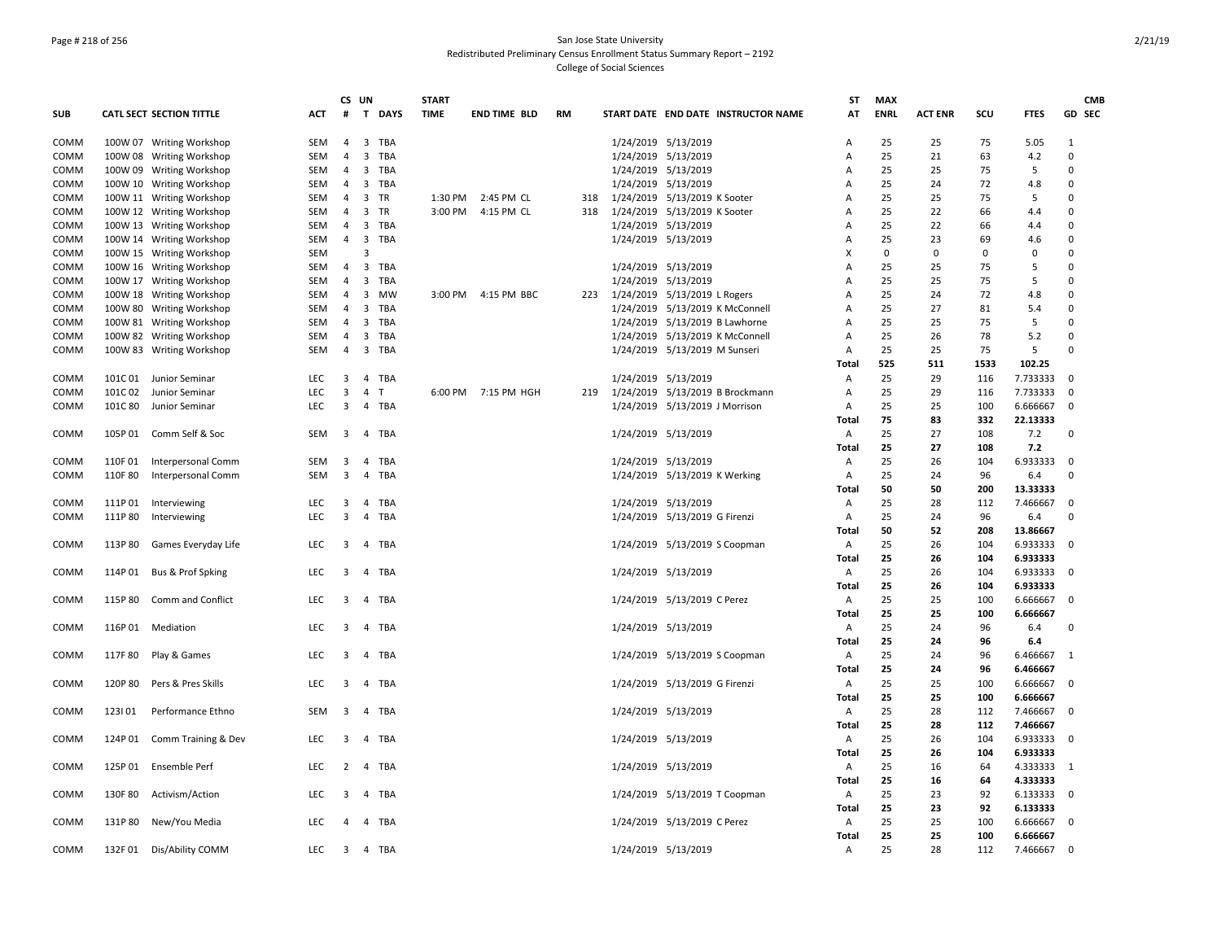### Page # 218 of 256 San Jose State University Redistributed Preliminary Census Enrollment Status Summary Report – 2192 College of Social Sciences

|            |         |                                 |            |                         | CS UN                          | <b>START</b> |                     |           |     |                     |                                |                                     | <b>ST</b>      | <b>MAX</b>  |                |          |             |             | <b>CMB</b> |
|------------|---------|---------------------------------|------------|-------------------------|--------------------------------|--------------|---------------------|-----------|-----|---------------------|--------------------------------|-------------------------------------|----------------|-------------|----------------|----------|-------------|-------------|------------|
| <b>SUB</b> |         | <b>CATL SECT SECTION TITTLE</b> | ACT        | #                       | $\mathbf{T}$<br><b>DAYS</b>    | <b>TIME</b>  | <b>END TIME BLD</b> | <b>RM</b> |     |                     |                                | START DATE END DATE INSTRUCTOR NAME | AT             | <b>ENRL</b> | <b>ACT ENR</b> | SCU      | <b>FTES</b> |             | GD SEC     |
| COMM       |         | 100W 07 Writing Workshop        | SEM        | 4                       | 3 TBA                          |              |                     |           |     |                     | 1/24/2019 5/13/2019            |                                     | Α              | 25          | 25             | 75       | 5.05        | 1           |            |
| COMM       |         | 100W 08 Writing Workshop        | SEM        | $\overline{4}$          | 3<br><b>TBA</b>                |              |                     |           |     |                     | 1/24/2019 5/13/2019            |                                     | Α              | 25          | 21             | 63       | 4.2         | $\mathbf 0$ |            |
| COMM       |         | 100W 09 Writing Workshop        | <b>SEM</b> | $\overline{4}$          | 3<br>TBA                       |              |                     |           |     |                     | 1/24/2019 5/13/2019            |                                     | A              | 25          | 25             | 75       | 5           | $\mathbf 0$ |            |
| COMM       |         | 100W 10 Writing Workshop        | SEM        | 4                       | 3 TBA                          |              |                     |           |     |                     | 1/24/2019 5/13/2019            |                                     | Α              | 25          | 24             | 72       | 4.8         | $\mathbf 0$ |            |
| COMM       |         | 100W 11 Writing Workshop        | <b>SEM</b> | $\overline{4}$          | $\overline{3}$<br><b>TR</b>    | 1:30 PM      | 2:45 PM CL          |           | 318 |                     | 1/24/2019 5/13/2019 K Sooter   |                                     | $\mathsf{A}$   | 25          | 25             | 75       | 5           | $\mathbf 0$ |            |
| COMM       |         | 100W 12 Writing Workshop        | SEM        | $\overline{4}$          | <b>TR</b><br>3                 | 3:00 PM      | 4:15 PM CL          |           | 318 |                     | 1/24/2019 5/13/2019 K Sooter   |                                     | Α              | 25          | 22             | 66       | 4.4         | $\mathbf 0$ |            |
| COMM       |         | 100W 13 Writing Workshop        | SEM        | $\overline{4}$          | 3<br><b>TBA</b>                |              |                     |           |     | 1/24/2019 5/13/2019 |                                |                                     | Α              | 25          | 22             | 66       | 4.4         | $\mathbf 0$ |            |
| COMM       |         | 100W 14 Writing Workshop        | SEM        | $\overline{4}$          | 3 TBA                          |              |                     |           |     |                     | 1/24/2019 5/13/2019            |                                     | Α              | 25          | 23             | 69       | 4.6         | $\mathbf 0$ |            |
| COMM       |         | 100W 15 Writing Workshop        | SEM        |                         | 3                              |              |                     |           |     |                     |                                |                                     | x              | $\Omega$    | $\Omega$       | $\Omega$ | $\Omega$    | $\mathbf 0$ |            |
| COMM       |         | 100W 16 Writing Workshop        | SEM        | $\overline{4}$          | $\overline{\mathbf{3}}$<br>TBA |              |                     |           |     |                     | 1/24/2019 5/13/2019            |                                     | Α              | 25          | 25             | 75       | 5           | $\mathbf 0$ |            |
| COMM       |         | 100W 17 Writing Workshop        | SEM        | $\overline{4}$          | 3 TBA                          |              |                     |           |     |                     | 1/24/2019 5/13/2019            |                                     | Α              | 25          | 25             | 75       | 5           | $\mathbf 0$ |            |
| COMM       |         | 100W 18 Writing Workshop        | <b>SEM</b> | $\overline{4}$          | $\overline{3}$<br><b>MW</b>    | 3:00 PM      | 4:15 PM BBC         |           | 223 |                     | 1/24/2019 5/13/2019 L Rogers   |                                     | $\mathsf{A}$   | 25          | 24             | 72       | 4.8         | $\mathbf 0$ |            |
| COMM       |         | 100W 80 Writing Workshop        | SEM        | $\overline{4}$          | $\overline{3}$<br><b>TBA</b>   |              |                     |           |     |                     |                                | 1/24/2019 5/13/2019 K McConnell     | Α              | 25          | 27             | 81       | 5.4         | $\mathbf 0$ |            |
| COMM       |         | 100W 81 Writing Workshop        | SEM        | 4                       | 3 TBA                          |              |                     |           |     |                     |                                | 1/24/2019 5/13/2019 B Lawhorne      | Α              | 25          | 25             | 75       | 5           | $\mathbf 0$ |            |
| COMM       |         | 100W 82 Writing Workshop        | <b>SEM</b> | $\overline{4}$          | $\overline{3}$<br>TBA          |              |                     |           |     |                     |                                | 1/24/2019 5/13/2019 K McConnell     | $\mathsf{A}$   | 25          | 26             | 78       | 5.2         | $\mathbf 0$ |            |
| COMM       |         | 100W 83 Writing Workshop        | SEM        | $\overline{4}$          | 3 TBA                          |              |                     |           |     |                     | 1/24/2019 5/13/2019 M Sunseri  |                                     | Α              | 25          | 25             | 75       | 5           | $\mathbf 0$ |            |
|            |         |                                 |            |                         |                                |              |                     |           |     |                     |                                |                                     | Total          | 525         | 511            | 1533     | 102.25      |             |            |
| COMM       |         | 101C 01 Junior Seminar          | <b>LEC</b> | 3                       | <b>TBA</b><br>4                |              |                     |           |     |                     | 1/24/2019 5/13/2019            |                                     | Α              | 25          | 29             | 116      | 7.733333    | $\mathbf 0$ |            |
| COMM       | 101C 02 | Junior Seminar                  | <b>LEC</b> | 3                       | T<br>$\overline{4}$            |              | 6:00 PM 7:15 PM HGH |           | 219 |                     |                                | 1/24/2019 5/13/2019 B Brockmann     | $\overline{A}$ | 25          | 29             | 116      | 7.733333    | $\Omega$    |            |
| COMM       | 101C 80 | Junior Seminar                  | <b>LEC</b> | 3                       | 4 TBA                          |              |                     |           |     |                     | 1/24/2019 5/13/2019 J Morrison |                                     | Α              | 25          | 25             | 100      | 6.666667    | $\mathbf 0$ |            |
|            |         |                                 |            |                         |                                |              |                     |           |     |                     |                                |                                     | Total          | 75          | 83             | 332      | 22.13333    |             |            |
| COMM       |         | 105P 01 Comm Self & Soc         | <b>SEM</b> | $\overline{\mathbf{3}}$ | 4 TBA                          |              |                     |           |     |                     | 1/24/2019 5/13/2019            |                                     | Α              | 25          | 27             | 108      | 7.2         | $\mathbf 0$ |            |
|            |         |                                 |            |                         |                                |              |                     |           |     |                     |                                |                                     | Total          | 25          | 27             | 108      | 7.2         |             |            |
| COMM       | 110F01  | Interpersonal Comm              | <b>SEM</b> | 3                       | TBA<br>4                       |              |                     |           |     |                     | 1/24/2019 5/13/2019            |                                     | Α              | 25          | 26             | 104      | 6.933333    | $\Omega$    |            |
| COMM       | 110F 80 | Interpersonal Comm              | <b>SEM</b> | $\overline{3}$          | 4 TBA                          |              |                     |           |     |                     | 1/24/2019 5/13/2019 K Werking  |                                     | Α              | 25          | 24             | 96       | 6.4         | $\Omega$    |            |
|            |         |                                 |            |                         |                                |              |                     |           |     |                     |                                |                                     | Total          | 50          | 50             | 200      | 13.33333    |             |            |
| COMM       | 111P 01 | Interviewing                    | <b>LEC</b> | 3                       | TBA<br>4                       |              |                     |           |     |                     | 1/24/2019 5/13/2019            |                                     | Α              | 25          | 28             | 112      | 7.466667    | $\Omega$    |            |
| COMM       | 111P80  | Interviewing                    | <b>LEC</b> | 3                       | $\overline{4}$<br>TBA          |              |                     |           |     |                     | 1/24/2019 5/13/2019 G Firenzi  |                                     | Α              | 25          | 24             | 96       | 6.4         | $\Omega$    |            |
|            |         |                                 |            |                         |                                |              |                     |           |     |                     |                                |                                     | Total          | 50          | 52             | 208      | 13.86667    |             |            |
| COMM       | 113P 80 | Games Everyday Life             | LEC        | 3                       | 4 TBA                          |              |                     |           |     |                     |                                | 1/24/2019 5/13/2019 S Coopman       | Α              | 25          | 26             | 104      | 6.933333    | $\Omega$    |            |
|            |         |                                 |            |                         |                                |              |                     |           |     |                     |                                |                                     | <b>Total</b>   | 25          | 26             | 104      | 6.933333    |             |            |
| COMM       | 114P 01 | Bus & Prof Spking               | LEC        | 3                       | TBA<br>$\overline{a}$          |              |                     |           |     |                     | 1/24/2019 5/13/2019            |                                     | Α              | 25          | 26             | 104      | 6.933333    | 0           |            |
|            |         |                                 |            |                         |                                |              |                     |           |     |                     |                                |                                     | Total          | 25          | 26             | 104      | 6.933333    |             |            |
| COMM       | 115P80  | <b>Comm and Conflict</b>        | <b>LEC</b> | 3                       | $\overline{4}$<br>TBA          |              |                     |           |     |                     | 1/24/2019 5/13/2019 C Perez    |                                     | Α              | 25          | 25             | 100      | 6.666667    | $\Omega$    |            |
|            |         |                                 |            |                         |                                |              |                     |           |     |                     |                                |                                     | Total          | 25          | 25             | 100      | 6.666667    |             |            |
| COMM       | 116P 01 | Mediation                       | <b>LEC</b> | 3                       | 4 TBA                          |              |                     |           |     |                     | 1/24/2019 5/13/2019            |                                     | A              | 25          | 24             | 96       | 6.4         | 0           |            |
|            |         |                                 |            |                         |                                |              |                     |           |     |                     |                                |                                     | Total          | 25          | 24             | 96       | 6.4         |             |            |
| COMM       | 117F 80 | Play & Games                    | <b>LEC</b> | 3                       | $\overline{4}$<br>TBA          |              |                     |           |     |                     |                                | 1/24/2019 5/13/2019 S Coopman       | Α              | 25          | 24             | 96       | 6.466667    | 1           |            |
|            |         |                                 |            |                         |                                |              |                     |           |     |                     |                                |                                     | Total          | 25          | 24             | 96       | 6.466667    |             |            |
| COMM       | 120P 80 | Pers & Pres Skills              | LEC        | 3                       | 4<br>TBA                       |              |                     |           |     |                     | 1/24/2019 5/13/2019 G Firenzi  |                                     | A              | 25          | 25             | 100      | 6.666667    | $\Omega$    |            |
|            |         |                                 |            |                         |                                |              |                     |           |     |                     |                                |                                     | <b>Total</b>   | 25          | 25             | 100      | 6.666667    |             |            |
| COMM       | 123101  | Performance Ethno               | SEM        | 3                       | 4 TBA                          |              |                     |           |     |                     | 1/24/2019 5/13/2019            |                                     | Α              | 25          | 28             | 112      | 7.466667    | $\mathbf 0$ |            |
|            |         |                                 |            |                         |                                |              |                     |           |     |                     |                                |                                     | Total          | 25          | 28             | 112      | 7.466667    |             |            |
| COMM       | 124P 01 | Comm Training & Dev             | <b>LEC</b> | 3                       | 4 TBA                          |              |                     |           |     |                     | 1/24/2019 5/13/2019            |                                     | A              | 25          | 26             | 104      | 6.933333    | $\Omega$    |            |
|            |         |                                 |            |                         |                                |              |                     |           |     |                     |                                |                                     | Total          | 25          | 26             | 104      | 6.933333    |             |            |
| COMM       | 125P 01 | Ensemble Perf                   | <b>LEC</b> | $\overline{2}$          | <b>TBA</b><br>4                |              |                     |           |     |                     | 1/24/2019 5/13/2019            |                                     | Α              | 25          | 16             | 64       | 4.333333    | 1           |            |
|            |         |                                 |            |                         |                                |              |                     |           |     |                     |                                |                                     | Total          | 25          | 16             | 64       | 4.333333    |             |            |
| COMM       | 130F 80 | Activism/Action                 | LEC.       | $\overline{3}$          | 4 TBA                          |              |                     |           |     |                     |                                | 1/24/2019 5/13/2019 T Coopman       | Α              | 25          | 23             | 92       | 6.133333    | $\Omega$    |            |
|            |         |                                 |            |                         |                                |              |                     |           |     |                     |                                |                                     | Total          | 25          | 23             | 92       | 6.133333    |             |            |
| COMM       | 131P 80 | New/You Media                   | <b>LEC</b> | $\overline{a}$          | 4 TBA                          |              |                     |           |     |                     | 1/24/2019 5/13/2019 C Perez    |                                     | A              | 25          | 25             | 100      | 6.666667    | $\Omega$    |            |
|            |         |                                 |            |                         |                                |              |                     |           |     |                     |                                |                                     | Total          | 25          | 25             | 100      | 6.666667    |             |            |
| COMM       |         | 132F 01 Dis/Ability COMM        | LEC        | 3                       | 4 TBA                          |              |                     |           |     |                     | 1/24/2019 5/13/2019            |                                     | A              | 25          | 28             | 112      | 7.466667    | $\Omega$    |            |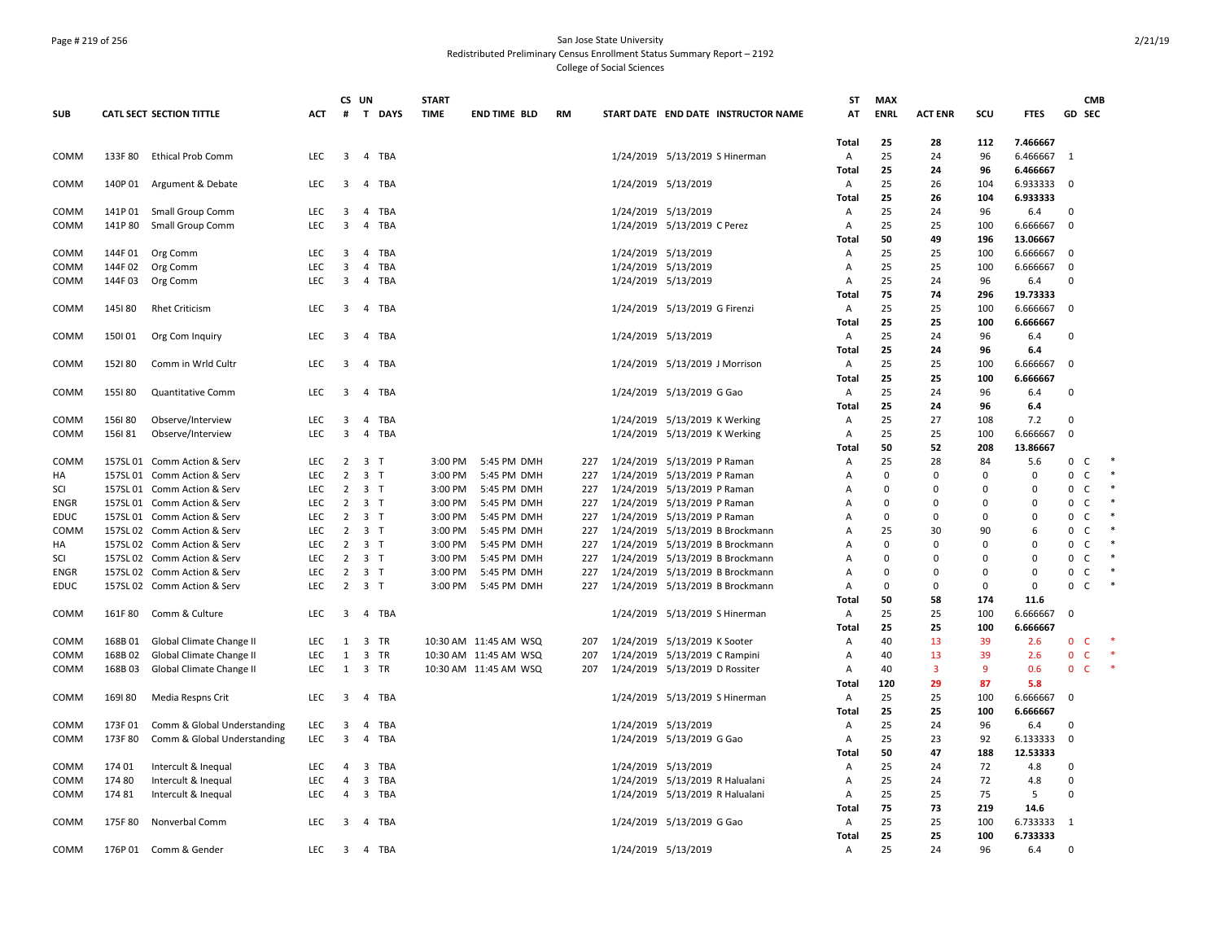### Page # 219 of 256 San Jose State University Redistributed Preliminary Census Enrollment Status Summary Report – 2192 College of Social Sciences

| <b>SUB</b>  |         | <b>CATL SECT SECTION TITTLE</b> | ACT        | CS UN<br>#              | T DAYS                | <b>START</b><br><b>TIME</b> | <b>END TIME BLD</b>   | RM  | START DATE END DATE INSTRUCTOR NAME | <b>ST</b><br>AT | <b>MAX</b><br><b>ENRL</b> | <b>ACT ENR</b>          | SCU         | <b>FTES</b> | GD SEC         | <b>CMB</b>   |  |
|-------------|---------|---------------------------------|------------|-------------------------|-----------------------|-----------------------------|-----------------------|-----|-------------------------------------|-----------------|---------------------------|-------------------------|-------------|-------------|----------------|--------------|--|
|             |         |                                 |            |                         |                       |                             |                       |     |                                     | <b>Total</b>    | 25                        | 28                      | 112         | 7.466667    |                |              |  |
| COMM        | 133F 80 | <b>Ethical Prob Comm</b>        | LEC.       | 3                       | 4 TBA                 |                             |                       |     | 1/24/2019 5/13/2019 S Hinerman      | Α               | 25                        | 24                      | 96          | 6.466667 1  |                |              |  |
|             |         |                                 |            |                         |                       |                             |                       |     |                                     | <b>Total</b>    | 25                        | 24                      | 96          | 6.466667    |                |              |  |
|             |         | 140P 01 Argument & Debate       | LEC        | $\overline{3}$          | 4 TBA                 |                             |                       |     | 1/24/2019 5/13/2019                 | Α               | 25                        | 26                      | 104         | 6.933333    | $\overline{0}$ |              |  |
| COMM        |         |                                 |            |                         |                       |                             |                       |     |                                     | Total           | 25                        | 26                      | 104         | 6.933333    |                |              |  |
|             |         |                                 | <b>LEC</b> |                         | <b>TBA</b><br>4       |                             |                       |     | 1/24/2019 5/13/2019                 | Α               | 25                        | 24                      | 96          | 6.4         | $\Omega$       |              |  |
| COMM        |         | 141P 01 Small Group Comm        |            | 3                       |                       |                             |                       |     |                                     |                 |                           |                         |             |             | $\mathbf 0$    |              |  |
| COMM        | 141P 80 | Small Group Comm                | <b>LEC</b> | $\overline{\mathbf{3}}$ | 4 TBA                 |                             |                       |     | 1/24/2019 5/13/2019 C Perez         | Α               | 25                        | 25                      | 100         | 6.666667    |                |              |  |
|             |         |                                 |            |                         |                       |                             |                       |     |                                     | <b>Total</b>    | 50                        | 49                      | 196         | 13.06667    |                |              |  |
| COMM        | 144F 01 | Org Comm                        | <b>LEC</b> | 3                       | TBA<br>4              |                             |                       |     | 1/24/2019 5/13/2019                 | Α               | 25                        | 25                      | 100         | 6.666667    | 0              |              |  |
| COMM        | 144F02  | Org Comm                        | <b>LEC</b> | 3                       | 4 TBA                 |                             |                       |     | 1/24/2019 5/13/2019                 | A               | 25                        | 25                      | 100         | 6.666667    | $\Omega$       |              |  |
| COMM        | 144F03  | Org Comm                        | <b>LEC</b> | 3                       | 4 TBA                 |                             |                       |     | 1/24/2019 5/13/2019                 | Α               | 25                        | 24                      | 96          | 6.4         | $\mathbf 0$    |              |  |
|             |         |                                 |            |                         |                       |                             |                       |     |                                     | Total           | 75                        | 74                      | 296         | 19.73333    |                |              |  |
| COMM        | 145180  | <b>Rhet Criticism</b>           | <b>LEC</b> |                         | 3 4 TBA               |                             |                       |     | 1/24/2019 5/13/2019 G Firenzi       | Α               | 25                        | 25                      | 100         | 6.666667    | $\Omega$       |              |  |
|             |         |                                 |            |                         |                       |                             |                       |     |                                     | Total           | 25                        | 25                      | 100         | 6.666667    |                |              |  |
| COMM        | 150101  | Org Com Inquiry                 | <b>LEC</b> | 3                       | 4 TBA                 |                             |                       |     | 1/24/2019 5/13/2019                 | Α               | 25                        | 24                      | 96          | 6.4         | $\Omega$       |              |  |
|             |         |                                 |            |                         |                       |                             |                       |     |                                     | Total           | 25                        | 24                      | 96          | $6.4$       |                |              |  |
| COMM        | 152180  | Comm in Wrld Cultr              | <b>LEC</b> | 3                       | 4 TBA                 |                             |                       |     | 1/24/2019 5/13/2019 J Morrison      | Α               | 25                        | 25                      | 100         | 6.666667    | 0              |              |  |
|             |         |                                 |            |                         |                       |                             |                       |     |                                     | <b>Total</b>    | 25                        | 25                      | 100         | 6.666667    |                |              |  |
| COMM        | 155180  | Quantitative Comm               | LEC        | $\overline{3}$          | 4 TBA                 |                             |                       |     | 1/24/2019 5/13/2019 G Gao           | Α               | 25                        | 24                      | 96          | 6.4         | $\mathbf 0$    |              |  |
|             |         |                                 |            |                         |                       |                             |                       |     |                                     | Total           | 25                        | 24                      | 96          | 6.4         |                |              |  |
| COMM        | 156180  | Observe/Interview               | <b>LEC</b> | 3                       | 4 TBA                 |                             |                       |     | 1/24/2019 5/13/2019 K Werking       | Α               | 25                        | 27                      | 108         | 7.2         | $\Omega$       |              |  |
| COMM        | 156181  | Observe/Interview               | <b>LEC</b> | $\overline{3}$          | 4 TBA                 |                             |                       |     | 1/24/2019 5/13/2019 K Werking       | Α               | 25                        | 25                      | 100         | 6.666667    | $\mathbf 0$    |              |  |
|             |         |                                 |            |                         |                       |                             |                       |     |                                     | <b>Total</b>    | 50                        | 52                      | 208         | 13.86667    |                |              |  |
| COMM        |         | 157SL 01 Comm Action & Serv     | LEC        | $\overline{2}$          | 3 <sub>T</sub>        | 3:00 PM                     | 5:45 PM DMH           | 227 | 1/24/2019 5/13/2019 P Raman         | Α               | 25                        | 28                      | 84          | 5.6         | $\mathsf{o}$   | $\mathsf{C}$ |  |
| HA          |         | 157SL 01 Comm Action & Serv     | <b>LEC</b> | 2                       | 3 <sub>T</sub>        | 3:00 PM                     | 5:45 PM DMH           | 227 | 1/24/2019 5/13/2019 P Raman         | A               | 0                         | $\Omega$                | $\mathbf 0$ | $\mathbf 0$ | 0              | C            |  |
| SCI         |         | 157SL 01 Comm Action & Serv     | <b>LEC</b> | $\overline{2}$          | 3 <sub>T</sub>        | 3:00 PM                     | 5:45 PM DMH           | 227 | 1/24/2019 5/13/2019 P Raman         | $\overline{A}$  | $\Omega$                  | $\Omega$                | $\Omega$    | $\Omega$    | $\Omega$       | $\mathsf{C}$ |  |
| <b>ENGR</b> |         | 157SL 01 Comm Action & Serv     | <b>LEC</b> | $\overline{2}$          | 3 <sub>T</sub>        | 3:00 PM                     | 5:45 PM DMH           | 227 | 1/24/2019 5/13/2019 P Raman         | $\overline{A}$  | 0                         | $\Omega$                | 0           | $\Omega$    | 0              | C            |  |
| <b>EDUC</b> |         | 157SL 01 Comm Action & Serv     | <b>LEC</b> | 2                       | 3 <sub>T</sub>        | 3:00 PM                     | 5:45 PM DMH           | 227 | 1/24/2019 5/13/2019 P Raman         | A               | $\Omega$                  | $\Omega$                | $\Omega$    | $\mathbf 0$ | $\mathbf 0$    | C            |  |
| COMM        |         | 157SL 02 Comm Action & Serv     | <b>LEC</b> | $\overline{2}$          | 3 <sub>T</sub>        | 3:00 PM                     |                       | 227 |                                     |                 | 25                        | 30                      | 90          | 6           | 0              | $\mathsf{C}$ |  |
|             |         |                                 |            |                         |                       |                             | 5:45 PM DMH           |     | 1/24/2019 5/13/2019 B Brockmann     | Α               |                           | $\Omega$                |             |             |                |              |  |
| НA          |         | 157SL 02 Comm Action & Serv     | <b>LEC</b> |                         | $2 \quad 3 \quad T$   | 3:00 PM                     | 5:45 PM DMH           | 227 | 1/24/2019 5/13/2019 B Brockmann     | A               | 0                         |                         | $\Omega$    | $\mathbf 0$ | $\mathbf 0$    | C            |  |
| SCI         |         | 157SL 02 Comm Action & Serv     | <b>LEC</b> | $\overline{2}$          | 3 <sub>1</sub>        | 3:00 PM                     | 5:45 PM DMH           | 227 | 1/24/2019 5/13/2019 B Brockmann     | Α               | 0                         | $\Omega$                | $\Omega$    | $\mathbf 0$ | 0              | $\mathsf{C}$ |  |
| <b>ENGR</b> |         | 157SL 02 Comm Action & Serv     | LEC        | $\overline{2}$          | 3 <sub>T</sub>        | 3:00 PM                     | 5:45 PM DMH           | 227 | 1/24/2019 5/13/2019 B Brockmann     | Α               | 0                         | $\Omega$                | $\Omega$    | $\mathbf 0$ | 0              | C            |  |
| <b>EDUC</b> |         | 157SL 02 Comm Action & Serv     | <b>LEC</b> |                         | $2 \quad 3 \quad T$   | 3:00 PM                     | 5:45 PM DMH           | 227 | 1/24/2019 5/13/2019 B Brockmann     | A               | $\Omega$                  | 0                       | $\Omega$    | $\mathbf 0$ | $\mathbf 0$    | $\mathsf{C}$ |  |
|             |         |                                 |            |                         |                       |                             |                       |     |                                     | <b>Total</b>    | 50                        | 58                      | 174         | 11.6        |                |              |  |
| COMM        | 161F 80 | Comm & Culture                  | <b>LEC</b> | 3                       | 4 TBA                 |                             |                       |     | 1/24/2019 5/13/2019 S Hinerman      | Α               | 25                        | 25                      | 100         | 6.666667    | $\mathbf 0$    |              |  |
|             |         |                                 |            |                         |                       |                             |                       |     |                                     | Total           | 25                        | 25                      | 100         | 6.666667    |                |              |  |
| COMM        | 168B 01 | Global Climate Change II        | <b>LEC</b> | 1                       | 3<br>TR               |                             | 10:30 AM 11:45 AM WSQ | 207 | 1/24/2019 5/13/2019 K Sooter        | Α               | 40                        | 13                      | 39          | 2.6         | $\mathbf 0$    | C            |  |
| COMM        | 168B02  | Global Climate Change II        | <b>LEC</b> | 1                       | 3 TR                  |                             | 10:30 AM 11:45 AM WSQ | 207 | 1/24/2019 5/13/2019 C Rampini       | A               | 40                        | 13                      | 39          | 2.6         | $\mathbf 0$    | c            |  |
| COMM        | 168B03  | Global Climate Change II        | <b>LEC</b> | 1                       | 3 TR                  |                             | 10:30 AM 11:45 AM WSQ | 207 | 1/24/2019 5/13/2019 D Rossiter      | Α               | 40                        | $\overline{\mathbf{3}}$ | 9           | 0.6         | $\mathbf 0$    | $\mathsf{C}$ |  |
|             |         |                                 |            |                         |                       |                             |                       |     |                                     | Total           | 120                       | 29                      | 87          | 5.8         |                |              |  |
| COMM        | 169180  | Media Respns Crit               | <b>LEC</b> | $\overline{3}$          | 4 TBA                 |                             |                       |     | 1/24/2019 5/13/2019 S Hinerman      | Α               | 25                        | 25                      | 100         | 6.666667    | $\Omega$       |              |  |
|             |         |                                 |            |                         |                       |                             |                       |     |                                     | Total           | 25                        | 25                      | 100         | 6.666667    |                |              |  |
| COMM        | 173F01  | Comm & Global Understanding     | <b>LEC</b> | 3                       | TBA<br>$\overline{4}$ |                             |                       |     | 1/24/2019 5/13/2019                 | A               | 25                        | 24                      | 96          | 6.4         | $\Omega$       |              |  |
| COMM        | 173F80  | Comm & Global Understanding     | <b>LEC</b> | $\overline{3}$          | 4 TBA                 |                             |                       |     | 1/24/2019 5/13/2019 G Gao           | Α               | 25                        | 23                      | 92          | 6.133333    | $\mathbf 0$    |              |  |
|             |         |                                 |            |                         |                       |                             |                       |     |                                     | Total           | 50                        | 47                      | 188         | 12.53333    |                |              |  |
| COMM        | 174 01  | Intercult & Inequal             | <b>LEC</b> | $\overline{4}$          | 3<br><b>TBA</b>       |                             |                       |     | 1/24/2019 5/13/2019                 | Α               | 25                        | 24                      | 72          | 4.8         | $\Omega$       |              |  |
| COMM        | 174 80  | Intercult & Inequal             | <b>LEC</b> | 4                       | 3 TBA                 |                             |                       |     | 1/24/2019 5/13/2019 R Halualani     | Α               | 25                        | 24                      | 72          | 4.8         | $\mathbf 0$    |              |  |
| COMM        | 17481   | Intercult & Inequal             | <b>LEC</b> | $\overline{4}$          | 3 TBA                 |                             |                       |     | 1/24/2019 5/13/2019 R Halualani     | Α               | 25                        | 25                      | 75          | 5           | $\Omega$       |              |  |
|             |         |                                 |            |                         |                       |                             |                       |     |                                     | Total           | 75                        | 73                      | 219         | 14.6        |                |              |  |
|             | 175F80  | Nonverbal Comm                  | <b>LEC</b> |                         | 3 4 TBA               |                             |                       |     |                                     | A               | 25                        | 25                      | 100         | 6.733333    | 1              |              |  |
| COMM        |         |                                 |            |                         |                       |                             |                       |     | 1/24/2019 5/13/2019 G Gao           |                 |                           | 25                      |             |             |                |              |  |
|             |         |                                 |            |                         |                       |                             |                       |     |                                     | Total           | 25                        |                         | 100         | 6.733333    |                |              |  |
| COMM        |         | 176P 01 Comm & Gender           | <b>LEC</b> |                         | 3 4 TBA               |                             |                       |     | 1/24/2019 5/13/2019                 | Α               | 25                        | 24                      | 96          | 6.4         | $\Omega$       |              |  |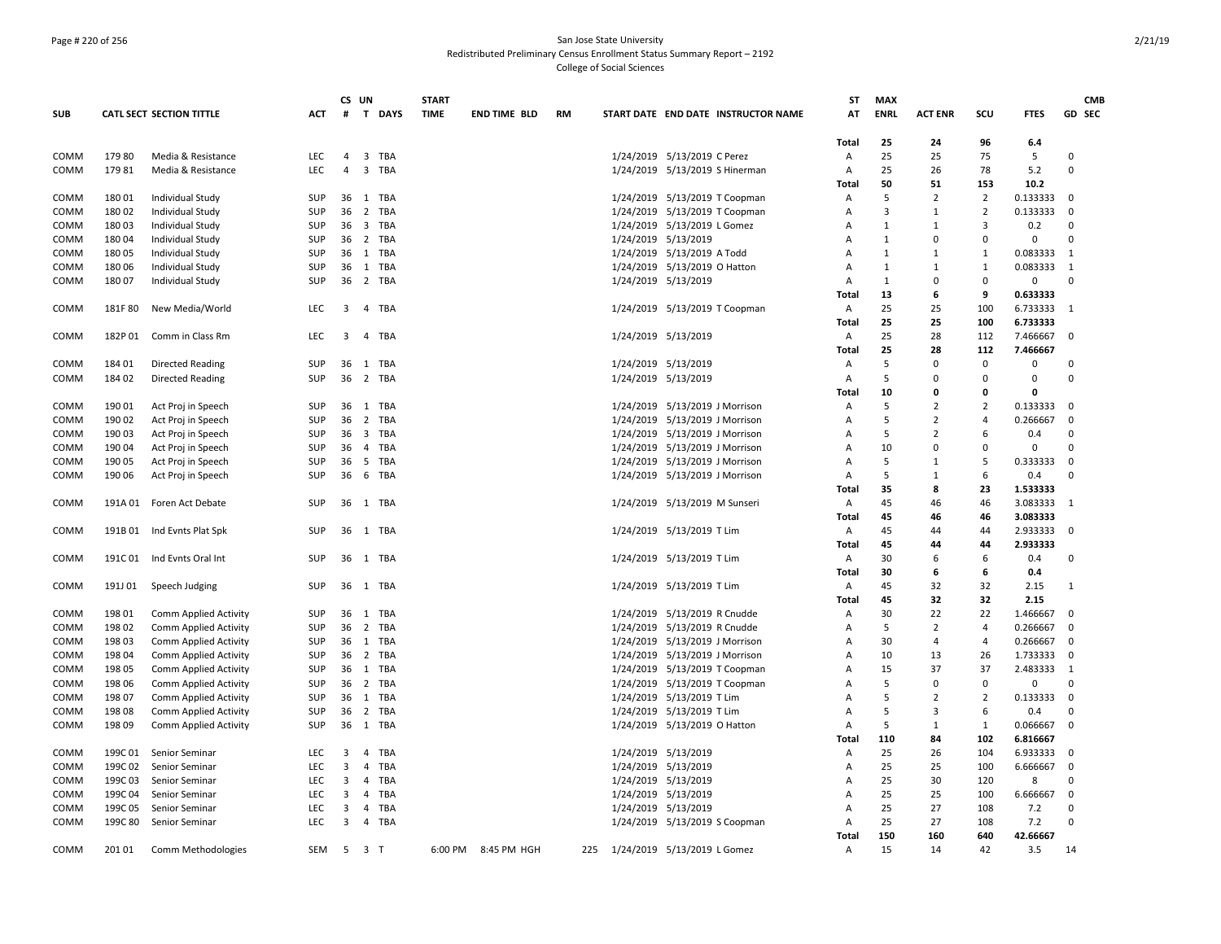### Page # 220 of 256 San Jose State University Redistributed Preliminary Census Enrollment Status Summary Report – 2192 College of Social Sciences

|            |         |                                 |            | CS UN                   |                         |            | <b>START</b> |                     |           |                                     | <b>ST</b>      | <b>MAX</b>              |                |                |             | <b>CMB</b>     |
|------------|---------|---------------------------------|------------|-------------------------|-------------------------|------------|--------------|---------------------|-----------|-------------------------------------|----------------|-------------------------|----------------|----------------|-------------|----------------|
| <b>SUB</b> |         | <b>CATL SECT SECTION TITTLE</b> | <b>ACT</b> | #                       |                         | T DAYS     | <b>TIME</b>  | <b>END TIME BLD</b> | <b>RM</b> | START DATE END DATE INSTRUCTOR NAME | AT             | <b>ENRL</b>             | <b>ACT ENR</b> | scu            | <b>FTES</b> | GD SEC         |
|            |         |                                 |            |                         |                         |            |              |                     |           |                                     |                |                         |                |                |             |                |
|            |         |                                 |            |                         |                         |            |              |                     |           |                                     | <b>Total</b>   | 25                      | 24             | 96             | 6.4         |                |
| COMM       | 179 80  | Media & Resistance              | <b>LEC</b> | 4                       |                         | 3 TBA      |              |                     |           | 1/24/2019 5/13/2019 C Perez         | A              | 25                      | 25             | 75             | 5           | $\Omega$       |
| COMM       | 17981   | Media & Resistance              | <b>LEC</b> | $\overline{4}$          | 3                       | <b>TBA</b> |              |                     |           | 1/24/2019 5/13/2019 S Hinerman      | $\overline{A}$ | 25                      | 26             | 78             | 5.2         | $\mathbf 0$    |
|            |         |                                 |            |                         |                         |            |              |                     |           |                                     | Total          | 50                      | 51             | 153            | 10.2        |                |
| COMM       | 180 01  | Individual Study                | <b>SUP</b> |                         | 36 1 TBA                |            |              |                     |           | 1/24/2019 5/13/2019 T Coopman       | A              | 5                       | $\overline{2}$ | $\overline{2}$ | 0.133333    | $\mathbf 0$    |
| COMM       | 18002   | Individual Study                | <b>SUP</b> | 36                      | $\overline{2}$          | TBA        |              |                     |           | 1/24/2019 5/13/2019 T Coopman       | Α              | $\overline{\mathbf{3}}$ | $\mathbf{1}$   | $\overline{2}$ | 0.133333    | $\Omega$       |
| COMM       | 18003   | Individual Study                | SUP        | 36                      | $\overline{\mathbf{3}}$ | TBA        |              |                     |           | 1/24/2019 5/13/2019 L Gomez         | A              | 1                       | $\mathbf{1}$   | 3              | 0.2         | $\circ$        |
| COMM       | 18004   | Individual Study                | <b>SUP</b> | 36                      | 2 TBA                   |            |              |                     |           | 1/24/2019 5/13/2019                 | A              | $\mathbf{1}$            | $\Omega$       | $\Omega$       | $\Omega$    | $\Omega$       |
| COMM       | 18005   | Individual Study                | <b>SUP</b> | 36                      | 1                       | <b>TBA</b> |              |                     |           | 1/24/2019 5/13/2019 A Todd          | А              | $\mathbf{1}$            | $\mathbf{1}$   | $\mathbf 1$    | 0.083333    | $\mathbf{1}$   |
|            |         |                                 |            |                         |                         |            |              |                     |           |                                     |                |                         |                |                |             | $\mathbf{1}$   |
| COMM       | 180 06  | Individual Study                | SUP        | 36                      | 1                       | TBA        |              |                     |           | 1/24/2019 5/13/2019 O Hatton        | A              | $\mathbf{1}$            | 1              | $\mathbf{1}$   | 0.083333    |                |
| COMM       | 180 07  | Individual Study                | <b>SUP</b> | 36                      | $\overline{2}$          | TBA        |              |                     |           | 1/24/2019 5/13/2019                 | А              | $\mathbf{1}$            | $\Omega$       | $\Omega$       | 0           | $\Omega$       |
|            |         |                                 |            |                         |                         |            |              |                     |           |                                     | Total          | 13                      | 6              | 9              | 0.633333    |                |
| COMM       | 181F80  | New Media/World                 | <b>LEC</b> | $\overline{3}$          |                         | 4 TBA      |              |                     |           | 1/24/2019 5/13/2019 T Coopman       | $\mathsf{A}$   | 25                      | 25             | 100            | 6.733333    | $\overline{1}$ |
|            |         |                                 |            |                         |                         |            |              |                     |           |                                     | <b>Total</b>   | 25                      | 25             | 100            | 6.733333    |                |
| COMM       | 182P 01 | Comm in Class Rm                | <b>LEC</b> | 3                       | 4                       | TBA        |              |                     |           | 1/24/2019 5/13/2019                 | A              | 25                      | 28             | 112            | 7.466667    | $\Omega$       |
|            |         |                                 |            |                         |                         |            |              |                     |           |                                     | <b>Total</b>   | 25                      | 28             | 112            | 7.466667    |                |
| COMM       | 184 01  | Directed Reading                | SUP        | 36                      | 1                       | TBA        |              |                     |           | 1/24/2019 5/13/2019                 | A              | 5                       | $\Omega$       | $\Omega$       | $\Omega$    | 0              |
| COMM       | 184 02  | Directed Reading                | <b>SUP</b> | 36                      | 2 TBA                   |            |              |                     |           | 1/24/2019 5/13/2019                 | $\overline{A}$ | 5                       | $\Omega$       | $\Omega$       | $\Omega$    | $\Omega$       |
|            |         |                                 |            |                         |                         |            |              |                     |           |                                     | Total          | 10                      | $\mathbf 0$    | 0              | $\Omega$    |                |
| COMM       | 190 01  | Act Proj in Speech              | SUP        | 36                      | 1                       | TBA        |              |                     |           | 1/24/2019 5/13/2019 J Morrison      | Α              | 5                       | $\overline{2}$ | $\overline{2}$ | 0.133333    | $\Omega$       |
| COMM       | 190 02  | Act Proj in Speech              | <b>SUP</b> | 36                      | 2                       | <b>TBA</b> |              |                     |           | 1/24/2019 5/13/2019 J Morrison      | A              | 5                       | $\overline{2}$ | $\overline{4}$ | 0.266667    | $\Omega$       |
| COMM       | 190 03  | Act Proj in Speech              | SUP        | 36                      | 3 TBA                   |            |              |                     |           | 1/24/2019 5/13/2019 J Morrison      | A              | 5                       | $\overline{2}$ | 6              | 0.4         | $\mathbf 0$    |
| COMM       | 19004   | Act Proj in Speech              | <b>SUP</b> | 36                      | $\overline{4}$          | <b>TBA</b> |              |                     |           | 1/24/2019 5/13/2019 J Morrison      | A              | 10                      | $\Omega$       | $\Omega$       | $\Omega$    | $\Omega$       |
| COMM       | 190 05  | Act Proj in Speech              | <b>SUP</b> | 36                      | 5                       | TBA        |              |                     |           | 1/24/2019 5/13/2019 J Morrison      | А              | 5                       | $\mathbf{1}$   | 5              | 0.333333    | $\mathbf 0$    |
| COMM       | 190 06  | Act Proj in Speech              | <b>SUP</b> | 36                      | 6                       | TBA        |              |                     |           | 1/24/2019 5/13/2019 J Morrison      | А              | 5                       | 1              | 6              | 0.4         | $\Omega$       |
|            |         |                                 |            |                         |                         |            |              |                     |           |                                     | <b>Total</b>   | 35                      | 8              | 23             | 1.533333    |                |
|            |         |                                 |            |                         |                         |            |              |                     |           |                                     |                |                         |                |                |             |                |
| COMM       | 191A 01 | Foren Act Debate                | SUP        | 36                      | 1 TBA                   |            |              |                     |           | 1/24/2019 5/13/2019 M Sunseri       | Α              | 45                      | 46             | 46             | 3.083333    | 1              |
|            |         |                                 |            |                         |                         |            |              |                     |           |                                     | <b>Total</b>   | 45                      | 46             | 46             | 3.083333    |                |
| COMM       |         | 191B 01 Ind Evnts Plat Spk      | <b>SUP</b> | 36                      | 1 TBA                   |            |              |                     |           | 1/24/2019 5/13/2019 T Lim           | Α              | 45                      | 44             | 44             | 2.933333    | $\mathbf 0$    |
|            |         |                                 |            |                         |                         |            |              |                     |           |                                     | Total          | 45                      | 44             | 44             | 2.933333    |                |
| COMM       | 191C01  | Ind Evnts Oral Int              | <b>SUP</b> | 36                      | 1                       | TBA        |              |                     |           | 1/24/2019 5/13/2019 T Lim           | Α              | 30                      | 6              | 6              | 0.4         | $\mathbf 0$    |
|            |         |                                 |            |                         |                         |            |              |                     |           |                                     | Total          | 30                      | 6              | 6              | 0.4         |                |
| COMM       | 191J 01 | Speech Judging                  | <b>SUP</b> |                         | 36 1 TBA                |            |              |                     |           | 1/24/2019 5/13/2019 T Lim           | A              | 45                      | 32             | 32             | 2.15        | 1              |
|            |         |                                 |            |                         |                         |            |              |                     |           |                                     | Total          | 45                      | 32             | 32             | 2.15        |                |
| COMM       | 198 01  | Comm Applied Activity           | SUP        | 36                      | 1                       | TBA        |              |                     |           | 1/24/2019 5/13/2019 R Cnudde        | A              | 30                      | 22             | 22             | 1.466667    | 0              |
| COMM       | 198 02  | Comm Applied Activity           | <b>SUP</b> | 36                      | 2                       | TBA        |              |                     |           | 1/24/2019 5/13/2019 R Cnudde        | А              | 5                       | $\overline{2}$ | 4              | 0.266667    | $\Omega$       |
| COMM       | 19803   | Comm Applied Activity           | <b>SUP</b> | 36                      | 1                       | TBA        |              |                     |           | 1/24/2019 5/13/2019 J Morrison      | А              | 30                      | 4              | $\overline{4}$ | 0.266667    | $\mathbf 0$    |
| COMM       | 198 04  | Comm Applied Activity           | <b>SUP</b> | 36                      | 2                       | TBA        |              |                     |           | 1/24/2019 5/13/2019 J Morrison      | A              | 10                      | 13             | 26             | 1.733333    | $\Omega$       |
| COMM       | 198 05  | Comm Applied Activity           | SUP        | 36                      | 1                       | TBA        |              |                     |           | 1/24/2019 5/13/2019 T Coopman       | Α              | 15                      | 37             | 37             | 2.483333    | 1              |
| COMM       | 198 06  | Comm Applied Activity           | SUP        | 36                      | 2                       | TBA        |              |                     |           | 1/24/2019 5/13/2019 T Coopman       | Α              | 5                       | $\Omega$       | $\Omega$       | $\Omega$    | $\mathbf 0$    |
| COMM       | 198 07  | Comm Applied Activity           | <b>SUP</b> | 36                      | 1                       | <b>TBA</b> |              |                     |           | 1/24/2019 5/13/2019 T Lim           | Α              | 5                       | $\overline{2}$ | $\overline{2}$ | 0.133333    | $\mathbf{0}$   |
| COMM       | 19808   | <b>Comm Applied Activity</b>    | <b>SUP</b> | 36                      | $\overline{2}$          | TBA        |              |                     |           | 1/24/2019 5/13/2019 T Lim           | A              | 5                       | 3              | 6              | 0.4         | $\mathbf 0$    |
| COMM       | 19809   | <b>Comm Applied Activity</b>    | <b>SUP</b> | 36                      | 1                       | <b>TBA</b> |              |                     |           | 1/24/2019 5/13/2019 O Hatton        | A              | 5                       | 1              | $\mathbf{1}$   | 0.066667    | $\mathbf 0$    |
|            |         |                                 |            |                         |                         |            |              |                     |           |                                     |                |                         |                |                |             |                |
|            |         |                                 |            |                         |                         |            |              |                     |           |                                     | Total          | 110                     | 84             | 102            | 6.816667    |                |
| COMM       | 199C 01 | Senior Seminar                  | <b>LEC</b> | 3                       | $\overline{4}$          | TBA        |              |                     |           | 1/24/2019 5/13/2019                 | A              | 25                      | 26             | 104            | 6.933333    | $\Omega$       |
| COMM       | 199C 02 | Senior Seminar                  | <b>LEC</b> | $\overline{3}$          | $\overline{4}$          | <b>TBA</b> |              |                     |           | 1/24/2019 5/13/2019                 | Α              | 25                      | 25             | 100            | 6.666667    | $\Omega$       |
| COMM       | 199C03  | Senior Seminar                  | <b>LEC</b> | $\overline{\mathbf{3}}$ | 4                       | TBA        |              |                     |           | 1/24/2019 5/13/2019                 | Α              | 25                      | 30             | 120            | 8           | $\mathbf 0$    |
| COMM       | 199C04  | Senior Seminar                  | <b>LEC</b> | 3                       | $\overline{4}$          | TBA        |              |                     |           | 1/24/2019 5/13/2019                 | A              | 25                      | 25             | 100            | 6.666667    | 0              |
| COMM       | 199C 05 | Senior Seminar                  | LEC        | 3                       | 4                       | <b>TBA</b> |              |                     |           | 1/24/2019 5/13/2019                 | Α              | 25                      | 27             | 108            | 7.2         | $\Omega$       |
| COMM       | 199C 80 | Senior Seminar                  | LEC        | 3                       |                         | 4 TBA      |              |                     |           | 1/24/2019 5/13/2019 S Coopman       | Α              | 25                      | 27             | 108            | 7.2         | $\Omega$       |
|            |         |                                 |            |                         |                         |            |              |                     |           |                                     | <b>Total</b>   | 150                     | 160            | 640            | 42.66667    |                |
| COMM       | 20101   | Comm Methodologies              | <b>SEM</b> |                         | 5 3 T                   |            |              | 6:00 PM 8:45 PM HGH | 225       | 1/24/2019 5/13/2019 L Gomez         | A              | 15                      | 14             | 42             | 3.5         | 14             |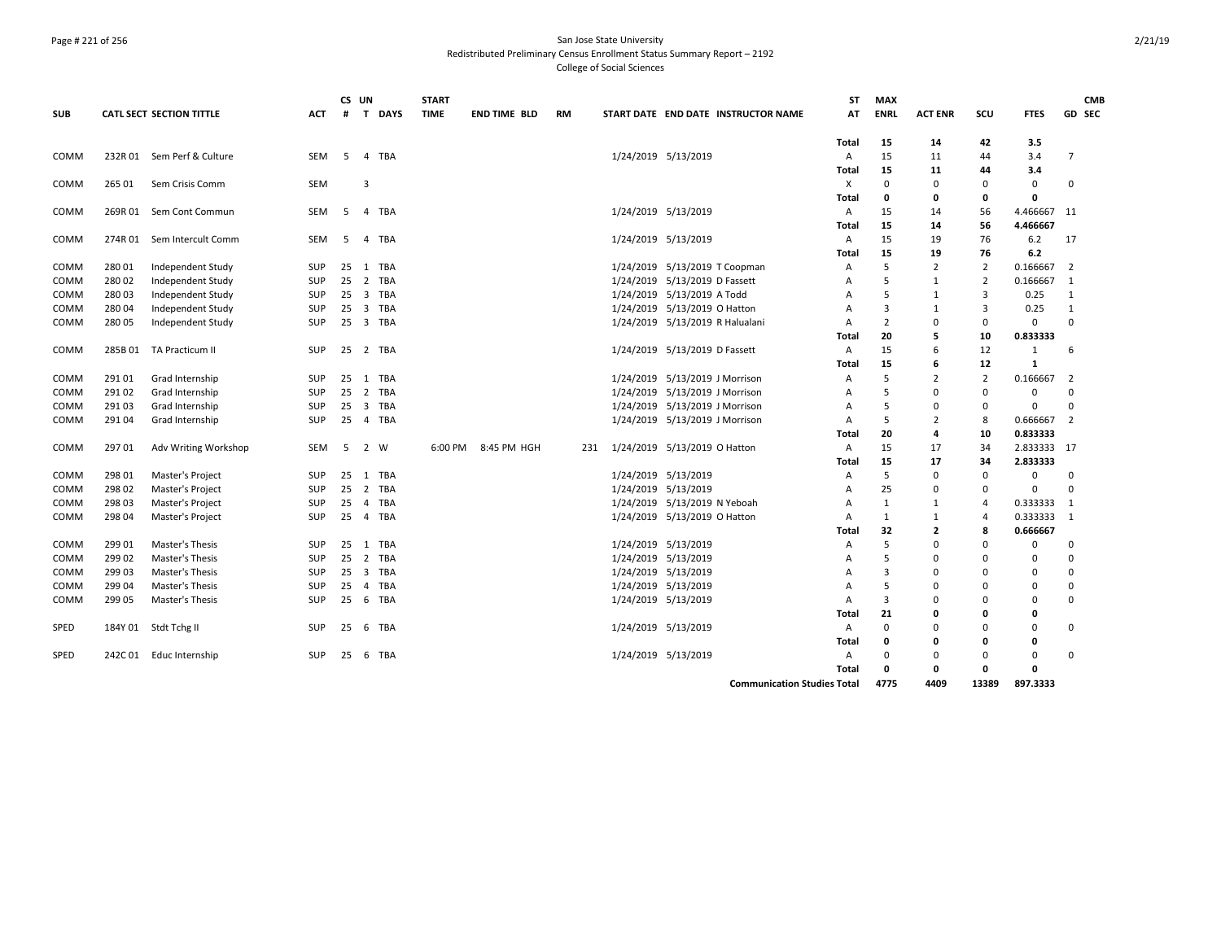### Page # 221 of 256 San Jose State University Redistributed Preliminary Census Enrollment Status Summary Report – 2192 College of Social Sciences

|            |         |                            |            | CS UN |          | <b>START</b> |              |           |                     |                                     | <b>ST</b>    | <b>MAX</b>     |                |                         |              | <b>CMB</b>     |
|------------|---------|----------------------------|------------|-------|----------|--------------|--------------|-----------|---------------------|-------------------------------------|--------------|----------------|----------------|-------------------------|--------------|----------------|
| <b>SUB</b> |         | CATL SECT SECTION TITTLE   | ACT        | #     | T DAYS   | <b>TIME</b>  | END TIME BLD | <b>RM</b> |                     | START DATE END DATE INSTRUCTOR NAME | AT           | <b>ENRL</b>    | <b>ACT ENR</b> | scu                     | <b>FTES</b>  | GD SEC         |
|            |         |                            |            |       |          |              |              |           |                     |                                     | Total        | 15             | 14             | 42                      | 3.5          |                |
| COMM       |         | 232R 01 Sem Perf & Culture | SEM        | 5     | 4 TBA    |              |              |           | 1/24/2019 5/13/2019 |                                     | A            | 15             | 11             | 44                      | 3.4          | 7              |
|            |         |                            |            |       |          |              |              |           |                     |                                     | Total        | 15             | 11             | 44                      | 3.4          |                |
| COMM       | 265 01  | Sem Crisis Comm            | <b>SEM</b> |       | 3        |              |              |           |                     |                                     | X            | $\Omega$       | $\mathbf{0}$   | $\Omega$                | $\mathbf 0$  | $\Omega$       |
|            |         |                            |            |       |          |              |              |           |                     |                                     | <b>Total</b> | $\mathbf{0}$   | 0              | $\mathbf 0$             | $\mathbf{0}$ |                |
| COMM       |         | 269R 01 Sem Cont Commun    | SEM        | -5    | 4 TBA    |              |              |           |                     | 1/24/2019 5/13/2019                 | A            | 15             | 14             | 56                      | 4.466667     | - 11           |
|            |         |                            |            |       |          |              |              |           |                     |                                     | Total        | 15             | 14             | 56                      | 4.466667     |                |
| COMM       |         | 274R 01 Sem Intercult Comm | SEM        | 5     | 4 TBA    |              |              |           | 1/24/2019 5/13/2019 |                                     | Α            | 15             | 19             | 76                      | 6.2          | 17             |
|            |         |                            |            |       |          |              |              |           |                     |                                     | Total        | 15             | 19             | 76                      | 6.2          |                |
| COMM       | 28001   | Independent Study          | SUP        |       | 25 1 TBA |              |              |           |                     | 1/24/2019 5/13/2019 T Coopman       | Α            | 5              | $\overline{2}$ | $\overline{2}$          | 0.166667     | $\overline{2}$ |
| COMM       | 28002   | Independent Study          | SUP        |       | 25 2 TBA |              |              |           |                     | 1/24/2019 5/13/2019 D Fassett       | Α            | .5             | 1              | $\overline{2}$          | 0.166667     | 1              |
| COMM       | 280 03  | Independent Study          | SUP        |       | 25 3 TBA |              |              |           |                     | 1/24/2019 5/13/2019 A Todd          | A            | 5              | 1              | $\overline{\mathbf{3}}$ | 0.25         | 1              |
| COMM       | 280 04  | Independent Study          | <b>SUP</b> |       | 25 3 TBA |              |              |           |                     | 1/24/2019 5/13/2019 O Hatton        | Α            | $\overline{3}$ | 1              | 3                       | 0.25         | 1              |
| COMM       | 280 05  | Independent Study          | <b>SUP</b> |       | 25 3 TBA |              |              |           |                     | 1/24/2019 5/13/2019 R Halualani     | Α            | $\overline{2}$ | $\mathbf 0$    | 0                       | $\mathbf 0$  | $\mathbf 0$    |
|            |         |                            |            |       |          |              |              |           |                     |                                     | Total        | 20             | 5              | 10                      | 0.833333     |                |
| COMM       |         | 285B 01 TA Practicum II    | <b>SUP</b> |       | 25 2 TBA |              |              |           |                     | 1/24/2019 5/13/2019 D Fassett       | A            | 15             | 6              | 12                      | $\mathbf{1}$ | 6              |
|            |         |                            |            |       |          |              |              |           |                     |                                     | Total        | 15             | 6              | 12                      | 1            |                |
| COMM       | 29101   | Grad Internship            | SUP        |       | 25 1 TBA |              |              |           |                     | 1/24/2019 5/13/2019 J Morrison      | Α            | .5             | $\overline{2}$ | $\overline{2}$          | 0.166667     | $\overline{2}$ |
| COMM       | 29102   | Grad Internship            | SUP        |       | 25 2 TBA |              |              |           |                     | 1/24/2019 5/13/2019 J Morrison      | Α            | 5              | $\mathbf 0$    | 0                       | 0            | 0              |
| COMM       | 29103   | Grad Internship            | <b>SUP</b> |       | 25 3 TBA |              |              |           |                     | 1/24/2019 5/13/2019 J Morrison      | Α            | 5              | $\mathbf 0$    | 0                       | $\mathbf 0$  | 0              |
| COMM       | 291 04  | Grad Internship            | <b>SUP</b> | 25    | 4 TBA    |              |              |           |                     | 1/24/2019 5/13/2019 J Morrison      | Α            | 5              | $\overline{2}$ | 8                       | 0.666667     | $\overline{2}$ |
|            |         |                            |            |       |          |              |              |           |                     |                                     | Total        | 20             | 4              | 10                      | 0.833333     |                |
| COMM       | 297 01  | Adv Writing Workshop       | SEM        | -5    | 2 W      | 6:00 PM      | 8:45 PM HGH  | 231       |                     | 1/24/2019 5/13/2019 O Hatton        | Α            | 15             | 17             | 34                      | 2.833333 17  |                |
|            |         |                            |            |       |          |              |              |           |                     |                                     | Total        | 15             | 17             | 34                      | 2.833333     |                |
| COMM       | 298 01  | Master's Project           | SUP        | 25    | 1 TBA    |              |              |           |                     | 1/24/2019 5/13/2019                 | Α            | 5              | $\mathbf 0$    | $\mathbf 0$             | 0            | $\mathbf 0$    |
| COMM       | 298 02  | Master's Project           | SUP        |       | 25 2 TBA |              |              |           |                     | 1/24/2019 5/13/2019                 | Α            | 25             | 0              | 0                       | $\mathbf 0$  | 0              |
| COMM       | 298 03  | Master's Project           | SUP        |       | 25 4 TBA |              |              |           |                     | 1/24/2019 5/13/2019 N Yeboah        | Α            | $\mathbf{1}$   | 1              | $\overline{4}$          | 0.333333     | 1              |
| COMM       | 298 04  | Master's Project           | <b>SUP</b> |       | 25 4 TBA |              |              |           |                     | 1/24/2019 5/13/2019 O Hatton        | Α            | 1              | 1              | 4                       | 0.333333     | 1              |
|            |         |                            |            |       |          |              |              |           |                     |                                     | <b>Total</b> | 32             | $\overline{2}$ | 8                       | 0.666667     |                |
| COMM       | 299 01  | Master's Thesis            | <b>SUP</b> |       | 25 1 TBA |              |              |           |                     | 1/24/2019 5/13/2019                 | Α            | 5              | 0              | $\mathbf 0$             | 0            | 0              |
| COMM       | 299 02  | Master's Thesis            | <b>SUP</b> | 25    | 2 TBA    |              |              |           | 1/24/2019 5/13/2019 |                                     | Α            | 5              | $\mathbf 0$    | $\mathbf 0$             | $\mathbf 0$  | $\Omega$       |
| COMM       | 299 03  | Master's Thesis            | <b>SUP</b> |       | 25 3 TBA |              |              |           | 1/24/2019 5/13/2019 |                                     | Α            | $\overline{3}$ | $\mathbf{0}$   | $\Omega$                | 0            | $\Omega$       |
| COMM       | 299 04  | Master's Thesis            | <b>SUP</b> | 25    | 4 TBA    |              |              |           | 1/24/2019 5/13/2019 |                                     | A            | 5              | $\mathbf{0}$   | $\mathbf 0$             | 0            | $\mathbf 0$    |
| COMM       | 299 05  | Master's Thesis            | <b>SUP</b> |       | 25 6 TBA |              |              |           | 1/24/2019 5/13/2019 |                                     | Α            | 3              | 0              | $\mathbf 0$             | 0            | $\Omega$       |
|            |         |                            |            |       |          |              |              |           |                     |                                     | Total        | 21             | 0              | 0                       | 0            |                |
| SPED       |         | 184Y 01 Stdt Tchg II       | <b>SUP</b> | 25    | TBA<br>6 |              |              |           | 1/24/2019 5/13/2019 |                                     | Α            | $\mathbf 0$    | 0              | $\mathbf 0$             | $\mathbf 0$  | $\Omega$       |
|            |         |                            |            |       |          |              |              |           |                     |                                     | Total        | $\mathbf{0}$   | 0              | 0                       | 0            |                |
| SPED       | 242C 01 | Educ Internship            | <b>SUP</b> | 25    | 6<br>TBA |              |              |           | 1/24/2019 5/13/2019 |                                     | Α            | $\Omega$       | $\Omega$       | $\Omega$                | $\mathbf 0$  | $\Omega$       |
|            |         |                            |            |       |          |              |              |           |                     |                                     | Total        | $\mathbf{0}$   | $\mathbf{0}$   | $\Omega$                | $\mathbf{0}$ |                |
|            |         |                            |            |       |          |              |              |           |                     | .                                   |              |                |                |                         |              |                |

**Communication Studies Total 4775 4409 13389 897.3333**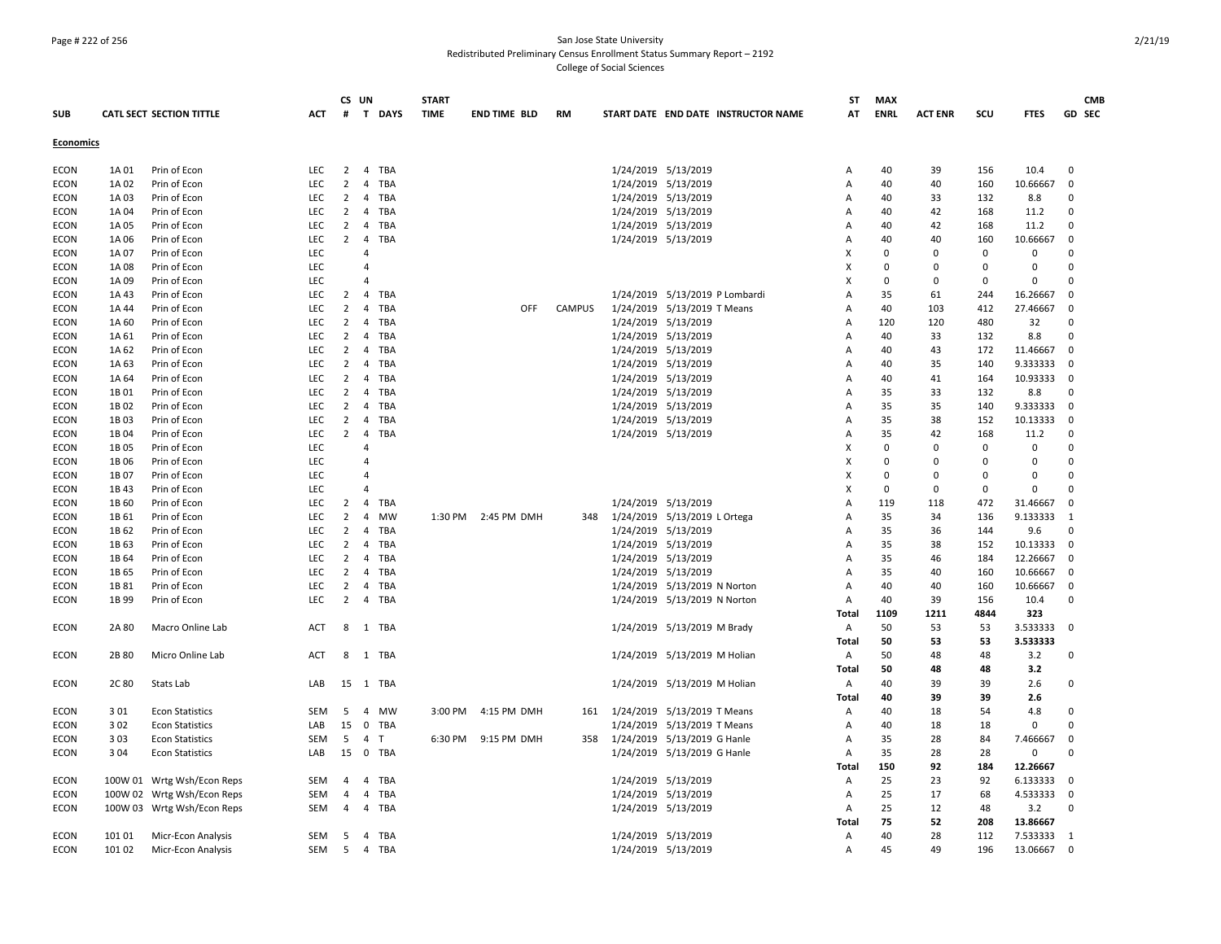### Page # 222 of 256 San Jose State University Redistributed Preliminary Census Enrollment Status Summary Report – 2192 College of Social Sciences

|                  |                  |                                 |            |                | CS UN                        | <b>START</b> |                     |               |                              |                                     | ST           | <b>MAX</b>  |                |             |             |             | <b>CMB</b> |
|------------------|------------------|---------------------------------|------------|----------------|------------------------------|--------------|---------------------|---------------|------------------------------|-------------------------------------|--------------|-------------|----------------|-------------|-------------|-------------|------------|
| <b>SUB</b>       |                  | <b>CATL SECT SECTION TITTLE</b> | <b>ACT</b> |                | # T DAYS                     | <b>TIME</b>  | <b>END TIME BLD</b> | <b>RM</b>     |                              | START DATE END DATE INSTRUCTOR NAME | AT           | <b>ENRL</b> | <b>ACT ENR</b> | SCU         | <b>FTES</b> |             | GD SEC     |
| <b>Economics</b> |                  |                                 |            |                |                              |              |                     |               |                              |                                     |              |             |                |             |             |             |            |
| ECON             | 1A 01            | Prin of Econ                    | LEC        | 2              | 4 TBA                        |              |                     |               | 1/24/2019 5/13/2019          |                                     | Α            | 40          | 39             | 156         | 10.4        | 0           |            |
| <b>ECON</b>      | 1A 02            | Prin of Econ                    | <b>LEC</b> | $\overline{2}$ | 4 TBA                        |              |                     |               | 1/24/2019 5/13/2019          |                                     | Α            | 40          | 40             | 160         | 10.66667    | $\mathbf 0$ |            |
| <b>ECON</b>      | 1A 03            | Prin of Econ                    | <b>LEC</b> | 2              | TBA<br>4                     |              |                     |               | 1/24/2019 5/13/2019          |                                     | Α            | 40          | 33             | 132         | 8.8         | $\mathbf 0$ |            |
| <b>ECON</b>      | 1A 04            | Prin of Econ                    | LEC        | 2              | 4<br>TBA                     |              |                     |               | 1/24/2019 5/13/2019          |                                     | Α            | 40          | 42             | 168         | 11.2        | $\mathbf 0$ |            |
| <b>ECON</b>      | 1A 05            | Prin of Econ                    | LEC        | $\overline{2}$ | 4 TBA                        |              |                     |               | 1/24/2019 5/13/2019          |                                     | Α            | 40          | 42             | 168         | 11.2        | $\mathbf 0$ |            |
| <b>ECON</b>      | 1A 06            | Prin of Econ                    | <b>LEC</b> | $\overline{2}$ | $\overline{4}$<br>TBA        |              |                     |               | 1/24/2019 5/13/2019          |                                     | A            | 40          | 40             | 160         | 10.66667    | $\mathbf 0$ |            |
| <b>ECON</b>      | 1A 07            | Prin of Econ                    | LEC        |                | $\Delta$                     |              |                     |               |                              |                                     | Χ            | $\Omega$    | $\mathbf 0$    | 0           | 0           | $\mathbf 0$ |            |
| <b>ECON</b>      | 1A 08            | Prin of Econ                    | LEC        |                | $\overline{4}$               |              |                     |               |                              |                                     | X            | $\Omega$    | $\Omega$       | $\Omega$    | $\Omega$    | $\mathbf 0$ |            |
| <b>ECON</b>      | 1A09             | Prin of Econ                    | <b>LEC</b> |                | $\overline{a}$               |              |                     |               |                              |                                     | X            | $\Omega$    | $\Omega$       | $\mathbf 0$ | $\Omega$    | $\Omega$    |            |
| <b>ECON</b>      | 1A 43            | Prin of Econ                    | LEC        | $\overline{2}$ | TBA<br>4                     |              |                     |               |                              | 1/24/2019 5/13/2019 P Lombardi      | Α            | 35          | 61             | 244         | 16.26667    | $\mathbf 0$ |            |
| <b>ECON</b>      | 1A 44            | Prin of Econ                    | <b>LEC</b> | 2              | 4<br>TBA                     |              | OFF                 | <b>CAMPUS</b> | 1/24/2019 5/13/2019 T Means  |                                     | A            | 40          | 103            | 412         | 27.46667    | $\mathbf 0$ |            |
| <b>ECON</b>      | 1A 60            | Prin of Econ                    | LEC        | 2              | TBA<br>4                     |              |                     |               | 1/24/2019 5/13/2019          |                                     | Α            | 120         | 120            | 480         | 32          | $\mathbf 0$ |            |
| <b>ECON</b>      | 1A 61            | Prin of Econ                    | LEC        | $\overline{2}$ | 4<br>TBA                     |              |                     |               | 1/24/2019 5/13/2019          |                                     | Α            | 40          | 33             | 132         | 8.8         | $\mathbf 0$ |            |
| <b>ECON</b>      | 1A 62            | Prin of Econ                    | LEC        | $\overline{2}$ | 4 TBA                        |              |                     |               | 1/24/2019 5/13/2019          |                                     | Α            | 40          | 43             | 172         | 11.46667    | $\mathbf 0$ |            |
| <b>ECON</b>      | 1A 63            | Prin of Econ                    | LEC        | 2              | <b>TBA</b><br>4              |              |                     |               | 1/24/2019 5/13/2019          |                                     | Α            | 40          | 35             | 140         | 9.333333    | $\mathbf 0$ |            |
| <b>ECON</b>      | 1A 64            | Prin of Econ                    | <b>LEC</b> | 2              | 4 TBA                        |              |                     |               | 1/24/2019 5/13/2019          |                                     | Α            | 40          | 41             | 164         | 10.93333    | $\Omega$    |            |
| <b>ECON</b>      | 1B 01            | Prin of Econ                    | LEC        | $\overline{2}$ | 4<br>TBA                     |              |                     |               | 1/24/2019 5/13/2019          |                                     | Α            | 35          | 33             | 132         | 8.8         | $\mathbf 0$ |            |
| <b>ECON</b>      | 1B 02            | Prin of Econ                    | <b>LEC</b> | 2              | 4<br><b>TBA</b>              |              |                     |               | 1/24/2019 5/13/2019          |                                     | A            | 35          | 35             | 140         | 9.333333    | $\mathbf 0$ |            |
| <b>ECON</b>      | 1B03             | Prin of Econ                    | LEC        | 2              | 4 TBA                        |              |                     |               | 1/24/2019 5/13/2019          |                                     | Α            | 35          | 38             | 152         | 10.13333    | $\mathbf 0$ |            |
| <b>ECON</b>      | 1B 04            | Prin of Econ                    | LEC        | $\overline{2}$ | 4<br>TBA                     |              |                     |               | 1/24/2019 5/13/2019          |                                     | Α            | 35          | 42             | 168         | 11.2        | 0           |            |
| <b>ECON</b>      | 1B05             | Prin of Econ                    | LEC        |                | 4                            |              |                     |               |                              |                                     | X            | $\Omega$    | $\Omega$       | $\mathbf 0$ | $\Omega$    | $\mathbf 0$ |            |
| <b>ECON</b>      | 1B06             | Prin of Econ                    | LEC        |                | $\overline{4}$               |              |                     |               |                              |                                     | X            | $\Omega$    | $\Omega$       | $\Omega$    | $\Omega$    | $\mathbf 0$ |            |
| <b>ECON</b>      | 1B07             | Prin of Econ                    | <b>LEC</b> |                | $\overline{a}$               |              |                     |               |                              |                                     | X            | $\Omega$    | $\Omega$       | $\Omega$    | $\Omega$    | $\Omega$    |            |
| <b>ECON</b>      | 1B 43            | Prin of Econ                    | LEC        |                | Δ                            |              |                     |               |                              |                                     | х            | $\Omega$    | $\Omega$       | $\mathbf 0$ | $\Omega$    | $\mathbf 0$ |            |
| <b>ECON</b>      | 1B 60            | Prin of Econ                    | <b>LEC</b> | 2              | 4<br><b>TBA</b>              |              |                     |               | 1/24/2019 5/13/2019          |                                     | A            | 119         | 118            | 472         | 31.46667    | $\mathbf 0$ |            |
| <b>ECON</b>      | 1B 61            | Prin of Econ                    | LEC        | $\overline{2}$ | <b>MW</b><br>4               |              | 1:30 PM 2:45 PM DMH | 348           | 1/24/2019 5/13/2019 L Ortega |                                     | Α            | 35          | 34             | 136         | 9.133333    | 1           |            |
| <b>ECON</b>      | 1B 62            | Prin of Econ                    | LEC        | 2              | TBA<br>4                     |              |                     |               | 1/24/2019 5/13/2019          |                                     | A            | 35          | 36             | 144         | 9.6         | $\mathbf 0$ |            |
| <b>ECON</b>      | 1B <sub>63</sub> | Prin of Econ                    | <b>LEC</b> | $\overline{2}$ | $\overline{4}$<br>TBA        |              |                     |               | 1/24/2019 5/13/2019          |                                     | Α            | 35          | 38             | 152         | 10.13333    | $\mathbf 0$ |            |
| <b>ECON</b>      | 1B 64            | Prin of Econ                    | LEC        | 2              | <b>TBA</b><br>4              |              |                     |               | 1/24/2019 5/13/2019          |                                     | Α            | 35          | 46             | 184         | 12.26667    | $\mathbf 0$ |            |
| <b>ECON</b>      | 1B 65            | Prin of Econ                    | <b>LEC</b> | $\overline{2}$ | 4 TBA                        |              |                     |               | 1/24/2019 5/13/2019          |                                     | Α            | 35          | 40             | 160         | 10.66667    | 0           |            |
| <b>ECON</b>      | 1B 81            | Prin of Econ                    | LEC        | $\overline{2}$ | 4 TBA                        |              |                     |               | 1/24/2019 5/13/2019 N Norton |                                     | Α            | 40          | 40             | 160         | 10.66667    | 0           |            |
| <b>ECON</b>      | 1B 99            | Prin of Econ                    | <b>LEC</b> | 2              | $\overline{4}$<br><b>TBA</b> |              |                     |               | 1/24/2019 5/13/2019 N Norton |                                     | $\mathsf{A}$ | 40          | 39             | 156         | 10.4        | $\mathbf 0$ |            |
|                  |                  |                                 |            |                |                              |              |                     |               |                              |                                     | Total        | 1109        | 1211           | 4844        | 323         |             |            |
| <b>ECON</b>      | 2A 80            | Macro Online Lab                | ACT        | 8              | 1 TBA                        |              |                     |               | 1/24/2019 5/13/2019 M Brady  |                                     | A            | 50          | 53             | 53          | 3.533333    | $\Omega$    |            |
|                  |                  |                                 |            |                |                              |              |                     |               |                              |                                     | <b>Total</b> | 50          | 53             | 53          | 3.533333    |             |            |
| <b>ECON</b>      | 2B 80            | Micro Online Lab                | <b>ACT</b> |                | 8 1 TBA                      |              |                     |               | 1/24/2019 5/13/2019 M Holian |                                     | A            | 50          | 48             | 48          | 3.2         | $\mathbf 0$ |            |
|                  |                  |                                 |            |                |                              |              |                     |               |                              |                                     | Total        | 50          | 48             | 48          | 3.2         |             |            |
| <b>ECON</b>      | 2C 80            | Stats Lab                       | LAB        |                | 15 1 TBA                     |              |                     |               | 1/24/2019 5/13/2019 M Holian |                                     | A            | 40          | 39             | 39          | 2.6         | $\mathbf 0$ |            |
|                  |                  |                                 |            |                |                              |              |                     |               |                              |                                     | <b>Total</b> | 40          | 39             | 39          | 2.6         |             |            |
| <b>ECON</b>      | 301              | <b>Econ Statistics</b>          | SEM        | -5             | 4 MW                         | 3:00 PM      | 4:15 PM DMH         | 161           | 1/24/2019 5/13/2019 T Means  |                                     | Α            | 40          | 18             | 54          | 4.8         | 0           |            |
| <b>ECON</b>      | 302              | <b>Econ Statistics</b>          | LAB        | 15             | $\mathbf 0$<br>TBA           |              |                     |               | 1/24/2019 5/13/2019 T Means  |                                     | A            | 40          | 18             | 18          | $\Omega$    | $\mathbf 0$ |            |
| <b>ECON</b>      | 303              | <b>Econ Statistics</b>          | <b>SEM</b> | 5              | $\overline{4}$<br>T          |              | 6:30 PM 9:15 PM DMH | 358           | 1/24/2019 5/13/2019 G Hanle  |                                     | Α            | 35          | 28             | 84          | 7.466667    | $\mathbf 0$ |            |
| <b>ECON</b>      | 3 0 4            | <b>Econ Statistics</b>          | LAB        |                | 15 0 TBA                     |              |                     |               | 1/24/2019 5/13/2019 G Hanle  |                                     | A            | 35          | 28             | 28          | 0           | $\Omega$    |            |
|                  |                  |                                 |            |                |                              |              |                     |               |                              |                                     | Total        | 150         | 92             | 184         | 12.26667    |             |            |
| <b>ECON</b>      |                  | 100W 01 Wrtg Wsh/Econ Reps      | SEM        | $\overline{4}$ | 4 TBA                        |              |                     |               | 1/24/2019 5/13/2019          |                                     | Α            | 25          | 23             | 92          | 6.133333    | 0           |            |
| <b>ECON</b>      |                  | 100W 02 Wrtg Wsh/Econ Reps      | SEM        | $\overline{4}$ | TBA<br>4                     |              |                     |               | 1/24/2019 5/13/2019          |                                     | A            | 25          | 17             | 68          | 4.533333    | 0           |            |
| <b>ECON</b>      |                  | 100W 03 Wrtg Wsh/Econ Reps      | SEM        | $\overline{4}$ | 4 TBA                        |              |                     |               | 1/24/2019 5/13/2019          |                                     | A            | 25          | 12             | 48          | 3.2         | $\Omega$    |            |
|                  |                  |                                 |            |                |                              |              |                     |               |                              |                                     | Total        | 75          | 52             | 208         | 13.86667    |             |            |
| ECON             | 101 01           | Micr-Econ Analysis              | <b>SEM</b> | 5              | 4 TBA                        |              |                     |               | 1/24/2019 5/13/2019          |                                     | $\mathsf{A}$ | 40          | 28             | 112         | 7.533333    | 1           |            |
| <b>ECON</b>      | 101 02           | Micr-Econ Analysis              | SEM        | 5              | 4 TBA                        |              |                     |               | 1/24/2019 5/13/2019          |                                     | Α            | 45          | 49             | 196         | 13.06667    | $\Omega$    |            |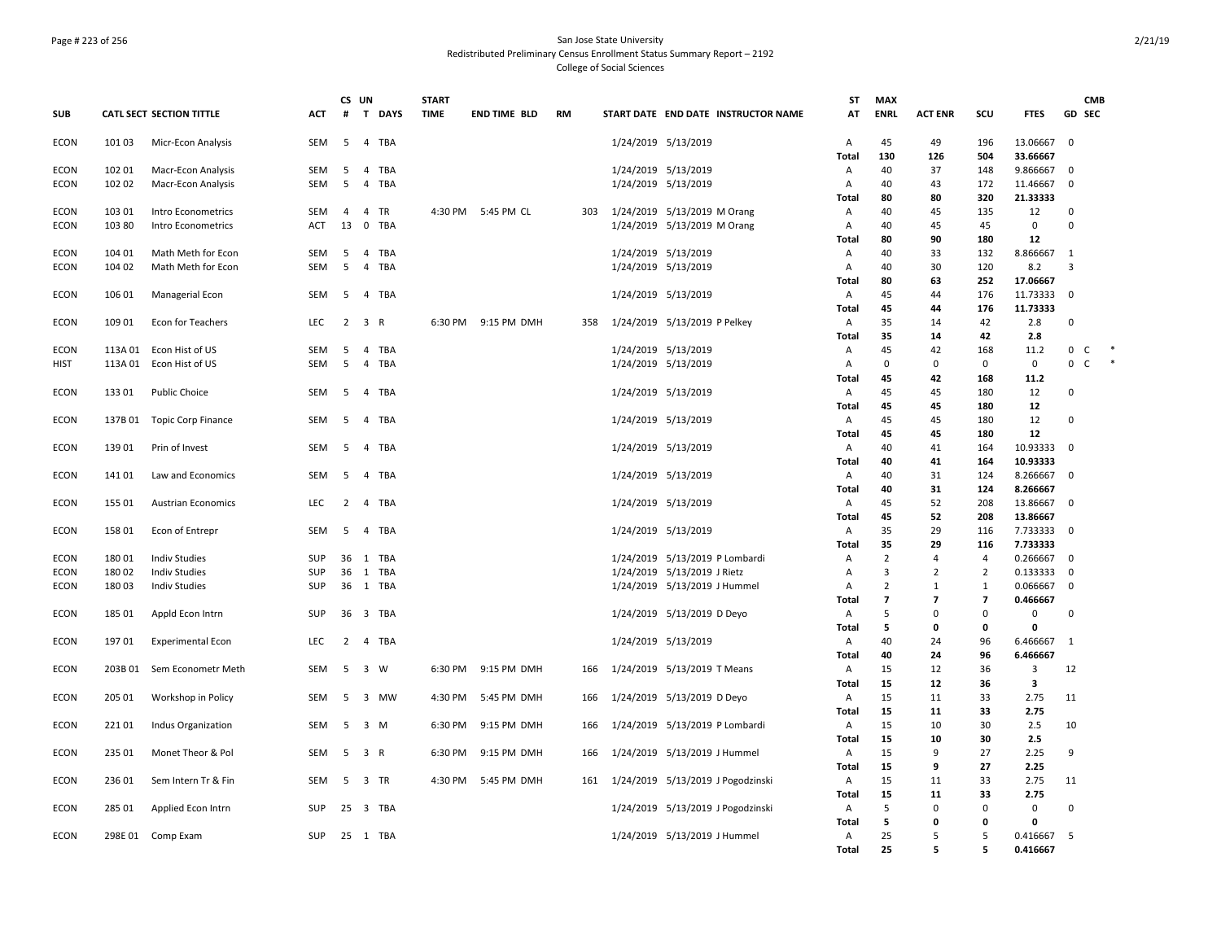### Page # 223 of 256 San Jose State University Redistributed Preliminary Census Enrollment Status Summary Report – 2192 College of Social Sciences

|                            |                  |                                 |                   | CS UN          |                              | <b>START</b> |                     |           |     |                     |                                     | ST                | <b>MAX</b>     |                |                |                    |                | <b>CMB</b> |  |
|----------------------------|------------------|---------------------------------|-------------------|----------------|------------------------------|--------------|---------------------|-----------|-----|---------------------|-------------------------------------|-------------------|----------------|----------------|----------------|--------------------|----------------|------------|--|
| <b>SUB</b>                 |                  | <b>CATL SECT SECTION TITTLE</b> | <b>ACT</b>        | #              | $\mathbf{T}$<br><b>DAYS</b>  | <b>TIME</b>  | <b>END TIME BLD</b> | <b>RM</b> |     |                     | START DATE END DATE INSTRUCTOR NAME | AT                | <b>ENRL</b>    | <b>ACT ENR</b> | SCU            | <b>FTES</b>        | <b>GD SEC</b>  |            |  |
| <b>ECON</b>                | 101 03           | Micr-Econ Analysis              | <b>SEM</b>        | 5              | 4 TBA                        |              |                     |           |     | 1/24/2019 5/13/2019 |                                     | A                 | 45             | 49             | 196            | 13.06667           | $\Omega$       |            |  |
|                            |                  |                                 |                   |                |                              |              |                     |           |     |                     |                                     | <b>Total</b>      | 130            | 126            | 504            | 33.66667           |                |            |  |
| <b>ECON</b>                | 102 01           | Macr-Econ Analysis              | SEM               | 5              | <b>TBA</b><br>4              |              |                     |           |     | 1/24/2019 5/13/2019 |                                     | Α                 | 40             | 37             | 148            | 9.866667           | $\mathbf 0$    |            |  |
| <b>ECON</b>                | 102 02           | Macr-Econ Analysis              | <b>SEM</b>        | 5              | $\overline{4}$<br>TBA        |              |                     |           |     | 1/24/2019 5/13/2019 |                                     | Α                 | 40             | 43             | 172            | 11.46667           | $\mathbf 0$    |            |  |
|                            |                  |                                 |                   |                |                              |              |                     |           |     |                     |                                     | <b>Total</b>      | 80             | 80             | 320            | 21.33333           |                |            |  |
| <b>ECON</b><br><b>ECON</b> | 103 01<br>103 80 | Intro Econometrics              | SEM<br><b>ACT</b> | 4<br>13        | TR<br>4<br>0<br><b>TBA</b>   |              | 4:30 PM 5:45 PM CL  |           | 303 |                     | 1/24/2019 5/13/2019 M Orang         | Α<br>A            | 40<br>40       | 45<br>45       | 135<br>45      | 12<br>$\mathbf 0$  | 0<br>$\Omega$  |            |  |
|                            |                  | Intro Econometrics              |                   |                |                              |              |                     |           |     |                     | 1/24/2019 5/13/2019 M Orang         | Total             | 80             | 90             | 180            | 12                 |                |            |  |
| ECON                       | 104 01           | Math Meth for Econ              | SEM               | 5              | TBA<br>4                     |              |                     |           |     | 1/24/2019 5/13/2019 |                                     | Α                 | 40             | 33             | 132            | 8.866667           | 1              |            |  |
| <b>ECON</b>                | 104 02           | Math Meth for Econ              | <b>SEM</b>        | 5              | $\overline{4}$<br>TBA        |              |                     |           |     | 1/24/2019 5/13/2019 |                                     | Α                 | 40             | 30             | 120            | 8.2                | 3              |            |  |
|                            |                  |                                 |                   |                |                              |              |                     |           |     |                     |                                     | Total             | 80             | 63             | 252            | 17.06667           |                |            |  |
| <b>ECON</b>                | 106 01           | Managerial Econ                 | <b>SEM</b>        | 5              | $\overline{4}$<br>TBA        |              |                     |           |     | 1/24/2019 5/13/2019 |                                     | A                 | 45             | 44             | 176            | 11.73333           | $\mathbf 0$    |            |  |
|                            |                  |                                 |                   |                |                              |              |                     |           |     |                     |                                     | <b>Total</b>      | 45             | 44             | 176            | 11.73333           |                |            |  |
| ECON                       | 109 01           | Econ for Teachers               | <b>LEC</b>        | $\overline{2}$ | 3 R                          | 6:30 PM      | 9:15 PM DMH         |           | 358 |                     | 1/24/2019 5/13/2019 P Pelkey        | Α                 | 35             | 14             | 42             | 2.8                | $\mathsf 0$    |            |  |
|                            |                  |                                 |                   |                |                              |              |                     |           |     |                     |                                     | <b>Total</b>      | 35             | 14             | 42             | 2.8                |                |            |  |
| <b>ECON</b>                | 113A 01          | Econ Hist of US                 | SEM               | 5              | 4 TBA                        |              |                     |           |     | 1/24/2019 5/13/2019 |                                     | Α                 | 45             | 42             | 168            | 11.2               | $\mathbf 0$    | C          |  |
| HIST                       | 113A 01          | Econ Hist of US                 | <b>SEM</b>        | 5              | $\overline{4}$<br>TBA        |              |                     |           |     | 1/24/2019 5/13/2019 |                                     | A                 | $\mathbf 0$    | $\mathbf 0$    | $\mathbf 0$    | 0                  | 0              | C          |  |
|                            |                  |                                 |                   |                |                              |              |                     |           |     |                     |                                     | Total             | 45             | 42             | 168            | 11.2               |                |            |  |
| <b>ECON</b>                | 13301            | <b>Public Choice</b>            | SEM               | 5              | 4 TBA                        |              |                     |           |     | 1/24/2019 5/13/2019 |                                     | Α                 | 45             | 45             | 180            | 12                 | 0              |            |  |
|                            |                  |                                 |                   |                |                              |              |                     |           |     |                     |                                     | Total             | 45             | 45             | 180            | 12                 |                |            |  |
| <b>ECON</b>                | 137B 01          | <b>Topic Corp Finance</b>       | SEM               | 5              | <b>TBA</b><br>$\overline{4}$ |              |                     |           |     | 1/24/2019 5/13/2019 |                                     | A                 | 45             | 45             | 180            | 12                 | $\mathbf 0$    |            |  |
|                            |                  |                                 |                   |                |                              |              |                     |           |     |                     |                                     | <b>Total</b>      | 45             | 45             | 180            | 12                 |                |            |  |
| <b>ECON</b>                | 139 01           | Prin of Invest                  | SEM               | 5              | TBA<br>$\overline{4}$        |              |                     |           |     | 1/24/2019 5/13/2019 |                                     | Α                 | 40             | 41             | 164            | 10.93333           | $\mathbf 0$    |            |  |
|                            |                  |                                 |                   |                |                              |              |                     |           |     |                     |                                     | <b>Total</b>      | 40             | 41             | 164            | 10.93333           |                |            |  |
| ECON                       | 141 01           | Law and Economics               | SEM               | 5              | 4 TBA                        |              |                     |           |     | 1/24/2019 5/13/2019 |                                     | Α                 | 40             | 31             | 124            | 8.266667           | $\overline{0}$ |            |  |
|                            |                  |                                 |                   |                |                              |              |                     |           |     |                     |                                     | Total             | 40             | 31             | 124            | 8.266667           |                |            |  |
| <b>ECON</b>                | 155 01           | <b>Austrian Economics</b>       | <b>LEC</b>        | $\overline{2}$ | 4 TBA                        |              |                     |           |     | 1/24/2019 5/13/2019 |                                     | Α                 | 45             | 52             | 208            | 13.86667           | $\Omega$       |            |  |
|                            |                  |                                 |                   |                |                              |              |                     |           |     |                     |                                     | Total             | 45             | 52             | 208            | 13.86667           |                |            |  |
| <b>ECON</b>                | 158 01           | Econ of Entrepr                 | <b>SEM</b>        | 5              | 4 TBA                        |              |                     |           |     | 1/24/2019 5/13/2019 |                                     | A                 | 35             | 29             | 116            | 7.733333           | $\mathbf 0$    |            |  |
|                            |                  |                                 |                   |                |                              |              |                     |           |     |                     |                                     | <b>Total</b>      | 35             | 29             | 116            | 7.733333           |                |            |  |
| <b>ECON</b>                | 18001            | <b>Indiv Studies</b>            | SUP               | 36             | 1 TBA                        |              |                     |           |     |                     | 1/24/2019 5/13/2019 P Lombardi      | Α                 | $\overline{2}$ | $\overline{4}$ | $\overline{4}$ | 0.266667           | $\mathbf 0$    |            |  |
| <b>ECON</b>                | 18002            | <b>Indiv Studies</b>            | SUP               | 36             | 1 TBA                        |              |                     |           |     |                     | 1/24/2019 5/13/2019 J Rietz         | A                 | 3              | $\overline{2}$ | $\overline{2}$ | 0.133333           | $\mathbf 0$    |            |  |
| ECON                       | 180 03           | <b>Indiv Studies</b>            | <b>SUP</b>        |                | 36 1 TBA                     |              |                     |           |     |                     | 1/24/2019 5/13/2019 J Hummel        | Α                 | $\overline{2}$ | $\mathbf{1}$   | $\mathbf{1}$   | 0.066667           | $\mathbf 0$    |            |  |
|                            |                  |                                 |                   |                |                              |              |                     |           |     |                     |                                     | Total             | $\overline{7}$ | $\overline{7}$ | $\overline{7}$ | 0.466667           |                |            |  |
| <b>ECON</b>                | 185 01           | Appld Econ Intrn                | <b>SUP</b>        | 36             | 3 TBA                        |              |                     |           |     |                     | 1/24/2019 5/13/2019 D Deyo          | Α                 | 5              | $\Omega$       | $\Omega$       | $\mathbf 0$        | $\Omega$       |            |  |
|                            |                  |                                 |                   |                |                              |              |                     |           |     |                     |                                     | Total             | 5              | 0              | 0              | $\pmb{\mathsf{o}}$ |                |            |  |
| <b>ECON</b>                | 19701            | <b>Experimental Econ</b>        | <b>LEC</b>        | 2              | 4 TBA                        |              |                     |           |     | 1/24/2019 5/13/2019 |                                     | Α                 | 40             | 24             | 96             | 6.466667           | 1              |            |  |
|                            |                  |                                 |                   |                |                              |              |                     |           |     |                     |                                     | <b>Total</b>      | 40             | 24             | 96             | 6.466667           |                |            |  |
| <b>ECON</b>                |                  | 203B 01 Sem Econometr Meth      | SEM               |                | 5 3 W                        | 6:30 PM      | 9:15 PM DMH         |           | 166 |                     | 1/24/2019 5/13/2019 T Means         | Α                 | 15             | 12             | 36             | 3                  | 12             |            |  |
|                            |                  |                                 |                   |                |                              |              |                     |           |     |                     |                                     | Total             | 15             | 12             | 36             | 3                  |                |            |  |
| <b>ECON</b>                | 205 01           | Workshop in Policy              | SEM               | 5              | 3 MW                         | 4:30 PM      | 5:45 PM DMH         |           | 166 |                     | 1/24/2019 5/13/2019 D Deyo          | A                 | 15             | 11             | 33             | 2.75               | 11             |            |  |
|                            |                  |                                 |                   |                |                              |              |                     |           |     |                     |                                     | Total             | 15<br>15       | 11             | 33             | 2.75               |                |            |  |
| <b>ECON</b>                | 221 01           | Indus Organization              | <b>SEM</b>        | 5              | $3 \, M$                     | 6:30 PM      | 9:15 PM DMH         |           | 166 |                     | 1/24/2019 5/13/2019 P Lombardi      | Α                 | 15             | 10             | 30<br>30       | 2.5<br>2.5         | 10             |            |  |
| <b>ECON</b>                | 235 01           | Monet Theor & Pol               | SEM               |                | $5 \quad 3 \quad R$          | 6:30 PM      | 9:15 PM DMH         |           | 166 |                     | 1/24/2019 5/13/2019 J Hummel        | <b>Total</b><br>Α | 15             | 10<br>9        | 27             | 2.25               | 9              |            |  |
|                            |                  |                                 |                   |                |                              |              |                     |           |     |                     |                                     | <b>Total</b>      | 15             | 9              | 27             | 2.25               |                |            |  |
| <b>ECON</b>                | 236 01           | Sem Intern Tr & Fin             | SEM               | 5              | 3 TR                         |              | 4:30 PM 5:45 PM DMH |           | 161 |                     | 1/24/2019 5/13/2019 J Pogodzinski   | Α                 | 15             | 11             | 33             | 2.75               | 11             |            |  |
|                            |                  |                                 |                   |                |                              |              |                     |           |     |                     |                                     | Total             | 15             | 11             | 33             | 2.75               |                |            |  |
| <b>ECON</b>                | 285 01           | Applied Econ Intrn              | SUP               |                | 25 3 TBA                     |              |                     |           |     |                     | 1/24/2019 5/13/2019 J Pogodzinski   | Α                 | 5              | $\Omega$       | $\Omega$       | $\Omega$           | $\Omega$       |            |  |
|                            |                  |                                 |                   |                |                              |              |                     |           |     |                     |                                     | Total             | 5              | 0              | $\mathbf 0$    | $\pmb{\mathsf{o}}$ |                |            |  |
| <b>ECON</b>                |                  | 298E 01 Comp Exam               | <b>SUP</b>        |                | 25 1 TBA                     |              |                     |           |     |                     | 1/24/2019 5/13/2019 J Hummel        | A                 | 25             | 5              | 5              | 0.416667           | -5             |            |  |
|                            |                  |                                 |                   |                |                              |              |                     |           |     |                     |                                     | <b>Total</b>      | 25             | 5.             | 5              | 0.416667           |                |            |  |
|                            |                  |                                 |                   |                |                              |              |                     |           |     |                     |                                     |                   |                |                |                |                    |                |            |  |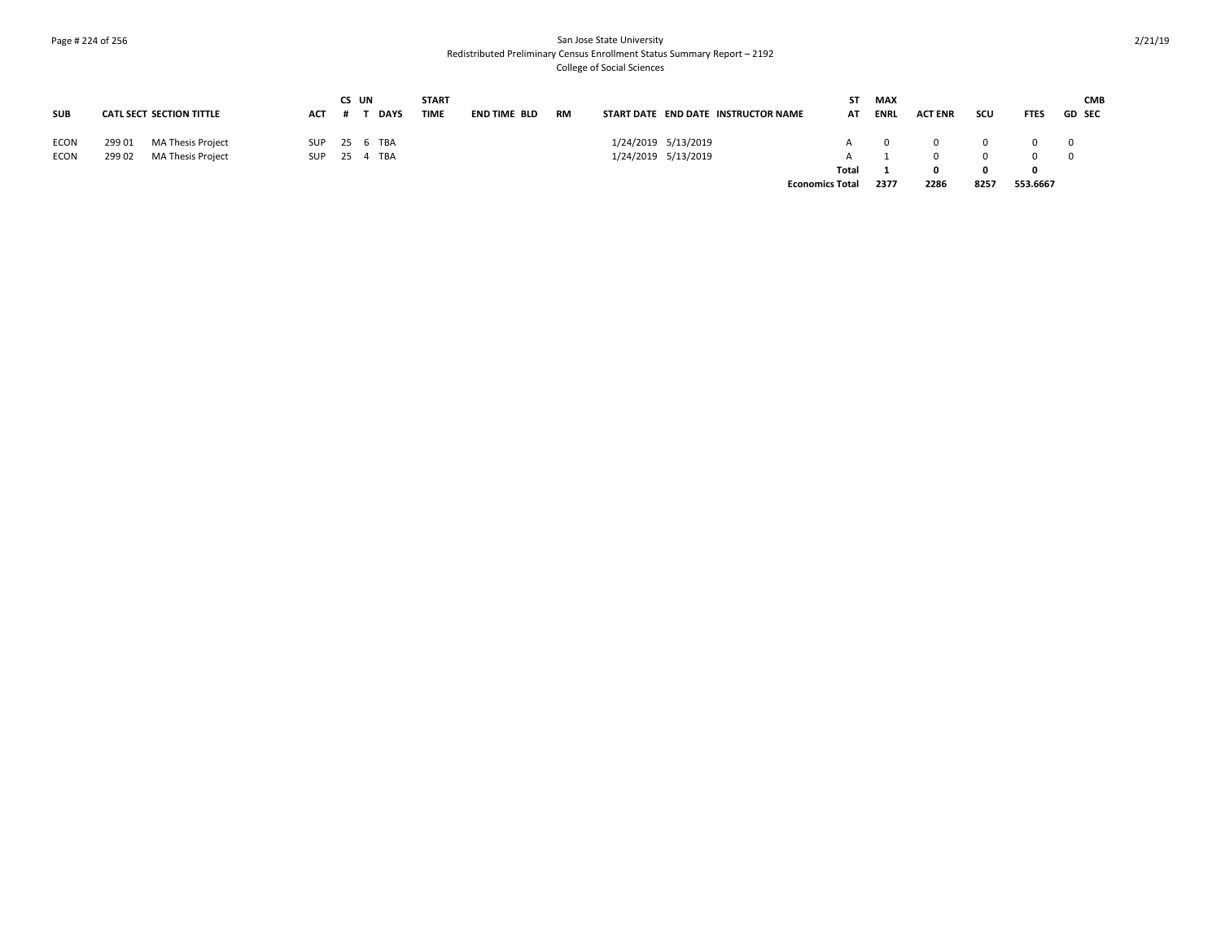### Page # 224 of 256 San Jose State University Redistributed Preliminary Census Enrollment Status Summary Report – 2192 College of Social Sciences

|            |        |                                 |     | CS UN |              | <b>START</b> |              |    |                     |                                     | ST.   | MAX            |                |      |             | <b>CMB</b>     |
|------------|--------|---------------------------------|-----|-------|--------------|--------------|--------------|----|---------------------|-------------------------------------|-------|----------------|----------------|------|-------------|----------------|
| <b>SUB</b> |        | <b>CATL SECT SECTION TITTLE</b> | АСТ |       | <b>DAYS</b>  | TIME         | END TIME BLD | RM |                     | START DATE END DATE INSTRUCTOR NAME |       | <b>AT ENRL</b> | <b>ACT ENR</b> | scu  | <b>FTES</b> | <b>GD SEC</b>  |
| ECON       | 299 01 | MA Thesis Project               |     |       | SUP 25 6 TBA |              |              |    | 1/24/2019 5/13/2019 |                                     | A     |                |                |      |             |                |
| ECON       | 299 02 | MA Thesis Project               |     |       | SUP 25 4 TBA |              |              |    | 1/24/2019 5/13/2019 |                                     | A     |                |                |      |             | $\overline{0}$ |
|            |        |                                 |     |       |              |              |              |    |                     |                                     | Total |                |                |      | 0           |                |
|            |        |                                 |     |       |              |              |              |    |                     | <b>Economics Total</b>              |       | 2377           | 2286           | 8257 | 553.6667    |                |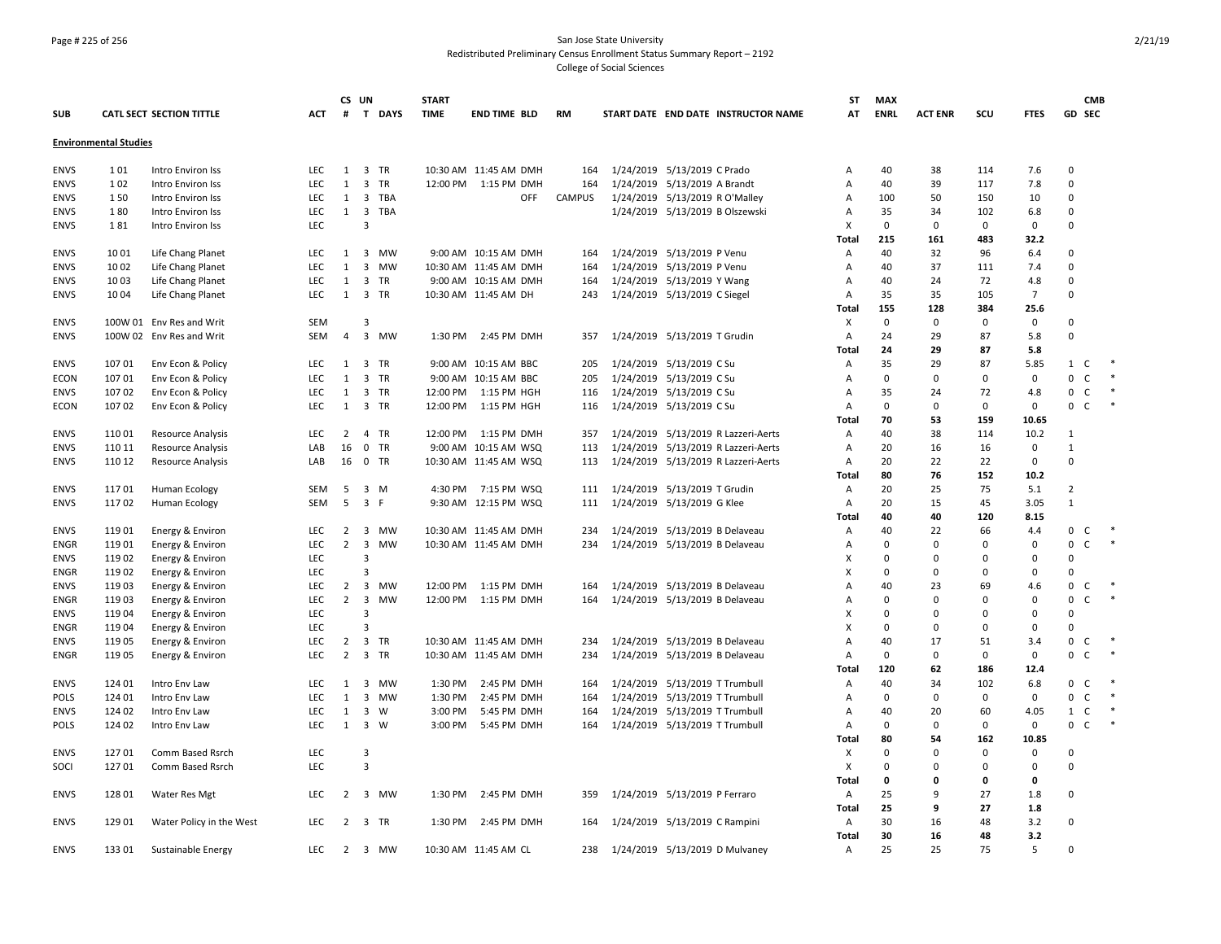### Page # 225 of 256 San Jose State University Redistributed Preliminary Census Enrollment Status Summary Report – 2192 College of Social Sciences

| <b>SUB</b>  |                              | <b>CATL SECT SECTION TITTLE</b> | <b>ACT</b> | CS UN<br>#     | T DAYS                        | <b>START</b><br><b>TIME</b> | <b>END TIME BLD</b>    | <b>RM</b>     | START DATE END DATE INSTRUCTOR NAME | ST<br>AT     | <b>MAX</b><br><b>ENRL</b> | <b>ACT ENR</b> | scu         | <b>FTES</b>    |                | <b>CMB</b><br><b>GD SEC</b> |        |
|-------------|------------------------------|---------------------------------|------------|----------------|-------------------------------|-----------------------------|------------------------|---------------|-------------------------------------|--------------|---------------------------|----------------|-------------|----------------|----------------|-----------------------------|--------|
|             |                              |                                 |            |                |                               |                             |                        |               |                                     |              |                           |                |             |                |                |                             |        |
|             | <b>Environmental Studies</b> |                                 |            |                |                               |                             |                        |               |                                     |              |                           |                |             |                |                |                             |        |
| <b>ENVS</b> | 101                          | Intro Environ Iss               | <b>LEC</b> | 1              | 3 TR                          |                             | 10:30 AM 11:45 AM DMH  | 164           | 1/24/2019 5/13/2019 C Prado         | Α            | 40                        | 38             | 114         | 7.6            | $\Omega$       |                             |        |
| <b>ENVS</b> | 102                          | Intro Environ Iss               | LEC.       | 1              | $\overline{3}$<br><b>TR</b>   |                             | 12:00 PM   1:15 PM DMH | 164           | 1/24/2019 5/13/2019 A Brandt        | A            | 40                        | 39             | 117         | 7.8            | $\Omega$       |                             |        |
| <b>ENVS</b> | 150                          | Intro Environ Iss               | <b>LEC</b> | 1              | 3 TBA                         |                             | OFF                    | <b>CAMPUS</b> | 1/24/2019 5/13/2019 R O'Malley      | Α            | 100                       | 50             | 150         | 10             | $\Omega$       |                             |        |
| <b>ENVS</b> | 180                          | Intro Environ Iss               | <b>LEC</b> | 1              | 3 TBA                         |                             |                        |               | 1/24/2019 5/13/2019 B Olszewski     | Α            | 35                        | 34             | 102         | 6.8            | $\Omega$       |                             |        |
| <b>ENVS</b> | 181                          | Intro Environ Iss               | LEC        |                | $\overline{3}$                |                             |                        |               |                                     | X            | $\mathbf 0$               | 0              | $\mathbf 0$ | 0              | $\Omega$       |                             |        |
|             |                              |                                 |            |                |                               |                             |                        |               |                                     | Total        | 215                       | 161            | 483         | 32.2           |                |                             |        |
| <b>ENVS</b> | 1001                         | Life Chang Planet               | <b>LEC</b> | $\mathbf{1}$   | 3<br>MW                       |                             | 9:00 AM 10:15 AM DMH   | 164           | 1/24/2019 5/13/2019 P Venu          | Α            | 40                        | 32             | 96          | 6.4            | $\Omega$       |                             |        |
| <b>ENVS</b> | 10 02                        | Life Chang Planet               | <b>LEC</b> | 1              | 3 MW                          |                             | 10:30 AM 11:45 AM DMH  | 164           | 1/24/2019 5/13/2019 P Venu          | Α            | 40                        | 37             | 111         | 7.4            | $\Omega$       |                             |        |
| <b>ENVS</b> | 1003                         | Life Chang Planet               | <b>LEC</b> | 1              | 3<br>TR                       |                             | 9:00 AM 10:15 AM DMH   | 164           | 1/24/2019 5/13/2019 Y Wang          | Α            | 40                        | 24             | 72          | 4.8            | $\Omega$       |                             |        |
| <b>ENVS</b> | 1004                         | Life Chang Planet               | <b>LEC</b> |                | 1 3 TR                        |                             | 10:30 AM 11:45 AM DH   | 243           | 1/24/2019 5/13/2019 C Siegel        | A            | 35                        | 35             | 105         | $\overline{7}$ | $\Omega$       |                             |        |
|             |                              |                                 |            |                |                               |                             |                        |               |                                     | Total        | 155                       | 128            | 384         | 25.6           |                |                             |        |
| <b>ENVS</b> |                              | 100W 01 Env Res and Writ        | SEM        |                | $\overline{3}$                |                             |                        |               |                                     | х            | $\mathbf 0$               | $\mathbf 0$    | 0           | $\mathbf 0$    | $\Omega$       |                             |        |
| <b>ENVS</b> |                              | 100W 02 Env Res and Writ        | <b>SEM</b> | $\overline{4}$ | 3 MW                          | 1:30 PM                     | 2:45 PM DMH            | 357           | 1/24/2019 5/13/2019 T Grudin        | Α            | 24                        | 29             | 87          | 5.8            | $\Omega$       |                             |        |
|             |                              |                                 |            |                |                               |                             |                        |               |                                     | Total        | 24                        | 29             | 87          | 5.8            |                |                             |        |
| <b>ENVS</b> | 107 01                       | Env Econ & Policy               | <b>LEC</b> | 1              | 3 TR                          |                             | 9:00 AM 10:15 AM BBC   | 205           | 1/24/2019 5/13/2019 C Su            | A            | 35                        | 29             | 87          | 5.85           | $\mathbf{1}$   | C                           |        |
| ECON        | 107 01                       | Env Econ & Policy               | <b>LEC</b> | 1              | 3 TR                          |                             | 9:00 AM 10:15 AM BBC   | 205           | 1/24/2019 5/13/2019 C Su            | Α            | $\mathsf{o}$              | $\mathsf 0$    | $\mathbf 0$ | 0              | 0              | $\mathsf{C}$                | $\ast$ |
| <b>ENVS</b> | 107 02                       | Env Econ & Policy               | <b>LEC</b> | 1              | 3 TR                          | 12:00 PM                    | 1:15 PM HGH            | 116           | 1/24/2019 5/13/2019 C Su            | Α            | 35                        | 24             | 72          | 4.8            | 0              | $\mathsf{C}$                |        |
| <b>ECON</b> | 107 02                       | Env Econ & Policy               | LEC        | 1              | 3 TR                          | 12:00 PM                    | 1:15 PM HGH            | 116           | 1/24/2019 5/13/2019 C Su            | Α            | $\Omega$                  | $\Omega$       | $\Omega$    | $\Omega$       | $\Omega$       | $\mathsf{C}$                |        |
|             |                              |                                 |            |                |                               |                             |                        |               |                                     | Total        | 70                        | 53             | 159         | 10.65          |                |                             |        |
| <b>ENVS</b> | 110 01                       | Resource Analysis               | <b>LEC</b> | 2              | 4 TR                          | 12:00 PM                    | 1:15 PM DMH            | 357           | 1/24/2019 5/13/2019 R Lazzeri-Aerts | Α            | 40                        | 38             | 114         | 10.2           | $\mathbf{1}$   |                             |        |
| <b>ENVS</b> | 110 11                       | <b>Resource Analysis</b>        | LAB        | 16             | 0 TR                          |                             | 9:00 AM 10:15 AM WSQ   | 113           | 1/24/2019 5/13/2019 R Lazzeri-Aerts | Α            | 20                        | 16             | 16          | $\mathbf 0$    | $\mathbf{1}$   |                             |        |
| <b>ENVS</b> | 110 12                       | <b>Resource Analysis</b>        | LAB        | 16             | 0 TR                          |                             | 10:30 AM 11:45 AM WSQ  | 113           | 1/24/2019 5/13/2019 R Lazzeri-Aerts | Α            | 20                        | 22             | 22          | $\mathbf 0$    | $\Omega$       |                             |        |
|             |                              |                                 |            |                |                               |                             |                        |               |                                     | <b>Total</b> | 80                        | 76             | 152         | 10.2           |                |                             |        |
| <b>ENVS</b> | 11701                        | Human Ecology                   | SEM        | 5              | 3 M                           |                             | 4:30 PM 7:15 PM WSQ    | 111           | 1/24/2019 5/13/2019 T Grudin        | Α            | 20                        | 25             | 75          | 5.1            | $\overline{2}$ |                             |        |
| <b>ENVS</b> | 11702                        | Human Ecology                   | SEM        | 5              | 3 F                           |                             | 9:30 AM 12:15 PM WSQ   | 111           | 1/24/2019 5/13/2019 G Klee          | Α            | 20                        | 15             | 45          | 3.05           | $\mathbf{1}$   |                             |        |
|             |                              |                                 |            |                |                               |                             |                        |               |                                     | Total        | 40                        | 40             | 120         | 8.15           |                |                             |        |
| <b>ENVS</b> | 119 01                       | Energy & Environ                | <b>LEC</b> | 2              | <b>MW</b><br>3                |                             | 10:30 AM 11:45 AM DMH  | 234           | 1/24/2019 5/13/2019 B Delaveau      | Α            | 40                        | 22             | 66          | 4.4            | 0              | C                           |        |
| ENGR        | 119 01                       | Energy & Environ                | <b>LEC</b> | 2              | 3<br><b>MW</b>                |                             | 10:30 AM 11:45 AM DMH  | 234           | 1/24/2019 5/13/2019 B Delaveau      | A            | $\mathbf 0$               | $\Omega$       | 0           | $\mathbf 0$    | $\mathbf 0$    | C                           |        |
| <b>ENVS</b> | 119 02                       | Energy & Environ                | LEC        |                | $\overline{3}$                |                             |                        |               |                                     | X            | $\mathbf 0$               | $\Omega$       | $\Omega$    | $\Omega$       | $\Omega$       |                             |        |
| <b>ENGR</b> | 119 02                       | Energy & Environ                | LEC        |                | $\overline{3}$                |                             |                        |               |                                     | х            | 0                         | $\Omega$       | 0           | $\mathbf 0$    | $\Omega$       |                             |        |
| <b>ENVS</b> | 119 03                       | Energy & Environ                | <b>LEC</b> | $\overline{2}$ | $\overline{\mathbf{3}}$<br>MW | 12:00 PM                    | 1:15 PM DMH            | 164           | 1/24/2019 5/13/2019 B Delaveau      | A            | 40                        | 23             | 69          | 4.6            | $\mathbf 0$    | $\mathsf{C}$                |        |
| <b>ENGR</b> | 119 03                       | Energy & Environ                | <b>LEC</b> | $\overline{2}$ | 3<br>MW                       | 12:00 PM                    | 1:15 PM DMH            | 164           | 1/24/2019 5/13/2019 B Delaveau      | Α            | 0                         | $\mathbf 0$    | $\mathbf 0$ | $\mathbf 0$    | $\mathbf 0$    | C                           |        |
| <b>ENVS</b> | 119 04                       | Energy & Environ                | <b>LEC</b> |                | 3                             |                             |                        |               |                                     | X            | $\mathbf 0$               | $\Omega$       | 0           | $\Omega$       | $\Omega$       |                             |        |
| <b>ENGR</b> | 119 04                       | Energy & Environ                | LEC        |                | $\overline{3}$                |                             |                        |               |                                     | X            | $\Omega$                  | $\Omega$       | $\Omega$    | $\Omega$       | $\Omega$       |                             |        |
| <b>ENVS</b> | 119 05                       | Energy & Environ                | <b>LEC</b> | 2              | 3<br>TR                       |                             | 10:30 AM 11:45 AM DMH  | 234           | 1/24/2019 5/13/2019 B Delaveau      | A            | 40                        | 17             | 51          | 3.4            | $\mathbf 0$    | C                           |        |
| <b>ENGR</b> | 119 05                       | Energy & Environ                | <b>LEC</b> | $\overline{2}$ | 3 TR                          |                             | 10:30 AM 11:45 AM DMH  | 234           | 1/24/2019 5/13/2019 B Delaveau      | A            | $\Omega$                  | $\mathbf 0$    | $\Omega$    | $\mathbf 0$    | $\Omega$       | C                           |        |
|             |                              |                                 |            |                |                               |                             |                        |               |                                     | Total        | 120                       | 62             | 186         | 12.4           |                |                             |        |
| <b>ENVS</b> | 124 01                       | Intro Env Law                   | <b>LEC</b> | 1              | $\overline{3}$<br><b>MW</b>   | 1:30 PM                     | 2:45 PM DMH            | 164           | 1/24/2019 5/13/2019 T Trumbull      | A            | 40                        | 34             | 102         | 6.8            | $\mathbf 0$    | C                           |        |
| POLS        | 124 01                       | Intro Env Law                   | LEC        | $\mathbf{1}$   | 3<br><b>MW</b>                | 1:30 PM                     | 2:45 PM DMH            | 164           | 1/24/2019 5/13/2019 T Trumbull      | Α            | $\mathsf{o}$              | $\mathsf 0$    | $\mathbf 0$ | 0              | 0              | $\mathsf{C}$                |        |
| <b>ENVS</b> | 124 02                       | Intro Env Law                   | <b>LEC</b> | $\mathbf{1}$   | $\overline{3}$<br>W           | 3:00 PM                     | 5:45 PM DMH            | 164           | 1/24/2019 5/13/2019 T Trumbull      | Α            | 40                        | 20             | 60          | 4.05           | $\mathbf{1}$   | $\mathsf{C}$                |        |
| POLS        | 124 02                       | Intro Env Law                   | LEC        | 1              | $\overline{3}$<br>W           | 3:00 PM                     | 5:45 PM DMH            | 164           | 1/24/2019 5/13/2019 T Trumbull      | Α            | $\mathbf 0$               | $\mathbf 0$    | $\mathbf 0$ | $\mathbf 0$    | $\mathbf 0$    | $\mathsf{C}$                |        |
|             |                              |                                 |            |                |                               |                             |                        |               |                                     | Total        | 80                        | 54             | 162         | 10.85          |                |                             |        |
| <b>ENVS</b> | 127 01                       | Comm Based Rsrch                | LEC        |                | $\overline{3}$                |                             |                        |               |                                     | X            | 0                         | $\Omega$       | $\Omega$    | $\Omega$       | $\Omega$       |                             |        |
| SOCI        | 127 01                       | Comm Based Rsrch                | <b>LEC</b> |                | $\overline{3}$                |                             |                        |               |                                     | X            | $\mathbf 0$               | $\Omega$       | $\Omega$    | $\Omega$       | $\Omega$       |                             |        |
|             |                              |                                 |            |                |                               |                             |                        |               |                                     | Total        | 0                         | $\mathbf 0$    | $\Omega$    | 0              |                |                             |        |
| <b>ENVS</b> | 128 01                       | Water Res Mgt                   | <b>LEC</b> | 2              | 3 MW                          | 1:30 PM                     | 2:45 PM DMH            | 359           | 1/24/2019 5/13/2019 P Ferraro       | Α            | 25                        | 9              | 27          | 1.8            | 0              |                             |        |
|             |                              |                                 |            |                |                               |                             |                        |               |                                     | Total        | 25                        | 9              | 27          | 1.8            |                |                             |        |
| <b>ENVS</b> | 129 01                       | Water Policy in the West        | <b>LEC</b> | $\overline{2}$ | 3 TR                          | 1:30 PM                     | 2:45 PM DMH            | 164           | 1/24/2019 5/13/2019 C Rampini       | Α            | 30                        | 16             | 48          | 3.2            | $\mathbf 0$    |                             |        |
|             |                              |                                 |            |                |                               |                             |                        |               |                                     | Total        | 30                        | 16             | 48          | 3.2            |                |                             |        |
| <b>ENVS</b> | 133 01                       | Sustainable Energy              | LEC        |                | 2 3 MW                        |                             | 10:30 AM 11:45 AM CL   | 238           | 1/24/2019 5/13/2019 D Mulvaney      | Α            | 25                        | 25             | 75          | 5              | $\Omega$       |                             |        |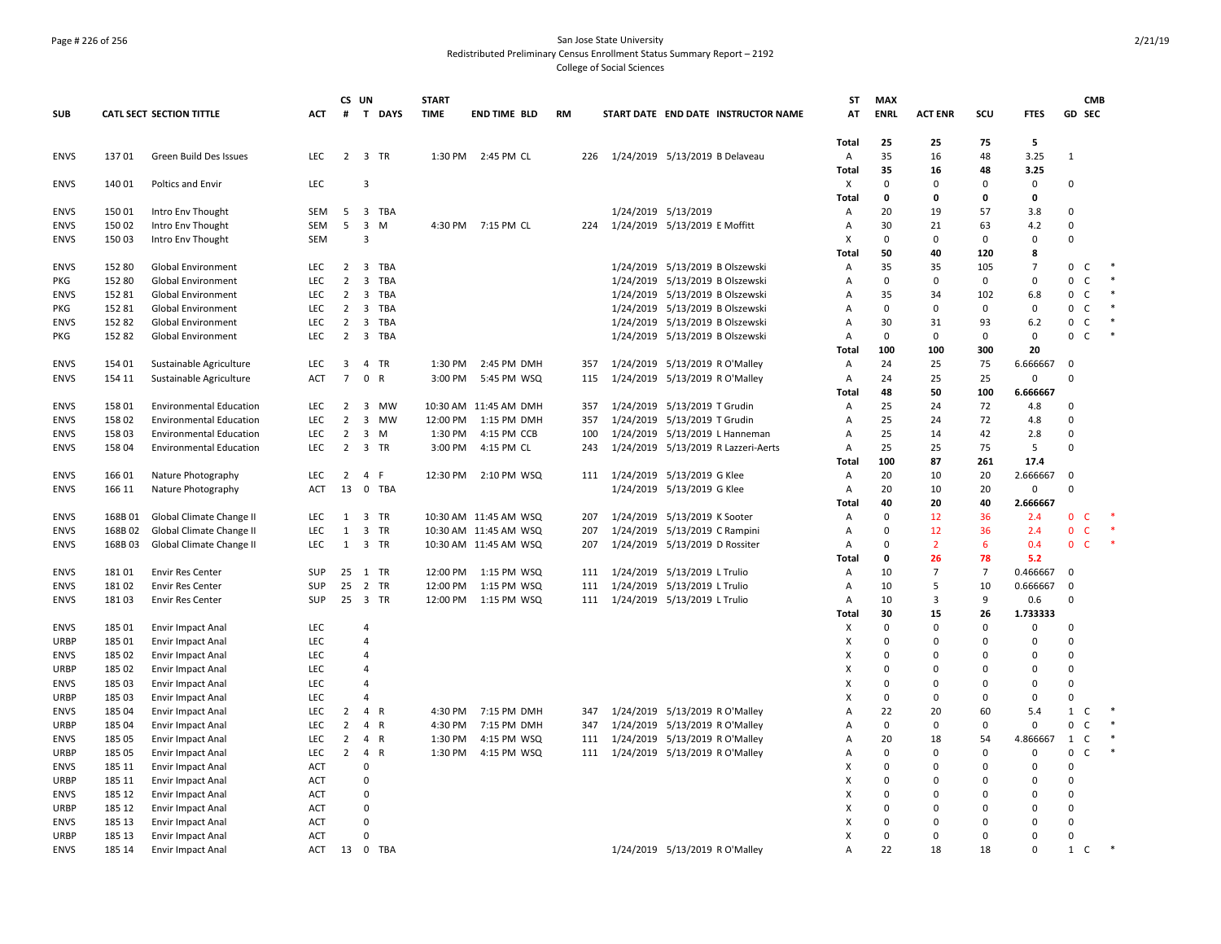### Page # 226 of 256 San Jose State University Redistributed Preliminary Census Enrollment Status Summary Report – 2192 College of Social Sciences

| <b>SUB</b>                 |                  | <b>CATL SECT SECTION TITTLE</b>                      | <b>ACT</b>               | CS UN<br>#                       | T DAYS                                | <b>START</b><br><b>TIME</b> | <b>END TIME BLD</b>                            |             | <b>RM</b> |            |                                                                    | START DATE END DATE INSTRUCTOR NAME | ST<br>AT          | <b>MAX</b><br><b>ENRL</b> | <b>ACT ENR</b>       | SCU                        | <b>FTES</b>                | GD SEC                                | <b>CMB</b>       |
|----------------------------|------------------|------------------------------------------------------|--------------------------|----------------------------------|---------------------------------------|-----------------------------|------------------------------------------------|-------------|-----------|------------|--------------------------------------------------------------------|-------------------------------------|-------------------|---------------------------|----------------------|----------------------------|----------------------------|---------------------------------------|------------------|
|                            |                  |                                                      |                          |                                  |                                       |                             |                                                |             |           |            |                                                                    |                                     | <b>Total</b>      | 25                        | 25                   | 75                         | 5                          |                                       |                  |
| <b>ENVS</b>                | 13701            | Green Build Des Issues                               | LEC                      | 2                                | 3 TR                                  | 1:30 PM                     | 2:45 PM CL                                     |             |           | 226        | 1/24/2019 5/13/2019 B Delaveau                                     |                                     | Α<br><b>Total</b> | 35<br>35                  | 16<br>16             | 48<br>48                   | 3.25<br>3.25               | $\mathbf{1}$                          |                  |
| <b>ENVS</b>                | 140 01           | <b>Poltics and Envir</b>                             | LEC                      |                                  | $\overline{3}$                        |                             |                                                |             |           |            |                                                                    |                                     | X                 | $\mathbf 0$               | $\Omega$             | $\mathbf 0$                | $\mathsf 0$                | 0                                     |                  |
|                            |                  |                                                      |                          |                                  |                                       |                             |                                                |             |           |            |                                                                    |                                     | Total             | $\mathbf{0}$              | 0                    | 0                          | 0                          |                                       |                  |
| <b>ENVS</b>                | 150 01           | Intro Env Thought                                    | SEM                      | 5                                | 3 TBA                                 |                             |                                                |             |           |            | 1/24/2019 5/13/2019                                                |                                     | Α                 | 20                        | 19                   | 57                         | 3.8                        | 0                                     |                  |
| <b>ENVS</b>                | 15002            | Intro Env Thought                                    | SEM                      | 5                                | $\overline{\mathbf{3}}$<br>M          |                             | 4:30 PM 7:15 PM CL                             |             |           | 224        | 1/24/2019 5/13/2019 E Moffitt                                      |                                     | Α                 | 30                        | 21                   | 63                         | 4.2                        | 0                                     |                  |
| <b>ENVS</b>                | 15003            | Intro Env Thought                                    | SEM                      |                                  | 3                                     |                             |                                                |             |           |            |                                                                    |                                     | Χ                 | $\Omega$                  | $\mathbf 0$          | 0                          | $\mathbf 0$                | 0                                     |                  |
|                            |                  |                                                      |                          |                                  |                                       |                             |                                                |             |           |            |                                                                    |                                     | <b>Total</b>      | 50                        | 40                   | 120                        | 8                          |                                       | $\ast$           |
| <b>ENVS</b>                | 152 80           | <b>Global Environment</b>                            | <b>LEC</b>               |                                  | 2 3 TBA                               |                             |                                                |             |           |            | 1/24/2019 5/13/2019 B Olszewski                                    |                                     | Α                 | 35                        | 35<br>$\Omega$       | 105                        | $\overline{7}$             | 0<br>C<br>$\Omega$                    | $\ast$           |
| PKG                        | 152 80           | <b>Global Environment</b>                            | LEC<br>LEC               | $\overline{2}$<br>$\overline{2}$ | $\overline{3}$<br><b>TBA</b><br>3 TBA |                             |                                                |             |           |            | 1/24/2019 5/13/2019 B Olszewski<br>1/24/2019 5/13/2019 B Olszewski |                                     | $\mathsf{A}$      | $\mathbf 0$<br>35         | 34                   | $\mathbf 0$<br>102         | $\mathbf 0$                | C<br>0<br>$\mathsf{C}$                | $\ast$           |
| <b>ENVS</b><br>PKG         | 152 81<br>152 81 | Global Environment<br><b>Global Environment</b>      | <b>LEC</b>               | $\overline{2}$                   | $\overline{\mathbf{3}}$<br>TBA        |                             |                                                |             |           |            | 1/24/2019 5/13/2019 B Olszewski                                    |                                     | А<br>Α            | $\mathbf 0$               | $\mathbf 0$          | $\mathbf 0$                | 6.8<br>0                   | $\mathsf{C}$<br>0                     | $\ast$           |
| <b>ENVS</b>                | 152 82           | <b>Global Environment</b>                            | LEC                      | $\overline{2}$                   | TBA<br>$\overline{\mathbf{3}}$        |                             |                                                |             |           |            | 1/24/2019 5/13/2019 B Olszewski                                    |                                     | Α                 | 30                        | 31                   | 93                         | 6.2                        | $\mathsf{C}$<br>0                     | $\ast$           |
| PKG                        | 15282            | <b>Global Environment</b>                            | <b>LEC</b>               | $\overline{2}$                   | 3 TBA                                 |                             |                                                |             |           |            | 1/24/2019 5/13/2019 B Olszewski                                    |                                     | Α                 | $\mathbf 0$               | $\mathbf 0$          | 0                          | $\mathbf 0$                | 0<br>C                                |                  |
|                            |                  |                                                      |                          |                                  |                                       |                             |                                                |             |           |            |                                                                    |                                     | <b>Total</b>      | 100                       | 100                  | 300                        | 20                         |                                       |                  |
| <b>ENVS</b>                | 154 01           | Sustainable Agriculture                              | LEC                      | 3                                | $\overline{4}$<br>TR                  | 1:30 PM                     |                                                | 2:45 PM DMH |           | 357        | 1/24/2019 5/13/2019 R O'Malley                                     |                                     | A                 | 24                        | 25                   | 75                         | 6.666667                   | $\Omega$                              |                  |
| <b>ENVS</b>                | 154 11           | Sustainable Agriculture                              | <b>ACT</b>               | $\overline{7}$                   | 0 R                                   | 3:00 PM                     |                                                | 5:45 PM WSQ |           | 115        | 1/24/2019 5/13/2019 R O'Malley                                     |                                     | Α                 | 24                        | 25                   | 25                         | 0                          | $\Omega$                              |                  |
|                            |                  |                                                      |                          |                                  |                                       |                             |                                                |             |           |            |                                                                    |                                     | <b>Total</b>      | 48                        | 50                   | 100                        | 6.666667                   |                                       |                  |
| <b>ENVS</b>                | 158 01           | <b>Environmental Education</b>                       | LEC                      | 2                                | 3 MW                                  |                             | 10:30 AM 11:45 AM DMH                          |             |           | 357        | 1/24/2019 5/13/2019 T Grudin                                       |                                     | Α                 | 25                        | 24                   | 72                         | 4.8                        | $\Omega$                              |                  |
| <b>ENVS</b>                | 158 02           | <b>Environmental Education</b>                       | LEC                      | $\overline{2}$                   | $\overline{\mathbf{3}}$<br><b>MW</b>  | 12:00 PM                    |                                                | 1:15 PM DMH |           | 357        | 1/24/2019 5/13/2019 T Grudin                                       |                                     | Α                 | 25                        | 24                   | 72                         | 4.8                        | $\Omega$                              |                  |
| <b>ENVS</b>                | 158 03           | <b>Environmental Education</b>                       | <b>LEC</b>               | $\overline{2}$                   | $\overline{3}$<br>M                   | 1:30 PM                     | 4:15 PM CCB                                    |             |           | 100        | 1/24/2019 5/13/2019 L Hanneman                                     |                                     | Α                 | 25                        | 14                   | 42                         | 2.8                        | 0                                     |                  |
| <b>ENVS</b>                | 158 04           | <b>Environmental Education</b>                       | LEC                      | 2                                | 3 TR                                  | 3:00 PM                     | 4:15 PM CL                                     |             |           | 243        |                                                                    | 1/24/2019 5/13/2019 R Lazzeri-Aerts | A                 | 25                        | 25                   | 75                         | 5                          | 0                                     |                  |
|                            |                  |                                                      |                          |                                  |                                       |                             |                                                |             |           |            |                                                                    |                                     | <b>Total</b>      | 100                       | 87                   | 261                        | 17.4                       |                                       |                  |
| <b>ENVS</b>                | 16601            | Nature Photography                                   | LEC                      | $\overline{2}$                   | F<br>4                                |                             | 12:30 PM 2:10 PM WSQ                           |             |           | 111        | 1/24/2019 5/13/2019 G Klee                                         |                                     | Α                 | 20                        | 10                   | 20                         | 2.666667                   | $\mathbf 0$                           |                  |
| <b>ENVS</b>                | 166 11           | Nature Photography                                   | <b>ACT</b>               | 13                               | 0 TBA                                 |                             |                                                |             |           |            | 1/24/2019 5/13/2019 G Klee                                         |                                     | A                 | 20                        | 10                   | 20                         | $\mathbf 0$                | $\Omega$                              |                  |
|                            |                  |                                                      |                          |                                  |                                       |                             |                                                |             |           |            |                                                                    |                                     | <b>Total</b>      | 40<br>$\Omega$            | 20                   | 40                         | 2.666667                   |                                       |                  |
| <b>ENVS</b><br><b>ENVS</b> | 168B01<br>168B02 | Global Climate Change II                             | LEC<br>LEC               | 1<br>1                           | 3 TR<br>$\overline{\mathbf{3}}$<br>TR |                             | 10:30 AM 11:45 AM WSQ<br>10:30 AM 11:45 AM WSQ |             |           | 207<br>207 | 1/24/2019 5/13/2019 K Sooter                                       |                                     | Α<br>Α            | $\mathbf 0$               | 12<br>12             | 36<br>36                   | 2.4<br>2.4                 | 0<br>C<br>$\mathsf{C}$<br>$\mathbf 0$ |                  |
| <b>ENVS</b>                | 168B03           | Global Climate Change II<br>Global Climate Change II | <b>LEC</b>               | 1                                | 3 TR                                  |                             | 10:30 AM 11:45 AM WSQ                          |             |           | 207        | 1/24/2019 5/13/2019 C Rampini<br>1/24/2019 5/13/2019 D Rossiter    |                                     | $\mathsf{A}$      | $\mathbf 0$               | $\overline{2}$       | 6                          | 0.4                        | 0<br>C                                |                  |
|                            |                  |                                                      |                          |                                  |                                       |                             |                                                |             |           |            |                                                                    |                                     | Total             | 0                         | 26                   | 78                         | 5.2                        |                                       |                  |
| <b>ENVS</b>                | 18101            | <b>Envir Res Center</b>                              | SUP                      | 25                               | 1 TR                                  |                             | 12:00 PM  1:15 PM  WSQ                         |             |           | 111        | 1/24/2019 5/13/2019 L Trulio                                       |                                     | A                 | 10                        | $\overline{7}$       | $\overline{7}$             | 0.466667                   | $\mathbf 0$                           |                  |
| <b>ENVS</b>                | 18102            | <b>Envir Res Center</b>                              | SUP                      | 25                               | 2 TR                                  |                             | 12:00 PM   1:15 PM   WSQ                       |             |           | 111        | 1/24/2019 5/13/2019 L Trulio                                       |                                     | Α                 | 10                        | 5                    | 10                         | 0.666667                   | $\mathbf 0$                           |                  |
| <b>ENVS</b>                | 18103            | <b>Envir Res Center</b>                              | SUP                      | 25                               | 3 TR                                  | 12:00 PM                    |                                                | 1:15 PM WSQ |           | 111        | 1/24/2019 5/13/2019 L Trulio                                       |                                     | Α                 | 10                        | $\overline{3}$       | 9                          | 0.6                        | 0                                     |                  |
|                            |                  |                                                      |                          |                                  |                                       |                             |                                                |             |           |            |                                                                    |                                     | <b>Total</b>      | 30                        | 15                   | 26                         | 1.733333                   |                                       |                  |
| <b>ENVS</b>                | 185 01           | <b>Envir Impact Anal</b>                             | <b>LEC</b>               |                                  | $\overline{4}$                        |                             |                                                |             |           |            |                                                                    |                                     | х                 | $\mathbf 0$               | $\Omega$             | $\mathbf 0$                | 0                          | 0                                     |                  |
| URBP                       | 185 01           | <b>Envir Impact Anal</b>                             | <b>LEC</b>               |                                  | $\overline{4}$                        |                             |                                                |             |           |            |                                                                    |                                     | Χ                 | $\Omega$                  | $\Omega$             | $\Omega$                   | $\mathbf 0$                | $\Omega$                              |                  |
| <b>ENVS</b>                | 185 02           | <b>Envir Impact Anal</b>                             | <b>LEC</b>               |                                  | $\overline{4}$                        |                             |                                                |             |           |            |                                                                    |                                     | X                 | $\Omega$                  | $\Omega$             | $\mathbf 0$                | 0                          | 0                                     |                  |
| URBP                       | 185 02           | <b>Envir Impact Anal</b>                             | <b>LEC</b>               |                                  | $\overline{4}$                        |                             |                                                |             |           |            |                                                                    |                                     | X                 | $\Omega$                  | $\Omega$             | $\Omega$                   | $\mathbf 0$                | 0                                     |                  |
| <b>ENVS</b>                | 185 03           | <b>Envir Impact Anal</b>                             | <b>LEC</b>               |                                  | $\overline{4}$                        |                             |                                                |             |           |            |                                                                    |                                     | X                 | $\Omega$                  | $\Omega$             | $\Omega$                   | $\mathbf 0$                | $\Omega$                              |                  |
| <b>URBP</b>                | 185 03           | Envir Impact Anal                                    | LEC                      |                                  | $\Delta$                              |                             |                                                |             |           |            |                                                                    |                                     | x                 | $\mathbf 0$               | $\Omega$             | $\mathbf 0$                | $\mathbf 0$                | 0                                     |                  |
| <b>ENVS</b>                | 185 04           | <b>Envir Impact Anal</b>                             | LEC                      | 2                                | $\overline{4}$<br>R                   | 4:30 PM                     |                                                | 7:15 PM DMH |           | 347        | 1/24/2019 5/13/2019 R O'Malley                                     |                                     | Α                 | 22                        | 20                   | 60                         | 5.4                        | $\mathbf{1}$<br>C                     | $\ast$<br>$\ast$ |
| URBP                       | 185 04           | <b>Envir Impact Anal</b>                             | <b>LEC</b>               | $\overline{2}$                   | $\overline{4}$<br>$\mathsf{R}$        |                             | 4:30 PM 7:15 PM DMH                            |             |           | 347        | 1/24/2019 5/13/2019 R O'Malley                                     |                                     | A                 | $\Omega$                  | $\Omega$             | $\mathbf 0$                | $\mathbf{0}$               | 0<br>C                                |                  |
| <b>ENVS</b>                | 185 05           | <b>Envir Impact Anal</b>                             | LEC                      | $\overline{2}$                   | $\overline{4}$<br>$\mathsf{R}$        | 1:30 PM                     |                                                | 4:15 PM WSQ |           | 111        | 1/24/2019 5/13/2019 R O'Malley                                     |                                     | Α                 | 20                        | 18                   | 54                         | 4.866667                   | $\mathbf{1}$<br>$\mathsf{C}$          | $\ast$           |
| URBP<br><b>ENVS</b>        | 185 05<br>185 11 | <b>Envir Impact Anal</b>                             | <b>LEC</b><br><b>ACT</b> | $\overline{2}$                   | 4 R<br>$\Omega$                       | 1:30 PM                     |                                                | 4:15 PM WSQ |           | 111        | 1/24/2019  5/13/2019  RO'Malley                                    |                                     | A<br>X            | $\Omega$<br>$\Omega$      | $\Omega$<br>$\Omega$ | $\mathbf 0$<br>$\mathbf 0$ | $\mathbf 0$<br>$\mathsf 0$ | 0<br>C<br>$\Omega$                    |                  |
| URBP                       | 185 11           | Envir Impact Anal<br><b>Envir Impact Anal</b>        | ACT                      |                                  | $\mathbf 0$                           |                             |                                                |             |           |            |                                                                    |                                     | x                 | $\Omega$                  | $\Omega$             | $\Omega$                   | $\mathbf 0$                | $\Omega$                              |                  |
| <b>ENVS</b>                | 185 12           | <b>Envir Impact Anal</b>                             | <b>ACT</b>               |                                  | $\mathbf 0$                           |                             |                                                |             |           |            |                                                                    |                                     | X                 | $\Omega$                  | $\Omega$             | $\Omega$                   | $\mathbf 0$                | 0                                     |                  |
| URBP                       | 185 12           | <b>Envir Impact Anal</b>                             | <b>ACT</b>               |                                  | $\mathbf 0$                           |                             |                                                |             |           |            |                                                                    |                                     | X                 | $\Omega$                  | $\Omega$             | $\Omega$                   | $\mathbf 0$                | 0                                     |                  |
| <b>ENVS</b>                | 185 13           | <b>Envir Impact Anal</b>                             | <b>ACT</b>               |                                  | $\mathbf 0$                           |                             |                                                |             |           |            |                                                                    |                                     | X                 | $\mathbf 0$               | $\Omega$             | 0                          | $\mathbf 0$                | 0                                     |                  |
| URBP                       | 185 13           | <b>Envir Impact Anal</b>                             | <b>ACT</b>               |                                  | $\Omega$                              |                             |                                                |             |           |            |                                                                    |                                     | X                 | $\Omega$                  | $\Omega$             | $\mathbf 0$                | $\mathbf 0$                | 0                                     |                  |
| <b>ENVS</b>                | 185 14           | Envir Impact Anal                                    | ACT                      |                                  | 13 0 TBA                              |                             |                                                |             |           |            | 1/24/2019 5/13/2019 R O'Malley                                     |                                     | Α                 | 22                        | 18                   | 18                         | 0                          | $\mathbf{1}$<br>$\mathsf{C}$          |                  |
|                            |                  |                                                      |                          |                                  |                                       |                             |                                                |             |           |            |                                                                    |                                     |                   |                           |                      |                            |                            |                                       |                  |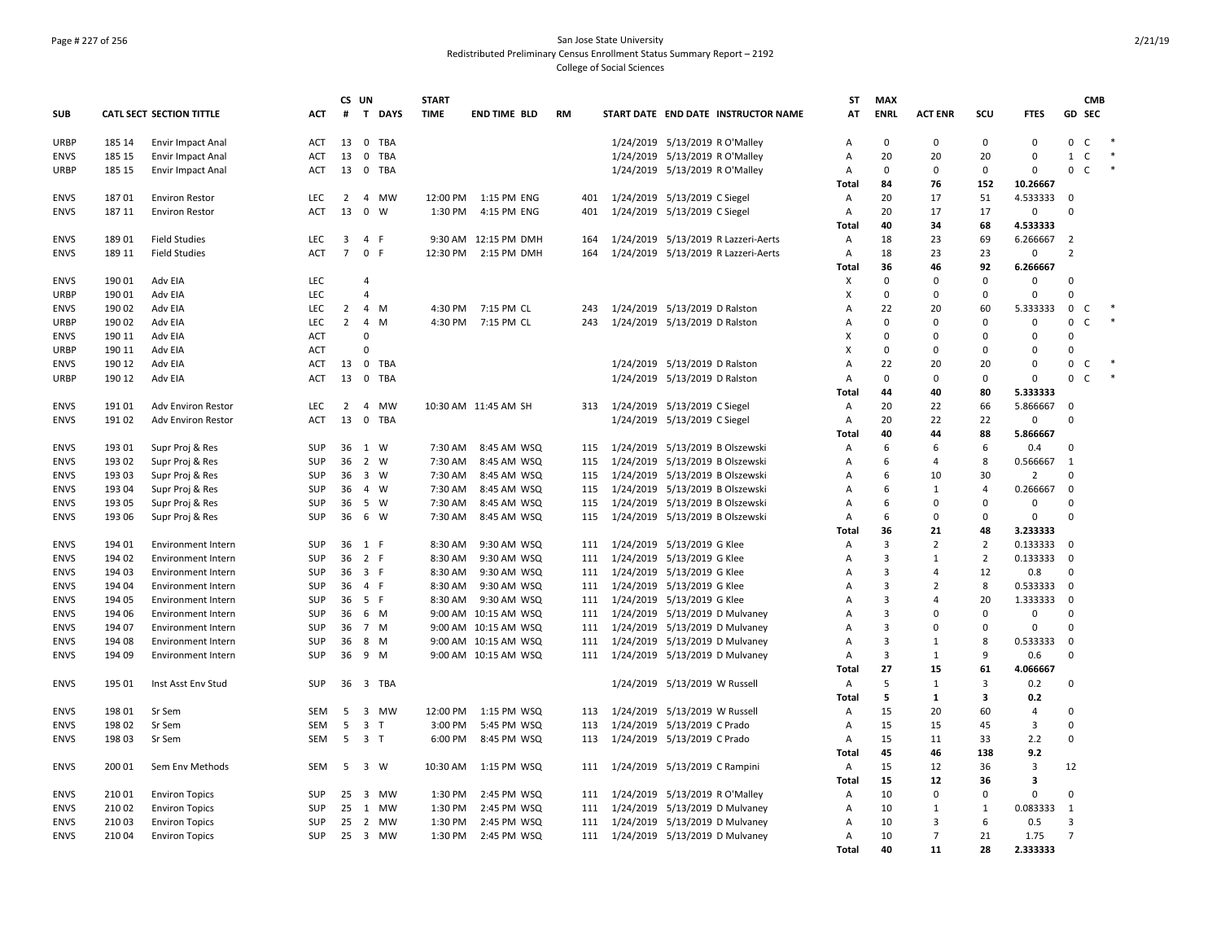### Page # 227 of 256 San Jose State University Redistributed Preliminary Census Enrollment Status Summary Report – 2192 College of Social Sciences

|                            |                  |                                                        |            |                | CS UN                                | <b>START</b>       |                            |           |            |                                       | <b>ST</b>                      | <b>MAX</b>  |                          |                      |                |                      | <b>CMB</b> |        |
|----------------------------|------------------|--------------------------------------------------------|------------|----------------|--------------------------------------|--------------------|----------------------------|-----------|------------|---------------------------------------|--------------------------------|-------------|--------------------------|----------------------|----------------|----------------------|------------|--------|
| <b>SUB</b>                 |                  | CATL SECT SECTION TITTLE                               | <b>ACT</b> | #              | T DAYS                               | <b>TIME</b>        | <b>END TIME BLD</b>        | <b>RM</b> |            | START DATE END DATE INSTRUCTOR NAME   | AT                             | <b>ENRL</b> | <b>ACT ENR</b>           | SCU                  | <b>FTES</b>    | GD SEC               |            |        |
| URBP                       | 185 14           | <b>Envir Impact Anal</b>                               | ACT        | 13             | $\mathsf 0$<br><b>TBA</b>            |                    |                            |           |            | 1/24/2019 5/13/2019 R O'Malley        | $\overline{A}$                 | $\Omega$    | $\Omega$                 | $\Omega$             | $\Omega$       | 0                    | C          |        |
| <b>ENVS</b>                | 185 15           | <b>Envir Impact Anal</b>                               | <b>ACT</b> | 13             | 0<br>TBA                             |                    |                            |           |            | 1/24/2019 5/13/2019 R O'Malley        | Α                              | 20          | 20                       | 20                   | 0              | $\mathbf{1}$         | C          |        |
| URBP                       | 185 15           | <b>Envir Impact Anal</b>                               | <b>ACT</b> | 13             | $\mathbf 0$<br><b>TBA</b>            |                    |                            |           |            | 1/24/2019 5/13/2019 R O'Malley        | $\mathsf{A}$                   | $\mathbf 0$ | $\Omega$                 | $\Omega$             | $\Omega$       | 0                    | C          | $\ast$ |
|                            |                  |                                                        |            |                |                                      |                    |                            |           |            |                                       | Total                          | 84          | 76                       | 152                  | 10.26667       |                      |            |        |
| <b>ENVS</b>                | 18701            | <b>Environ Restor</b>                                  | <b>LEC</b> | $\overline{2}$ | $\overline{4}$<br>MW                 | 12:00 PM           | 1:15 PM ENG                |           | 401        | 1/24/2019 5/13/2019 C Siegel          | Α                              | 20          | 17                       | 51                   | 4.533333       | $\mathbf 0$          |            |        |
| <b>ENVS</b>                | 187 11           | <b>Environ Restor</b>                                  | <b>ACT</b> | 13             | $\mathbf 0$<br>W                     | 1:30 PM            | 4:15 PM ENG                |           | 401        | 1/24/2019 5/13/2019 C Siegel          | A                              | 20          | 17                       | 17                   | 0              | $\Omega$             |            |        |
|                            |                  |                                                        |            |                |                                      |                    |                            |           |            |                                       | Total                          | 40          | 34                       | 68                   | 4.533333       |                      |            |        |
| <b>ENVS</b>                | 18901            | <b>Field Studies</b>                                   | <b>LEC</b> | 3              | 4 F                                  |                    | 9:30 AM 12:15 PM DMH       |           | 164        | 1/24/2019 5/13/2019 R Lazzeri-Aerts   | $\overline{A}$                 | 18          | 23                       | 69                   | 6.266667       | $\overline{2}$       |            |        |
| <b>ENVS</b>                | 189 11           | <b>Field Studies</b>                                   | ACT        | $\overline{7}$ | $\mathsf{O}$<br>F                    | 12:30 PM           | 2:15 PM DMH                |           | 164        | 1/24/2019  5/13/2019  R Lazzeri-Aerts | Α                              | 18          | 23                       | 23                   | 0              | $\overline{2}$       |            |        |
|                            |                  |                                                        |            |                |                                      |                    |                            |           |            |                                       | Total                          | 36          | 46                       | 92                   | 6.266667       |                      |            |        |
| <b>ENVS</b>                | 190 01           | Adv EIA                                                | LEC        |                | 4                                    |                    |                            |           |            |                                       | X                              | $\Omega$    | $\Omega$                 | $\mathbf 0$          | $\mathbf 0$    | 0                    |            |        |
| URBP                       | 190 01           | Adv EIA                                                | <b>LEC</b> |                | 4                                    |                    |                            |           |            |                                       | $\boldsymbol{\mathsf{x}}$      | $\mathbf 0$ | $\Omega$                 | $\Omega$             | $\mathbf 0$    | $\Omega$             |            |        |
| <b>ENVS</b>                | 190 02           | Adv EIA                                                | <b>LEC</b> | 2              | $\overline{4}$<br>M                  | 4:30 PM            | 7:15 PM CL                 |           | 243        | 1/24/2019 5/13/2019 D Ralston         | Α                              | 22          | 20                       | 60                   | 5.333333       | $\mathsf{O}$         | C          |        |
| URBP                       | 190 02           | Adv EIA                                                | LEC        | $\overline{2}$ | $\overline{4}$<br>M                  | 4:30 PM            | 7:15 PM CL                 |           | 243        | 1/24/2019 5/13/2019 D Ralston         | Α                              | $\mathbf 0$ | $\Omega$                 | $\Omega$             | 0              | 0                    | C          |        |
| <b>ENVS</b>                | 190 11           | Adv EIA                                                | <b>ACT</b> |                | $\Omega$                             |                    |                            |           |            |                                       | X                              | $\Omega$    | $\Omega$                 | $\Omega$             | $\mathbf{0}$   | $\Omega$             |            |        |
| URBP                       | 190 11           | Adv EIA                                                | <b>ACT</b> |                | 0                                    |                    |                            |           |            |                                       | $\times$                       | $\mathsf 0$ | $\Omega$                 | 0                    | $\Omega$       | $\Omega$             |            |        |
| <b>ENVS</b>                | 190 12           | Adv EIA                                                | <b>ACT</b> | 13             | $\mathbf 0$<br><b>TBA</b>            |                    |                            |           |            | 1/24/2019 5/13/2019 D Ralston         | $\overline{A}$                 | 22          | 20                       | 20                   | 0              | 0                    | C          | $\ast$ |
| URBP                       | 190 12           | Adv EIA                                                | <b>ACT</b> | 13             | $\mathbf 0$<br>TBA                   |                    |                            |           |            | 1/24/2019 5/13/2019 D Ralston         | Α                              | $\Omega$    | $\Omega$                 | $\mathbf 0$          | 0              | 0                    | C          |        |
|                            |                  |                                                        |            |                |                                      |                    |                            |           |            |                                       | Total                          | 44          | 40                       | 80                   | 5.333333       |                      |            |        |
| <b>ENVS</b>                | 191 01           | Adv Environ Restor                                     | LEC        | $\overline{2}$ | <b>MW</b><br>$\overline{4}$          |                    | 10:30 AM 11:45 AM SH       |           | 313        | 1/24/2019 5/13/2019 C Siegel          | Α                              | 20          | 22                       | 66                   | 5.866667       | 0                    |            |        |
| <b>ENVS</b>                | 191 02           | <b>Adv Environ Restor</b>                              | ACT        | 13             | $\mathbf 0$<br>TBA                   |                    |                            |           |            | 1/24/2019 5/13/2019 C Siegel          | Α                              | 20          | 22                       | 22                   | 0              | 0                    |            |        |
|                            |                  |                                                        |            |                |                                      |                    |                            |           |            |                                       | Total                          | 40          | 44                       | 88                   | 5.866667       |                      |            |        |
| <b>ENVS</b>                | 19301            | Supr Proj & Res                                        | SUP        | 36             | 1 W                                  | 7:30 AM            | 8:45 AM WSQ                |           | 115        | 1/24/2019 5/13/2019 B Olszewski       | $\mathsf{A}$                   | 6           | 6                        | 6                    | 0.4            | $\Omega$             |            |        |
| <b>ENVS</b>                | 193 02           | Supr Proj & Res                                        | SUP        | 36             | $\overline{2}$<br><b>W</b>           | 7:30 AM            | 8:45 AM WSQ                |           | 115        | 1/24/2019 5/13/2019 B Olszewski       | Α                              | 6           | 4                        | 8                    | 0.566667       | $\mathbf{1}$         |            |        |
| <b>ENVS</b>                | 193 03           | Supr Proj & Res                                        | SUP        | 36             | 3 W                                  | 7:30 AM            | 8:45 AM WSQ                |           | 115        | 1/24/2019 5/13/2019 B Olszewski       | Α                              | 6           | 10                       | 30<br>$\overline{4}$ | $\overline{2}$ | $\Omega$             |            |        |
| <b>ENVS</b>                | 193 04           | Supr Proj & Res                                        | SUP        | 36             | 4 W<br><b>W</b>                      | 7:30 AM<br>7:30 AM | 8:45 AM WSQ                |           | 115        | 1/24/2019 5/13/2019 B Olszewski       | $\mathsf{A}$<br>$\overline{A}$ | 6<br>6      | $\mathbf{1}$<br>$\Omega$ | $\mathbf 0$          | 0.266667       | $\Omega$<br>$\Omega$ |            |        |
| <b>ENVS</b><br><b>ENVS</b> | 193 05<br>193 06 | Supr Proj & Res                                        | SUP<br>SUP | 36<br>36       | 5<br>6 W                             | 7:30 AM            | 8:45 AM WSQ<br>8:45 AM WSQ |           | 115<br>115 | 1/24/2019 5/13/2019 B Olszewski       | Α                              | 6           | $\Omega$                 | $\Omega$             | 0<br>$\Omega$  | $\Omega$             |            |        |
|                            |                  | Supr Proj & Res                                        |            |                |                                      |                    |                            |           |            | 1/24/2019 5/13/2019 B Olszewski       | Total                          | 36          | 21                       | 48                   | 3.233333       |                      |            |        |
| <b>ENVS</b>                | 194 01           | <b>Environment Intern</b>                              | SUP        | 36             | 1 F                                  | 8:30 AM            | 9:30 AM WSQ                |           | 111        | 1/24/2019 5/13/2019 G Klee            | Α                              | 3           | $\overline{2}$           | $\overline{2}$       | 0.133333       | 0                    |            |        |
| <b>ENVS</b>                | 194 02           | <b>Environment Intern</b>                              | SUP        | 36             | 2 F                                  | 8:30 AM            | 9:30 AM WSQ                |           | 111        | 1/24/2019 5/13/2019 G Klee            | $\overline{A}$                 | 3           | $\mathbf{1}$             | $\overline{2}$       | 0.133333       | $\Omega$             |            |        |
| <b>ENVS</b>                | 194 03           |                                                        | SUP        | 36             | 3 F                                  | 8:30 AM            | 9:30 AM WSQ                |           | 111        | 1/24/2019 5/13/2019 G Klee            | Α                              | 3           | 4                        | 12                   | 0.8            | 0                    |            |        |
| <b>ENVS</b>                | 194 04           | <b>Environment Intern</b><br><b>Environment Intern</b> | SUP        | 36             | 4 F                                  | 8:30 AM            | 9:30 AM WSQ                |           | 111        | 1/24/2019 5/13/2019 G Klee            | $\mathsf{A}$                   | 3           | $\overline{2}$           | 8                    | 0.533333       | $\mathbf 0$          |            |        |
| <b>ENVS</b>                | 194 05           | Environment Intern                                     | SUP        | 36             | 5 F                                  | 8:30 AM            | 9:30 AM WSQ                |           | 111        | 1/24/2019 5/13/2019 G Klee            | Α                              | 3           | 4                        | 20                   | 1.333333       | $\mathbf 0$          |            |        |
| <b>ENVS</b>                | 194 06           | <b>Environment Intern</b>                              | SUP        | 36             | 6 M                                  |                    | 9:00 AM 10:15 AM WSQ       |           | 111        | 1/24/2019 5/13/2019 D Mulvaney        | Α                              | 3           | $\Omega$                 | 0                    | 0              | $\Omega$             |            |        |
| <b>ENVS</b>                | 194 07           | Environment Intern                                     | SUP        | 36             | 7 M                                  |                    | 9:00 AM 10:15 AM WSQ       |           | 111        | 1/24/2019 5/13/2019 D Mulvaney        | Α                              | 3           | $\Omega$                 | 0                    | $\mathsf 0$    | $\Omega$             |            |        |
| <b>ENVS</b>                | 194 08           | <b>Environment Intern</b>                              | SUP        | 36             | 8<br>M                               |                    | 9:00 AM 10:15 AM WSQ       |           | 111        | 1/24/2019 5/13/2019 D Mulvaney        | Α                              | 3           | $\mathbf{1}$             | 8                    | 0.533333       | $\Omega$             |            |        |
| <b>ENVS</b>                | 194 09           | <b>Environment Intern</b>                              | SUP        | 36             | 9 M                                  |                    | 9:00 AM 10:15 AM WSQ       |           | 111        | 1/24/2019 5/13/2019 D Mulvaney        | $\overline{A}$                 | 3           | $\mathbf{1}$             | 9                    | 0.6            | $\Omega$             |            |        |
|                            |                  |                                                        |            |                |                                      |                    |                            |           |            |                                       | Total                          | 27          | 15                       | 61                   | 4.066667       |                      |            |        |
| <b>ENVS</b>                | 195 01           | Inst Asst Env Stud                                     | <b>SUP</b> | 36             | $\overline{\mathbf{3}}$<br>TBA       |                    |                            |           |            | 1/24/2019 5/13/2019 W Russell         | $\mathsf{A}$                   | 5           | 1                        | 3                    | 0.2            | 0                    |            |        |
|                            |                  |                                                        |            |                |                                      |                    |                            |           |            |                                       | Total                          | 5           | $\mathbf{1}$             | 3                    | 0.2            |                      |            |        |
| <b>ENVS</b>                | 198 01           | Sr Sem                                                 | <b>SEM</b> | 5              | 3 MW                                 | 12:00 PM           | 1:15 PM WSQ                |           | 113        | 1/24/2019 5/13/2019 W Russell         | $\overline{A}$                 | 15          | 20                       | 60                   | $\overline{4}$ | $\Omega$             |            |        |
| <b>ENVS</b>                | 19802            | Sr Sem                                                 | SEM        | 5              | $\overline{\mathbf{3}}$<br>T         | 3:00 PM            | 5:45 PM WSQ                |           | 113        | 1/24/2019 5/13/2019 C Prado           | Α                              | 15          | 15                       | 45                   | 3              | 0                    |            |        |
| <b>ENVS</b>                | 19803            | Sr Sem                                                 | SEM        | 5              | 3 <sub>1</sub>                       | 6:00 PM            | 8:45 PM WSQ                |           | 113        | 1/24/2019 5/13/2019 C Prado           | Α                              | 15          | 11                       | 33                   | 2.2            | 0                    |            |        |
|                            |                  |                                                        |            |                |                                      |                    |                            |           |            |                                       | <b>Total</b>                   | 45          | 46                       | 138                  | 9.2            |                      |            |        |
| <b>ENVS</b>                | 200 01           | Sem Env Methods                                        | SEM        | 5              | $\overline{\mathbf{3}}$<br>W         | 10:30 AM           | 1:15 PM WSQ                |           | 111        | 1/24/2019 5/13/2019 C Rampini         | $\mathsf{A}$                   | 15          | 12                       | 36                   | $\overline{3}$ | 12                   |            |        |
|                            |                  |                                                        |            |                |                                      |                    |                            |           |            |                                       | Total                          | 15          | 12                       | 36                   | 3              |                      |            |        |
| <b>ENVS</b>                | 21001            | <b>Environ Topics</b>                                  | SUP        | 25             | $\overline{\mathbf{3}}$<br><b>MW</b> | 1:30 PM            | 2:45 PM WSQ                |           | 111        | 1/24/2019 5/13/2019 R O'Malley        | Α                              | 10          | $\Omega$                 | $\mathbf 0$          | 0              | 0                    |            |        |
| <b>ENVS</b>                | 210 02           | <b>Environ Topics</b>                                  | SUP        | 25             | 1<br><b>MW</b>                       | 1:30 PM            | 2:45 PM WSQ                |           | 111        | 1/24/2019 5/13/2019 D Mulvaney        | $\overline{A}$                 | 10          | 1                        | $\mathbf{1}$         | 0.083333       | $\mathbf{1}$         |            |        |
| <b>ENVS</b>                | 210 03           | <b>Environ Topics</b>                                  | <b>SUP</b> | 25             | $\overline{2}$<br>MW                 | 1:30 PM            | 2:45 PM WSQ                |           | 111        | 1/24/2019 5/13/2019 D Mulvaney        | A                              | 10          | 3                        | 6                    | 0.5            | $\overline{3}$       |            |        |
| <b>ENVS</b>                | 210 04           | <b>Environ Topics</b>                                  | SUP        | 25             | 3 MW                                 | 1:30 PM            | 2:45 PM WSQ                |           | 111        | 1/24/2019 5/13/2019 D Mulvaney        | Α                              | 10          | 7                        | 21                   | 1.75           | $\overline{7}$       |            |        |
|                            |                  |                                                        |            |                |                                      |                    |                            |           |            |                                       | <b>Total</b>                   | 40          | 11                       | 28                   | 2.333333       |                      |            |        |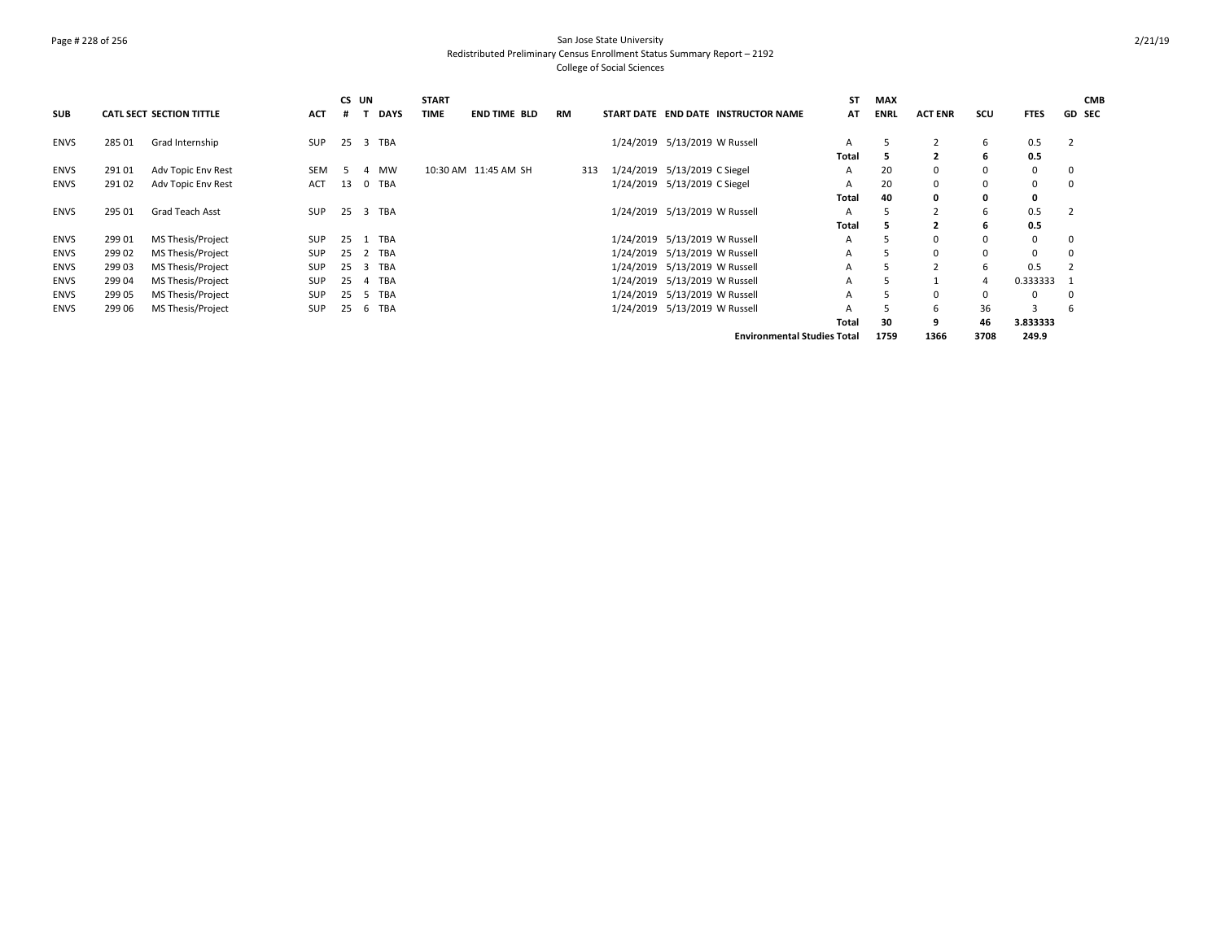### Page # 228 of 256 San Jose State University Redistributed Preliminary Census Enrollment Status Summary Report – 2192 College of Social Sciences

|             |        |                                 |            | CS UN    |                |             | <b>START</b> |                      |           |     |                               |                                     | SΤ    | <b>MAX</b>  |                |                |             | <b>CMB</b>    |
|-------------|--------|---------------------------------|------------|----------|----------------|-------------|--------------|----------------------|-----------|-----|-------------------------------|-------------------------------------|-------|-------------|----------------|----------------|-------------|---------------|
| <b>SUB</b>  |        | <b>CATL SECT SECTION TITTLE</b> | <b>ACT</b> | #        |                | <b>DAYS</b> | <b>TIME</b>  | <b>END TIME BLD</b>  | <b>RM</b> |     |                               | START DATE END DATE INSTRUCTOR NAME | AT    | <b>ENRL</b> | <b>ACT ENR</b> | scu            | <b>FTES</b> | <b>GD SEC</b> |
| ENVS        | 285 01 | Grad Internship                 | <b>SUP</b> | 25 3 TBA |                |             |              |                      |           |     | 1/24/2019 5/13/2019 W Russell |                                     | A     | 5           | 2              | 6              | 0.5         |               |
|             |        |                                 |            |          |                |             |              |                      |           |     |                               |                                     | Total | 5           | $\overline{2}$ | 6              | 0.5         |               |
| ENVS        | 291 01 | Adv Topic Env Rest              | SEM        | 5        | 4              | MW          |              | 10:30 AM 11:45 AM SH |           | 313 | 1/24/2019 5/13/2019 C Siegel  |                                     | A     | 20          | 0              | 0              | 0           | 0             |
| ENVS        | 29102  | Adv Topic Env Rest              | ACT        | 13       |                | 0 TBA       |              |                      |           |     | 1/24/2019 5/13/2019 C Siegel  |                                     | A     | 20          | 0              | 0              | 0           | $\mathbf 0$   |
|             |        |                                 |            |          |                |             |              |                      |           |     |                               |                                     | Total | 40          | 0              | 0              | $\mathbf 0$ |               |
| ENVS        | 295 01 | Grad Teach Asst                 | <b>SUP</b> | 25 3 TBA |                |             |              |                      |           |     | 1/24/2019 5/13/2019 W Russell |                                     | A     | 5           | $\overline{2}$ | 6              | 0.5         |               |
|             |        |                                 |            |          |                |             |              |                      |           |     |                               |                                     | Total | 5           | $\overline{2}$ | 6              | 0.5         |               |
| ENVS        | 299 01 | MS Thesis/Project               | <b>SUP</b> | 25 1 TBA |                |             |              |                      |           |     | 1/24/2019 5/13/2019 W Russell |                                     | A     | 5           | $\Omega$       | $\mathbf 0$    | $^{\circ}$  | $\mathbf 0$   |
| <b>ENVS</b> | 299 02 | MS Thesis/Project               | <b>SUP</b> | 25 2 TBA |                |             |              |                      |           |     | 1/24/2019 5/13/2019 W Russell |                                     | A     | 5           | $\Omega$       | 0              | $\Omega$    | $\mathbf 0$   |
| <b>ENVS</b> | 29903  | MS Thesis/Project               | <b>SUP</b> | 25       |                | 3 TBA       |              |                      |           |     | 1/24/2019 5/13/2019 W Russell |                                     | A     | 5           | $\overline{2}$ | 6              | 0.5         |               |
| ENVS        | 299 04 | MS Thesis/Project               | <b>SUP</b> | 25       | $\overline{a}$ | <b>TBA</b>  |              |                      |           |     | 1/24/2019 5/13/2019 W Russell |                                     | A     | 5           |                | $\overline{a}$ | 0.333333    | -1            |
| ENVS        | 299 05 | MS Thesis/Project               | <b>SUP</b> | 25       | -5             | <b>TBA</b>  |              |                      |           |     | 1/24/2019 5/13/2019 W Russell |                                     | A     |             | 0              | 0              | $\Omega$    | 0             |
| ENVS        | 299 06 | MS Thesis/Project               | <b>SUP</b> | 25       |                | 6 TBA       |              |                      |           |     | 1/24/2019 5/13/2019 W Russell |                                     | A     |             | 6              | 36             | 3           | 6             |
|             |        |                                 |            |          |                |             |              |                      |           |     |                               |                                     | Total | 30          | 9              | 46             | 3.833333    |               |
|             |        |                                 |            |          |                |             |              |                      |           |     |                               | <b>Environmental Studies Total</b>  |       | 1759        | 1366           | 3708           | 249.9       |               |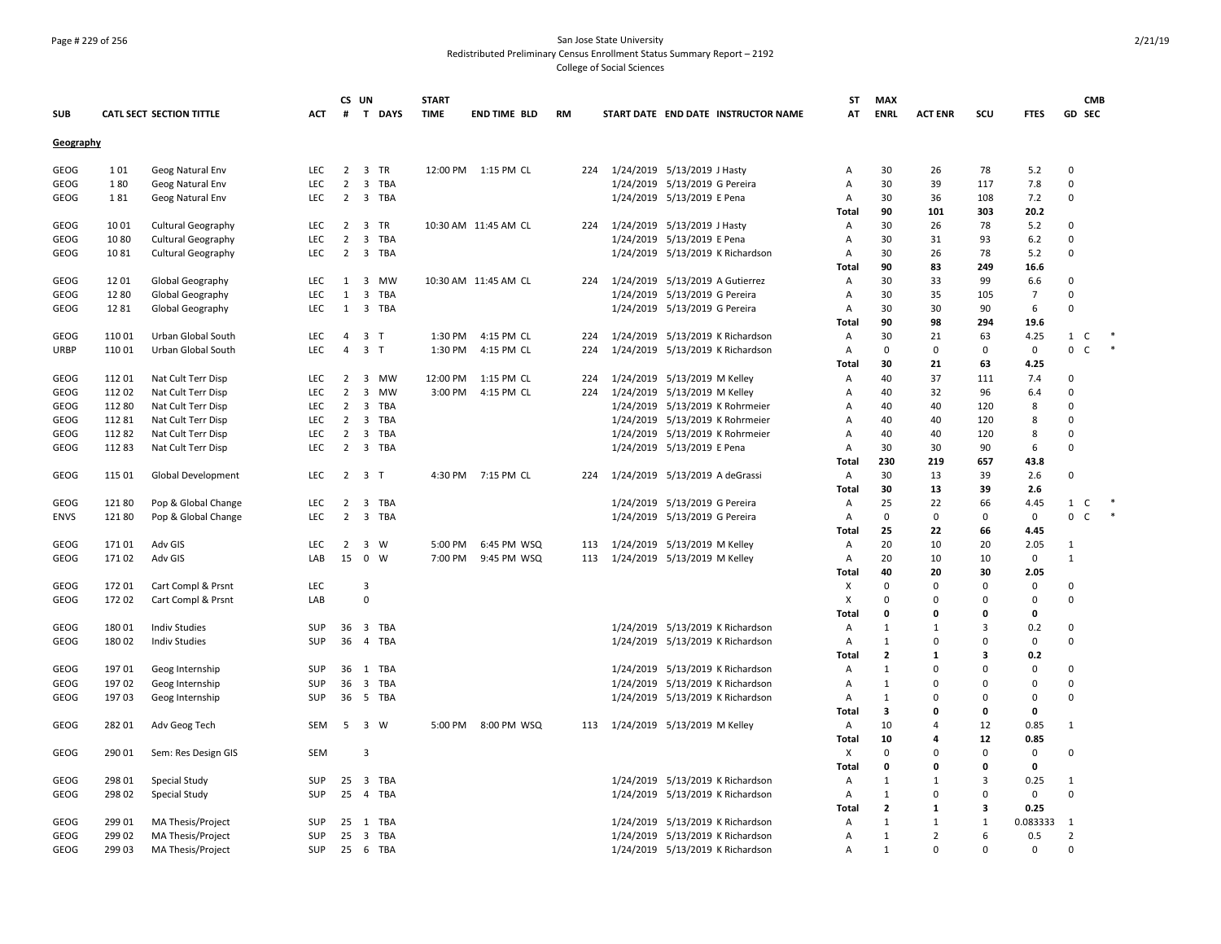### Page # 229 of 256 San Jose State University Redistributed Preliminary Census Enrollment Status Summary Report – 2192 College of Social Sciences

| <b>SUB</b>  |                 | <b>CATL SECT SECTION TITTLE</b> | <b>ACT</b> | #              | CS UN<br>T DAYS                       | <b>START</b><br><b>TIME</b> | <b>END TIME BLD</b>  | <b>RM</b> |     |                                | START DATE END DATE INSTRUCTOR NAME | ST<br>AT       | <b>MAX</b><br><b>ENRL</b> | <b>ACT ENR</b> | SCU                     | <b>FTES</b>                 | <b>CMB</b><br><b>GD SEC</b> |        |
|-------------|-----------------|---------------------------------|------------|----------------|---------------------------------------|-----------------------------|----------------------|-----------|-----|--------------------------------|-------------------------------------|----------------|---------------------------|----------------|-------------------------|-----------------------------|-----------------------------|--------|
| Geography   |                 |                                 |            |                |                                       |                             |                      |           |     |                                |                                     |                |                           |                |                         |                             |                             |        |
| GEOG        | 101             | Geog Natural Env                | <b>LEC</b> | $\overline{2}$ | $\overline{\mathbf{3}}$<br><b>TR</b>  |                             | 12:00 PM 1:15 PM CL  |           | 224 | 1/24/2019 5/13/2019 J Hasty    |                                     | A              | 30                        | 26             | 78                      | 5.2                         | $\Omega$                    |        |
| GEOG        | 180             | Geog Natural Env                | <b>LEC</b> | $\overline{2}$ | $\overline{\mathbf{3}}$<br><b>TBA</b> |                             |                      |           |     | 1/24/2019 5/13/2019 G Pereira  |                                     | Α              | 30                        | 39             | 117                     | 7.8                         | $\Omega$                    |        |
| GEOG        | 181             | Geog Natural Env                | <b>LEC</b> | $\overline{2}$ | 3 TBA                                 |                             |                      |           |     | 1/24/2019 5/13/2019 E Pena     |                                     | A<br>Total     | 30<br>90                  | 36<br>101      | 108<br>303              | 7.2<br>20.2                 | 0                           |        |
| GEOG        | 1001            | <b>Cultural Geography</b>       | LEC        |                | 2 3 TR                                |                             | 10:30 AM 11:45 AM CL |           | 224 | 1/24/2019 5/13/2019 J Hasty    |                                     | Α              | 30                        | 26             | 78                      | 5.2                         | 0                           |        |
| GEOG        | 1080            | <b>Cultural Geography</b>       | <b>LEC</b> | $\overline{2}$ | $\overline{\mathbf{3}}$<br>TBA        |                             |                      |           |     | 1/24/2019 5/13/2019 E Pena     |                                     | Α              | 30                        | 31             | 93                      | 6.2                         | $\Omega$                    |        |
| <b>GEOG</b> | 1081            | Cultural Geography              | <b>LEC</b> | $\overline{2}$ | 3 TBA                                 |                             |                      |           |     |                                | 1/24/2019 5/13/2019 K Richardson    | A              | 30                        | 26             | 78                      | 5.2                         | $\Omega$                    |        |
|             |                 |                                 |            |                |                                       |                             |                      |           |     |                                |                                     | Total          | 90                        | 83             | 249                     | 16.6                        |                             |        |
| GEOG        | 1201            | Global Geography                | <b>LEC</b> | 1              | $\overline{\mathbf{3}}$<br>MW         |                             | 10:30 AM 11:45 AM CL |           | 224 |                                | 1/24/2019 5/13/2019 A Gutierrez     | Α              | 30                        | 33             | 99                      | 6.6                         | $\mathbf 0$                 |        |
| GEOG        | 1280            | Global Geography                | <b>LEC</b> | 1              | $\overline{\mathbf{3}}$<br>TBA        |                             |                      |           |     | 1/24/2019 5/13/2019 G Pereira  |                                     | A              | 30                        | 35             | 105                     | $\overline{7}$              | $\Omega$                    |        |
| <b>GEOG</b> | 1281            | Global Geography                | <b>LEC</b> | 1              | 3 TBA                                 |                             |                      |           |     | 1/24/2019 5/13/2019 G Pereira  |                                     | Α              | 30                        | 30             | 90                      | 6                           | $\Omega$                    |        |
|             |                 |                                 |            |                |                                       |                             |                      |           |     |                                |                                     | Total          | 90                        | 98             | 294                     | 19.6                        |                             |        |
| <b>GEOG</b> | 110 01          | Urban Global South              | <b>LEC</b> | $\overline{4}$ | 3 <sub>T</sub>                        | 1:30 PM                     | 4:15 PM CL           |           | 224 |                                | 1/24/2019 5/13/2019 K Richardson    | A              | 30                        | 21             | 63                      | 4.25                        | 1<br>C                      |        |
| URBP        | 110 01          | Urban Global South              | LEC        | $\overline{4}$ | 3 <sub>T</sub>                        | 1:30 PM                     | 4:15 PM CL           |           | 224 |                                | 1/24/2019 5/13/2019 K Richardson    | Α              | $\mathbf 0$               | $\mathbf 0$    | 0                       | $\mathsf 0$                 | 0<br>$\mathsf{C}$           |        |
|             |                 |                                 |            |                |                                       |                             |                      |           |     |                                |                                     | Total          | 30                        | 21             | 63                      | 4.25                        |                             |        |
| <b>GEOG</b> | 11201           | Nat Cult Terr Disp              | <b>LEC</b> | $\overline{2}$ | $\overline{\mathbf{3}}$<br>MW         | 12:00 PM                    | 1:15 PM CL           |           | 224 | 1/24/2019 5/13/2019 M Kelley   |                                     | Α              | 40                        | 37             | 111                     | 7.4                         | $\mathbf 0$                 |        |
| GEOG        | 11202           | Nat Cult Terr Disp              | <b>LEC</b> | 2              | $\overline{\mathbf{3}}$<br>MW         | 3:00 PM                     | 4:15 PM CL           |           | 224 | 1/24/2019 5/13/2019 M Kelley   |                                     | Α              | 40                        | 32             | 96                      | 6.4                         | $\Omega$                    |        |
| <b>GEOG</b> | 112 80          | Nat Cult Terr Disp              | <b>LEC</b> | $\overline{2}$ | $\overline{\mathbf{3}}$<br><b>TBA</b> |                             |                      |           |     |                                | 1/24/2019 5/13/2019 K Rohrmeier     | A              | 40                        | 40             | 120                     | 8                           | $\Omega$                    |        |
| GEOG        | 112 81          | Nat Cult Terr Disp              | <b>LEC</b> | $\overline{2}$ | $\overline{\mathbf{3}}$<br>TBA        |                             |                      |           |     |                                | 1/24/2019 5/13/2019 K Rohrmeier     | Α              | 40                        | 40             | 120                     | 8                           | $\Omega$                    |        |
| <b>GEOG</b> | 11282           | Nat Cult Terr Disp              | <b>LEC</b> | $\overline{2}$ | $\overline{\mathbf{3}}$<br>TBA        |                             |                      |           |     |                                | 1/24/2019 5/13/2019 K Rohrmeier     | Α              | 40                        | 40             | 120                     | 8                           | $\Omega$                    |        |
| GEOG        | 11283           | Nat Cult Terr Disp              | <b>LEC</b> | $\overline{2}$ | 3 TBA                                 |                             |                      |           |     | 1/24/2019 5/13/2019 E Pena     |                                     | Α              | 30                        | 30             | 90                      | 6                           | $\Omega$                    |        |
|             |                 |                                 |            |                |                                       |                             |                      |           |     |                                |                                     | <b>Total</b>   | 230                       | 219            | 657                     | 43.8                        |                             |        |
| GEOG        | 115 01          | Global Development              | <b>LEC</b> | $\overline{2}$ | 3 <sub>T</sub>                        | 4:30 PM                     | 7:15 PM CL           |           | 224 | 1/24/2019 5/13/2019 A deGrassi |                                     | Α              | 30                        | 13             | 39                      | 2.6                         | 0                           |        |
|             |                 |                                 |            |                |                                       |                             |                      |           |     |                                |                                     | Total          | 30                        | 13             | 39                      | 2.6                         |                             |        |
| GEOG        | 12180           | Pop & Global Change             | <b>LEC</b> | $\overline{2}$ | $\overline{\mathbf{3}}$<br><b>TBA</b> |                             |                      |           |     | 1/24/2019 5/13/2019 G Pereira  |                                     | Α              | 25                        | 22             | 66                      | 4.45                        | 1<br>C                      |        |
| <b>ENVS</b> | 12180           | Pop & Global Change             | <b>LEC</b> | $\overline{2}$ | 3 TBA                                 |                             |                      |           |     | 1/24/2019 5/13/2019 G Pereira  |                                     | A              | $\mathbf 0$               | $\mathbf 0$    | 0                       | $\mathsf 0$                 | 0<br>C                      | $\ast$ |
|             |                 |                                 |            |                |                                       |                             |                      |           |     |                                |                                     | <b>Total</b>   | 25                        | 22             | 66                      | 4.45                        |                             |        |
| <b>GEOG</b> | 17101           | Adv GIS                         | <b>LEC</b> | $\overline{2}$ | 3 W                                   | 5:00 PM                     | 6:45 PM WSQ          |           | 113 | 1/24/2019 5/13/2019 M Kelley   |                                     | Α              | 20                        | 10             | 20                      | 2.05                        | 1                           |        |
| <b>GEOG</b> | 17102           | Adv GIS                         | LAB        | 15             | $\mathbf 0$<br>W                      | 7:00 PM                     | 9:45 PM WSQ          |           | 113 | 1/24/2019 5/13/2019 M Kelley   |                                     | Α              | 20                        | 10             | 10                      | $\mathbf{0}$                | 1                           |        |
|             |                 |                                 |            |                | $\overline{3}$                        |                             |                      |           |     |                                |                                     | Total          | 40<br>$\Omega$            | 20<br>$\Omega$ | 30<br>$\Omega$          | 2.05                        | $\Omega$                    |        |
| <b>GEOG</b> | 172 01<br>17202 | Cart Compl & Prsnt              | LEC<br>LAB |                | 0                                     |                             |                      |           |     |                                |                                     | X<br>X         | $\Omega$                  | $\Omega$       | $\Omega$                | $\mathbf{0}$<br>$\mathbf 0$ | $\mathbf 0$                 |        |
| <b>GEOG</b> |                 | Cart Compl & Prsnt              |            |                |                                       |                             |                      |           |     |                                |                                     | <b>Total</b>   | 0                         | 0              | O                       | $\mathbf 0$                 |                             |        |
| <b>GEOG</b> | 18001           | <b>Indiv Studies</b>            | SUP        | 36             | 3 TBA                                 |                             |                      |           |     |                                | 1/24/2019 5/13/2019 K Richardson    | Α              | 1                         | $\mathbf{1}$   | 3                       | 0.2                         | $\mathbf 0$                 |        |
| GEOG        | 180 02          | <b>Indiv Studies</b>            | SUP        | 36             | 4 TBA                                 |                             |                      |           |     |                                | 1/24/2019 5/13/2019 K Richardson    | $\overline{A}$ | 1                         | $\Omega$       | 0                       | $\mathbf 0$                 | $\Omega$                    |        |
|             |                 |                                 |            |                |                                       |                             |                      |           |     |                                |                                     | <b>Total</b>   | $\overline{2}$            | $\mathbf{1}$   | 3                       | 0.2                         |                             |        |
| GEOG        | 197 01          | Geog Internship                 | SUP        | 36             | 1 TBA                                 |                             |                      |           |     |                                | 1/24/2019 5/13/2019 K Richardson    | Α              | $\mathbf{1}$              | $\Omega$       | 0                       | $\mathbf 0$                 | $\Omega$                    |        |
| <b>GEOG</b> | 19702           | Geog Internship                 | SUP        | 36             | $\overline{3}$<br><b>TBA</b>          |                             |                      |           |     |                                | 1/24/2019 5/13/2019 K Richardson    | $\overline{A}$ | 1                         | $\Omega$       | $\Omega$                | $\mathbf 0$                 | $\Omega$                    |        |
| GEOG        | 19703           | Geog Internship                 | SUP        | 36             | 5 TBA                                 |                             |                      |           |     |                                | 1/24/2019 5/13/2019 K Richardson    | A              | 1                         | 0              | $\Omega$                | $\mathsf 0$                 | $\mathbf 0$                 |        |
|             |                 |                                 |            |                |                                       |                             |                      |           |     |                                |                                     | <b>Total</b>   | 3                         | O              | $\Omega$                | $\mathbf 0$                 |                             |        |
| GEOG        | 28201           | Adv Geog Tech                   | SEM        | 5              | $\overline{\mathbf{3}}$<br>W          | 5:00 PM                     | 8:00 PM WSQ          |           | 113 | 1/24/2019 5/13/2019 M Kelley   |                                     | Α              | 10                        | 4              | 12                      | 0.85                        | 1                           |        |
|             |                 |                                 |            |                |                                       |                             |                      |           |     |                                |                                     | Total          | 10                        | 4              | 12                      | 0.85                        |                             |        |
| GEOG        | 290 01          | Sem: Res Design GIS             | SEM        |                | $\overline{3}$                        |                             |                      |           |     |                                |                                     | Χ              | $\Omega$                  | $\Omega$       | $\Omega$                | $\mathbf 0$                 | $\mathbf 0$                 |        |
|             |                 |                                 |            |                |                                       |                             |                      |           |     |                                |                                     | Total          | 0                         | O              | O                       | $\mathbf 0$                 |                             |        |
| <b>GEOG</b> | 298 01          | Special Study                   | SUP        | 25             | 3 TBA                                 |                             |                      |           |     |                                | 1/24/2019 5/13/2019 K Richardson    | Α              | 1                         | $\mathbf{1}$   | 3                       | 0.25                        | 1                           |        |
| <b>GEOG</b> | 298 02          | Special Study                   | SUP        | 25             | 4 TBA                                 |                             |                      |           |     |                                | 1/24/2019 5/13/2019 K Richardson    | Α              | 1                         | $\Omega$       | $\Omega$                | $\mathbf 0$                 | $\Omega$                    |        |
|             |                 |                                 |            |                |                                       |                             |                      |           |     |                                |                                     | Total          | $\overline{2}$            | $\mathbf{1}$   | $\overline{\mathbf{3}}$ | 0.25                        |                             |        |
| GEOG        | 299 01          | MA Thesis/Project               | SUP        | 25             | 1 TBA                                 |                             |                      |           |     |                                | 1/24/2019 5/13/2019 K Richardson    | $\overline{A}$ | 1                         | 1              | 1                       | 0.083333                    | 1                           |        |
| GEOG        | 299 02          | MA Thesis/Project               | SUP        | 25             | 3 TBA                                 |                             |                      |           |     |                                | 1/24/2019 5/13/2019 K Richardson    | A              | 1                         | $\overline{2}$ | 6                       | 0.5                         | $\overline{2}$              |        |
| GEOG        | 299 03          | MA Thesis/Project               | <b>SUP</b> | 25             | 6 TBA                                 |                             |                      |           |     |                                | 1/24/2019 5/13/2019 K Richardson    | A              | $\mathbf{1}$              | $\mathbf 0$    | $\Omega$                | $\mathbf 0$                 | $\Omega$                    |        |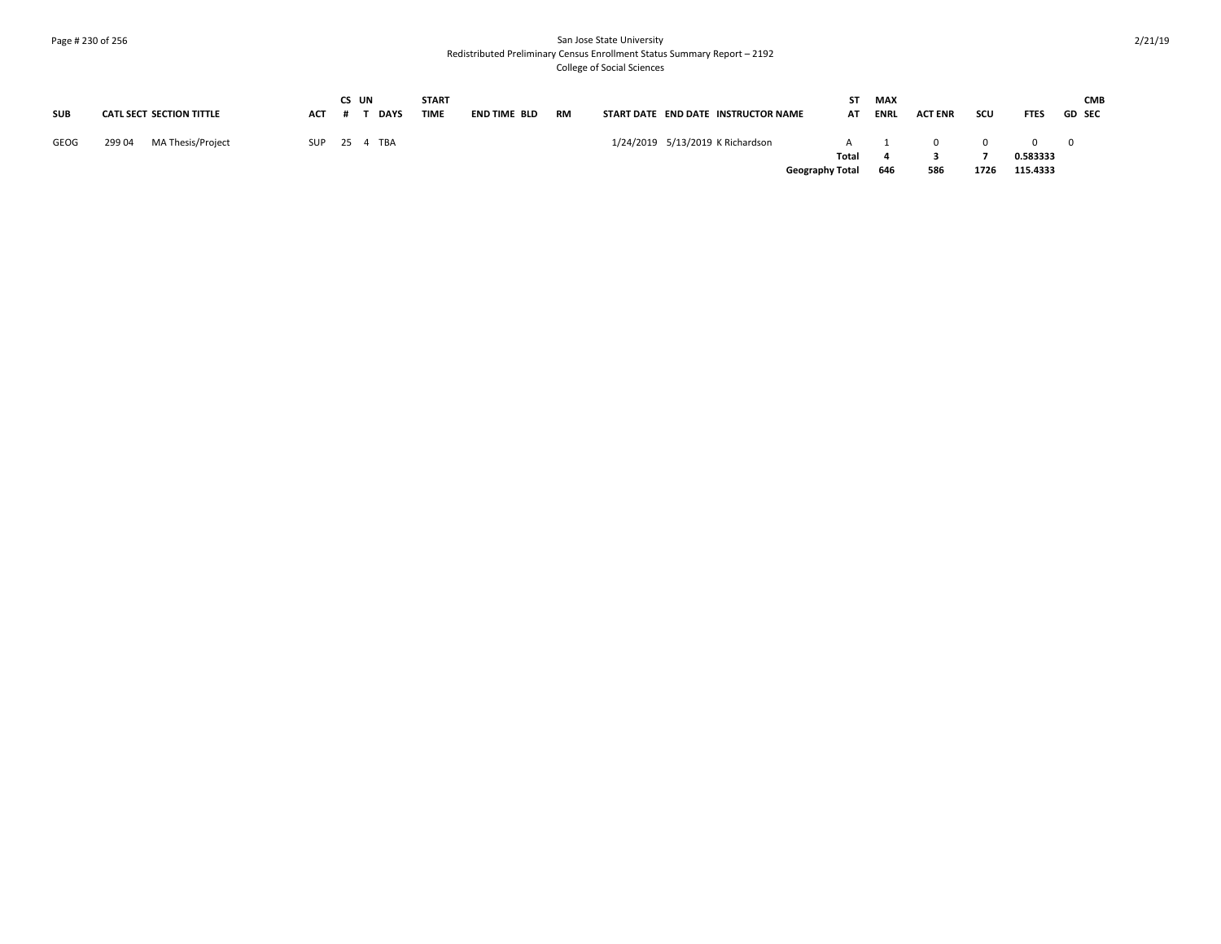### Page # 230 of 256 San Jose State University Redistributed Preliminary Census Enrollment Status Summary Report – 2192 College of Social Sciences

|            |                                 |            | CS UN |              | <b>START</b> |              |    |  |                                     |       | ST MAX  |                |      |                                     | <b>CMB</b>    |
|------------|---------------------------------|------------|-------|--------------|--------------|--------------|----|--|-------------------------------------|-------|---------|----------------|------|-------------------------------------|---------------|
| <b>SUB</b> | <b>CATL SECT SECTION TITTLE</b> | <b>ACT</b> |       | DAYS         | <b>TIME</b>  | END TIME BLD | RM |  | START DATE END DATE INSTRUCTOR NAME |       | AT ENRL | <b>ACT ENR</b> | scu  | <b>FTES</b>                         | <b>GD SEC</b> |
| GEOG       | MA Thesis/Project<br>299 04     |            |       | SUP 25 4 TBA |              |              |    |  | 1/24/2019 5/13/2019 K Richardson    |       | A 1     | $\Omega$       |      | $\begin{matrix} 0 & 0 \end{matrix}$ |               |
|            |                                 |            |       |              |              |              |    |  |                                     | Total |         |                |      | 0.583333                            |               |
|            |                                 |            |       |              |              |              |    |  | Geography Total                     |       | 646     | 586            | 1726 | 115.4333                            |               |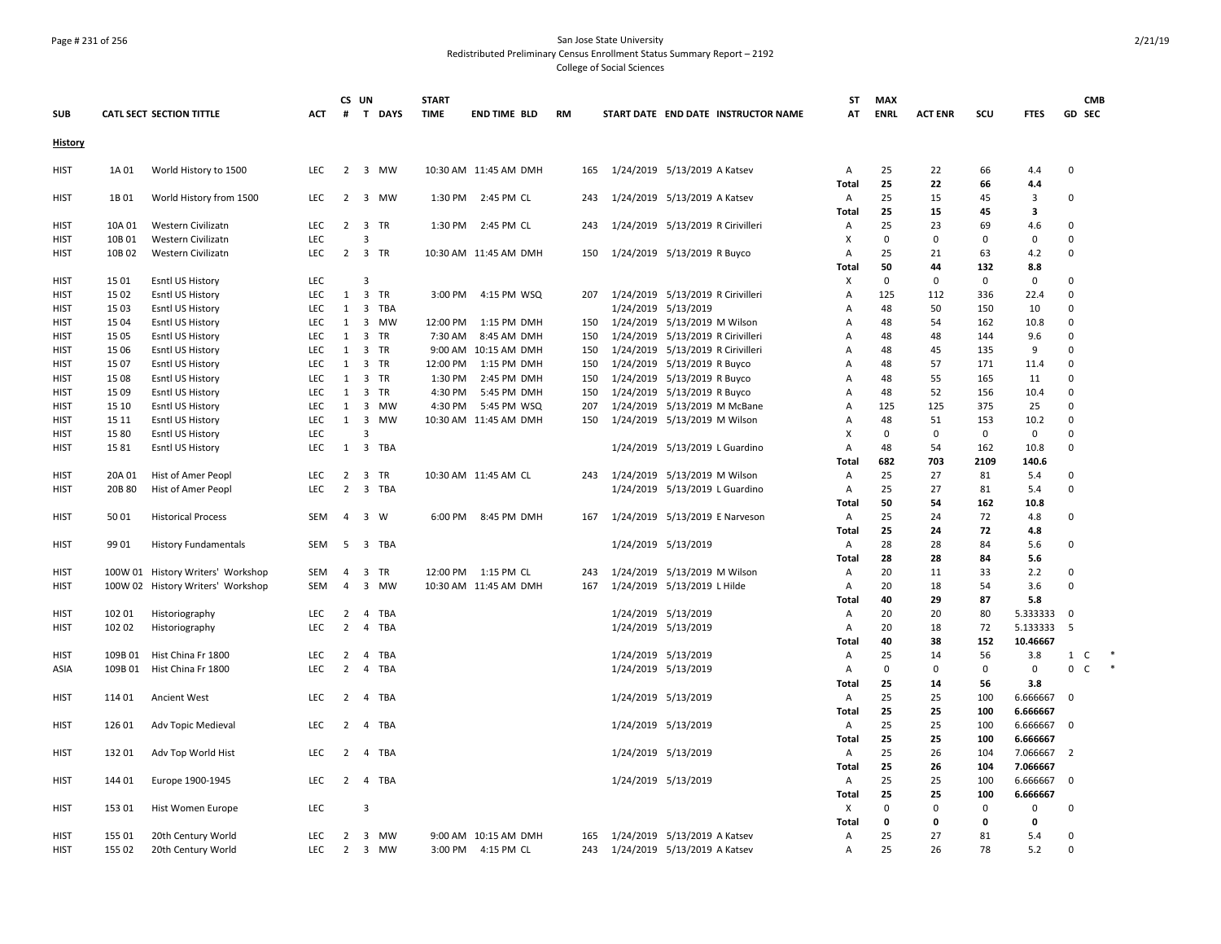# Page # 231 of 256 San Jose State University Redistributed Preliminary Census Enrollment Status Summary Report – 2192

College of Social Sciences

| <b>SUB</b>     |         | <b>CATL SECT SECTION TITTLE</b>   | <b>ACT</b> |                | CS UN<br># T DAYS                    | <b>START</b><br><b>TIME</b> | <b>END TIME BLD</b>   | <b>RM</b> |     |                     | START DATE END DATE INSTRUCTOR NAME | ST<br>AT          | <b>MAX</b><br><b>ENRL</b> | <b>ACT ENR</b> | SCU      | <b>FTES</b>  | <b>CMB</b><br><b>GD SEC</b> |  |
|----------------|---------|-----------------------------------|------------|----------------|--------------------------------------|-----------------------------|-----------------------|-----------|-----|---------------------|-------------------------------------|-------------------|---------------------------|----------------|----------|--------------|-----------------------------|--|
| <b>History</b> |         |                                   |            |                |                                      |                             |                       |           |     |                     |                                     |                   |                           |                |          |              |                             |  |
| <b>HIST</b>    | 1A 01   | World History to 1500             | <b>LEC</b> |                | 2 3 MW                               |                             | 10:30 AM 11:45 AM DMH |           | 165 |                     | 1/24/2019 5/13/2019 A Katsev        | A<br><b>Total</b> | 25<br>25                  | 22<br>22       | 66<br>66 | 4.4<br>4.4   | $\mathsf 0$                 |  |
| <b>HIST</b>    | 1B 01   | World History from 1500           | <b>LEC</b> | $\overline{2}$ | 3 MW                                 |                             | 1:30 PM 2:45 PM CL    |           | 243 |                     | 1/24/2019 5/13/2019 A Katsev        | Α<br>Total        | 25<br>25                  | 15<br>15       | 45<br>45 | 3<br>3       | $\overline{0}$              |  |
| <b>HIST</b>    | 10A 01  | Western Civilizatn                | <b>LEC</b> | $\overline{2}$ | 3 TR                                 | 1:30 PM                     | 2:45 PM CL            |           | 243 |                     | 1/24/2019 5/13/2019 R Cirivilleri   | A                 | 25                        | 23             | 69       | 4.6          | $\mathbf 0$                 |  |
| <b>HIST</b>    | 10B01   | Western Civilizatn                | LEC        |                | $\overline{3}$                       |                             |                       |           |     |                     |                                     | X                 | $\mathbf 0$               | $\mathbf 0$    | $\Omega$ | $\mathbf 0$  | $\Omega$                    |  |
| <b>HIST</b>    | 10B02   | Western Civilizatn                | LEC        | $\overline{2}$ | $\overline{\mathbf{3}}$<br>TR        |                             | 10:30 AM 11:45 AM DMH |           | 150 |                     | 1/24/2019 5/13/2019 R Buyco         | Α                 | 25                        | 21             | 63       | 4.2          | $\Omega$                    |  |
|                |         |                                   |            |                |                                      |                             |                       |           |     |                     |                                     | Total             | 50                        | 44             | 132      | 8.8          |                             |  |
| HIST           | 1501    | Esntl US History                  | <b>LEC</b> |                | 3                                    |                             |                       |           |     |                     |                                     | X                 | $\mathbf 0$               | $\Omega$       | 0        | $\mathbf 0$  | $\Omega$                    |  |
| <b>HIST</b>    | 15 02   | Esntl US History                  | <b>LEC</b> | 1              | $\overline{3}$<br><b>TR</b>          | 3:00 PM                     | 4:15 PM WSQ           |           | 207 |                     | 1/24/2019 5/13/2019 R Cirivilleri   | $\overline{A}$    | 125                       | 112            | 336      | 22.4         | $\Omega$                    |  |
| <b>HIST</b>    | 1503    | Esntl US History                  | <b>LEC</b> | 1              | $\overline{\mathbf{3}}$<br>TBA       |                             |                       |           |     |                     | 1/24/2019 5/13/2019                 | A                 | 48                        | 50             | 150      | 10           | $\mathbf 0$                 |  |
| <b>HIST</b>    | 15 04   | Esntl US History                  | <b>LEC</b> | 1              | 3 MW                                 | 12:00 PM                    | 1:15 PM DMH           |           | 150 |                     | 1/24/2019 5/13/2019 M Wilson        | Α                 | 48                        | 54             | 162      | 10.8         | $\mathbf 0$                 |  |
| <b>HIST</b>    | 15 05   | Esntl US History                  | <b>LEC</b> | 1              | $\overline{\mathbf{3}}$<br><b>TR</b> | 7:30 AM                     | 8:45 AM DMH           |           | 150 |                     | 1/24/2019 5/13/2019 R Cirivilleri   | $\mathsf{A}$      | 48                        | 48             | 144      | 9.6          | $\Omega$                    |  |
| <b>HIST</b>    | 15 06   | Esntl US History                  | LEC        | 1              | 3 TR                                 |                             | 9:00 AM 10:15 AM DMH  |           | 150 |                     | 1/24/2019 5/13/2019 R Cirivilleri   | $\overline{A}$    | 48                        | 45             | 135      | 9            | $\mathbf 0$                 |  |
| <b>HIST</b>    | 15 07   | Esntl US History                  | <b>LEC</b> | 1              | 3<br>TR                              | 12:00 PM                    | 1:15 PM DMH           |           | 150 |                     | 1/24/2019 5/13/2019 R Buyco         | Α                 | 48                        | 57             | 171      | 11.4         | $\overline{0}$              |  |
| <b>HIST</b>    | 1508    | Esntl US History                  | <b>LEC</b> | 1              | $\overline{3}$<br><b>TR</b>          | 1:30 PM                     | 2:45 PM DMH           |           | 150 |                     | 1/24/2019 5/13/2019 R Buyco         | $\overline{A}$    | 48                        | 55             | 165      | 11           | $\Omega$                    |  |
| <b>HIST</b>    | 15 09   | Esntl US History                  | <b>LEC</b> | 1              | 3 TR                                 | 4:30 PM                     | 5:45 PM DMH           |           | 150 |                     | 1/24/2019 5/13/2019 R Buyco         | Α                 | 48                        | 52             | 156      | 10.4         | $\Omega$                    |  |
| <b>HIST</b>    | 15 10   | Esntl US History                  | <b>LEC</b> | 1              | 3 MW                                 | 4:30 PM                     | 5:45 PM WSQ           |           | 207 |                     | 1/24/2019 5/13/2019 M McBane        | Α                 | 125                       | 125            | 375      | 25           | 0                           |  |
| <b>HIST</b>    | 15 11   | Esntl US History                  | <b>LEC</b> | 1              | $\overline{\mathbf{3}}$<br><b>MW</b> |                             | 10:30 AM 11:45 AM DMH |           | 150 |                     | 1/24/2019 5/13/2019 M Wilson        | Α                 | 48                        | 51             | 153      | 10.2         | $\mathbf 0$                 |  |
| <b>HIST</b>    | 15 80   | Esntl US History                  | LEC        |                | $\overline{3}$                       |                             |                       |           |     |                     |                                     | X                 | $\mathbf 0$               | $\mathbf 0$    | 0        | $\mathsf 0$  | $\mathbf 0$                 |  |
| HIST           | 1581    | Esntl US History                  | <b>LEC</b> | 1              | $\overline{\mathbf{3}}$<br>TBA       |                             |                       |           |     |                     | 1/24/2019 5/13/2019 L Guardino      | $\overline{A}$    | 48                        | 54             | 162      | 10.8         | $\Omega$                    |  |
|                |         |                                   |            |                |                                      |                             |                       |           |     |                     |                                     | Total             | 682                       | 703            | 2109     | 140.6        |                             |  |
| <b>HIST</b>    | 20A 01  | Hist of Amer Peopl                | <b>LEC</b> | $\overline{2}$ | $\overline{\mathbf{3}}$<br>TR        |                             | 10:30 AM 11:45 AM CL  |           | 243 |                     | 1/24/2019 5/13/2019 M Wilson        | Α                 | 25                        | 27             | 81       | 5.4          | $\Omega$                    |  |
| <b>HIST</b>    | 20B 80  | Hist of Amer Peopl                | <b>LEC</b> | $\overline{2}$ | $\overline{\mathbf{3}}$<br>TBA       |                             |                       |           |     |                     | 1/24/2019 5/13/2019 L Guardino      | Α                 | 25                        | 27             | 81       | 5.4          | $\Omega$                    |  |
|                |         |                                   |            |                |                                      |                             |                       |           |     |                     |                                     | Total             | 50                        | 54             | 162      | 10.8         |                             |  |
| <b>HIST</b>    | 5001    | <b>Historical Process</b>         | SEM        | $\overline{4}$ | 3 W                                  | 6:00 PM                     | 8:45 PM DMH           |           | 167 |                     | 1/24/2019 5/13/2019 E Narveson      | $\mathsf{A}$      | 25                        | 24             | 72       | 4.8          | 0                           |  |
|                |         |                                   |            |                |                                      |                             |                       |           |     |                     |                                     | Total             | 25                        | 24             | 72       | 4.8          |                             |  |
| HIST           | 9901    | <b>History Fundamentals</b>       | SEM        |                | 5 3 TBA                              |                             |                       |           |     | 1/24/2019 5/13/2019 |                                     | $\mathsf{A}$      | 28                        | 28             | 84       | 5.6          | 0                           |  |
|                |         |                                   |            |                |                                      |                             |                       |           |     |                     |                                     | <b>Total</b>      | 28                        | 28             | 84       | 5.6          |                             |  |
| HIST           |         | 100W 01 History Writers' Workshop | SEM        | 4              | 3 TR                                 |                             | 12:00 PM 1:15 PM CL   |           | 243 |                     | 1/24/2019 5/13/2019 M Wilson        | A                 | 20                        | 11             | 33       | 2.2          | 0                           |  |
| HIST           |         | 100W 02 History Writers' Workshop | <b>SEM</b> | $\overline{4}$ | 3 MW                                 |                             | 10:30 AM 11:45 AM DMH |           | 167 |                     | 1/24/2019 5/13/2019 L Hilde         | A                 | 20                        | 18             | 54       | 3.6          | $\mathbf 0$                 |  |
|                |         |                                   |            |                |                                      |                             |                       |           |     |                     |                                     | Total             | 40                        | 29             | 87       | 5.8          |                             |  |
| <b>HIST</b>    | 102 01  | Historiography                    | <b>LEC</b> | $\overline{2}$ | $\overline{4}$<br>TBA                |                             |                       |           |     | 1/24/2019 5/13/2019 |                                     | $\overline{A}$    | 20                        | 20             | 80       | 5.333333     | $\mathbf 0$                 |  |
| <b>HIST</b>    | 102 02  | Historiography                    | <b>LEC</b> | $\overline{2}$ | 4<br>TBA                             |                             |                       |           |     | 1/24/2019 5/13/2019 |                                     | Α                 | 20                        | 18             | 72       | 5.133333     | 5                           |  |
|                |         |                                   |            |                |                                      |                             |                       |           |     |                     |                                     | <b>Total</b>      | 40                        | 38             | 152      | 10.46667     |                             |  |
| <b>HIST</b>    | 109B 01 | Hist China Fr 1800                | LEC        | $\overline{2}$ | <b>TBA</b><br>$\overline{4}$         |                             |                       |           |     | 1/24/2019 5/13/2019 |                                     | Α                 | 25                        | 14             | 56       | 3.8          | 1 C                         |  |
| ASIA           | 109B 01 | Hist China Fr 1800                | <b>LEC</b> | $\overline{2}$ | 4<br>TBA                             |                             |                       |           |     | 1/24/2019 5/13/2019 |                                     | Α                 | $\mathbf 0$               | $\mathbf 0$    | 0        | $\mathbf 0$  | 0<br>C                      |  |
|                |         |                                   |            |                |                                      |                             |                       |           |     |                     |                                     | <b>Total</b>      | 25                        | 14             | 56       | 3.8          |                             |  |
| <b>HIST</b>    | 114 01  | <b>Ancient West</b>               | <b>LEC</b> | $\overline{2}$ | 4 TBA                                |                             |                       |           |     | 1/24/2019 5/13/2019 |                                     | $\mathsf{A}$      | 25                        | 25             | 100      | 6.666667     | 0                           |  |
|                |         |                                   |            |                |                                      |                             |                       |           |     |                     |                                     | Total             | 25                        | 25             | 100      | 6.666667     |                             |  |
| <b>HIST</b>    | 126 01  | Adv Topic Medieval                | <b>LEC</b> | 2              | TBA<br>4                             |                             |                       |           |     | 1/24/2019 5/13/2019 |                                     | $\overline{A}$    | 25                        | 25             | 100      | 6.666667     | $\mathbf 0$                 |  |
|                |         |                                   |            |                |                                      |                             |                       |           |     |                     |                                     | Total             | 25                        | 25             | 100      | 6.666667     |                             |  |
| <b>HIST</b>    | 132 01  | Adv Top World Hist                | <b>LEC</b> | 2              | TBA<br>$\overline{4}$                |                             |                       |           |     | 1/24/2019 5/13/2019 |                                     | $\mathsf{A}$      | 25                        | 26             | 104      | 7.066667     | $\overline{2}$              |  |
|                |         |                                   |            |                |                                      |                             |                       |           |     |                     |                                     | Total             | 25                        | 26             | 104      | 7.066667     |                             |  |
| <b>HIST</b>    | 144 01  | Europe 1900-1945                  | <b>LEC</b> | $2^{\circ}$    | 4 TBA                                |                             |                       |           |     | 1/24/2019 5/13/2019 |                                     | $\mathsf{A}$      | 25                        | 25             | 100      | 6.666667     | $\mathbf 0$                 |  |
|                |         |                                   |            |                |                                      |                             |                       |           |     |                     |                                     | Total             | 25                        | 25             | 100      | 6.666667     |                             |  |
| HIST           | 153 01  | Hist Women Europe                 | <b>LEC</b> |                | $\overline{3}$                       |                             |                       |           |     |                     |                                     | X                 | $\mathbf 0$               | $\Omega$       | 0        | $\mathbf 0$  | $\Omega$                    |  |
|                |         |                                   |            |                |                                      |                             |                       |           |     |                     |                                     | Total             | $\mathbf{0}$              | 0              | 0        | $\mathbf{0}$ |                             |  |
| <b>HIST</b>    | 155 01  | 20th Century World                | <b>LEC</b> | $\overline{2}$ | 3 MW                                 |                             | 9:00 AM 10:15 AM DMH  |           | 165 |                     | 1/24/2019 5/13/2019 A Katsev        | Α                 | 25                        | 27             | 81       | 5.4          | $\mathbf 0$                 |  |
| <b>HIST</b>    | 155 02  | 20th Century World                | <b>LEC</b> | 2              | 3 MW                                 |                             | 3:00 PM 4:15 PM CL    |           | 243 |                     | 1/24/2019 5/13/2019 A Katsev        | $\overline{A}$    | 25                        | 26             | 78       | 5.2          | $\Omega$                    |  |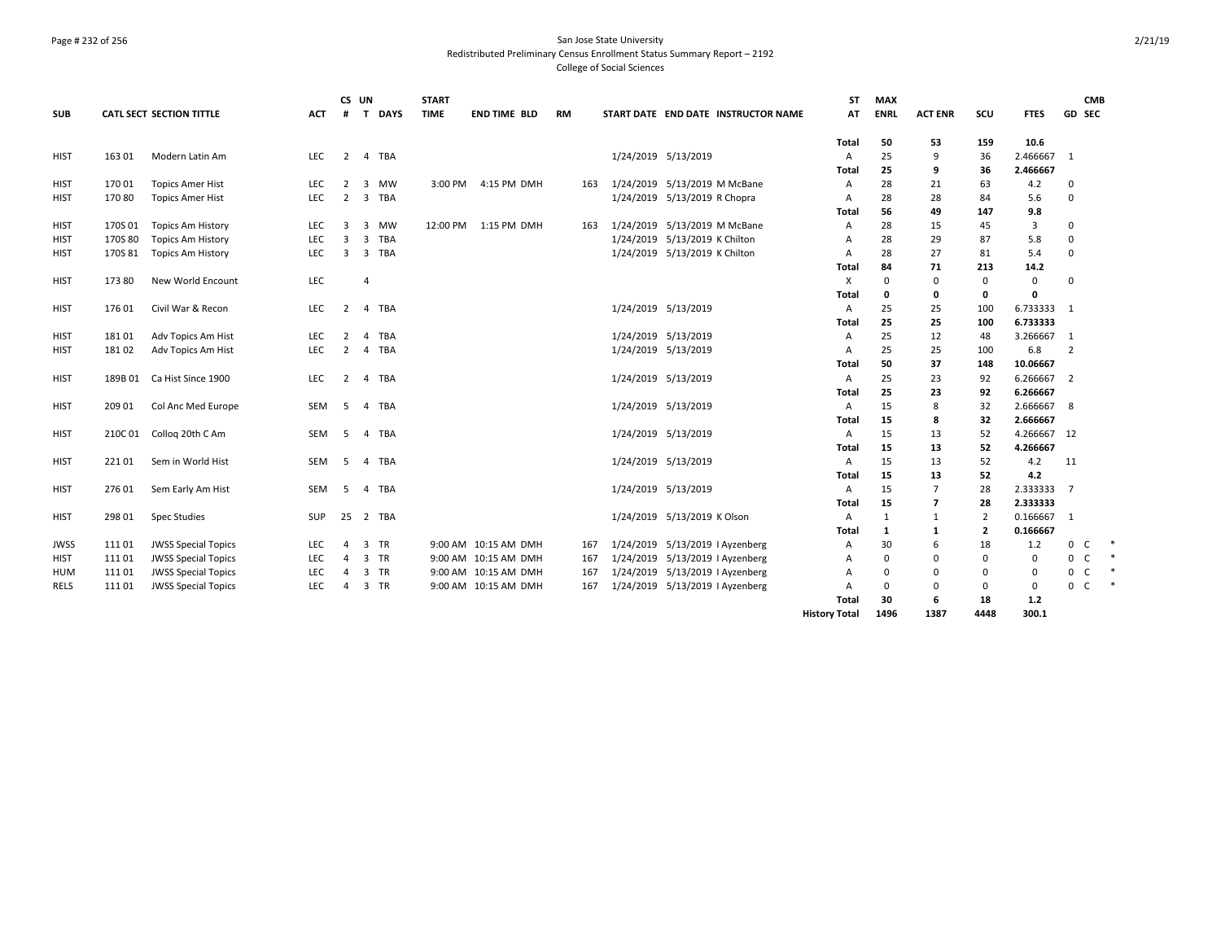### Page # 232 of 256 San Jose State University Redistributed Preliminary Census Enrollment Status Summary Report – 2192 College of Social Sciences

| <b>SUB</b>  |         | <b>CATL SECT SECTION TITTLE</b> | <b>ACT</b> | CS UN<br>#     | <b>DAYS</b><br>T             | <b>START</b><br><b>TIME</b> | <b>END TIME BLD</b>  | <b>RM</b> |     |                     | START DATE END DATE INSTRUCTOR NAME | <b>ST</b><br>AT         | <b>MAX</b><br><b>ENRL</b> | <b>ACT ENR</b> | SCU            | <b>FTES</b>          | GD SEC                       | <b>CMB</b> |
|-------------|---------|---------------------------------|------------|----------------|------------------------------|-----------------------------|----------------------|-----------|-----|---------------------|-------------------------------------|-------------------------|---------------------------|----------------|----------------|----------------------|------------------------------|------------|
|             |         |                                 |            |                |                              |                             |                      |           |     |                     |                                     | Total                   | 50                        | 53             | 159            | 10.6                 |                              |            |
| <b>HIST</b> | 163 01  | Modern Latin Am                 | <b>LEC</b> | $\overline{2}$ | <b>TBA</b><br>$\overline{4}$ |                             |                      |           |     | 1/24/2019 5/13/2019 |                                     | $\overline{A}$<br>Total | 25<br>25                  | 9<br>9         | 36<br>36       | 2.466667<br>2.466667 | $\mathbf{1}$                 |            |
| HIST        | 170 01  | <b>Topics Amer Hist</b>         | <b>LEC</b> | $\overline{2}$ | 3<br><b>MW</b>               |                             | 3:00 PM 4:15 PM DMH  |           | 163 |                     | 1/24/2019 5/13/2019 M McBane        | $\overline{A}$          | 28                        | 21             | 63             | 4.2                  | $\mathbf 0$                  |            |
| HIST        | 170 80  | <b>Topics Amer Hist</b>         | <b>LEC</b> | $\overline{2}$ | 3<br>TBA                     |                             |                      |           |     |                     | 1/24/2019 5/13/2019 R Chopra        | $\overline{A}$          | 28                        | 28             | 84             | 5.6                  | $\mathbf 0$                  |            |
|             |         |                                 |            |                |                              |                             |                      |           |     |                     |                                     | <b>Total</b>            | 56                        | 49             | 147            | 9.8                  |                              |            |
| <b>HIST</b> | 170S 01 | <b>Topics Am History</b>        | LEC        | 3              | 3<br>MW                      |                             | 12:00 PM 1:15 PM DMH |           | 163 |                     | 1/24/2019 5/13/2019 M McBane        | $\overline{A}$          | 28                        | 15             | 45             | 3                    | $\Omega$                     |            |
| <b>HIST</b> | 170S 80 | <b>Topics Am History</b>        | <b>LEC</b> | 3              | 3<br>TBA                     |                             |                      |           |     |                     | 1/24/2019 5/13/2019 K Chilton       | $\overline{A}$          | 28                        | 29             | 87             | 5.8                  | $\mathbf 0$                  |            |
| <b>HIST</b> | 170S 81 | <b>Topics Am History</b>        | LEC        | 3              | $\overline{3}$<br><b>TBA</b> |                             |                      |           |     |                     | 1/24/2019 5/13/2019 K Chilton       | $\overline{A}$          | 28                        | 27             | 81             | 5.4                  | $\Omega$                     |            |
|             |         |                                 |            |                |                              |                             |                      |           |     |                     |                                     | Total                   | 84                        | 71             | 213            | 14.2                 |                              |            |
| <b>HIST</b> | 173 80  | New World Encount               | LEC        |                | 4                            |                             |                      |           |     |                     |                                     | X                       | $\mathbf 0$               | $\mathbf 0$    | $\mathbf 0$    | 0                    | $\mathbf 0$                  |            |
|             |         |                                 |            |                |                              |                             |                      |           |     |                     |                                     | <b>Total</b>            | 0                         | 0              | $\mathbf 0$    | 0                    |                              |            |
| <b>HIST</b> | 176 01  | Civil War & Recon               | <b>LEC</b> | $\overline{2}$ | <b>TBA</b><br>4              |                             |                      |           |     | 1/24/2019 5/13/2019 |                                     | $\overline{A}$          | 25                        | 25             | 100            | 6.733333             | 1                            |            |
|             |         |                                 |            |                |                              |                             |                      |           |     |                     |                                     | Total                   | 25                        | 25             | 100            | 6.733333             |                              |            |
| <b>HIST</b> | 181 01  | Adv Topics Am Hist              | <b>LEC</b> | $\overline{2}$ | TBA<br>4                     |                             |                      |           |     | 1/24/2019 5/13/2019 |                                     | Α                       | 25                        | 12             | 48             | 3.266667             | 1                            |            |
| <b>HIST</b> | 18102   | Adv Topics Am Hist              | LEC        | $\overline{2}$ | <b>TBA</b><br>4              |                             |                      |           |     | 1/24/2019 5/13/2019 |                                     | $\overline{A}$          | 25                        | 25             | 100            | 6.8                  | $\overline{2}$               |            |
|             |         |                                 |            |                |                              |                             |                      |           |     |                     |                                     | <b>Total</b>            | 50                        | 37             | 148            | 10.06667             |                              |            |
| <b>HIST</b> | 189B 01 | Ca Hist Since 1900              | LEC        | 2              | TBA<br>4                     |                             |                      |           |     | 1/24/2019 5/13/2019 |                                     | $\overline{A}$          | 25                        | 23             | 92             | 6.266667             | $\overline{2}$               |            |
|             |         |                                 |            |                |                              |                             |                      |           |     |                     |                                     | Total                   | 25                        | 23             | 92             | 6.266667             |                              |            |
| <b>HIST</b> | 209 01  | Col Anc Med Europe              | SEM        | 5              | <b>TBA</b><br>4              |                             |                      |           |     | 1/24/2019 5/13/2019 |                                     | Α                       | 15                        | 8              | 32             | 2.666667             | 8                            |            |
|             |         |                                 |            |                |                              |                             |                      |           |     |                     |                                     | <b>Total</b>            | 15                        | 8              | 32             | 2.666667             |                              |            |
| <b>HIST</b> | 210C 01 | Collog 20th C Am                | <b>SEM</b> | 5              | TBA<br>$\overline{a}$        |                             |                      |           |     | 1/24/2019 5/13/2019 |                                     | $\overline{A}$          | 15                        | 13             | 52             | 4.266667             | 12                           |            |
|             |         |                                 |            |                |                              |                             |                      |           |     |                     |                                     | <b>Total</b>            | 15                        | 13             | 52             | 4.266667             |                              |            |
| <b>HIST</b> | 22101   | Sem in World Hist               | SEM        | 5              | <b>TBA</b><br>4              |                             |                      |           |     | 1/24/2019 5/13/2019 |                                     | $\overline{A}$          | 15                        | 13             | 52             | 4.2                  | 11                           |            |
|             |         |                                 |            |                |                              |                             |                      |           |     |                     |                                     | <b>Total</b>            | 15                        | 13             | 52             | 4.2                  |                              |            |
| <b>HIST</b> | 27601   | Sem Early Am Hist               | SEM        | 5              | <b>TBA</b><br>$\overline{a}$ |                             |                      |           |     | 1/24/2019 5/13/2019 |                                     | $\overline{A}$          | 15                        | $\overline{7}$ | 28             | 2.333333             | $\overline{7}$               |            |
|             |         |                                 |            |                |                              |                             |                      |           |     |                     |                                     | <b>Total</b>            | 15                        | $\overline{7}$ | 28             | 2.333333             |                              |            |
| <b>HIST</b> | 298 01  | <b>Spec Studies</b>             | SUP        | 25             | 2 TBA                        |                             |                      |           |     |                     | 1/24/2019 5/13/2019 K Olson         | $\overline{A}$          | 1                         | 1              | $\overline{2}$ | 0.166667             | 1                            |            |
|             |         |                                 |            |                |                              |                             |                      |           |     |                     |                                     | Total                   | 1                         | $\mathbf{1}$   | $\overline{2}$ | 0.166667             |                              |            |
| <b>JWSS</b> | 11101   | <b>JWSS Special Topics</b>      | <b>LEC</b> | $\overline{4}$ | 3<br><b>TR</b>               |                             | 9:00 AM 10:15 AM DMH |           | 167 |                     | 1/24/2019 5/13/2019   Ayzenberg     | $\overline{A}$          | 30                        | 6              | 18             | 1.2                  | $\mathbf 0$<br>$\mathsf{C}$  |            |
| HIST        | 11101   | <b>JWSS Special Topics</b>      | LEC        | $\overline{4}$ | 3<br>TR                      |                             | 9:00 AM 10:15 AM DMH |           | 167 |                     | 1/24/2019 5/13/2019   Ayzenberg     | A                       | $\mathbf 0$               | $\Omega$       | $\Omega$       | $\mathbf 0$          | $\mathbf 0$<br>C.            | $\ast$     |
| HUM         | 111 01  | <b>JWSS Special Topics</b>      | LEC        | 4              | 3<br><b>TR</b>               |                             | 9:00 AM 10:15 AM DMH |           | 167 |                     | 1/24/2019 5/13/2019   Ayzenberg     | $\overline{A}$          | 0                         | $\Omega$       | $\Omega$       | 0                    | 0<br>C                       | $\ast$     |
| <b>RELS</b> | 111 01  | <b>JWSS Special Topics</b>      | <b>LEC</b> | $\overline{4}$ | 3<br><b>TR</b>               |                             | 9:00 AM 10:15 AM DMH |           | 167 |                     | 1/24/2019 5/13/2019   Ayzenberg     | $\overline{A}$          | $\mathbf 0$               | $\Omega$       | $\Omega$       | $\mathbf 0$          | $\mathbf{0}$<br><sub>c</sub> | $\ast$     |
|             |         |                                 |            |                |                              |                             |                      |           |     |                     |                                     | <b>Total</b>            | 30                        | 6              | 18             | $1.2$                |                              |            |
|             |         |                                 |            |                |                              |                             |                      |           |     |                     |                                     | <b>History Total</b>    | 1496                      | 1387           | 4448           | 300.1                |                              |            |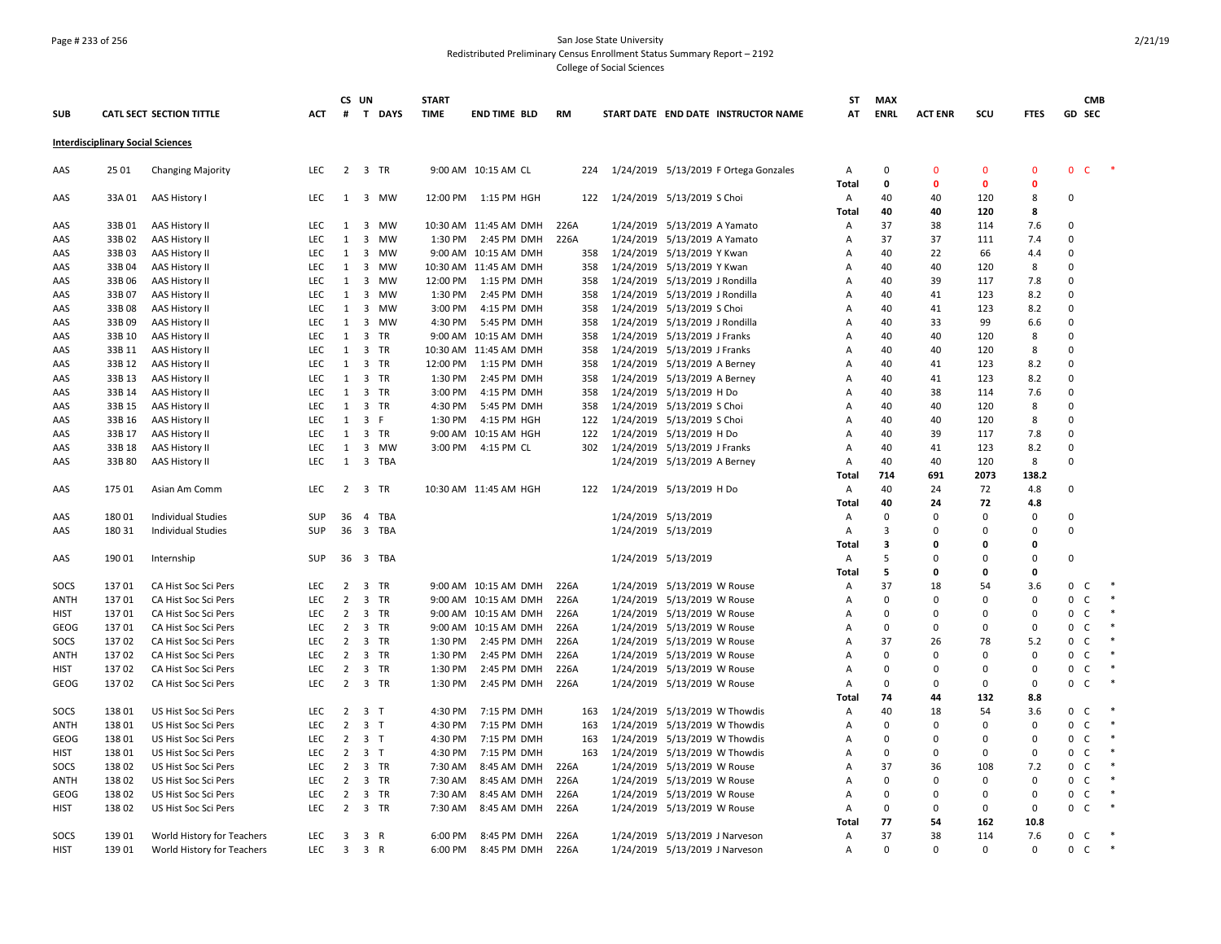## Page # 233 of 256 San Jose State University Redistributed Preliminary Census Enrollment Status Summary Report – 2192

College of Social Sciences

|             |                                          |                            |            |                | CS UN               |                | <b>START</b> |                       |           |                                       | <b>ST</b>      | <b>MAX</b>  |                |              |              | <b>CMB</b>                   |        |
|-------------|------------------------------------------|----------------------------|------------|----------------|---------------------|----------------|--------------|-----------------------|-----------|---------------------------------------|----------------|-------------|----------------|--------------|--------------|------------------------------|--------|
| <b>SUB</b>  |                                          | CATL SECT SECTION TITTLE   | ACT        | #              |                     | T DAYS         | <b>TIME</b>  | <b>END TIME BLD</b>   | <b>RM</b> | START DATE END DATE INSTRUCTOR NAME   | AT             | <b>ENRL</b> | <b>ACT ENR</b> | scu          | <b>FTES</b>  | GD SEC                       |        |
|             | <b>Interdisciplinary Social Sciences</b> |                            |            |                |                     |                |              |                       |           |                                       |                |             |                |              |              |                              |        |
| AAS         | 25 01                                    | <b>Changing Majority</b>   | <b>LEC</b> |                |                     | 2 3 TR         |              | 9:00 AM 10:15 AM CL   | 224       | 1/24/2019 5/13/2019 F Ortega Gonzales | A              | 0           | $\Omega$       | $\mathbf{0}$ | $\mathbf 0$  | 0 <sub>c</sub>               |        |
|             |                                          |                            |            |                |                     |                |              |                       |           |                                       | Total          | 0           | $\Omega$       | $\mathbf{o}$ | $\mathbf{0}$ |                              |        |
| AAS         | 33A 01                                   | AAS History I              | <b>LEC</b> |                |                     | 1 3 MW         |              | 12:00 PM 1:15 PM HGH  | 122       | 1/24/2019 5/13/2019 S Choi            | A              | 40          | 40             | 120          | 8            | 0                            |        |
|             |                                          |                            |            |                |                     |                |              |                       |           |                                       | <b>Total</b>   | 40          | 40             | 120          | 8            |                              |        |
| AAS         | 33B01                                    | AAS History II             | <b>LEC</b> | 1              | 3                   | MW             |              | 10:30 AM 11:45 AM DMH | 226A      | 1/24/2019 5/13/2019 A Yamato          | A              | 37          | 38             | 114          | 7.6          | 0                            |        |
| AAS         | 33B 02                                   | AAS History II             | <b>LEC</b> | 1              | 3                   | MW             |              | 1:30 PM 2:45 PM DMH   | 226A      | 1/24/2019 5/13/2019 A Yamato          | $\overline{A}$ | 37          | 37             | 111          | 7.4          | $\Omega$                     |        |
| AAS         | 33B03                                    | AAS History II             | <b>LEC</b> | 1              | 3                   | MW             |              | 9:00 AM 10:15 AM DMH  | 358       | 1/24/2019 5/13/2019 Y Kwan            | Α              | 40          | 22             | 66           | 4.4          | $\Omega$                     |        |
| AAS         | 33B04                                    | <b>AAS History II</b>      | <b>LEC</b> | $\mathbf{1}$   | 3                   | <b>MW</b>      |              | 10:30 AM 11:45 AM DMH | 358       | 1/24/2019 5/13/2019 Y Kwan            | $\overline{A}$ | 40          | 40             | 120          | 8            | $\Omega$                     |        |
| AAS         | 33B06                                    | <b>AAS History II</b>      | <b>LEC</b> | $\mathbf{1}$   | 3                   | MW             | 12:00 PM     | 1:15 PM DMH           | 358       | 1/24/2019 5/13/2019 J Rondilla        | $\overline{A}$ | 40          | 39             | 117          | 7.8          | $\Omega$                     |        |
| AAS         | 33B07                                    | AAS History II             | <b>LEC</b> | 1              | 3                   | MW             | 1:30 PM      | 2:45 PM DMH           | 358       | 1/24/2019 5/13/2019 J Rondilla        | Α              | 40          | 41             | 123          | 8.2          | $\Omega$                     |        |
| AAS         | 33B08                                    | AAS History II             | <b>LEC</b> | 1              | 3                   | <b>MW</b>      | 3:00 PM      | 4:15 PM DMH           | 358       | 1/24/2019 5/13/2019 S Choi            | $\overline{A}$ | 40          | 41             | 123          | 8.2          | $\Omega$                     |        |
| AAS         | 33B09                                    | AAS History II             | <b>LEC</b> | $\mathbf{1}$   |                     | 3 MW           | 4:30 PM      | 5:45 PM DMH           | 358       | 1/24/2019 5/13/2019 J Rondilla        | A              | 40          | 33             | 99           | 6.6          | $\Omega$                     |        |
| AAS         | 33B 10                                   | <b>AAS History II</b>      | <b>LEC</b> | 1              | 3                   | <b>TR</b>      |              | 9:00 AM 10:15 AM DMH  | 358       | 1/24/2019 5/13/2019 J Franks          | $\overline{A}$ | 40          | 40             | 120          | 8            | $\Omega$                     |        |
| AAS         | 33B 11                                   | AAS History II             | <b>LEC</b> | 1              | 3                   | TR             |              | 10:30 AM 11:45 AM DMH | 358       | 1/24/2019 5/13/2019 J Franks          | $\overline{A}$ | 40          | 40             | 120          | 8            | 0                            |        |
| AAS         | 33B 12                                   | AAS History II             | <b>LEC</b> | 1              |                     | 3 TR           | 12:00 PM     | 1:15 PM DMH           | 358       | 1/24/2019 5/13/2019 A Berney          | $\overline{A}$ | 40          | 41             | 123          | 8.2          | $\Omega$                     |        |
| AAS         | 33B 13                                   | AAS History II             | <b>LEC</b> | 1              |                     | 3 TR           | 1:30 PM      | 2:45 PM DMH           | 358       | 1/24/2019 5/13/2019 A Berney          | Α              | 40          | 41             | 123          | 8.2          | $\Omega$                     |        |
| AAS         | 33B 14                                   | <b>AAS History II</b>      | <b>LEC</b> | 1              |                     | 3 TR           | 3:00 PM      | 4:15 PM DMH           | 358       | 1/24/2019 5/13/2019 H Do              | $\overline{A}$ | 40          | 38             | 114          | 7.6          | $\Omega$                     |        |
| AAS         | 33B 15                                   | AAS History II             | <b>LEC</b> | 1              |                     | 3 TR           | 4:30 PM      | 5:45 PM DMH           | 358       | 1/24/2019 5/13/2019 S Choi            | Α              | 40          | 40             | 120          | 8            | $\mathbf 0$                  |        |
| AAS         | 33B 16                                   | AAS History II             | LEC        | $\mathbf{1}$   |                     | 3 F            | 1:30 PM      | 4:15 PM HGH           | 122       | 1/24/2019 5/13/2019 S Choi            | Α              | 40          | 40             | 120          | 8            | $\Omega$                     |        |
| AAS         | 33B 17                                   | <b>AAS History II</b>      | <b>LEC</b> | 1              |                     | 3 TR           |              | 9:00 AM 10:15 AM HGH  | 122       | 1/24/2019 5/13/2019 H Do              | $\overline{A}$ | 40          | 39             | 117          | 7.8          | $\Omega$                     |        |
| AAS         | 33B 18                                   | AAS History II             | <b>LEC</b> | $\mathbf{1}$   |                     | 3 MW           | 3:00 PM      | 4:15 PM CL            | 302       | 1/24/2019 5/13/2019 J Franks          | $\overline{A}$ | 40          | 41             | 123          | 8.2          | $\Omega$                     |        |
| AAS         | 33B 80                                   | AAS History II             | <b>LEC</b> | 1              |                     | 3 TBA          |              |                       |           | 1/24/2019 5/13/2019 A Berney          | A              | 40          | 40             | 120          | 8            | $\Omega$                     |        |
|             |                                          |                            |            |                |                     |                |              |                       |           |                                       | Total          | 714         | 691            | 2073         | 138.2        |                              |        |
| AAS         | 175 01                                   | Asian Am Comm              | <b>LEC</b> | 2              | 3                   | <b>TR</b>      |              | 10:30 AM 11:45 AM HGH | 122       | 1/24/2019 5/13/2019 H Do              | $\mathsf{A}$   | 40          | 24             | 72           | 4.8          | $\Omega$                     |        |
|             |                                          |                            |            |                |                     |                |              |                       |           |                                       | <b>Total</b>   | 40          | 24             | 72           | 4.8          |                              |        |
| AAS         | 180 01                                   | <b>Individual Studies</b>  | <b>SUP</b> | 36             | 4                   | <b>TBA</b>     |              |                       |           | 1/24/2019 5/13/2019                   | A              | $\Omega$    | $\Omega$       | $\Omega$     | $\mathbf 0$  | $\Omega$                     |        |
| AAS         | 180 31                                   | <b>Individual Studies</b>  | <b>SUP</b> |                |                     | 36 3 TBA       |              |                       |           | 1/24/2019 5/13/2019                   | A              | 3           | $\Omega$       | $\Omega$     | $\mathbf 0$  | $\Omega$                     |        |
|             |                                          |                            |            |                |                     |                |              |                       |           |                                       | Total          | 3           | 0              | 0            | 0            |                              |        |
| AAS         | 190 01                                   | Internship                 | SUP        |                |                     | 36 3 TBA       |              |                       |           | 1/24/2019 5/13/2019                   | Α              | 5           | $\Omega$       | $\Omega$     | $\mathbf 0$  | $\Omega$                     |        |
|             |                                          |                            |            |                |                     |                |              |                       |           |                                       | Total          | 5           | $\mathbf{0}$   | $\Omega$     | $\mathbf 0$  |                              |        |
| SOCS        | 13701                                    | CA Hist Soc Sci Pers       | LEC        | $\overline{2}$ |                     | 3 TR           |              | 9:00 AM 10:15 AM DMH  | 226A      | 1/24/2019 5/13/2019 W Rouse           | Α              | 37          | 18             | 54           | 3.6          | $\mathbf{0}$<br>C            |        |
| ANTH        | 13701                                    | CA Hist Soc Sci Pers       | <b>LEC</b> | $\overline{2}$ |                     | 3 TR           |              | 9:00 AM 10:15 AM DMH  | 226A      | 1/24/2019 5/13/2019 W Rouse           | Α              | $\Omega$    | $\Omega$       | $\Omega$     | $\mathbf 0$  | 0<br>C                       |        |
| HIST        | 13701                                    | CA Hist Soc Sci Pers       | <b>LEC</b> | $\overline{2}$ |                     | 3 TR           |              | 9:00 AM 10:15 AM DMH  | 226A      | 1/24/2019 5/13/2019 W Rouse           | $\overline{A}$ | $\Omega$    | $\Omega$       | $\Omega$     | $\Omega$     | 0<br>C                       |        |
| <b>GEOG</b> | 13701                                    | CA Hist Soc Sci Pers       | <b>LEC</b> | 2              |                     | 3 TR           |              | 9:00 AM 10:15 AM DMH  | 226A      | 1/24/2019 5/13/2019 W Rouse           | $\overline{A}$ | $\Omega$    | $\Omega$       | $\Omega$     | $\mathbf 0$  | $\mathbf 0$<br>C             |        |
| SOCS        | 13702                                    | CA Hist Soc Sci Pers       | <b>LEC</b> | $\overline{2}$ | 3                   | TR             | 1:30 PM      | 2:45 PM DMH           | 226A      | 1/24/2019 5/13/2019 W Rouse           | A              | 37          | 26             | 78           | 5.2          | 0<br>C                       |        |
| ANTH        | 13702                                    | CA Hist Soc Sci Pers       | <b>LEC</b> | $\overline{2}$ |                     | 3 TR           | 1:30 PM      | 2:45 PM DMH           | 226A      | 1/24/2019 5/13/2019 W Rouse           | A              | $\Omega$    | $\Omega$       | 0            | $\mathbf 0$  | $\mathbf 0$<br><sub>c</sub>  |        |
| HIST        | 13702                                    | CA Hist Soc Sci Pers       | <b>LEC</b> | $\overline{2}$ |                     | 3 TR           | 1:30 PM      | 2:45 PM DMH           | 226A      | 1/24/2019 5/13/2019 W Rouse           | $\overline{A}$ | $\Omega$    | $\Omega$       | $\Omega$     | $\mathbf 0$  | 0<br>C                       |        |
| GEOG        | 13702                                    | CA Hist Soc Sci Pers       | <b>LEC</b> | 2              |                     | 3 TR           | 1:30 PM      | 2:45 PM DMH           | 226A      | 1/24/2019 5/13/2019 W Rouse           | $\overline{A}$ | $\Omega$    | $\Omega$       | $\Omega$     | $\Omega$     | 0<br>$\mathsf{C}$            |        |
|             |                                          |                            |            |                |                     |                |              |                       |           |                                       | Total          | 74          | 44             | 132          | 8.8          |                              |        |
| SOCS        | 138 01                                   | US Hist Soc Sci Pers       | <b>LEC</b> | $\overline{2}$ | 3 T                 |                | 4:30 PM      | 7:15 PM DMH           | 163       | 1/24/2019 5/13/2019 W Thowdis         | A              | 40          | 18             | 54           | 3.6          | 0<br><sub>c</sub>            |        |
| ANTH        | 138 01                                   | US Hist Soc Sci Pers       | LEC        | $\overline{2}$ |                     | 3 <sub>T</sub> | 4:30 PM      | 7:15 PM DMH           | 163       | 1/24/2019 5/13/2019 W Thowdis         | $\overline{A}$ | $\mathbf 0$ | $\mathbf 0$    | $\Omega$     | $\mathbf 0$  | $\mathsf 0$<br>C             |        |
| GEOG        | 138 01                                   | US Hist Soc Sci Pers       | <b>LEC</b> |                | $2 \quad 3 \quad T$ |                | 4:30 PM      | 7:15 PM DMH           | 163       | 1/24/2019 5/13/2019 W Thowdis         | $\overline{A}$ | $\Omega$    | $\Omega$       | $\Omega$     | $\mathbf 0$  | 0<br><sub>c</sub>            |        |
| <b>HIST</b> | 138 01                                   | US Hist Soc Sci Pers       | <b>LEC</b> | $\overline{2}$ |                     | 3 <sub>7</sub> | 4:30 PM      | 7:15 PM DMH           | 163       | 1/24/2019 5/13/2019 W Thowdis         | Α              | $\Omega$    | $\Omega$       | $\Omega$     | $\mathbf 0$  | 0<br>C                       |        |
| SOCS        | 13802                                    | US Hist Soc Sci Pers       | LEC        | $\overline{2}$ |                     | 3 TR           | 7:30 AM      | 8:45 AM DMH           | 226A      | 1/24/2019 5/13/2019 W Rouse           | Α              | 37          | 36             | 108          | 7.2          | 0<br>C                       |        |
| ANTH        | 138 02                                   | US Hist Soc Sci Pers       | <b>LEC</b> | $\overline{2}$ |                     | 3 TR           | 7:30 AM      | 8:45 AM DMH           | 226A      | 1/24/2019 5/13/2019 W Rouse           | Α              | $\mathbf 0$ | $\mathbf 0$    | 0            | $\mathbf 0$  | $\mathbf{0}$<br><sub>c</sub> |        |
| GEOG        | 138 02                                   | US Hist Soc Sci Pers       | <b>LEC</b> | $\overline{2}$ |                     | 3 TR           | 7:30 AM      | 8:45 AM DMH           | 226A      | 1/24/2019 5/13/2019 W Rouse           | Α              | $\Omega$    | $\Omega$       | $\Omega$     | $\mathbf 0$  | 0<br>C                       |        |
| <b>HIST</b> | 138 02                                   | US Hist Soc Sci Pers       | <b>LEC</b> | $\overline{2}$ |                     | 3 TR           | 7:30 AM      | 8:45 AM DMH           | 226A      | 1/24/2019 5/13/2019 W Rouse           | $\overline{A}$ | $\Omega$    | $\Omega$       | $\Omega$     | $\mathbf 0$  | 0<br><sub>c</sub>            |        |
|             |                                          |                            |            |                |                     |                |              |                       |           |                                       | Total          | 77          | 54             | 162          | 10.8         |                              |        |
| SOCS        | 13901                                    | World History for Teachers | <b>LEC</b> | 3              | 3 R                 |                | 6:00 PM      | 8:45 PM DMH           | 226A      | 1/24/2019 5/13/2019 J Narveson        | $\mathsf{A}$   | 37          | 38             | 114          | 7.6          | 0<br><sub>c</sub>            |        |
| <b>HIST</b> | 13901                                    | World History for Teachers | LEC        | $\overline{3}$ | 3 R                 |                | 6:00 PM      | 8:45 PM DMH           | 226A      | 1/24/2019 5/13/2019 J Narveson        | $\overline{A}$ | $\Omega$    | $\Omega$       | $\Omega$     | $\Omega$     | $\Omega$<br>C.               | $\ast$ |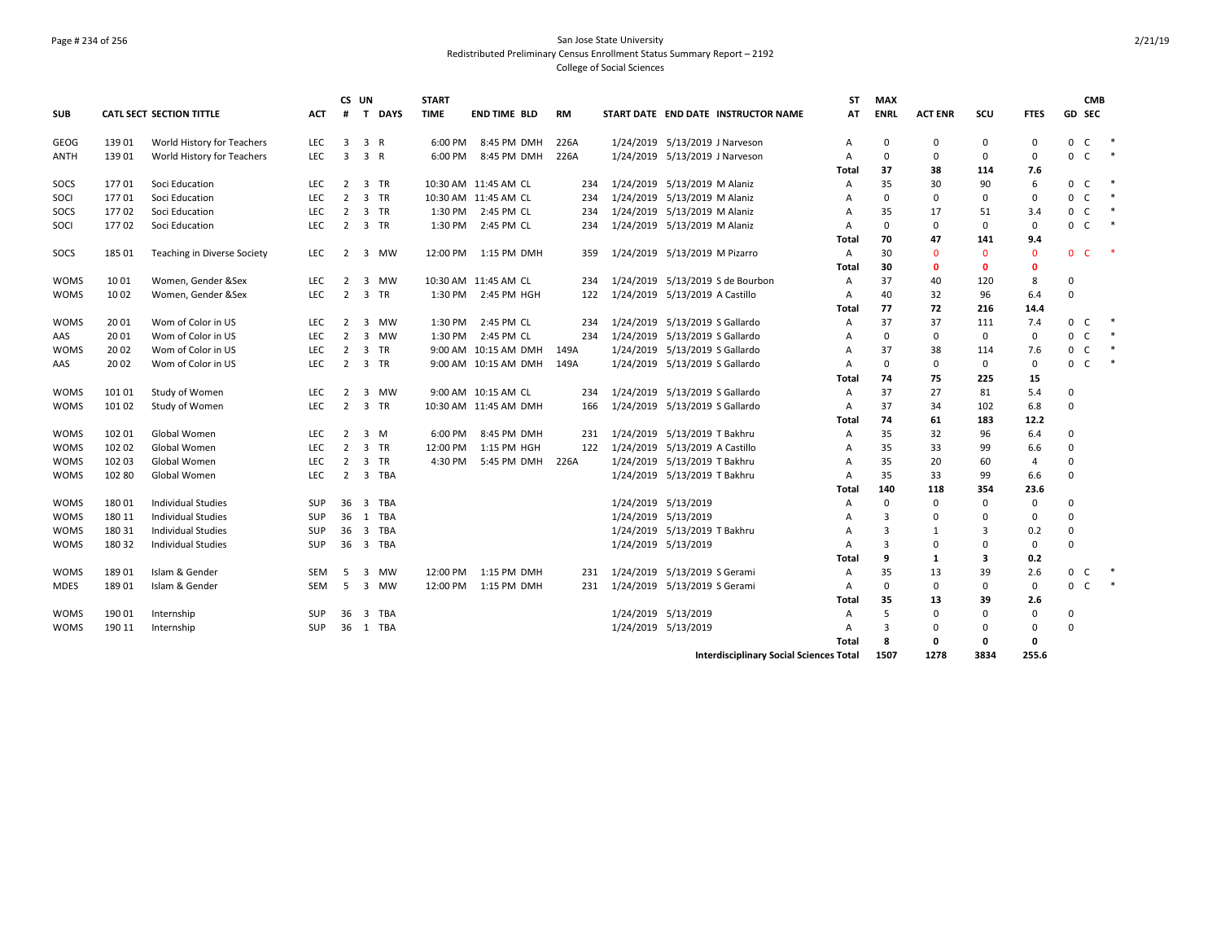### Page # 234 of 256 San Jose State University Redistributed Preliminary Census Enrollment Status Summary Report – 2192 College of Social Sciences

| <b>SUB</b>  |        | <b>CATL SECT SECTION TITTLE</b> | <b>ACT</b> | CS UN<br>#     | $\mathsf{T}$<br><b>DAYS</b>  | <b>START</b><br><b>TIME</b> | <b>END TIME BLD</b>   | <b>RM</b> | START DATE END DATE INSTRUCTOR NAME            | <b>ST</b><br>AT | <b>MAX</b><br><b>ENRL</b> | <b>ACT ENR</b> | SCU          | <b>FTES</b>    | GD SEC                      | <b>CMB</b> |  |
|-------------|--------|---------------------------------|------------|----------------|------------------------------|-----------------------------|-----------------------|-----------|------------------------------------------------|-----------------|---------------------------|----------------|--------------|----------------|-----------------------------|------------|--|
| GEOG        | 139 01 | World History for Teachers      | <b>LEC</b> | 3              | $\overline{\mathbf{3}}$<br>R | 6:00 PM                     | 8:45 PM DMH           | 226A      | 1/24/2019 5/13/2019 J Narveson                 | Α               | 0                         | 0              | 0            | 0              | 0<br>C                      | $\ast$     |  |
| <b>ANTH</b> | 139 01 | World History for Teachers      | <b>LEC</b> | $\overline{3}$ | 3<br>$\mathsf{R}$            | 6:00 PM                     | 8:45 PM DMH           | 226A      | 1/24/2019 5/13/2019 J Narveson                 | A               | $\mathbf 0$               | $\Omega$       | $\mathbf 0$  | $\mathbf{0}$   | $\mathsf{C}$<br>$\mathbf 0$ | $\ast$     |  |
|             |        |                                 |            |                |                              |                             |                       |           |                                                | Total           | 37                        | 38             | 114          | 7.6            |                             |            |  |
| SOCS        | 17701  | Soci Education                  | LEC.       | 2              | 3 TR                         |                             | 10:30 AM 11:45 AM CL  | 234       | 1/24/2019 5/13/2019 M Alaniz                   | A               | 35                        | 30             | 90           | 6              | C<br>$\mathbf{0}$           | $\ast$     |  |
| SOCI        | 17701  | Soci Education                  | <b>LEC</b> | $\overline{2}$ | 3<br><b>TR</b>               |                             | 10:30 AM 11:45 AM CL  | 234       | 1/24/2019 5/13/2019 M Alaniz                   | A               | $\mathbf 0$               | $\Omega$       | 0            | $\mathbf 0$    | 0<br>C                      | $\ast$     |  |
| SOCS        | 17702  | Soci Education                  | <b>LEC</b> | $\overline{2}$ | 3 TR                         |                             | 1:30 PM 2:45 PM CL    | 234       | 1/24/2019 5/13/2019 M Alaniz                   | A               | 35                        | 17             | 51           | 3.4            | 0<br>C                      | $\ast$     |  |
| SOCI        | 17702  | Soci Education                  | <b>LEC</b> | $\overline{2}$ | 3 TR                         |                             | 1:30 PM 2:45 PM CL    | 234       | 1/24/2019 5/13/2019 M Alaniz                   | A               | $\mathbf 0$               | $\Omega$       | $\Omega$     | $\mathbf 0$    | 0<br>$\mathsf{C}$           | $\ast$     |  |
|             |        |                                 |            |                |                              |                             |                       |           |                                                | Total           | 70                        | 47             | 141          | 9.4            |                             |            |  |
| SOCS        | 185 01 | Teaching in Diverse Society     | <b>LEC</b> | 2              | 3 MW                         |                             | 12:00 PM 1:15 PM DMH  | 359       | 1/24/2019 5/13/2019 M Pizarro                  | A               | 30                        | $\Omega$       | $\Omega$     | $\mathbf{0}$   | $\mathbf{0}$<br>C           |            |  |
|             |        |                                 |            |                |                              |                             |                       |           |                                                | Total           | 30                        | $\Omega$       | $\mathbf{0}$ | $\mathbf{0}$   |                             |            |  |
| <b>WOMS</b> | 1001   | Women, Gender &Sex              | <b>LEC</b> | 2              | MW<br>3                      |                             | 10:30 AM 11:45 AM CL  | 234       | 1/24/2019 5/13/2019 S de Bourbon               | A               | 37                        | 40             | 120          | 8              | 0                           |            |  |
| <b>WOMS</b> | 1002   | Women, Gender &Sex              | LEC.       | 2              | 3<br>TR                      |                             | 1:30 PM 2:45 PM HGH   | 122       | 1/24/2019 5/13/2019 A Castillo                 | A               | 40                        | 32             | 96           | 6.4            | $\mathbf 0$                 |            |  |
|             |        |                                 |            |                |                              |                             |                       |           |                                                | Total           | 77                        | 72             | 216          | 14.4           |                             |            |  |
| <b>WOMS</b> | 2001   | Wom of Color in US              | LEC        | $\overline{2}$ | 3 MW                         | 1:30 PM                     | 2:45 PM CL            | 234       | 1/24/2019 5/13/2019 S Gallardo                 | A               | 37                        | 37             | 111          | 7.4            | 0<br>C                      |            |  |
| AAS         | 2001   | Wom of Color in US              | <b>LEC</b> | $\overline{2}$ | 3 MW                         |                             | 1:30 PM 2:45 PM CL    | 234       | 1/24/2019 5/13/2019 S Gallardo                 | A               | $\mathbf 0$               | $\Omega$       | 0            | $\mathbf 0$    | 0<br>C                      |            |  |
| <b>WOMS</b> | 2002   | Wom of Color in US              | LEC        | $\overline{2}$ | 3 TR                         |                             | 9:00 AM 10:15 AM DMH  | 149A      | 1/24/2019 5/13/2019 S Gallardo                 | A               | 37                        | 38             | 114          | 7.6            | C<br>0                      | $\ast$     |  |
| AAS         | 2002   | Wom of Color in US              | <b>LEC</b> | $\overline{2}$ | 3 TR                         |                             | 9:00 AM 10:15 AM DMH  | 149A      | 1/24/2019 5/13/2019 S Gallardo                 | A               | 0                         | 0              | 0            | $\mathbf 0$    | 0<br>C                      | $\ast$     |  |
|             |        |                                 |            |                |                              |                             |                       |           |                                                | Total           | 74                        | 75             | 225          | 15             |                             |            |  |
| <b>WOMS</b> | 101 01 | Study of Women                  | LEC.       | $\overline{2}$ | 3 MW                         |                             | 9:00 AM 10:15 AM CL   | 234       | 1/24/2019 5/13/2019 S Gallardo                 | A               | 37                        | 27             | 81           | 5.4            | 0                           |            |  |
| <b>WOMS</b> | 101 02 | Study of Women                  | <b>LEC</b> | $\overline{2}$ | 3 TR                         |                             | 10:30 AM 11:45 AM DMH | 166       | 1/24/2019 5/13/2019 S Gallardo                 | A               | 37                        | 34             | 102          | 6.8            | $\mathbf 0$                 |            |  |
|             |        |                                 |            |                |                              |                             |                       |           |                                                | Total           | 74                        | 61             | 183          | 12.2           |                             |            |  |
| <b>WOMS</b> | 102 01 | Global Women                    | <b>LEC</b> | $\overline{2}$ | 3<br>M                       | 6:00 PM                     | 8:45 PM DMH           | 231       | 1/24/2019 5/13/2019 T Bakhru                   | A               | 35                        | 32             | 96           | 6.4            | $\mathbf 0$                 |            |  |
| <b>WOMS</b> | 102 02 | Global Women                    | <b>LEC</b> | $\overline{2}$ | 3<br><b>TR</b>               | 12:00 PM                    | 1:15 PM HGH           |           | 122 1/24/2019 5/13/2019 A Castillo             | Α               | 35                        | 33             | 99           | 6.6            | $\mathbf 0$                 |            |  |
| <b>WOMS</b> | 102 03 | Global Women                    | <b>LEC</b> | $\overline{2}$ | 3<br>TR                      | 4:30 PM                     | 5:45 PM DMH           | 226A      | 1/24/2019 5/13/2019 T Bakhru                   | A               | 35                        | 20             | 60           | $\overline{4}$ | $\mathbf 0$                 |            |  |
| <b>WOMS</b> | 102 80 | Global Women                    | <b>LEC</b> | $\overline{2}$ | 3 TBA                        |                             |                       |           | 1/24/2019 5/13/2019 T Bakhru                   | A               | 35                        | 33             | 99           | 6.6            | $\Omega$                    |            |  |
|             |        |                                 |            |                |                              |                             |                       |           |                                                | Total           | 140                       | 118            | 354          | 23.6           |                             |            |  |
| <b>WOMS</b> | 180 01 | <b>Individual Studies</b>       | <b>SUP</b> | 36             | TBA<br>3                     |                             |                       |           | 1/24/2019 5/13/2019                            | A               | $\mathbf 0$               | $\Omega$       | 0            | $\mathbf 0$    | $\Omega$                    |            |  |
| <b>WOMS</b> | 180 11 | <b>Individual Studies</b>       | <b>SUP</b> | 36             | 1 TBA                        |                             |                       |           | 1/24/2019 5/13/2019                            | A               | 3                         | $\Omega$       | $\Omega$     | $\mathbf 0$    | $\mathbf 0$                 |            |  |
| <b>WOMS</b> | 180 31 | <b>Individual Studies</b>       | <b>SUP</b> | 36             | 3 TBA                        |                             |                       |           | 1/24/2019 5/13/2019 T Bakhru                   | A               | 3                         | $\mathbf{1}$   | 3            | 0.2            | $\mathbf 0$                 |            |  |
| <b>WOMS</b> | 180 32 | <b>Individual Studies</b>       | <b>SUP</b> | 36             | 3 TBA                        |                             |                       |           | 1/24/2019 5/13/2019                            | A               | 3                         | $\Omega$       | $\Omega$     | $\mathbf 0$    | $\mathbf 0$                 |            |  |
|             |        |                                 |            |                |                              |                             |                       |           |                                                | Total           | 9                         | 1              | 3            | 0.2            |                             |            |  |
| <b>WOMS</b> | 18901  | Islam & Gender                  | <b>SEM</b> | -5             | 3<br>MW                      |                             | 12:00 PM 1:15 PM DMH  | 231       | 1/24/2019 5/13/2019 S Gerami                   | A               | 35                        | 13             | 39           | 2.6            | 0<br>C                      |            |  |
| <b>MDES</b> | 18901  | Islam & Gender                  | <b>SEM</b> | 5              | 3<br><b>MW</b>               |                             | 12:00 PM 1:15 PM DMH  | 231       | 1/24/2019 5/13/2019 S Gerami                   | A               | $\mathbf 0$               | $\Omega$       | $\mathbf 0$  | $\mathbf 0$    | $\mathbf 0$<br>$\mathsf{C}$ | $\ast$     |  |
|             |        |                                 |            |                |                              |                             |                       |           |                                                | Total           | 35                        | 13             | 39           | 2.6            |                             |            |  |
| <b>WOMS</b> | 190 01 | Internship                      | <b>SUP</b> | 36             | 3<br>TBA                     |                             |                       |           | 1/24/2019 5/13/2019                            | A               | 5                         | 0              | $\Omega$     | 0              | 0                           |            |  |
| <b>WOMS</b> | 190 11 | Internship                      | <b>SUP</b> | 36             | 1 TBA                        |                             |                       |           | 1/24/2019 5/13/2019                            | A               | 3                         | $\Omega$       | $\Omega$     | 0              | $\Omega$                    |            |  |
|             |        |                                 |            |                |                              |                             |                       |           |                                                | Total           | 8                         | $\mathbf{0}$   | 0            | 0              |                             |            |  |
|             |        |                                 |            |                |                              |                             |                       |           | <b>Interdisciplinary Social Sciences Total</b> |                 | 1507                      | 1278           | 3834         | 255.6          |                             |            |  |

2/21/19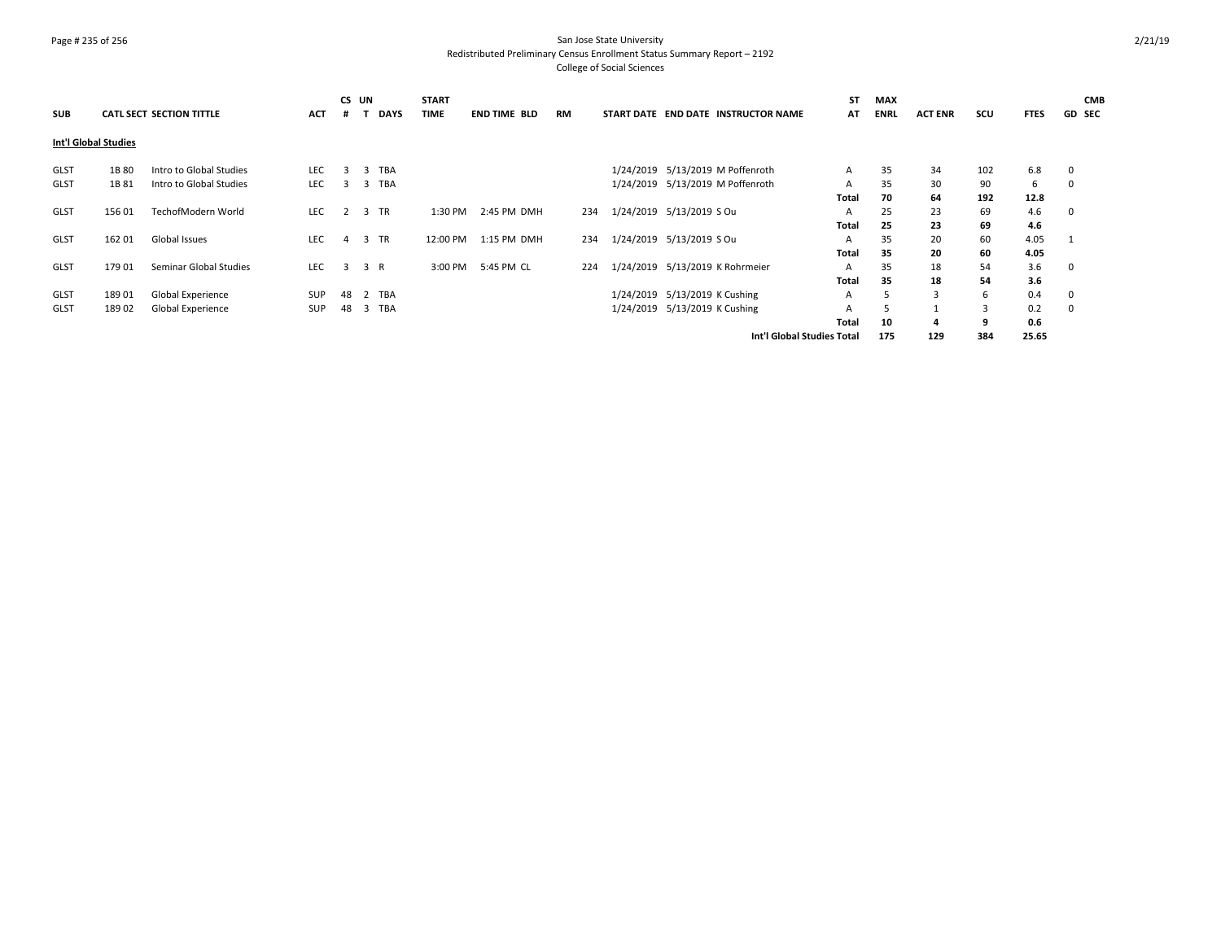### Page # 235 of 256 San Jose State University Redistributed Preliminary Census Enrollment Status Summary Report – 2192 College of Social Sciences

| <b>SUB</b>           |        | <b>CATL SECT SECTION TITTLE</b> | <b>ACT</b> | CS UN          | <b>DAYS</b>     | <b>START</b><br><b>TIME</b> | <b>END TIME BLD</b> | <b>RM</b> |     |                               | START DATE END DATE INSTRUCTOR NAME | <b>ST</b><br>AT | <b>MAX</b><br><b>ENRL</b> | <b>ACT ENR</b> | scu | <b>FTES</b> | <b>GD SEC</b>           | <b>CMB</b> |
|----------------------|--------|---------------------------------|------------|----------------|-----------------|-----------------------------|---------------------|-----------|-----|-------------------------------|-------------------------------------|-----------------|---------------------------|----------------|-----|-------------|-------------------------|------------|
| Int'l Global Studies |        |                                 |            |                |                 |                             |                     |           |     |                               |                                     |                 |                           |                |     |             |                         |            |
| <b>GLST</b>          | 1B 80  | Intro to Global Studies         | LEC        |                | <b>TBA</b><br>3 |                             |                     |           |     |                               | 1/24/2019 5/13/2019 M Poffenroth    | A               | 35                        | 34             | 102 | 6.8         | 0                       |            |
| <b>GLST</b>          | 1B 81  | Intro to Global Studies         | <b>LEC</b> | 3              | 3 TBA           |                             |                     |           |     |                               | 1/24/2019 5/13/2019 M Poffenroth    | $\mathsf{A}$    | 35                        | 30             | 90  | 6           | 0                       |            |
|                      |        |                                 |            |                |                 |                             |                     |           |     |                               |                                     | Total           | 70                        | 64             | 192 | 12.8        |                         |            |
| <b>GLST</b>          | 156 01 | TechofModern World              | <b>LEC</b> | 2              | 3 TR            | 1:30 PM                     | 2:45 PM DMH         |           | 234 | 1/24/2019 5/13/2019 S Ou      |                                     | $\mathsf{A}$    | 25                        | 23             | 69  | 4.6         | $\overline{\mathbf{0}}$ |            |
|                      |        |                                 |            |                |                 |                             |                     |           |     |                               |                                     | Total           | 25                        | 23             | 69  | 4.6         |                         |            |
| <b>GLST</b>          | 162 01 | Global Issues                   | LEC        | $\overline{a}$ | 3 TR            | 12:00 PM                    | 1:15 PM DMH         |           | 234 | 1/24/2019 5/13/2019 S Ou      |                                     | A               | 35                        | 20             | 60  | 4.05        |                         |            |
|                      |        |                                 |            |                |                 |                             |                     |           |     |                               |                                     | Total           | 35                        | 20             | 60  | 4.05        |                         |            |
| <b>GLST</b>          | 17901  | Seminar Global Studies          | <b>LEC</b> | $\mathbf{3}$   | 3 R             | 3:00 PM                     | 5:45 PM CL          |           | 224 |                               | 1/24/2019 5/13/2019 K Rohrmeier     | A               | 35                        | 18             | 54  | 3.6         | 0                       |            |
|                      |        |                                 |            |                |                 |                             |                     |           |     |                               |                                     | Total           | 35                        | 18             | 54  | 3.6         |                         |            |
| <b>GLST</b>          | 18901  | Global Experience               | <b>SUP</b> | 48             | TBA<br>2        |                             |                     |           |     | 1/24/2019 5/13/2019 K Cushing |                                     | A               |                           | 3              | 6   | 0.4         | $\mathbf 0$             |            |
| <b>GLST</b>          | 189 02 | Global Experience               | SUP        | 48             | TBA<br>3        |                             |                     |           |     | 1/24/2019 5/13/2019 K Cushing |                                     | A               |                           |                | 3   | 0.2         | $\mathbf 0$             |            |
|                      |        |                                 |            |                |                 |                             |                     |           |     |                               |                                     | Total           | 10                        | 4              | 9   | 0.6         |                         |            |
|                      |        |                                 |            |                |                 |                             |                     |           |     |                               | Int'l Global Studies Total          |                 | 175                       | 129            | 384 | 25.65       |                         |            |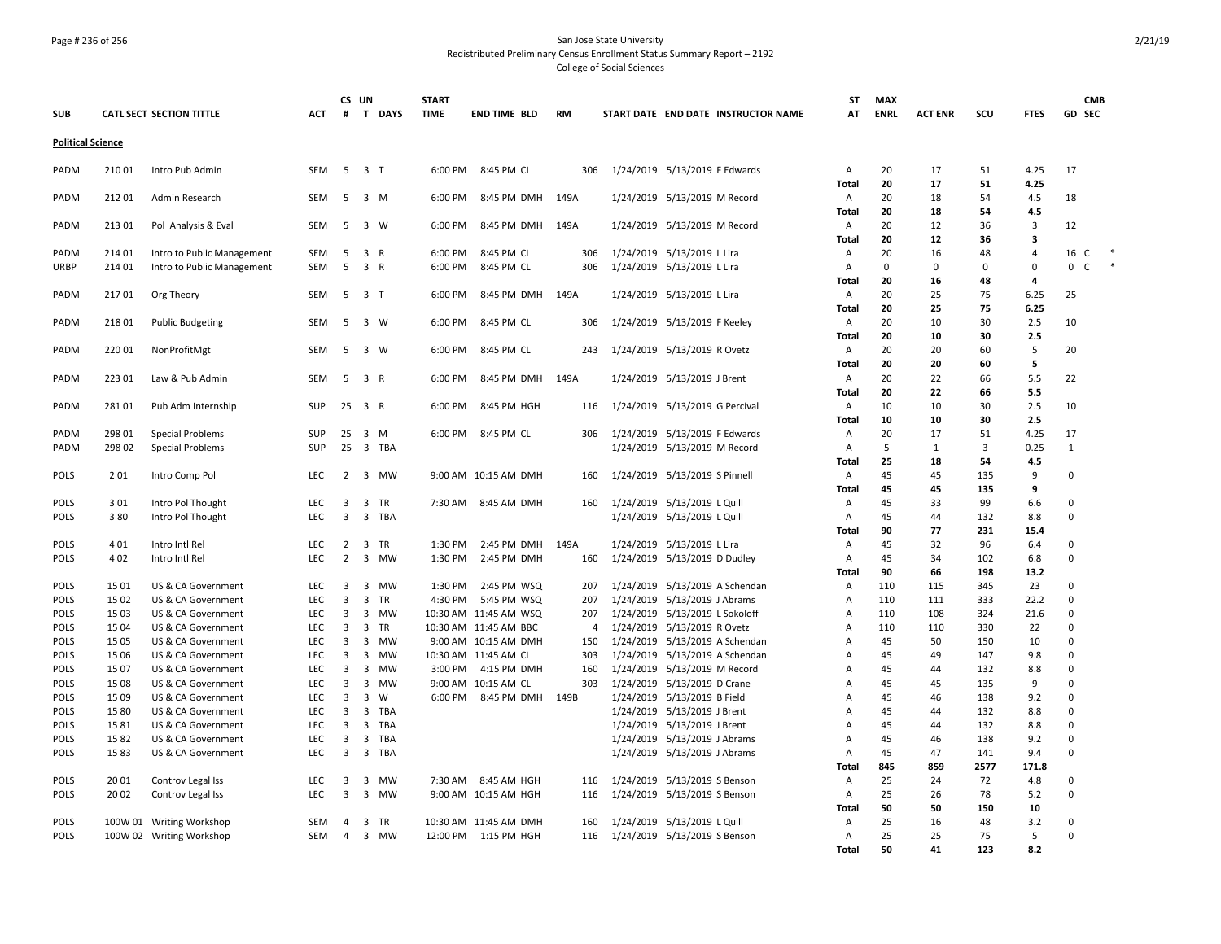### Page # 236 of 256 San Jose State University Redistributed Preliminary Census Enrollment Status Summary Report – 2192 College of Social Sciences

| <b>SUB</b>                 |               |                                          |                          | CS UN                            |                              | T DAYS         | <b>START</b>       |                                               |            |                |                                                            |                                     | <b>ST</b>    | <b>MAX</b>  |                | SCU            |                                 | <b>CMB</b><br>GD SEC |  |
|----------------------------|---------------|------------------------------------------|--------------------------|----------------------------------|------------------------------|----------------|--------------------|-----------------------------------------------|------------|----------------|------------------------------------------------------------|-------------------------------------|--------------|-------------|----------------|----------------|---------------------------------|----------------------|--|
|                            |               | <b>CATL SECT SECTION TITTLE</b>          | АСТ                      | #                                |                              |                | TIME               | <b>END TIME BLD</b>                           | <b>RM</b>  |                |                                                            | START DATE END DATE INSTRUCTOR NAME | AT           | <b>ENRL</b> | <b>ACT ENR</b> |                | <b>FTES</b>                     |                      |  |
| <b>Political Science</b>   |               |                                          |                          |                                  |                              |                |                    |                                               |            |                |                                                            |                                     |              |             |                |                |                                 |                      |  |
| PADM                       | 210 01        | Intro Pub Admin                          | <b>SEM</b>               | - 5                              | 3 <sub>1</sub>               |                | 6:00 PM            | 8:45 PM CL                                    | 306        |                | 1/24/2019 5/13/2019 F Edwards                              |                                     | Α            | 20          | 17             | 51             | 4.25                            | 17                   |  |
| PADM                       | 21201         | Admin Research                           | <b>SEM</b>               | 5                                | $3 \, M$                     |                | 6:00 PM            | 8:45 PM DMH                                   | 149A       |                | 1/24/2019 5/13/2019 M Record                               |                                     | Total<br>Α   | 20<br>20    | 17<br>18       | 51<br>54       | 4.25<br>4.5                     | 18                   |  |
|                            |               |                                          |                          |                                  |                              |                |                    |                                               |            |                |                                                            |                                     | Total        | 20          | 18             | 54             | 4.5                             |                      |  |
| PADM                       | 21301         | Pol Analysis & Eval                      | <b>SEM</b>               | -5                               | 3 W                          |                | 6:00 PM            | 8:45 PM DMH                                   | 149A       |                | 1/24/2019 5/13/2019 M Record                               |                                     | Α            | 20          | 12             | 36             | $\overline{3}$                  | 12                   |  |
|                            |               |                                          |                          |                                  |                              |                |                    |                                               |            |                |                                                            |                                     | Total        | 20          | 12             | 36             | $\overline{\mathbf{3}}$         |                      |  |
| PADM                       | 214 01        | Intro to Public Management               | SEM                      | 5                                | 3                            | $\mathsf{R}$   | 6:00 PM            | 8:45 PM CL                                    | 306        |                | 1/24/2019 5/13/2019 L Lira                                 |                                     | Α            | 20          | 16             | 48             | $\overline{4}$                  | 16 C                 |  |
| URBP                       | 214 01        | Intro to Public Management               | <b>SEM</b>               | 5                                | 3 R                          |                | 6:00 PM            | 8:45 PM CL                                    | 306        |                | 1/24/2019 5/13/2019 L Lira                                 |                                     | Α            | $\Omega$    | $\mathbf 0$    | $\Omega$       | $\mathbf 0$                     | $\mathbf 0$<br>C.    |  |
| PADM                       | 21701         |                                          | <b>SEM</b>               | - 5                              | 3 <sub>T</sub>               |                | 6:00 PM            | 8:45 PM DMH                                   | 149A       |                | 1/24/2019 5/13/2019 L Lira                                 |                                     | Total<br>Α   | 20<br>20    | 16<br>25       | 48<br>75       | $\overline{\mathbf{4}}$<br>6.25 | 25                   |  |
|                            |               | Org Theory                               |                          |                                  |                              |                |                    |                                               |            |                |                                                            |                                     | Total        | 20          | 25             | 75             | 6.25                            |                      |  |
| PADM                       | 218 01        | <b>Public Budgeting</b>                  | SEM                      | 5                                | 3 W                          |                | 6:00 PM            | 8:45 PM CL                                    | 306        |                | 1/24/2019 5/13/2019 F Keeley                               |                                     | Α            | 20          | 10             | 30             | 2.5                             | 10                   |  |
|                            |               |                                          |                          |                                  |                              |                |                    |                                               |            |                |                                                            |                                     | Total        | 20          | 10             | 30             | 2.5                             |                      |  |
| PADM                       | 22001         | NonProfitMgt                             | <b>SEM</b>               | 5                                | 3 W                          |                | 6:00 PM            | 8:45 PM CL                                    | 243        |                | 1/24/2019 5/13/2019 R Ovetz                                |                                     | Α            | 20          | 20             | 60             | 5                               | 20                   |  |
|                            |               |                                          |                          |                                  |                              |                |                    |                                               |            |                |                                                            |                                     | <b>Total</b> | 20          | 20             | 60             | 5                               |                      |  |
| PADM                       | 22301         | Law & Pub Admin                          | SEM                      | 5                                | 3 R                          |                | 6:00 PM            | 8:45 PM DMH                                   | 149A       |                | 1/24/2019 5/13/2019 J Brent                                |                                     | Α            | 20          | 22             | 66             | 5.5                             | 22                   |  |
|                            |               |                                          |                          |                                  |                              |                |                    |                                               |            |                |                                                            |                                     | <b>Total</b> | 20          | 22             | 66             | 5.5                             |                      |  |
| PADM                       | 28101         | Pub Adm Internship                       | SUP                      |                                  | 25 3 R                       |                | 6:00 PM            | 8:45 PM HGH                                   | 116        |                | 1/24/2019 5/13/2019 G Percival                             |                                     | Α            | 10<br>10    | 10<br>10       | 30<br>30       | 2.5<br>2.5                      | 10                   |  |
| PADM                       | 298 01        | <b>Special Problems</b>                  | SUP                      | 25                               | $\overline{\mathbf{3}}$      | M              | 6:00 PM            | 8:45 PM CL                                    | 306        |                | 1/24/2019 5/13/2019 F Edwards                              |                                     | Total<br>Α   | 20          | 17             | 51             | 4.25                            | 17                   |  |
| PADM                       | 298 02        | Special Problems                         | SUP                      | 25                               | $\overline{\mathbf{3}}$      | TBA            |                    |                                               |            |                | 1/24/2019 5/13/2019 M Record                               |                                     | Α            | 5           | 1              | $\overline{3}$ | 0.25                            | $\mathbf{1}$         |  |
|                            |               |                                          |                          |                                  |                              |                |                    |                                               |            |                |                                                            |                                     | Total        | 25          | 18             | 54             | 4.5                             |                      |  |
| <b>POLS</b>                | 201           | Intro Comp Pol                           | <b>LEC</b>               | 2                                |                              | 3 MW           |                    | 9:00 AM 10:15 AM DMH                          | 160        |                | 1/24/2019 5/13/2019 S Pinnell                              |                                     | Α            | 45          | 45             | 135            | 9                               | $\Omega$             |  |
|                            |               |                                          |                          |                                  |                              |                |                    |                                               |            |                |                                                            |                                     | <b>Total</b> | 45          | 45             | 135            | 9                               |                      |  |
| <b>POLS</b>                | 301           | Intro Pol Thought                        | <b>LEC</b>               | 3                                | 3 TR                         |                |                    | 7:30 AM 8:45 AM DMH                           | 160        |                | 1/24/2019 5/13/2019 L Quill                                |                                     | Α            | 45          | 33             | 99             | 6.6                             | $\Omega$             |  |
| <b>POLS</b>                | 380           | Intro Pol Thought                        | <b>LEC</b>               | 3                                | $\overline{3}$               | <b>TBA</b>     |                    |                                               |            |                | 1/24/2019 5/13/2019 L Quill                                |                                     | Α            | 45          | 44             | 132            | 8.8                             | $\Omega$             |  |
|                            |               |                                          |                          |                                  |                              |                |                    |                                               |            |                |                                                            |                                     | <b>Total</b> | 90          | 77             | 231            | 15.4                            |                      |  |
| <b>POLS</b>                | 401<br>402    | Intro Intl Rel                           | <b>LEC</b><br><b>LEC</b> | 2<br>$\overline{2}$              | 3 TR<br>3                    | <b>MW</b>      | 1:30 PM<br>1:30 PM | 2:45 PM DMH<br>2:45 PM DMH                    | 149A       |                | 1/24/2019 5/13/2019 L Lira                                 |                                     | Α<br>A       | 45<br>45    | 32<br>34       | 96<br>102      | 6.4<br>6.8                      | $\Omega$<br>$\Omega$ |  |
| <b>POLS</b>                |               | Intro Intl Rel                           |                          |                                  |                              |                |                    |                                               | 160        |                | 1/24/2019 5/13/2019 D Dudley                               |                                     | <b>Total</b> | 90          | 66             | 198            | 13.2                            |                      |  |
| <b>POLS</b>                | 15 01         | US & CA Government                       | <b>LEC</b>               | 3                                |                              | 3 MW           | 1:30 PM            | 2:45 PM WSQ                                   | 207        |                |                                                            | 1/24/2019 5/13/2019 A Schendan      | Α            | 110         | 115            | 345            | 23                              | $\Omega$             |  |
| <b>POLS</b>                | 1502          | US & CA Government                       | <b>LEC</b>               | 3                                | 3                            | <b>TR</b>      | 4:30 PM            | 5:45 PM WSQ                                   | 207        |                | 1/24/2019 5/13/2019 J Abrams                               |                                     | A            | 110         | 111            | 333            | 22.2                            | $\Omega$             |  |
| <b>POLS</b>                | 15 03         | US & CA Government                       | <b>LEC</b>               | 3                                | $\overline{\mathbf{3}}$      | MW             |                    | 10:30 AM 11:45 AM WSQ                         | 207        |                | 1/24/2019 5/13/2019 L Sokoloff                             |                                     | A            | 110         | 108            | 324            | 21.6                            | $\mathbf 0$          |  |
| <b>POLS</b>                | 1504          | US & CA Government                       | <b>LEC</b>               | 3                                | 3                            | <b>TR</b>      |                    | 10:30 AM 11:45 AM BBC                         |            | $\overline{4}$ | 1/24/2019 5/13/2019 R Ovetz                                |                                     | A            | 110         | 110            | 330            | 22                              | $\Omega$             |  |
| <b>POLS</b>                | 1505          | US & CA Government                       | <b>LEC</b>               | 3                                | 3                            | <b>MW</b>      |                    | 9:00 AM 10:15 AM DMH                          | 150        |                |                                                            | 1/24/2019 5/13/2019 A Schendan      | A            | 45          | 50             | 150            | 10                              | $\Omega$             |  |
| <b>POLS</b>                | 15 06         | US & CA Government                       | <b>LEC</b>               | 3                                | 3                            | MW             |                    | 10:30 AM 11:45 AM CL                          | 303        |                |                                                            | 1/24/2019 5/13/2019 A Schendan      | A            | 45          | 49             | 147            | 9.8                             | $\Omega$             |  |
| <b>POLS</b>                | 1507          | US & CA Government                       | <b>LEC</b>               | 3                                | 3                            | <b>MW</b>      | 3:00 PM            | 4:15 PM DMH                                   | 160        |                | 1/24/2019 5/13/2019 M Record                               |                                     | A            | 45          | 44             | 132            | 8.8                             | 0                    |  |
| <b>POLS</b><br><b>POLS</b> | 1508<br>15 09 | US & CA Government                       | <b>LEC</b><br><b>LEC</b> | 3<br>3                           | 3<br>$\overline{\mathbf{3}}$ | <b>MW</b><br>W | 6:00 PM            | 9:00 AM 10:15 AM CL<br>8:45 PM DMH 149B       | 303        |                | 1/24/2019 5/13/2019 D Crane                                |                                     | A<br>A       | 45<br>45    | 45<br>46       | 135<br>138     | 9<br>9.2                        | $\Omega$<br>$\Omega$ |  |
| <b>POLS</b>                | 15 80         | US & CA Government<br>US & CA Government | <b>LEC</b>               | 3                                | 3                            | TBA            |                    |                                               |            |                | 1/24/2019 5/13/2019 B Field<br>1/24/2019 5/13/2019 J Brent |                                     | A            | 45          | 44             | 132            | 8.8                             | $\mathbf 0$          |  |
| <b>POLS</b>                | 1581          | US & CA Government                       | <b>LEC</b>               | 3                                | 3                            | <b>TBA</b>     |                    |                                               |            |                | 1/24/2019 5/13/2019 J Brent                                |                                     | A            | 45          | 44             | 132            | 8.8                             | $\Omega$             |  |
| <b>POLS</b>                | 1582          | US & CA Government                       | LEC                      | 3                                | $\overline{3}$               | <b>TBA</b>     |                    |                                               |            |                | 1/24/2019 5/13/2019 J Abrams                               |                                     | A            | 45          | 46             | 138            | 9.2                             | $\Omega$             |  |
| <b>POLS</b>                | 1583          | US & CA Government                       | <b>LEC</b>               | 3                                | 3                            | TBA            |                    |                                               |            |                | 1/24/2019 5/13/2019 J Abrams                               |                                     | Α            | 45          | 47             | 141            | 9.4                             | $\Omega$             |  |
|                            |               |                                          |                          |                                  |                              |                |                    |                                               |            |                |                                                            |                                     | <b>Total</b> | 845         | 859            | 2577           | 171.8                           |                      |  |
| <b>POLS</b>                | 2001          | Controv Legal Iss                        | <b>LEC</b>               | 3                                | $\overline{\mathbf{3}}$      | MW             |                    | 7:30 AM 8:45 AM HGH                           | 116        |                | 1/24/2019 5/13/2019 S Benson                               |                                     | Α            | 25          | 24             | 72             | 4.8                             | $\Omega$             |  |
| <b>POLS</b>                | 20 02         | Controv Legal Iss                        | <b>LEC</b>               | 3                                | $\overline{3}$               | <b>MW</b>      |                    | 9:00 AM 10:15 AM HGH                          | 116        |                | 1/24/2019 5/13/2019 S Benson                               |                                     | Α            | 25          | 26             | 78             | 5.2                             | $\Omega$             |  |
|                            |               |                                          |                          |                                  |                              |                |                    |                                               |            |                |                                                            |                                     | Total        | 50          | 50             | 150            | 10                              |                      |  |
| <b>POLS</b><br><b>POLS</b> | 100W 01       | <b>Writing Workshop</b>                  | SEM<br>SEM               | $\overline{a}$<br>$\overline{4}$ | 3                            | TR<br>3 MW     |                    | 10:30 AM 11:45 AM DMH<br>12:00 PM 1:15 PM HGH | 160<br>116 |                | 1/24/2019 5/13/2019 L Quill                                |                                     | A            | 25<br>25    | 16<br>25       | 48<br>75       | 3.2<br>5                        | $\Omega$<br>$\Omega$ |  |
|                            |               | 100W 02 Writing Workshop                 |                          |                                  |                              |                |                    |                                               |            |                | 1/24/2019 5/13/2019 S Benson                               |                                     | Α<br>Total   | 50          | 41             | 123            | 8.2                             |                      |  |
|                            |               |                                          |                          |                                  |                              |                |                    |                                               |            |                |                                                            |                                     |              |             |                |                |                                 |                      |  |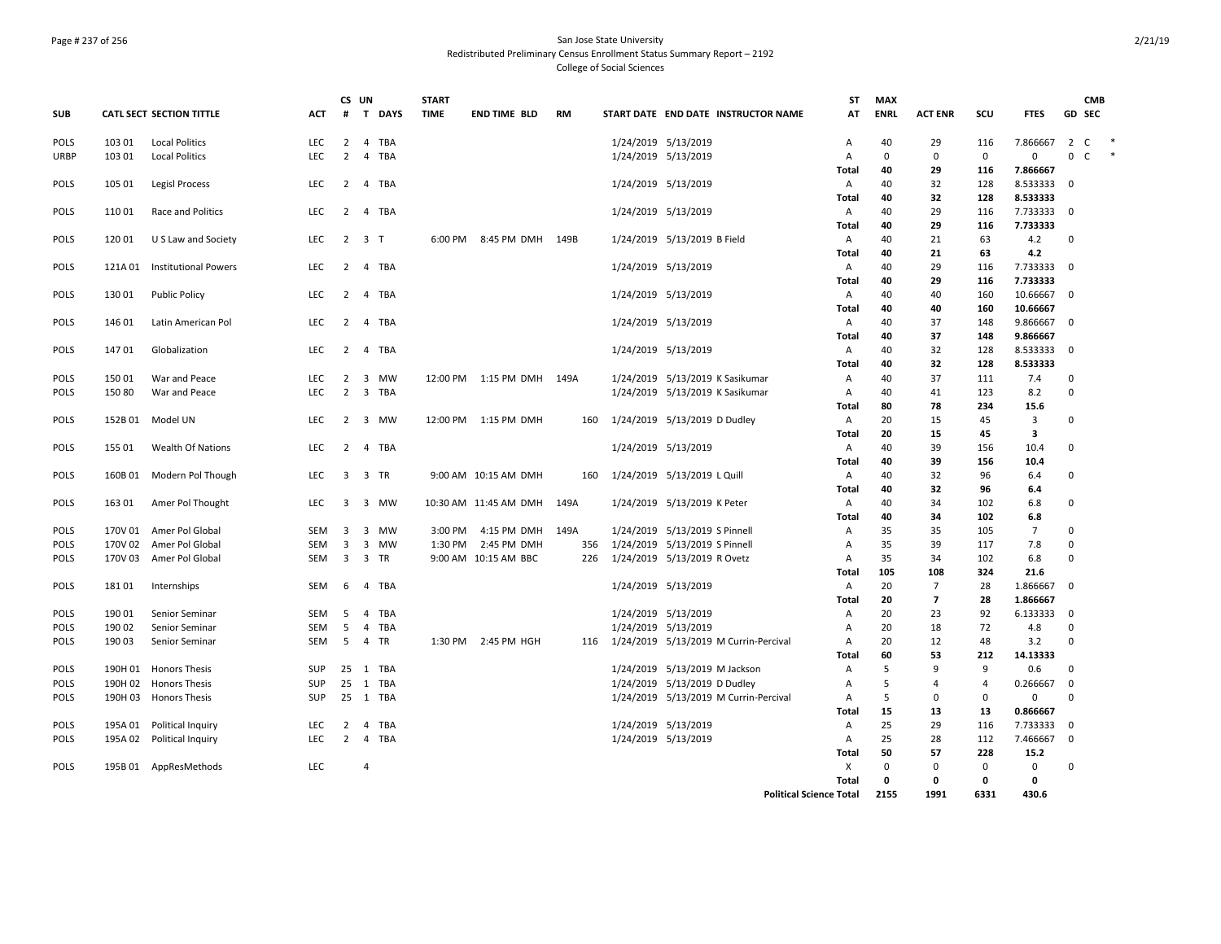### Page # 237 of 256 San Jose State University Redistributed Preliminary Census Enrollment Status Summary Report – 2192 College of Social Sciences

|             |         |                                 |            | CS UN                   |                       | <b>START</b> |                            |           |     |                                       | ST                             | <b>MAX</b>     |                             |                  |                            |                                | <b>CMB</b> |
|-------------|---------|---------------------------------|------------|-------------------------|-----------------------|--------------|----------------------------|-----------|-----|---------------------------------------|--------------------------------|----------------|-----------------------------|------------------|----------------------------|--------------------------------|------------|
| <b>SUB</b>  |         | <b>CATL SECT SECTION TITTLE</b> | <b>ACT</b> | #                       | T DAYS                | <b>TIME</b>  | <b>END TIME BLD</b>        | <b>RM</b> |     | START DATE END DATE INSTRUCTOR NAME   | AT                             | <b>ENRL</b>    | <b>ACT ENR</b>              | SCU              | <b>FTES</b>                | GD SEC                         |            |
| <b>POLS</b> | 103 01  | <b>Local Politics</b>           | LEC        | $\overline{2}$          | 4 TBA                 |              |                            |           |     | 1/24/2019 5/13/2019                   | А                              | 40             | 29                          | 116              | 7.866667                   | $2\degree$ C                   | $\ast$     |
| URBP        | 103 01  | <b>Local Politics</b>           | LEC.       | 2                       | 4 TBA                 |              |                            |           |     | 1/24/2019 5/13/2019                   | Α                              | $\Omega$       | $\mathbf 0$                 | $\mathbf 0$      | $\mathbf 0$                | $\mathbf{0}$<br>C <sub>1</sub> | $\ast$     |
|             |         |                                 |            |                         |                       |              |                            |           |     |                                       | <b>Total</b>                   | 40             | 29                          | 116              | 7.866667                   |                                |            |
| <b>POLS</b> | 105 01  | Legisl Process                  | <b>LEC</b> | $\overline{2}$          | 4 TBA                 |              |                            |           |     | 1/24/2019 5/13/2019                   | Α                              | 40             | 32                          | 128              | 8.533333 0                 |                                |            |
|             |         |                                 |            |                         |                       |              |                            |           |     |                                       | Total                          | 40             | 32                          | 128              | 8.533333                   |                                |            |
| <b>POLS</b> | 110 01  | Race and Politics               | <b>LEC</b> | $\overline{2}$          | 4 TBA                 |              |                            |           |     | 1/24/2019 5/13/2019                   | Α                              | 40             | 29                          | 116              | 7.733333 0                 |                                |            |
|             |         |                                 |            |                         |                       |              |                            |           |     |                                       | Total                          | 40             | 29                          | 116              | 7.733333                   |                                |            |
| <b>POLS</b> | 120 01  | U S Law and Society             | <b>LEC</b> |                         | $2 \t3 \tT$           |              | 6:00 PM 8:45 PM DMH 149B   |           |     | 1/24/2019 5/13/2019 B Field           | Α                              | 40             | 21                          | 63               | 4.2                        | $\Omega$                       |            |
| <b>POLS</b> | 121A01  | <b>Institutional Powers</b>     | <b>LEC</b> | $\overline{2}$          | 4 TBA                 |              |                            |           |     |                                       | <b>Total</b>                   | 40<br>40       | 21<br>29                    | 63<br>116        | 4.2<br>7.733333 0          |                                |            |
|             |         |                                 |            |                         |                       |              |                            |           |     | 1/24/2019 5/13/2019                   | Α<br>Total                     | 40             | 29                          | 116              | 7.733333                   |                                |            |
| <b>POLS</b> | 13001   | <b>Public Policy</b>            | <b>LEC</b> |                         | 2 4 TBA               |              |                            |           |     | 1/24/2019 5/13/2019                   | Α                              | 40             | 40                          | 160              | 10.66667 0                 |                                |            |
|             |         |                                 |            |                         |                       |              |                            |           |     |                                       | Total                          | 40             | 40                          | 160              | 10.66667                   |                                |            |
| POLS        | 146 01  | Latin American Pol              | <b>LEC</b> | $\overline{2}$          | 4 TBA                 |              |                            |           |     | 1/24/2019 5/13/2019                   | Α                              | 40             | 37                          | 148              | 9.866667 0                 |                                |            |
|             |         |                                 |            |                         |                       |              |                            |           |     |                                       | Total                          | 40             | 37                          | 148              | 9.866667                   |                                |            |
| <b>POLS</b> | 14701   | Globalization                   | <b>LEC</b> | $\overline{2}$          | 4 TBA                 |              |                            |           |     | 1/24/2019 5/13/2019                   | Α                              | 40             | 32                          | 128              | 8.533333 0                 |                                |            |
|             |         |                                 |            |                         |                       |              |                            |           |     |                                       | Total                          | 40             | 32                          | 128              | 8.533333                   |                                |            |
| <b>POLS</b> | 150 01  | War and Peace                   | <b>LEC</b> | 2                       | 3<br>MW               |              | 12:00 PM 1:15 PM DMH 149A  |           |     | 1/24/2019 5/13/2019 K Sasikumar       | Α                              | 40             | 37                          | 111              | 7.4                        | $\Omega$                       |            |
| <b>POLS</b> | 15080   | War and Peace                   | <b>LEC</b> | $\overline{2}$          | 3 TBA                 |              |                            |           |     | 1/24/2019 5/13/2019 K Sasikumar       | Α                              | 40             | 41                          | 123              | 8.2                        | $\mathbf 0$                    |            |
|             |         |                                 |            |                         |                       |              |                            |           |     |                                       | Total                          | 80             | 78                          | 234              | 15.6                       |                                |            |
| <b>POLS</b> |         | 152B 01 Model UN                | LEC        |                         | 2 3 MW                |              | 12:00 PM 1:15 PM DMH       |           | 160 | 1/24/2019 5/13/2019 D Dudley          | Α                              | 20             | 15                          | 45               | 3                          | $\mathbf 0$                    |            |
|             |         |                                 |            |                         |                       |              |                            |           |     |                                       | Total                          | 20             | 15                          | 45               | 3                          |                                |            |
| <b>POLS</b> | 155 01  | <b>Wealth Of Nations</b>        | <b>LEC</b> | $\overline{2}$          | 4 TBA                 |              |                            |           |     | 1/24/2019 5/13/2019                   | Α                              | 40             | 39                          | 156              | 10.4                       | $\Omega$                       |            |
|             |         |                                 |            |                         |                       |              |                            |           |     |                                       | <b>Total</b>                   | 40             | 39                          | 156              | 10.4                       |                                |            |
| <b>POLS</b> |         | 160B 01 Modern Pol Though       | <b>LEC</b> |                         | 3 3 TR                |              | 9:00 AM 10:15 AM DMH       |           | 160 | 1/24/2019 5/13/2019 L Quill           | Α                              | 40             | 32                          | 96               | 6.4                        | $\Omega$                       |            |
|             |         |                                 |            |                         |                       |              |                            |           |     |                                       | Total                          | 40             | 32                          | 96               | 6.4                        |                                |            |
| <b>POLS</b> | 163 01  | Amer Pol Thought                | <b>LEC</b> | $\overline{3}$          | 3 MW                  |              | 10:30 AM 11:45 AM DMH 149A |           |     | 1/24/2019 5/13/2019 K Peter           | A                              | 40             | 34                          | 102              | 6.8                        | $\mathbf 0$                    |            |
|             |         |                                 |            |                         |                       |              |                            |           |     |                                       | Total                          | 40             | 34                          | 102              | 6.8                        |                                |            |
| <b>POLS</b> |         | 170V 01 Amer Pol Global         | SEM        | 3                       | 3 MW                  | 3:00 PM      | 4:15 PM DMH                | 149A      |     | 1/24/2019 5/13/2019 S Pinnell         | Α                              | 35             | 35                          | 105              | $\overline{7}$             | 0                              |            |
| POLS        | 170V 02 | Amer Pol Global                 | SEM        | 3                       | 3 MW                  | 1:30 PM      | 2:45 PM DMH                |           | 356 | 1/24/2019 5/13/2019 S Pinnell         | Α                              | 35             | 39                          | 117              | 7.8                        | $\Omega$                       |            |
| <b>POLS</b> |         | 170V 03 Amer Pol Global         | <b>SEM</b> | $\overline{\mathbf{3}}$ | 3 TR                  |              | 9:00 AM 10:15 AM BBC       |           | 226 | 1/24/2019 5/13/2019 R Ovetz           | Α                              | 35             | 34                          | 102              | 6.8                        | $\Omega$                       |            |
|             |         |                                 |            |                         |                       |              |                            |           |     |                                       | Total                          | 105            | 108                         | 324              | 21.6                       |                                |            |
| <b>POLS</b> | 18101   | Internships                     | SEM        | 6                       | 4 TBA                 |              |                            |           |     | 1/24/2019 5/13/2019                   | Α                              | 20             | $\overline{7}$              | 28               | 1.866667                   | $\Omega$                       |            |
|             |         |                                 |            |                         |                       |              |                            |           |     |                                       | Total                          | 20             | $\overline{7}$              | 28               | 1.866667                   |                                |            |
| <b>POLS</b> | 190 01  | Senior Seminar                  | <b>SEM</b> | 5                       | 4 TBA                 |              |                            |           |     | 1/24/2019 5/13/2019                   | Α                              | 20             | 23                          | 92               | 6.133333                   | $\mathbf 0$                    |            |
| <b>POLS</b> | 190 02  | Senior Seminar                  | SEM        | 5                       | $\overline{4}$<br>TBA |              |                            |           |     | 1/24/2019 5/13/2019                   | A                              | 20             | 18                          | 72               | 4.8                        | $\overline{0}$                 |            |
| <b>POLS</b> | 190 03  | Senior Seminar                  | SEM        | 5                       | 4 TR                  | 1:30 PM      | 2:45 PM HGH                |           | 116 | 1/24/2019 5/13/2019 M Currin-Percival | Α                              | 20             | 12                          | 48               | 3.2                        | $\Omega$                       |            |
|             |         |                                 |            |                         |                       |              |                            |           |     |                                       | Total                          | 60             | 53                          | 212              | 14.13333                   |                                |            |
| <b>POLS</b> |         | 190H 01 Honors Thesis           | SUP        | 25                      | 1 TBA                 |              |                            |           |     | 1/24/2019 5/13/2019 M Jackson         | $\overline{A}$                 | 5              | 9                           | 9                | 0.6                        | $\mathbf 0$                    |            |
| <b>POLS</b> |         | 190H 02 Honors Thesis           | <b>SUP</b> | 25                      | 1 TBA                 |              |                            |           |     | 1/24/2019 5/13/2019 D Dudley          | A                              | 5              | $\overline{4}$              | $\overline{4}$   | 0.266667                   | $\mathbf 0$                    |            |
| <b>POLS</b> | 190H 03 | <b>Honors Thesis</b>            | SUP        |                         | 25 1 TBA              |              |                            |           |     | 1/24/2019 5/13/2019 M Currin-Percival | Α                              | 5              | $\mathbf 0$                 | $\mathbf 0$      | $\mathsf 0$                | $\overline{0}$                 |            |
|             |         |                                 |            |                         |                       |              |                            |           |     |                                       | Total                          | 15             | 13                          | 13               | 0.866667                   |                                |            |
| <b>POLS</b> | 195A 01 | Political Inquiry               | <b>LEC</b> | $\overline{2}$          | TBA<br>$\overline{4}$ |              |                            |           |     | 1/24/2019 5/13/2019                   | Α                              | 25             | 29                          | 116              | 7.733333                   | $\overline{0}$                 |            |
| <b>POLS</b> |         | 195A 02 Political Inquiry       | <b>LEC</b> | $\overline{2}$          | 4 TBA                 |              |                            |           |     | 1/24/2019 5/13/2019                   | Α                              | 25             | 28                          | 112              | 7.466667                   | $\mathbf 0$                    |            |
|             |         |                                 |            |                         | $\overline{4}$        |              |                            |           |     |                                       | Total                          | 50<br>$\Omega$ | 57                          | 228              | 15.2                       | $\Omega$                       |            |
| <b>POLS</b> |         | 195B 01 AppResMethods           | <b>LEC</b> |                         |                       |              |                            |           |     |                                       | Χ<br>Total                     | 0              | $\mathbf 0$<br>$\mathbf{0}$ | 0<br>$\mathbf 0$ | $\mathbf 0$<br>$\mathbf 0$ |                                |            |
|             |         |                                 |            |                         |                       |              |                            |           |     |                                       | <b>Political Science Total</b> | 2155           | 1991                        | 6331             | 430.6                      |                                |            |
|             |         |                                 |            |                         |                       |              |                            |           |     |                                       |                                |                |                             |                  |                            |                                |            |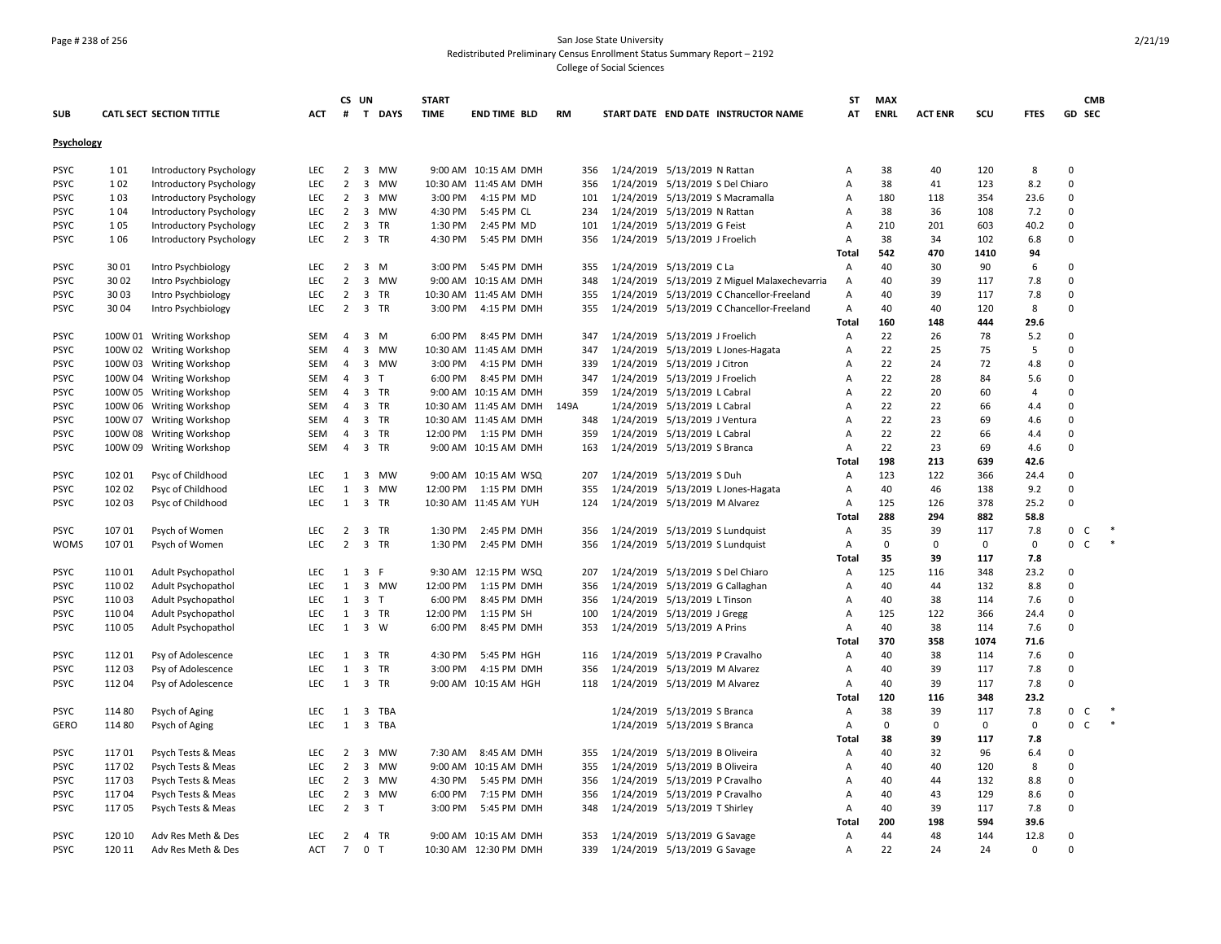### Page # 238 of 256 San Jose State University Redistributed Preliminary Census Enrollment Status Summary Report – 2192 College of Social Sciences

| <b>SUB</b>  |        | CATL SECT SECTION TITTLE | <b>ACT</b> | CS UN<br>#     |                         | T DAYS    | <b>START</b><br><b>TIME</b> | <b>END TIME BLD</b>   | <b>RM</b> | START DATE END DATE INSTRUCTOR NAME          | ST<br>АТ     | <b>MAX</b><br><b>ENRL</b> | <b>ACT ENR</b> | scu         | <b>FTES</b> | GD SEC      | <b>CMB</b>  |        |
|-------------|--------|--------------------------|------------|----------------|-------------------------|-----------|-----------------------------|-----------------------|-----------|----------------------------------------------|--------------|---------------------------|----------------|-------------|-------------|-------------|-------------|--------|
| Psychology  |        |                          |            |                |                         |           |                             |                       |           |                                              |              |                           |                |             |             |             |             |        |
|             |        |                          |            |                |                         |           |                             |                       |           |                                              |              |                           |                |             |             |             |             |        |
| <b>PSYC</b> | 101    | Introductory Psychology  | LEC.       | $\overline{2}$ | $\overline{\mathbf{3}}$ | <b>MW</b> |                             | 9:00 AM 10:15 AM DMH  | 356       | 1/24/2019 5/13/2019 N Rattan                 | A            | 38                        | 40             | 120         | 8           | $\Omega$    |             |        |
| <b>PSYC</b> | 102    | Introductory Psychology  | <b>LEC</b> | $\overline{2}$ | $\overline{\mathbf{3}}$ | <b>MW</b> |                             | 10:30 AM 11:45 AM DMH | 356       | 1/24/2019 5/13/2019 S Del Chiaro             | Α            | 38                        | 41             | 123         | 8.2         | $\Omega$    |             |        |
| <b>PSYC</b> | 103    | Introductory Psychology  | <b>LEC</b> | $\overline{2}$ |                         | 3 MW      | 3:00 PM                     | 4:15 PM MD            | 101       | 1/24/2019 5/13/2019 S Macramalla             | Α            | 180                       | 118            | 354         | 23.6        | $\mathbf 0$ |             |        |
| <b>PSYC</b> | 104    | Introductory Psychology  | <b>LEC</b> | $\overline{2}$ | $\overline{\mathbf{3}}$ | <b>MW</b> | 4:30 PM                     | 5:45 PM CL            | 234       | 1/24/2019 5/13/2019 N Rattan                 | Α            | 38                        | 36             | 108         | 7.2         | $\Omega$    |             |        |
| <b>PSYC</b> | 105    | Introductory Psychology  | <b>LEC</b> | $\overline{2}$ | $\overline{\mathbf{3}}$ | <b>TR</b> | 1:30 PM                     | 2:45 PM MD            | 101       | 1/24/2019 5/13/2019 G Feist                  | A            | 210                       | 201            | 603         | 40.2        | $\Omega$    |             |        |
| PSYC        | 106    | Introductory Psychology  | LEC        | $\overline{2}$ | $\overline{\mathbf{3}}$ | <b>TR</b> | 4:30 PM                     | 5:45 PM DMH           | 356       | 1/24/2019 5/13/2019 J Froelich               | A            | 38                        | 34             | 102         | 6.8         | $\mathbf 0$ |             |        |
|             |        |                          |            |                |                         |           |                             |                       |           |                                              | Total        | 542                       | 470            | 1410        | 94          |             |             |        |
| <b>PSYC</b> | 3001   | Intro Psychbiology       | <b>LEC</b> | 2              | $\overline{3}$          | M         | 3:00 PM                     | 5:45 PM DMH           | 355       | 1/24/2019 5/13/2019 C La                     | A            | 40                        | 30             | 90          | 6           | $\Omega$    |             |        |
| PSYC        | 3002   | Intro Psychbiology       | <b>LEC</b> | $\overline{2}$ | $\overline{3}$          | MW        |                             | 9:00 AM 10:15 AM DMH  | 348       | 1/24/2019 5/13/2019 Z Miguel Malaxechevarria | Α            | 40                        | 39             | 117         | 7.8         | $\mathbf 0$ |             |        |
| PSYC        | 3003   | Intro Psychbiology       | <b>LEC</b> | $\overline{2}$ | $\overline{\mathbf{3}}$ | TR        |                             | 10:30 AM 11:45 AM DMH | 355       | 1/24/2019 5/13/2019 C Chancellor-Freeland    | Α            | 40                        | 39             | 117         | 7.8         | $\Omega$    |             |        |
| <b>PSYC</b> | 3004   | Intro Psychbiology       | <b>LEC</b> |                | 2 3 TR                  |           | 3:00 PM                     | 4:15 PM DMH           | 355       | 1/24/2019 5/13/2019 C Chancellor-Freeland    | Α            | 40                        | 40             | 120         | 8           | $\Omega$    |             |        |
|             |        |                          |            |                |                         |           |                             |                       |           |                                              | Total        | 160                       | 148            | 444         | 29.6        |             |             |        |
| <b>PSYC</b> |        | 100W 01 Writing Workshop | <b>SEM</b> | 4              | $\overline{\mathbf{3}}$ | M         | 6:00 PM                     | 8:45 PM DMH           | 347       | 1/24/2019 5/13/2019 J Froelich               | Α            | 22                        | 26             | 78          | 5.2         | $\Omega$    |             |        |
| <b>PSYC</b> |        | 100W 02 Writing Workshop | SEM        | $\overline{4}$ | $\overline{\mathbf{3}}$ | <b>MW</b> |                             | 10:30 AM 11:45 AM DMH | 347       | 1/24/2019 5/13/2019 L Jones-Hagata           | Α            | 22                        | 25             | 75          | 5           | $\Omega$    |             |        |
| <b>PSYC</b> |        | 100W 03 Writing Workshop | SEM        | 4              | $\overline{\mathbf{3}}$ | MW        | 3:00 PM                     | 4:15 PM DMH           | 339       | 1/24/2019 5/13/2019 J Citron                 | A            | 22                        | 24             | 72          | 4.8         | $\mathbf 0$ |             |        |
| <b>PSYC</b> |        | 100W 04 Writing Workshop | SEM        | $\overline{4}$ | $\overline{\mathbf{3}}$ | T         | 6:00 PM                     | 8:45 PM DMH           | 347       | 1/24/2019 5/13/2019 J Froelich               | Α            | 22                        | 28             | 84          | 5.6         | $\Omega$    |             |        |
| PSYC        |        | 100W 05 Writing Workshop | SEM        | 4              | 3 TR                    |           |                             | 9:00 AM 10:15 AM DMH  | 359       | 1/24/2019 5/13/2019 L Cabral                 | A            | 22                        | 20             | 60          | 4           | $\mathbf 0$ |             |        |
| PSYC        |        | 100W 06 Writing Workshop | <b>SEM</b> | 4              | $\overline{\mathbf{3}}$ | <b>TR</b> |                             | 10:30 AM 11:45 AM DMH | 149A      | 1/24/2019 5/13/2019 L Cabral                 | A            | 22                        | 22             | 66          | 4.4         | $\Omega$    |             |        |
| <b>PSYC</b> |        | 100W 07 Writing Workshop | SEM        | 4              | $\overline{\mathbf{3}}$ | TR        |                             | 10:30 AM 11:45 AM DMH | 348       | 1/24/2019 5/13/2019 J Ventura                | Α            | 22                        | 23             | 69          | 4.6         | $\Omega$    |             |        |
| PSYC        |        | 100W 08 Writing Workshop | SEM        | 4              | $\overline{\mathbf{3}}$ | TR        | 12:00 PM                    | 1:15 PM DMH           | 359       | 1/24/2019 5/13/2019 L Cabral                 | Α            | 22                        | 22             | 66          | 4.4         | 0           |             |        |
| <b>PSYC</b> |        | 100W 09 Writing Workshop | SEM        | $\overline{4}$ | $\overline{\mathbf{3}}$ | TR        |                             | 9:00 AM 10:15 AM DMH  | 163       | 1/24/2019 5/13/2019 S Branca                 | Α            | 22                        | 23             | 69          | 4.6         | $\mathbf 0$ |             |        |
|             |        |                          |            |                |                         |           |                             |                       |           |                                              | Total        | 198                       | 213            | 639         | 42.6        |             |             |        |
| <b>PSYC</b> | 102 01 | Psyc of Childhood        | <b>LEC</b> | 1              |                         | 3 MW      |                             | 9:00 AM 10:15 AM WSQ  | 207       | 1/24/2019 5/13/2019 S Duh                    | Α            | 123                       | 122            | 366         | 24.4        | 0           |             |        |
| PSYC        | 102 02 | Psyc of Childhood        | <b>LEC</b> | $\mathbf{1}$   | $\overline{\mathbf{3}}$ | MW        | 12:00 PM                    | 1:15 PM DMH           | 355       | 1/24/2019 5/13/2019 L Jones-Hagata           | Α            | 40                        | 46             | 138         | 9.2         | $\mathbf 0$ |             |        |
| <b>PSYC</b> | 102 03 | Psyc of Childhood        | <b>LEC</b> |                | 1 3 TR                  |           |                             | 10:30 AM 11:45 AM YUH | 124       | 1/24/2019 5/13/2019 M Alvarez                | A            | 125                       | 126            | 378         | 25.2        | $\mathbf 0$ |             |        |
|             |        |                          |            |                |                         |           |                             |                       |           |                                              | <b>Total</b> | 288                       | 294            | 882         | 58.8        |             |             |        |
| <b>PSYC</b> | 10701  | Psych of Women           | <b>LEC</b> | $\overline{2}$ | $\overline{\mathbf{3}}$ | TR        | 1:30 PM                     | 2:45 PM DMH           | 356       | 1/24/2019 5/13/2019 S Lundquist              | Α            | 35                        | 39             | 117         | 7.8         | 0           | C           |        |
| WOMS        | 107 01 | Psych of Women           | <b>LEC</b> | $\overline{2}$ | $\overline{3}$          | TR        | 1:30 PM                     | 2:45 PM DMH           | 356       | 1/24/2019 5/13/2019 S Lundquist              | Α            | $\mathbf 0$               | $\Omega$       | $\mathbf 0$ | $\mathbf 0$ | $\mathbf 0$ | C           |        |
|             |        |                          |            |                |                         |           |                             |                       |           |                                              | Total        | 35                        | 39             | 117         | 7.8         |             |             |        |
| <b>PSYC</b> | 11001  | Adult Psychopathol       | <b>LEC</b> | 1              | $\overline{\mathbf{3}}$ | F         |                             | 9:30 AM 12:15 PM WSQ  | 207       | 1/24/2019 5/13/2019 S Del Chiaro             | Α            | 125                       | 116            | 348         | 23.2        | $\Omega$    |             |        |
| <b>PSYC</b> | 110 02 | Adult Psychopathol       | <b>LEC</b> | $\mathbf{1}$   |                         | 3 MW      | 12:00 PM                    | 1:15 PM DMH           | 356       | 1/24/2019 5/13/2019 G Callaghan              | Α            | 40                        | 44             | 132         | 8.8         | $\Omega$    |             |        |
| PSYC        | 110 03 | Adult Psychopathol       | <b>LEC</b> | 1              | $\overline{\mathbf{3}}$ | T         | 6:00 PM                     | 8:45 PM DMH           | 356       | 1/24/2019 5/13/2019 L Tinson                 | Α            | 40                        | 38             | 114         | 7.6         | $\mathbf 0$ |             |        |
| <b>PSYC</b> | 110 04 | Adult Psychopathol       | <b>LEC</b> | 1              | 3 TR                    |           | 12:00 PM                    | 1:15 PM SH            | 100       | 1/24/2019 5/13/2019 J Gregg                  | Α            | 125                       | 122            | 366         | 24.4        | $\mathbf 0$ |             |        |
| PSYC        | 110 05 | Adult Psychopathol       | <b>LEC</b> | 1              | 3 W                     |           | 6:00 PM                     | 8:45 PM DMH           | 353       | 1/24/2019 5/13/2019 A Prins                  | A            | 40                        | 38             | 114         | 7.6         | $\mathbf 0$ |             |        |
|             |        |                          |            |                |                         |           |                             |                       |           |                                              | Total        | 370                       | 358            | 1074        | 71.6        |             |             |        |
| <b>PSYC</b> | 112 01 | Psy of Adolescence       | <b>LEC</b> |                | 1 3 TR                  |           | 4:30 PM                     | 5:45 PM HGH           | 116       | 1/24/2019 5/13/2019 P Cravalho               | Α            | 40                        | 38             | 114         | 7.6         | 0           |             |        |
| PSYC        | 112 03 | Psy of Adolescence       | <b>LEC</b> | $\mathbf{1}$   | $\overline{3}$          | TR        | 3:00 PM                     | 4:15 PM DMH           | 356       | 1/24/2019 5/13/2019 M Alvarez                | Α            | 40                        | 39             | 117         | 7.8         | $\Omega$    |             |        |
| <b>PSYC</b> | 112 04 | Psy of Adolescence       | <b>LEC</b> | $\mathbf{1}$   | 3 TR                    |           |                             | 9:00 AM 10:15 AM HGH  | 118       | 1/24/2019 5/13/2019 M Alvarez                | Α            | 40                        | 39             | 117         | 7.8         | $\mathbf 0$ |             |        |
|             |        |                          |            |                |                         |           |                             |                       |           |                                              | Total        | 120                       | 116            | 348         | 23.2        |             |             |        |
| <b>PSYC</b> | 114 80 | Psych of Aging           | <b>LEC</b> | $\mathbf{1}$   | $\overline{\mathbf{3}}$ | TBA       |                             |                       |           | 1/24/2019 5/13/2019 S Branca                 | Α            | 38                        | 39             | 117         | 7.8         | 0           | C           |        |
| GERO        | 114 80 | Psych of Aging           | <b>LEC</b> | $\mathbf{1}$   | $\overline{\mathbf{3}}$ | TBA       |                             |                       |           | 1/24/2019 5/13/2019 S Branca                 | Α            | $\mathbf 0$               | $\mathbf 0$    | 0           | $\mathbf 0$ | $\mathsf 0$ | $\mathsf C$ | $\ast$ |
|             |        |                          |            |                |                         |           |                             |                       |           |                                              | Total        | 38                        | 39             | 117         | 7.8         |             |             |        |
| <b>PSYC</b> | 11701  | Psych Tests & Meas       | <b>LEC</b> | $\overline{2}$ | $\overline{\mathbf{3}}$ | <b>MW</b> | 7:30 AM                     | 8:45 AM DMH           | 355       | 1/24/2019 5/13/2019 B Oliveira               | Α            | 40                        | 32             | 96          | 6.4         | $\mathbf 0$ |             |        |
| <b>PSYC</b> | 11702  | Psych Tests & Meas       | <b>LEC</b> | 2              | $\overline{\mathbf{3}}$ | MW        |                             | 9:00 AM 10:15 AM DMH  | 355       | 1/24/2019 5/13/2019 B Oliveira               | Α            | 40                        | 40             | 120         | 8           | $\Omega$    |             |        |
| <b>PSYC</b> | 11703  | Psych Tests & Meas       | <b>LEC</b> | $\overline{2}$ |                         | 3 MW      | 4:30 PM                     | 5:45 PM DMH           | 356       | 1/24/2019 5/13/2019 P Cravalho               | Α            | 40                        | 44             | 132         | 8.8         | $\Omega$    |             |        |
| PSYC        | 11704  | Psych Tests & Meas       | <b>LEC</b> | $\overline{2}$ | $\overline{\mathbf{3}}$ | MW        | 6:00 PM                     | 7:15 PM DMH           | 356       | 1/24/2019 5/13/2019 P Cravalho               | Α            | 40                        | 43             | 129         | 8.6         | $\mathsf 0$ |             |        |
| PSYC        | 11705  | Psych Tests & Meas       | <b>LEC</b> | $\overline{2}$ | 3 <sub>T</sub>          |           | 3:00 PM                     | 5:45 PM DMH           | 348       | 1/24/2019 5/13/2019 T Shirley                | Α            | 40                        | 39             | 117         | 7.8         | $\mathbf 0$ |             |        |
|             |        |                          |            |                |                         |           |                             |                       |           |                                              | Total        | 200                       | 198            | 594         | 39.6        |             |             |        |
| PSYC        | 120 10 | Adv Res Meth & Des       | <b>LEC</b> | 2              | $\overline{4}$          | TR        |                             | 9:00 AM 10:15 AM DMH  | 353       | 1/24/2019 5/13/2019 G Savage                 | Α            | 44                        | 48             | 144         | 12.8        | $\mathbf 0$ |             |        |
| <b>PSYC</b> | 120 11 | Adv Res Meth & Des       | <b>ACT</b> | $7^{\circ}$    | $\mathbf 0$             | T         |                             | 10:30 AM 12:30 PM DMH | 339       | 1/24/2019 5/13/2019 G Savage                 | A            | 22                        | 24             | 24          | $\Omega$    | $\Omega$    |             |        |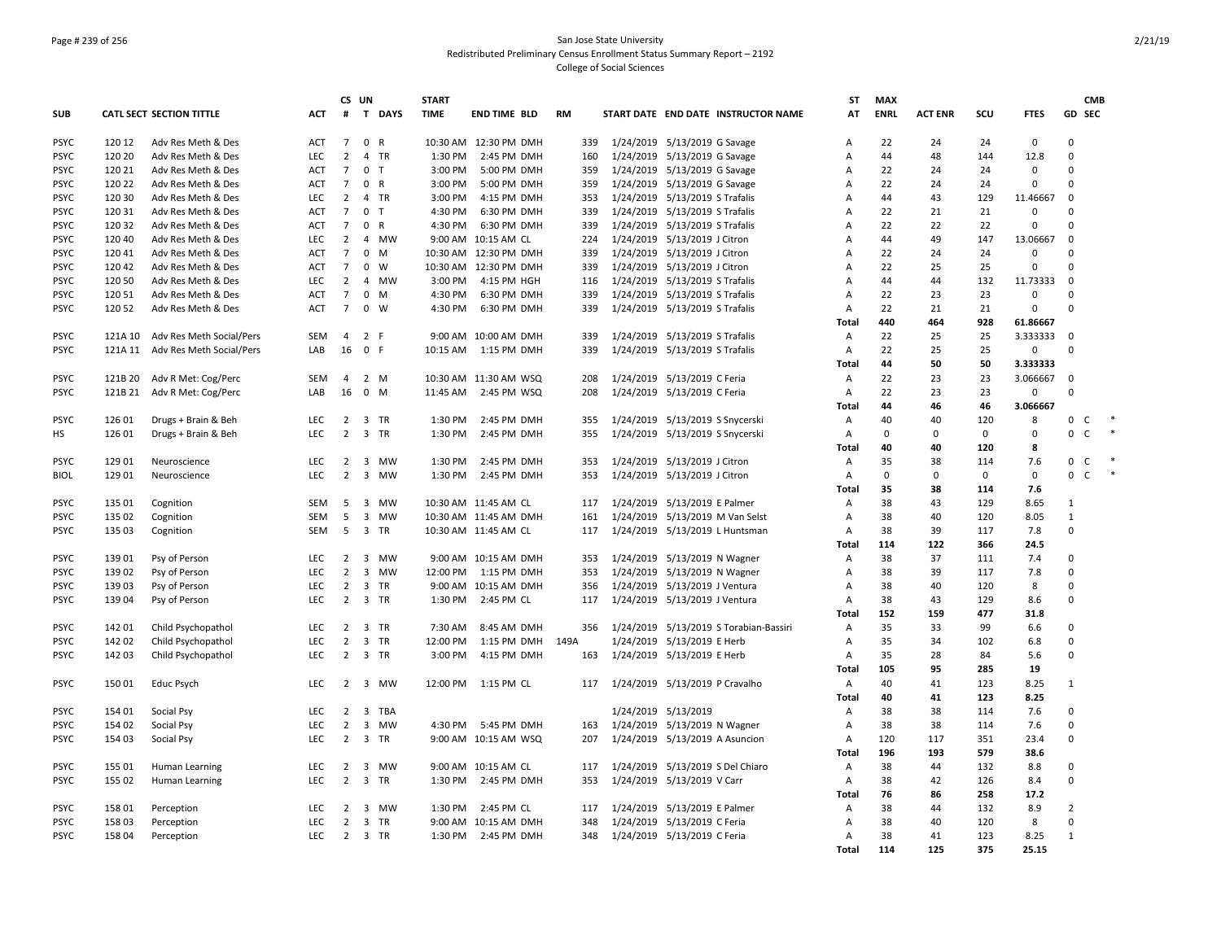### Page # 239 of 256 San Jose State University Redistributed Preliminary Census Enrollment Status Summary Report – 2192 College of Social Sciences

|             |         |                                 |                          |                | CS UN          |              | <b>START</b> |                        |           |                                        | ST           | <b>MAX</b>  |                |            |               |                            | <b>CMB</b>   |        |
|-------------|---------|---------------------------------|--------------------------|----------------|----------------|--------------|--------------|------------------------|-----------|----------------------------------------|--------------|-------------|----------------|------------|---------------|----------------------------|--------------|--------|
| <b>SUB</b>  |         | <b>CATL SECT SECTION TITTLE</b> | <b>ACT</b>               | #              | $\mathbf{T}$   | <b>DAYS</b>  | <b>TIME</b>  | <b>END TIME BLD</b>    | <b>RM</b> | START DATE END DATE INSTRUCTOR NAME    | AT           | <b>ENRL</b> | <b>ACT ENR</b> | scu        | <b>FTES</b>   |                            | GD SEC       |        |
| <b>PSYC</b> | 120 12  | Adv Res Meth & Des              | ACT                      | $\overline{7}$ | $\mathbf 0$    | $\mathsf{R}$ |              | 10:30 AM 12:30 PM DMH  | 339       | 1/24/2019 5/13/2019 G Savage           | Α            | 22          | 24             | 24         | $\mathbf 0$   | $\Omega$                   |              |        |
| <b>PSYC</b> | 120 20  | Adv Res Meth & Des              | <b>LEC</b>               | $\overline{2}$ | $\overline{4}$ | <b>TR</b>    | 1:30 PM      | 2:45 PM DMH            | 160       | 1/24/2019 5/13/2019 G Savage           | Α            | 44          | 48             | 144        | 12.8          | $\Omega$                   |              |        |
| <b>PSYC</b> | 120 21  | Adv Res Meth & Des              | <b>ACT</b>               | $\overline{7}$ | 0 <sub>T</sub> |              | 3:00 PM      | 5:00 PM DMH            | 359       | 1/24/2019 5/13/2019 G Savage           | Α            | 22          | 24             | 24         | $\mathbf 0$   | $\Omega$                   |              |        |
| <b>PSYC</b> | 120 22  | Adv Res Meth & Des              | <b>ACT</b>               | $\overline{7}$ | 0 R            |              | 3:00 PM      | 5:00 PM DMH            | 359       | 1/24/2019 5/13/2019 G Savage           | A            | 22          | 24             | 24         | $\Omega$      | $\Omega$                   |              |        |
| <b>PSYC</b> | 120 30  | Adv Res Meth & Des              | <b>LEC</b>               | $\overline{2}$ | $\overline{4}$ | <b>TR</b>    | 3:00 PM      | 4:15 PM DMH            | 353       | 1/24/2019 5/13/2019 S Trafalis         | Α            | 44          | 43             | 129        | 11.46667      | $\Omega$                   |              |        |
| <b>PSYC</b> | 120 31  | Adv Res Meth & Des              | ACT                      | $\overline{7}$ | 0 <sub>T</sub> |              | 4:30 PM      | 6:30 PM DMH            | 339       | 1/24/2019 5/13/2019 S Trafalis         | Α            | 22          | 21             | 21         | $\Omega$      | $\Omega$                   |              |        |
| <b>PSYC</b> | 120 32  | Adv Res Meth & Des              | <b>ACT</b>               | $\overline{7}$ | 0 R            |              | 4:30 PM      | 6:30 PM DMH            | 339       | 1/24/2019 5/13/2019 S Trafalis         | А            | 22          | 22             | 22         | $\Omega$      | $\Omega$                   |              |        |
| <b>PSYC</b> | 120 40  | Adv Res Meth & Des              | <b>LEC</b>               | $\overline{2}$ | 4              | MW           |              | 9:00 AM 10:15 AM CL    | 224       | 1/24/2019 5/13/2019 J Citron           | A            | 44          | 49             | 147        | 13.06667      | $\Omega$                   |              |        |
| <b>PSYC</b> | 12041   | Adv Res Meth & Des              | <b>ACT</b>               | $\overline{7}$ | $\mathbf 0$    | M            |              | 10:30 AM 12:30 PM DMH  | 339       | 1/24/2019 5/13/2019 J Citron           | A            | 22          | 24             | 24         | $\Omega$      | $\Omega$                   |              |        |
| <b>PSYC</b> | 120 42  | Adv Res Meth & Des              | <b>ACT</b>               | $\overline{7}$ | $\mathbf 0$    | W            |              | 10:30 AM 12:30 PM DMH  | 339       | 1/24/2019 5/13/2019 J Citron           | A            | 22          | 25             | 25         | $\Omega$      | $\Omega$                   |              |        |
| <b>PSYC</b> | 120 50  | Adv Res Meth & Des              | <b>LEC</b>               | $\overline{2}$ | 4              | MW           | 3:00 PM      | 4:15 PM HGH            | 116       | 1/24/2019 5/13/2019 S Trafalis         | Α            | 44          | 44             | 132        | 11.73333      | 0                          |              |        |
| <b>PSYC</b> | 120 51  | Adv Res Meth & Des              | ACT                      | $\overline{7}$ | 0              | M            | 4:30 PM      | 6:30 PM DMH            | 339       | 1/24/2019 5/13/2019 S Trafalis         | Α            | 22          | 23             | 23         | $\Omega$      | $\Omega$                   |              |        |
| <b>PSYC</b> | 120 52  | Adv Res Meth & Des              | ACT                      | $\overline{7}$ | $\mathbf 0$    | W            | 4:30 PM      | 6:30 PM DMH            | 339       | 1/24/2019 5/13/2019 S Trafalis         | Α            | 22          | 21             | 21         | $\mathbf 0$   | $\Omega$                   |              |        |
|             |         |                                 |                          |                |                |              |              |                        |           |                                        | Total        | 440         | 464            | 928        | 61.86667      |                            |              |        |
| <b>PSYC</b> | 121A 10 | Adv Res Meth Social/Pers        | <b>SEM</b>               | $\overline{a}$ | 2 F            |              |              | 9:00 AM 10:00 AM DMH   | 339       | 1/24/2019 5/13/2019 S Trafalis         | Α            | 22          | 25             | 25         | 3.333333      | $\Omega$                   |              |        |
| <b>PSYC</b> | 121A 11 | Adv Res Meth Social/Pers        | LAB                      | 16             | 0 F            |              |              | 10:15 AM   1:15 PM DMH | 339       | 1/24/2019 5/13/2019 S Trafalis         | Α            | 22          | 25             | 25         | $\mathbf 0$   | $\Omega$                   |              |        |
|             |         |                                 |                          |                |                |              |              |                        |           |                                        | <b>Total</b> | 44          | 50             | 50         | 3.333333      |                            |              |        |
| <b>PSYC</b> | 121B 20 | Adv R Met: Cog/Perc             | <b>SEM</b>               | 4              | 2 M            |              |              | 10:30 AM 11:30 AM WSQ  | 208       | 1/24/2019 5/13/2019 C Feria            | Α            | 22          | 23             | 23         | 3.066667      | 0                          |              |        |
| <b>PSYC</b> |         | 121B 21 Adv R Met: Cog/Perc     | LAB                      | 16             | $0 \t M$       |              | 11:45 AM     | 2:45 PM WSQ            | 208       | 1/24/2019 5/13/2019 C Feria            | A            | 22          | 23             | 23         | $\Omega$      | $\Omega$                   |              |        |
|             |         |                                 |                          |                |                |              |              |                        |           |                                        | Total        | 44          | 46             | 46         | 3.066667      |                            |              |        |
| <b>PSYC</b> | 126 01  | Drugs + Brain & Beh             | <b>LEC</b>               | $\overline{2}$ | 3 TR           |              | 1:30 PM      | 2:45 PM DMH            | 355       | 1/24/2019 5/13/2019 S Snycerski        | Α            | 40          | 40             | 120        | 8             | 0                          | $\mathsf{C}$ |        |
| HS          | 126 01  | Drugs + Brain & Beh             | <b>LEC</b>               | $\overline{2}$ | 3 TR           |              | 1:30 PM      | 2:45 PM DMH            | 355       | 1/24/2019 5/13/2019 S Snycerski        | Α            | $\mathbf 0$ | $\mathbf 0$    | $\Omega$   | $\mathbf 0$   | $\mathbf 0$                | $\mathsf{C}$ | $\ast$ |
|             |         |                                 |                          |                |                |              |              |                        |           |                                        | Total        | 40          | 40             | 120        | 8             |                            |              |        |
| <b>PSYC</b> | 12901   | Neuroscience                    | <b>LEC</b>               | $\overline{2}$ |                | 3 MW         | 1:30 PM      | 2:45 PM DMH            | 353       | 1/24/2019 5/13/2019 J Citron           | Α            | 35          | 38             | 114        | 7.6           | $\mathbf 0$                | $\mathsf{C}$ |        |
| <b>BIOL</b> | 129 01  | Neuroscience                    | <b>LEC</b>               | 2              |                | 3 MW         | 1:30 PM      | 2:45 PM DMH            | 353       | 1/24/2019 5/13/2019 J Citron           | Α            | $\mathbf 0$ | 0              | $\Omega$   | $\mathbf 0$   | $\mathbf 0$                | $\mathsf{C}$ | $\ast$ |
|             |         |                                 |                          |                |                |              |              |                        |           |                                        | Total        | 35          | 38             | 114        | 7.6           |                            |              |        |
| <b>PSYC</b> | 135 01  | Cognition                       | <b>SEM</b>               | 5              |                | 3 MW         |              | 10:30 AM 11:45 AM CL   | 117       | 1/24/2019 5/13/2019 E Palmer           | Α            | 38          | 43             | 129        | 8.65          | $\mathbf{1}$               |              |        |
| <b>PSYC</b> | 135 02  | Cognition                       | SEM                      | 5              | 3              | MW           |              | 10:30 AM 11:45 AM DMH  | 161       | 1/24/2019 5/13/2019 M Van Selst        | Α            | 38          | 40             | 120        | 8.05          | $\mathbf{1}$               |              |        |
| <b>PSYC</b> | 135 03  | Cognition                       | <b>SEM</b>               | 5              | 3 TR           |              |              | 10:30 AM 11:45 AM CL   | 117       | 1/24/2019 5/13/2019 L Huntsman         | A            | 38          | 39             | 117        | 7.8           | $\Omega$                   |              |        |
|             |         |                                 |                          |                |                |              |              |                        |           |                                        | Total        | 114         | 122            | 366        | 24.5          |                            |              |        |
| <b>PSYC</b> | 139 01  | Psy of Person                   | <b>LEC</b>               | $\overline{2}$ | 3              | <b>MW</b>    |              | 9:00 AM 10:15 AM DMH   | 353       | 1/24/2019 5/13/2019 N Wagner           | Α            | 38          | 37             | 111        | 7.4           | $\Omega$                   |              |        |
| <b>PSYC</b> | 139 02  | Psy of Person                   | <b>LEC</b>               | $\overline{2}$ | 3              | <b>MW</b>    |              | 12:00 PM 1:15 PM DMH   | 353       | 1/24/2019 5/13/2019 N Wagner           | Α            | 38          | 39             | 117        | 7.8           | $\Omega$                   |              |        |
| <b>PSYC</b> | 139 03  | Psy of Person                   | <b>LEC</b>               | $\overline{2}$ | 3 TR           |              |              | 9:00 AM 10:15 AM DMH   | 356       | 1/24/2019 5/13/2019 J Ventura          | Α            | 38          | 40             | 120        | 8             | $\Omega$                   |              |        |
| <b>PSYC</b> | 139 04  | Psy of Person                   | <b>LEC</b>               | $\overline{2}$ | $\overline{3}$ | <b>TR</b>    | 1:30 PM      | 2:45 PM CL             | 117       | 1/24/2019 5/13/2019 J Ventura          | A            | 38          | 43             | 129        | 8.6           | $\Omega$                   |              |        |
|             |         |                                 |                          |                |                |              |              |                        |           |                                        | Total        | 152         | 159            | 477        | 31.8          |                            |              |        |
| <b>PSYC</b> | 142 01  | Child Psychopathol              | <b>LEC</b>               | $\overline{2}$ | 3 TR           |              | 7:30 AM      | 8:45 AM DMH            | 356       | 1/24/2019 5/13/2019 S Torabian-Bassiri | Α            | 35          | 33             | 99         | 6.6           | $\mathbf 0$                |              |        |
| <b>PSYC</b> | 142 02  | Child Psychopathol              | <b>LEC</b>               | $\overline{2}$ | 3              | <b>TR</b>    | 12:00 PM     | 1:15 PM DMH            | 149A      | 1/24/2019 5/13/2019 E Herb             | A            | 35          | 34             | 102        | 6.8           | $\Omega$                   |              |        |
| <b>PSYC</b> | 142 03  | Child Psychopathol              | <b>LEC</b>               | $\overline{2}$ | 3 TR           |              | 3:00 PM      | 4:15 PM DMH            | 163       | 1/24/2019 5/13/2019 E Herb             | A            | 35          | 28             | 84         | 5.6           | $\Omega$                   |              |        |
|             |         |                                 |                          |                |                |              |              |                        |           |                                        | Total        | 105         | 95             | 285        | 19            |                            |              |        |
| <b>PSYC</b> | 15001   | <b>Educ Psych</b>               | <b>LEC</b>               | 2              | 3              | <b>MW</b>    |              | 12:00 PM 1:15 PM CL    | 117       | 1/24/2019 5/13/2019 P Cravalho         | Α            | 40          | 41             | 123        | 8.25          | $\mathbf{1}$               |              |        |
|             |         |                                 |                          |                |                |              |              |                        |           |                                        | Total        | 40          | 41             | 123        | 8.25          |                            |              |        |
| <b>PSYC</b> | 154 01  | Social Psy                      | <b>LEC</b>               | $\overline{2}$ |                | 3 TBA        |              |                        |           | 1/24/2019 5/13/2019                    | Α            | 38          | 38             | 114        | 7.6           | $\Omega$                   |              |        |
| <b>PSYC</b> | 154 02  | Social Psy                      | <b>LEC</b>               | $\overline{2}$ | 3              | <b>MW</b>    |              | 4:30 PM 5:45 PM DMH    | 163       | 1/24/2019 5/13/2019 N Wagner           | A            | 38          | 38             | 114        | 7.6           | $\Omega$                   |              |        |
| <b>PSYC</b> | 154 03  | Social Psy                      | <b>LEC</b>               | $\overline{2}$ | 3 TR           |              |              | 9:00 AM 10:15 AM WSQ   | 207       | 1/24/2019 5/13/2019 A Asuncion         | A            | 120         | 117            | 351        | 23.4          | $\Omega$                   |              |        |
|             |         |                                 |                          |                |                |              |              |                        |           |                                        | Total        | 196         | 193            | 579        | 38.6          | $\Omega$                   |              |        |
| <b>PSYC</b> | 155 01  | Human Learning                  | <b>LEC</b>               | $\overline{2}$ | 3              | MW           |              | 9:00 AM 10:15 AM CL    | 117       | 1/24/2019 5/13/2019 S Del Chiaro       | A            | 38          | 44             | 132        | 8.8           |                            |              |        |
| <b>PSYC</b> | 155 02  | Human Learning                  | <b>LEC</b>               | $\overline{2}$ | 3 TR           |              |              | 1:30 PM 2:45 PM DMH    | 353       | 1/24/2019 5/13/2019 V Carr             | Α            | 38          | 42             | 126        | 8.4           | 0                          |              |        |
|             |         |                                 |                          |                |                |              |              |                        |           |                                        | Total        | 76          | 86             | 258        | 17.2          |                            |              |        |
| <b>PSYC</b> | 158 01  | Perception                      | <b>LEC</b><br><b>LEC</b> | 2              |                | 3 MW         | 1:30 PM      | 2:45 PM CL             | 117       | 1/24/2019 5/13/2019 E Palmer           | Α            | 38<br>38    | 44             | 132<br>120 | 8.9           | $\overline{2}$<br>$\Omega$ |              |        |
| <b>PSYC</b> | 158 03  | Perception                      |                          | $\overline{2}$ | 3 TR           |              |              | 9:00 AM 10:15 AM DMH   | 348       | 1/24/2019 5/13/2019 C Feria            | Α            |             | 40             |            | 8             | $\mathbf{1}$               |              |        |
| <b>PSYC</b> | 158 04  | Perception                      | <b>LEC</b>               | $\overline{2}$ | 3 TR           |              |              | 1:30 PM 2:45 PM DMH    | 348       | 1/24/2019 5/13/2019 C Feria            | Α            | 38          | 41<br>125      | 123<br>375 | 8.25<br>25.15 |                            |              |        |
|             |         |                                 |                          |                |                |              |              |                        |           |                                        | <b>Total</b> | 114         |                |            |               |                            |              |        |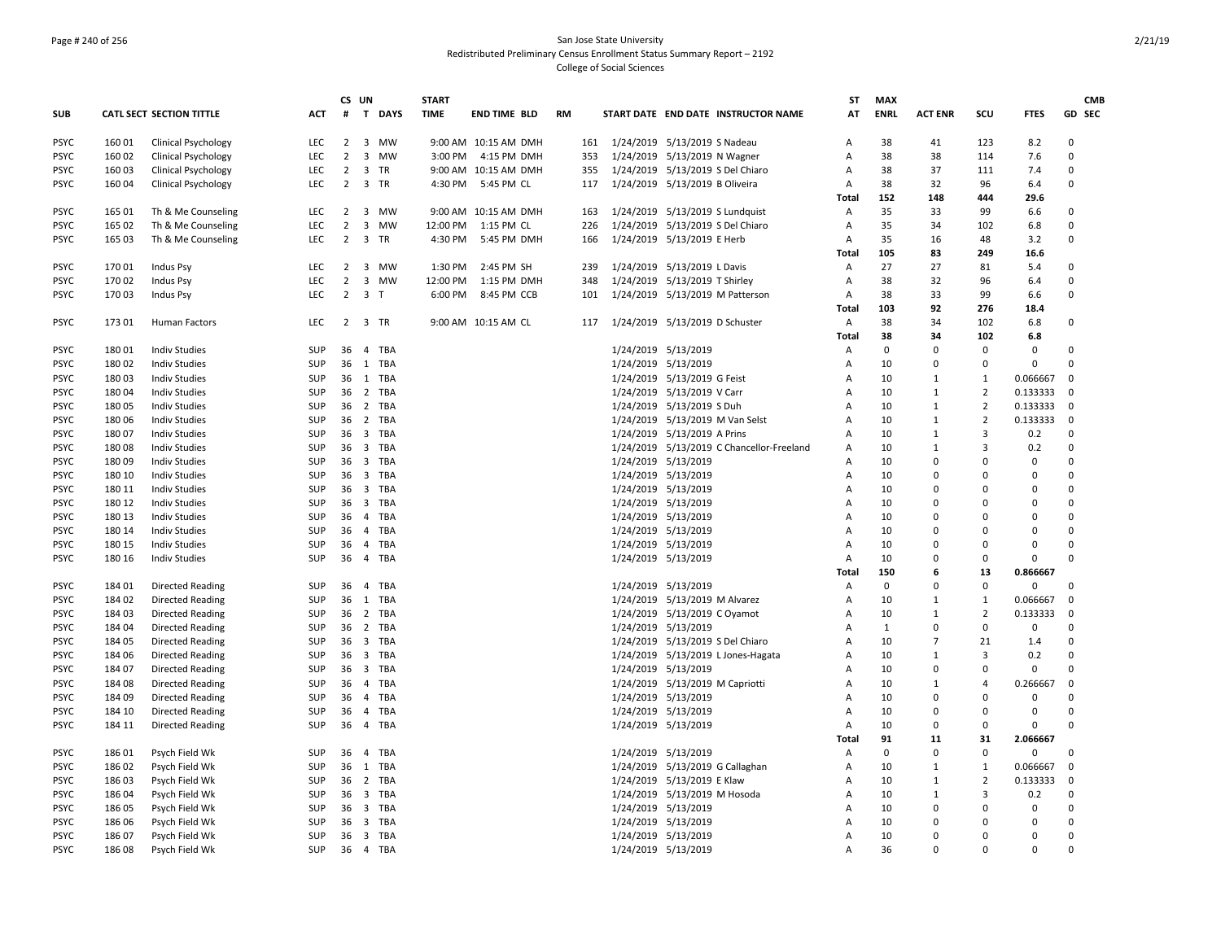### Page # 240 of 256 San Jose State University Redistributed Preliminary Census Enrollment Status Summary Report – 2192 College of Social Sciences

|             |        |                                 |            |                 | CS UN                          | <b>START</b> |                      |           |     |                     |                                  |                                           | ST           | <b>MAX</b>  |                |                |             | <b>CMB</b>  |
|-------------|--------|---------------------------------|------------|-----------------|--------------------------------|--------------|----------------------|-----------|-----|---------------------|----------------------------------|-------------------------------------------|--------------|-------------|----------------|----------------|-------------|-------------|
| <b>SUB</b>  |        | <b>CATL SECT SECTION TITTLE</b> | <b>ACT</b> | #               | T DAYS                         | <b>TIME</b>  | <b>END TIME BLD</b>  | <b>RM</b> |     |                     |                                  | START DATE END DATE INSTRUCTOR NAME       | AT           | <b>ENRL</b> | <b>ACT ENR</b> | SCU            | <b>FTES</b> | GD SEC      |
|             |        |                                 |            |                 |                                |              |                      |           |     |                     |                                  |                                           |              |             |                |                |             |             |
| <b>PSYC</b> | 160 01 | Clinical Psychology             | LEC        | 2               | 3 MW                           |              | 9:00 AM 10:15 AM DMH |           | 161 |                     | 1/24/2019 5/13/2019 S Nadeau     |                                           | А            | 38          | 41             | 123            | 8.2         | $\Omega$    |
| <b>PSYC</b> | 160 02 | Clinical Psychology             | <b>LEC</b> | 2               | 3 MW                           |              | 3:00 PM 4:15 PM DMH  |           | 353 |                     | 1/24/2019 5/13/2019 N Wagner     |                                           | A            | 38          | 38             | 114            | 7.6         | $\Omega$    |
| <b>PSYC</b> | 160 03 | Clinical Psychology             | LEC        | $\overline{2}$  | $\overline{\mathbf{3}}$<br>TR  |              | 9:00 AM 10:15 AM DMH |           | 355 |                     | 1/24/2019 5/13/2019 S Del Chiaro |                                           | Α            | 38          | 37             | 111            | 7.4         | $\Omega$    |
| <b>PSYC</b> | 160 04 | Clinical Psychology             | LEC        | $\overline{2}$  | 3 TR                           | 4:30 PM      | 5:45 PM CL           |           | 117 |                     | 1/24/2019 5/13/2019 B Oliveira   |                                           | Α            | 38          | 32             | 96             | 6.4         | $\Omega$    |
|             |        |                                 |            |                 |                                |              |                      |           |     |                     |                                  |                                           | <b>Total</b> | 152         | 148            | 444            | 29.6        |             |
| <b>PSYC</b> | 165 01 | Th & Me Counseling              | LEC        | 2               | 3 MW                           |              | 9:00 AM 10:15 AM DMH |           | 163 |                     | 1/24/2019 5/13/2019 S Lundquist  |                                           | Α            | 35          | 33             | 99             | 6.6         | 0           |
| <b>PSYC</b> | 165 02 | Th & Me Counseling              | <b>LEC</b> | $\overline{2}$  | $\overline{\mathbf{3}}$<br>MW  | 12:00 PM     | 1:15 PM CL           |           | 226 |                     | 1/24/2019 5/13/2019 S Del Chiaro |                                           | Α            | 35          | 34             | 102            | 6.8         | $\Omega$    |
| <b>PSYC</b> | 165 03 | Th & Me Counseling              | LEC        | $2^{\circ}$     | 3 TR                           | 4:30 PM      | 5:45 PM DMH          |           | 166 |                     | 1/24/2019 5/13/2019 E Herb       |                                           | Α            | 35          | 16             | 48             | 3.2         | $\Omega$    |
|             |        |                                 |            |                 |                                |              |                      |           |     |                     |                                  |                                           | Total        | 105         | 83             | 249            | 16.6        |             |
| <b>PSYC</b> | 170 01 | Indus Psy                       | <b>LEC</b> | $\overline{2}$  | 3 MW                           | 1:30 PM      | 2:45 PM SH           |           | 239 |                     | 1/24/2019 5/13/2019 L Davis      |                                           | A            | 27          | 27             | 81             | 5.4         | $\Omega$    |
| <b>PSYC</b> | 170 02 | <b>Indus Psy</b>                | LEC        | $\overline{2}$  | 3 MW                           | 12:00 PM     | 1:15 PM DMH          |           | 348 |                     | 1/24/2019 5/13/2019 T Shirley    |                                           | Α            | 38          | 32             | 96             | 6.4         | 0           |
| <b>PSYC</b> | 170 03 | Indus Psy                       | <b>LEC</b> | 2               | 3 <sub>T</sub>                 | 6:00 PM      | 8:45 PM CCB          |           | 101 |                     | 1/24/2019 5/13/2019 M Patterson  |                                           | A            | 38          | 33             | 99             | 6.6         | $\mathbf 0$ |
|             |        |                                 |            |                 |                                |              |                      |           |     |                     |                                  |                                           | Total        | 103         | 92             | 276            | 18.4        |             |
| <b>PSYC</b> | 173 01 | Human Factors                   | <b>LEC</b> | $\overline{2}$  | 3 TR                           |              | 9:00 AM 10:15 AM CL  |           | 117 |                     | 1/24/2019 5/13/2019 D Schuster   |                                           | Α            | 38          | 34             | 102            | 6.8         | $\Omega$    |
|             |        |                                 |            |                 |                                |              |                      |           |     |                     |                                  |                                           | Total        | 38          | 34             | 102            | 6.8         |             |
| <b>PSYC</b> | 18001  | <b>Indiv Studies</b>            | SUP        | 36              | 4 TBA                          |              |                      |           |     | 1/24/2019 5/13/2019 |                                  |                                           | А            | $\mathbf 0$ | $\mathbf 0$    | $\mathbf 0$    | $\mathbf 0$ | $\Omega$    |
| <b>PSYC</b> | 180 02 | <b>Indiv Studies</b>            | <b>SUP</b> | 36              | 1 TBA                          |              |                      |           |     | 1/24/2019 5/13/2019 |                                  |                                           | Α            | 10          | $\mathbf 0$    | $\mathbf 0$    | $\mathbf 0$ | $\Omega$    |
| <b>PSYC</b> | 180 03 | <b>Indiv Studies</b>            | SUP        |                 | 36 1 TBA                       |              |                      |           |     |                     | 1/24/2019 5/13/2019 G Feist      |                                           | А            | 10          | 1              | 1              | 0.066667    | $\Omega$    |
| <b>PSYC</b> | 180 04 | <b>Indiv Studies</b>            | SUP        |                 | 36 2 TBA                       |              |                      |           |     |                     | 1/24/2019 5/13/2019 V Carr       |                                           | A            | 10          | $\mathbf{1}$   | $\overline{2}$ | 0.133333    | $\Omega$    |
| <b>PSYC</b> | 180 05 | <b>Indiv Studies</b>            | SUP        | 36              | 2 TBA                          |              |                      |           |     |                     | 1/24/2019 5/13/2019 S Duh        |                                           | Α            | 10          | $\mathbf{1}$   | $\overline{2}$ | 0.133333    | $\mathbf 0$ |
| <b>PSYC</b> | 18006  | <b>Indiv Studies</b>            | SUP        | 36              | 2 TBA                          |              |                      |           |     |                     | 1/24/2019 5/13/2019 M Van Selst  |                                           | Α            | 10          | 1              | $\overline{2}$ | 0.133333    | $\mathbf 0$ |
| <b>PSYC</b> | 18007  | <b>Indiv Studies</b>            | SUP        |                 | 36 3 TBA                       |              |                      |           |     |                     | 1/24/2019 5/13/2019 A Prins      |                                           | A            | 10          | $\mathbf{1}$   | 3              | 0.2         | $\Omega$    |
| <b>PSYC</b> | 18008  | <b>Indiv Studies</b>            | SUP        | 36              | 3 TBA                          |              |                      |           |     |                     |                                  | 1/24/2019 5/13/2019 C Chancellor-Freeland | Α            | 10          | $\mathbf{1}$   | $\mathbf{a}$   | 0.2         | $\mathbf 0$ |
| <b>PSYC</b> | 18009  | <b>Indiv Studies</b>            | <b>SUP</b> | 36 <sub>3</sub> | TBA                            |              |                      |           |     | 1/24/2019 5/13/2019 |                                  |                                           | A            | 10          | $\mathbf 0$    | $\Omega$       | $\Omega$    | 0           |
| <b>PSYC</b> | 180 10 | <b>Indiv Studies</b>            | SUP        |                 | 36 3 TBA                       |              |                      |           |     | 1/24/2019 5/13/2019 |                                  |                                           | Α            | 10          | $\Omega$       | $\Omega$       | $\Omega$    | $\Omega$    |
| <b>PSYC</b> | 180 11 | <b>Indiv Studies</b>            | SUP        | 36              | 3 TBA                          |              |                      |           |     | 1/24/2019 5/13/2019 |                                  |                                           | Α            | 10          | 0              | $\Omega$       | $\Omega$    | $\Omega$    |
| <b>PSYC</b> | 180 12 | <b>Indiv Studies</b>            | SUP        |                 | 36 3 TBA                       |              |                      |           |     | 1/24/2019 5/13/2019 |                                  |                                           | Α            | 10          | $\mathbf 0$    | $\Omega$       | $\Omega$    | $\Omega$    |
| <b>PSYC</b> | 180 13 |                                 |            | 36              | $\overline{4}$<br>TBA          |              |                      |           |     |                     |                                  |                                           |              | 10          | $\mathbf 0$    | $\Omega$       | $\Omega$    | $\Omega$    |
|             |        | <b>Indiv Studies</b>            | SUP        |                 | 4 TBA                          |              |                      |           |     | 1/24/2019 5/13/2019 |                                  |                                           | Α            |             | $\Omega$       | $\Omega$       | $\Omega$    | $\Omega$    |
| <b>PSYC</b> | 180 14 | <b>Indiv Studies</b>            | SUP        | 36              |                                |              |                      |           |     | 1/24/2019 5/13/2019 |                                  |                                           | A            | 10          |                |                |             |             |
| <b>PSYC</b> | 180 15 | <b>Indiv Studies</b>            | SUP        | 36              | 4 TBA                          |              |                      |           |     | 1/24/2019 5/13/2019 |                                  |                                           | Α            | 10          | $\mathbf 0$    | $\Omega$       | $\mathbf 0$ | $\Omega$    |
| <b>PSYC</b> | 180 16 | <b>Indiv Studies</b>            | <b>SUP</b> | 36              | $\overline{4}$<br><b>TBA</b>   |              |                      |           |     | 1/24/2019 5/13/2019 |                                  |                                           | A            | 10          | $\Omega$       | $\Omega$       | $\Omega$    | O           |
|             |        |                                 |            |                 |                                |              |                      |           |     |                     |                                  |                                           | Total        | 150         | 6              | 13             | 0.866667    |             |
| <b>PSYC</b> | 184 01 | Directed Reading                | SUP        | 36              | TBA<br>$\overline{4}$          |              |                      |           |     | 1/24/2019 5/13/2019 |                                  |                                           | Α            | $\mathbf 0$ | $\Omega$       | $\mathbf 0$    | $\mathbf 0$ | $\Omega$    |
| <b>PSYC</b> | 184 02 | <b>Directed Reading</b>         | <b>SUP</b> | 36              | 1 TBA                          |              |                      |           |     |                     | 1/24/2019 5/13/2019 M Alvarez    |                                           | Α            | 10          | $\mathbf{1}$   | $\mathbf{1}$   | 0.066667    | $\Omega$    |
| <b>PSYC</b> | 184 03 | <b>Directed Reading</b>         | SUP        | 36              | 2 TBA                          |              |                      |           |     |                     | 1/24/2019 5/13/2019 C Oyamot     |                                           | A            | 10          | 1              | $\overline{2}$ | 0.133333    | $\mathbf 0$ |
| <b>PSYC</b> | 184 04 | Directed Reading                | SUP        |                 | 36 2 TBA                       |              |                      |           |     | 1/24/2019 5/13/2019 |                                  |                                           | A            | 1           | 0              | $\mathbf 0$    | $\mathbf 0$ | $\Omega$    |
| <b>PSYC</b> | 184 05 | Directed Reading                | SUP        | 36              | $\overline{\mathbf{3}}$<br>TBA |              |                      |           |     |                     | 1/24/2019 5/13/2019 S Del Chiaro |                                           | Α            | 10          | $\overline{7}$ | 21             | 1.4         | $\Omega$    |
| <b>PSYC</b> | 184 06 | Directed Reading                | SUP        | 36              | 3 TBA                          |              |                      |           |     |                     |                                  | 1/24/2019 5/13/2019 L Jones-Hagata        | Α            | 10          | 1              | 3              | 0.2         | $\Omega$    |
| <b>PSYC</b> | 184 07 | <b>Directed Reading</b>         | SUP        |                 | 36 3 TBA                       |              |                      |           |     | 1/24/2019 5/13/2019 |                                  |                                           | A            | 10          | $\mathbf{0}$   | $\Omega$       | $\Omega$    | $\Omega$    |
| <b>PSYC</b> | 184 08 | Directed Reading                | SUP        | 36              | <b>TBA</b><br>4                |              |                      |           |     |                     | 1/24/2019 5/13/2019 M Capriotti  |                                           | Α            | 10          | 1              | $\overline{a}$ | 0.266667    | $\mathbf 0$ |
| <b>PSYC</b> | 184 09 | Directed Reading                | <b>SUP</b> | 36              | 4 TBA                          |              |                      |           |     | 1/24/2019 5/13/2019 |                                  |                                           | A            | 10          | 0              | $\mathbf 0$    | 0           | 0           |
| <b>PSYC</b> | 184 10 | Directed Reading                | SUP        | 36              | $\overline{4}$<br>TBA          |              |                      |           |     | 1/24/2019 5/13/2019 |                                  |                                           | А            | 10          | $\mathbf{0}$   | $\Omega$       | $\Omega$    | $\Omega$    |
| <b>PSYC</b> | 184 11 | <b>Directed Reading</b>         | SUP        | 36              | $\overline{4}$<br><b>TBA</b>   |              |                      |           |     | 1/24/2019 5/13/2019 |                                  |                                           | А            | 10          | $\mathbf 0$    | $\Omega$       | $\mathbf 0$ | $\Omega$    |
|             |        |                                 |            |                 |                                |              |                      |           |     |                     |                                  |                                           | Total        | 91          | 11             | 31             | 2.066667    |             |
| <b>PSYC</b> | 18601  | Psych Field Wk                  | SUP        | 36              | TBA<br>$\overline{4}$          |              |                      |           |     | 1/24/2019 5/13/2019 |                                  |                                           | Α            | $\mathbf 0$ | $\mathbf{0}$   | $\Omega$       | $\mathbf 0$ | $\Omega$    |
| <b>PSYC</b> | 186 02 | Psych Field Wk                  | SUP        | 36              | 1<br>TBA                       |              |                      |           |     |                     | 1/24/2019 5/13/2019 G Callaghan  |                                           | Α            | 10          | $\mathbf{1}$   | $\mathbf{1}$   | 0.066667    | $\mathbf 0$ |
| <b>PSYC</b> | 18603  | Psych Field Wk                  | SUP        |                 | 36 2 TBA                       |              |                      |           |     |                     | 1/24/2019 5/13/2019 E Klaw       |                                           | Α            | 10          | $\mathbf{1}$   | $\overline{2}$ | 0.133333    | $\mathbf 0$ |
| <b>PSYC</b> | 186 04 | Psych Field Wk                  | SUP        | 36              | $\overline{\mathbf{3}}$<br>TBA |              |                      |           |     |                     | 1/24/2019 5/13/2019 M Hosoda     |                                           | A            | 10          | $\mathbf{1}$   | 3              | 0.2         | $\Omega$    |
| <b>PSYC</b> | 186 05 | Psych Field Wk                  | SUP        | 36              | 3 TBA                          |              |                      |           |     | 1/24/2019 5/13/2019 |                                  |                                           | Α            | 10          | $\mathbf 0$    | $\mathbf 0$    | $\Omega$    | $\Omega$    |
| <b>PSYC</b> | 186 06 | Psych Field Wk                  | SUP        | 36              | 3 TBA                          |              |                      |           |     | 1/24/2019 5/13/2019 |                                  |                                           | Α            | 10          | $\mathbf 0$    | $\Omega$       | $\Omega$    | $\Omega$    |
| <b>PSYC</b> | 18607  | Psych Field Wk                  | SUP        | 36              | 3 TBA                          |              |                      |           |     | 1/24/2019 5/13/2019 |                                  |                                           | A            | 10          | $\Omega$       | $\Omega$       | $\Omega$    | $\Omega$    |
| <b>PSYC</b> | 18608  | Psych Field Wk                  | SUP        | 36              | 4 TBA                          |              |                      |           |     | 1/24/2019 5/13/2019 |                                  |                                           | Α            | 36          | $\mathbf 0$    | $\Omega$       | $\Omega$    | $\Omega$    |
|             |        |                                 |            |                 |                                |              |                      |           |     |                     |                                  |                                           |              |             |                |                |             |             |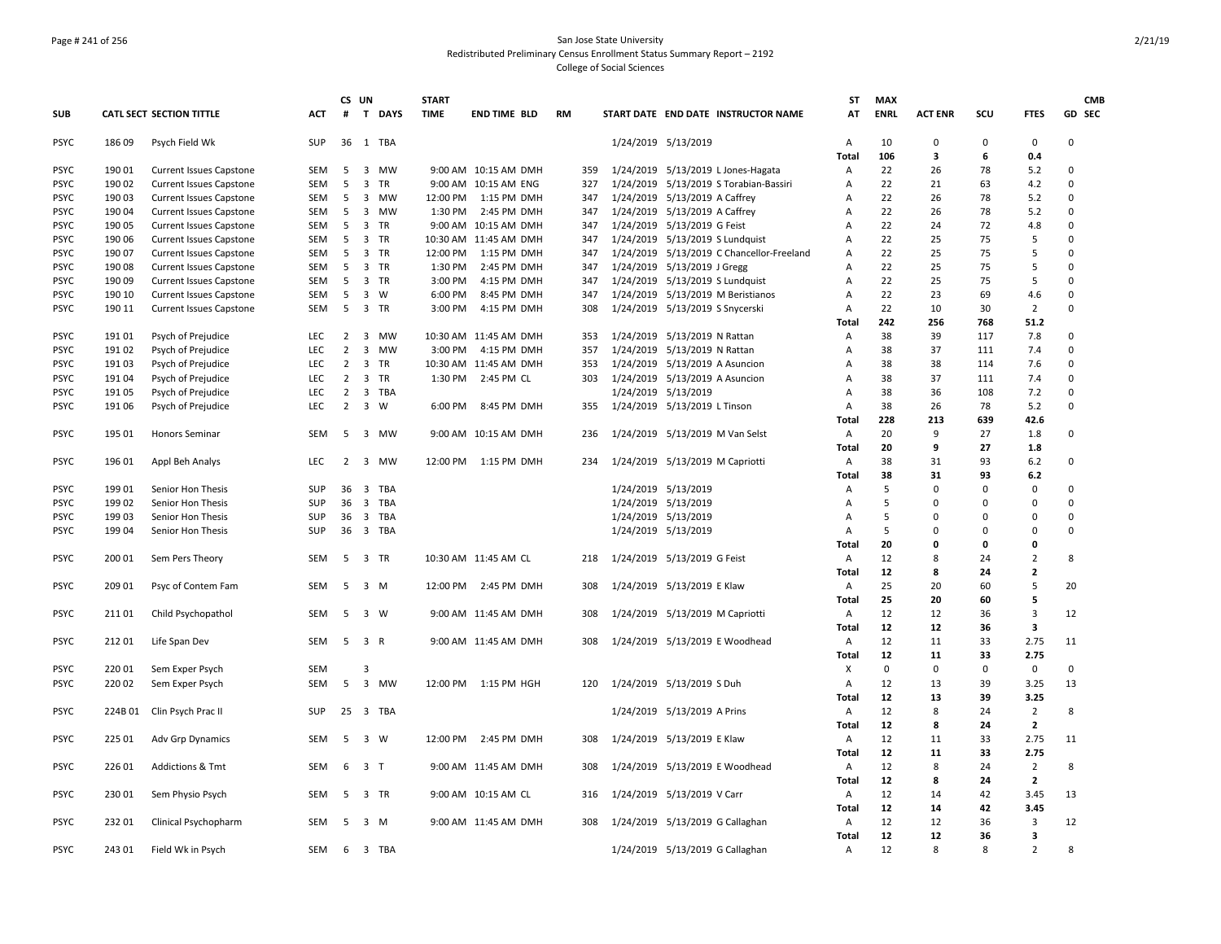### Page # 241 of 256 San Jose State University Redistributed Preliminary Census Enrollment Status Summary Report – 2192 College of Social Sciences

|             |         |                                 |            |                | CS UN                   |             | <b>START</b> |                       |           |     |                     |                                           | <b>ST</b>      | <b>MAX</b>  |                |              |                          | <b>CMB</b>  |
|-------------|---------|---------------------------------|------------|----------------|-------------------------|-------------|--------------|-----------------------|-----------|-----|---------------------|-------------------------------------------|----------------|-------------|----------------|--------------|--------------------------|-------------|
| <b>SUB</b>  |         | <b>CATL SECT SECTION TITTLE</b> | <b>ACT</b> | #              |                         | T DAYS      | <b>TIME</b>  | <b>END TIME BLD</b>   | <b>RM</b> |     |                     | START DATE END DATE INSTRUCTOR NAME       | AT             | <b>ENRL</b> | <b>ACT ENR</b> | SCU          | <b>FTES</b>              | GD SEC      |
| <b>PSYC</b> | 186 09  | Psych Field Wk                  | SUP        | 36             |                         | 1 TBA       |              |                       |           |     | 1/24/2019 5/13/2019 |                                           | A              | 10          | $\mathbf 0$    | $\mathbf 0$  | $\mathbf 0$              | $\mathbf 0$ |
|             |         |                                 |            |                |                         |             |              |                       |           |     |                     |                                           | <b>Total</b>   | 106         | 3              | 6            | 0.4                      |             |
| <b>PSYC</b> | 190 01  | <b>Current Issues Capstone</b>  | SEM        | 5              | $\overline{\mathbf{3}}$ | MW          |              | 9:00 AM 10:15 AM DMH  |           | 359 |                     | 1/24/2019 5/13/2019 L Jones-Hagata        | А              | 22          | 26             | 78           | 5.2                      | $\mathbf 0$ |
| <b>PSYC</b> | 190 02  | Current Issues Capstone         | <b>SEM</b> | 5              | $\overline{\mathbf{3}}$ | <b>TR</b>   |              | 9:00 AM 10:15 AM ENG  |           | 327 |                     | 1/24/2019 5/13/2019 S Torabian-Bassiri    | Α              | 22          | 21             | 63           | 4.2                      | $\mathbf 0$ |
| <b>PSYC</b> | 190 03  | <b>Current Issues Capstone</b>  | <b>SEM</b> | 5              |                         | 3 MW        | 12:00 PM     | 1:15 PM DMH           |           | 347 |                     | 1/24/2019 5/13/2019 A Caffrey             | Α              | 22          | 26             | 78           | 5.2                      | $\Omega$    |
| <b>PSYC</b> | 190 04  | <b>Current Issues Capstone</b>  | SEM        | 5              | $\overline{\mathbf{3}}$ | MW          | 1:30 PM      | 2:45 PM DMH           |           | 347 |                     | 1/24/2019 5/13/2019 A Caffrey             | Α              | 22          | 26             | 78           | 5.2                      | $\mathbf 0$ |
| <b>PSYC</b> | 190 05  | <b>Current Issues Capstone</b>  | SEM        | - 5            |                         | 3 TR        |              | 9:00 AM 10:15 AM DMH  |           | 347 |                     | 1/24/2019 5/13/2019 G Feist               | Α              | 22          | 24             | 72           | 4.8                      | 0           |
| <b>PSYC</b> | 190 06  | <b>Current Issues Capstone</b>  | <b>SEM</b> | 5              |                         | 3 TR        |              | 10:30 AM 11:45 AM DMH |           | 347 |                     | 1/24/2019 5/13/2019 S Lundquist           | Α              | 22          | 25             | 75           | 5                        | $\mathbf 0$ |
| <b>PSYC</b> | 190 07  | <b>Current Issues Capstone</b>  | SEM        | 5              |                         | 3 TR        | 12:00 PM     | 1:15 PM DMH           |           | 347 |                     | 1/24/2019 5/13/2019 C Chancellor-Freeland | Α              | 22          | 25             | 75           | 5                        | $\Omega$    |
| <b>PSYC</b> | 190 08  | Current Issues Capstone         | SEM        | - 5            |                         | 3 TR        | 1:30 PM      | 2:45 PM DMH           |           | 347 |                     | 1/24/2019 5/13/2019 J Gregg               | Α              | 22          | 25             | 75           | 5                        | $\mathbf 0$ |
| <b>PSYC</b> | 190 09  | Current Issues Capstone         | <b>SEM</b> | 5              |                         | 3 TR        | 3:00 PM      | 4:15 PM DMH           |           | 347 |                     | 1/24/2019 5/13/2019 S Lundquist           | A              | 22          | 25             | 75           | 5                        | $\mathbf 0$ |
| <b>PSYC</b> | 190 10  | <b>Current Issues Capstone</b>  | <b>SEM</b> | 5              |                         | $3 \quad W$ | 6:00 PM      | 8:45 PM DMH           |           | 347 |                     | 1/24/2019 5/13/2019 M Beristianos         | Α              | 22          | 23             | 69           | 4.6                      | $\mathbf 0$ |
| <b>PSYC</b> | 190 11  | <b>Current Issues Capstone</b>  | SEM        | 5              |                         | 3 TR        | 3:00 PM      | 4:15 PM DMH           |           | 308 |                     | 1/24/2019 5/13/2019 S Snycerski           | А              | 22          | 10             | 30           | $\overline{2}$           | $\mathbf 0$ |
|             |         |                                 |            |                |                         |             |              |                       |           |     |                     |                                           | <b>Total</b>   | 242         | 256            | 768          | 51.2                     |             |
| <b>PSYC</b> | 19101   | Psych of Prejudice              | <b>LEC</b> | 2              | $\overline{3}$          | <b>MW</b>   |              | 10:30 AM 11:45 AM DMH |           | 353 |                     | 1/24/2019 5/13/2019 N Rattan              | Α              | 38          | 39             | 117          | 7.8                      | $\mathbf 0$ |
| <b>PSYC</b> | 19102   | Psych of Prejudice              | <b>LEC</b> | $\overline{2}$ | $\overline{\mathbf{3}}$ | MW          | 3:00 PM      | 4:15 PM DMH           |           | 357 |                     | 1/24/2019 5/13/2019 N Rattan              | А              | 38          | 37             | 111          | 7.4                      | $\mathbf 0$ |
| <b>PSYC</b> | 191 03  | Psych of Prejudice              | <b>LEC</b> | $\overline{2}$ | $\overline{\mathbf{3}}$ | TR          |              | 10:30 AM 11:45 AM DMH |           | 353 |                     | 1/24/2019 5/13/2019 A Asuncion            | Α              | 38          | 38             | 114          | 7.6                      | $\mathbf 0$ |
| <b>PSYC</b> | 191 04  | Psych of Prejudice              | <b>LEC</b> | $\overline{2}$ |                         | 3 TR        | 1:30 PM      | 2:45 PM CL            |           | 303 |                     | 1/24/2019 5/13/2019 A Asuncion            | A              | 38          | 37             | 111          | 7.4                      | $\mathbf 0$ |
| <b>PSYC</b> | 191 05  | Psych of Prejudice              | <b>LEC</b> | $\overline{2}$ |                         | 3 TBA       |              |                       |           |     | 1/24/2019 5/13/2019 |                                           | А              | 38          | 36             | 108          | 7.2                      | $\mathbf 0$ |
| <b>PSYC</b> | 191 06  | Psych of Prejudice              | <b>LEC</b> | $\overline{2}$ | $\overline{\mathbf{3}}$ | W           | 6:00 PM      | 8:45 PM DMH           |           | 355 |                     | 1/24/2019 5/13/2019 L Tinson              | Α              | 38          | 26             | 78           | 5.2                      | $\mathbf 0$ |
|             |         |                                 |            |                |                         |             |              |                       |           |     |                     |                                           | <b>Total</b>   | 228         | 213            | 639          | 42.6                     |             |
| <b>PSYC</b> | 195 01  | <b>Honors Seminar</b>           | SEM        | 5              |                         | 3 MW        |              | 9:00 AM 10:15 AM DMH  |           | 236 |                     | 1/24/2019 5/13/2019 M Van Selst           | Α              | 20          | 9              | 27           | 1.8                      | $\mathsf 0$ |
|             |         |                                 |            |                |                         |             |              |                       |           |     |                     |                                           | Total          | 20          | 9              | 27           | 1.8                      |             |
| <b>PSYC</b> | 196 01  |                                 | <b>LEC</b> | $\overline{2}$ |                         | 3 MW        | 12:00 PM     | 1:15 PM DMH           |           | 234 |                     | 1/24/2019 5/13/2019 M Capriotti           | Α              | 38          | 31             | 93           | 6.2                      | $\mathbf 0$ |
|             |         | Appl Beh Analys                 |            |                |                         |             |              |                       |           |     |                     |                                           |                | 38          | 31             | 93           |                          |             |
|             |         |                                 |            |                |                         |             |              |                       |           |     |                     |                                           | <b>Total</b>   |             |                | $\Omega$     | 6.2                      |             |
| <b>PSYC</b> | 199 01  | Senior Hon Thesis               | SUP        | 36             | $\overline{\mathbf{3}}$ | TBA         |              |                       |           |     | 1/24/2019 5/13/2019 |                                           | Α              | 5           | $\mathbf 0$    |              | $\Omega$                 | $\mathbf 0$ |
| <b>PSYC</b> | 199 02  | Senior Hon Thesis               | <b>SUP</b> | 36             | $\overline{\mathbf{3}}$ | TBA         |              |                       |           |     |                     | 1/24/2019 5/13/2019                       | Α              | 5           | $\Omega$       | $\Omega$     | $\Omega$                 | $\mathbf 0$ |
| <b>PSYC</b> | 199 03  | Senior Hon Thesis               | SUP        | 36             |                         | 3 TBA       |              |                       |           |     | 1/24/2019 5/13/2019 |                                           | Α              | 5           | $\Omega$       | $\Omega$     | $\Omega$                 | $\Omega$    |
| <b>PSYC</b> | 19904   | Senior Hon Thesis               | SUP        | 36             |                         | 3 TBA       |              |                       |           |     | 1/24/2019 5/13/2019 |                                           | Α              | 5           | $\Omega$       | $\Omega$     | $\Omega$                 | $\mathbf 0$ |
|             |         |                                 |            |                |                         |             |              |                       |           |     |                     |                                           | Total          | 20          | 0              | $\mathbf 0$  | $\mathbf{0}$             |             |
| <b>PSYC</b> | 200 01  | Sem Pers Theory                 | <b>SEM</b> | 5              |                         | 3 TR        |              | 10:30 AM 11:45 AM CL  |           | 218 |                     | 1/24/2019 5/13/2019 G Feist               | Α              | 12          | 8              | 24           | $\overline{2}$           | 8           |
|             |         |                                 |            |                |                         |             |              |                       |           |     |                     |                                           | Total          | 12          | 8              | 24           | $\overline{2}$           |             |
| <b>PSYC</b> | 209 01  | Psyc of Contem Fam              | <b>SEM</b> | 5              |                         | 3 M         | 12:00 PM     | 2:45 PM DMH           |           | 308 |                     | 1/24/2019 5/13/2019 E Klaw                | Α              | 25          | 20             | 60           | 5                        | 20          |
|             |         |                                 |            |                |                         |             |              |                       |           |     |                     |                                           | Total          | 25          | 20             | 60           | 5                        |             |
| <b>PSYC</b> | 211 01  | Child Psychopathol              | <b>SEM</b> | - 5            |                         | $3 \quad W$ |              | 9:00 AM 11:45 AM DMH  |           | 308 |                     | 1/24/2019 5/13/2019 M Capriotti           | $\mathsf{A}$   | 12          | 12             | 36           | $\overline{3}$           | 12          |
|             |         |                                 |            |                |                         |             |              |                       |           |     |                     |                                           | Total          | 12          | 12             | 36           | 3                        |             |
| <b>PSYC</b> | 21201   | Life Span Dev                   | <b>SEM</b> | 5              |                         | 3 R         |              | 9:00 AM 11:45 AM DMH  |           | 308 |                     | 1/24/2019 5/13/2019 E Woodhead            | $\overline{A}$ | 12          | 11             | 33           | 2.75                     | 11          |
|             |         |                                 |            |                |                         |             |              |                       |           |     |                     |                                           | <b>Total</b>   | 12          | 11             | 33           | 2.75                     |             |
| <b>PSYC</b> | 22001   | Sem Exper Psych                 | <b>SEM</b> |                | 3                       |             |              |                       |           |     |                     |                                           | X              | $\mathbf 0$ | $\mathbf 0$    | $\mathbf 0$  | $\Omega$                 | 0           |
| <b>PSYC</b> | 22002   | Sem Exper Psych                 | <b>SEM</b> | 5              |                         | 3 MW        | 12:00 PM     | 1:15 PM HGH           |           | 120 |                     | 1/24/2019 5/13/2019 S Duh                 | Α              | 12          | 13             | 39           | 3.25                     | 13          |
|             |         |                                 |            |                |                         |             |              |                       |           |     |                     |                                           | Total          | 12          | 13             | 39           | 3.25                     |             |
| <b>PSYC</b> | 224B 01 | Clin Psych Prac II              | SUP        | 25             |                         | 3 TBA       |              |                       |           |     |                     | 1/24/2019 5/13/2019 A Prins               | A              | 12          | 8              | 24           | $\overline{2}$           | 8           |
|             |         |                                 |            |                |                         |             |              |                       |           |     |                     |                                           | <b>Total</b>   | 12          | 8              | 24           | $\overline{2}$           |             |
| <b>PSYC</b> | 225 01  | Adv Grp Dynamics                | SEM        | 5              |                         | 3 W         | 12:00 PM     | 2:45 PM DMH           |           | 308 |                     | 1/24/2019 5/13/2019 E Klaw                | Α              | 12          | 11             | 33           | 2.75                     | 11          |
|             |         |                                 |            |                |                         |             |              |                       |           |     |                     |                                           | Total          | 12          | 11             | 33           | 2.75                     |             |
| <b>PSYC</b> | 226 01  | <b>Addictions &amp; Tmt</b>     | <b>SEM</b> | 6              | 3 T                     |             |              | 9:00 AM 11:45 AM DMH  |           | 308 |                     | 1/24/2019 5/13/2019 E Woodhead            | A              | 12          | 8              | 24           | $\overline{2}$           | 8           |
|             |         |                                 |            |                |                         |             |              |                       |           |     |                     |                                           | <b>Total</b>   | 12          | 8              | 24           | $\overline{2}$           |             |
| <b>PSYC</b> | 230 01  | Sem Physio Psych                | SEM        | - 5            |                         | 3 TR        |              | 9:00 AM 10:15 AM CL   |           | 316 |                     | 1/24/2019 5/13/2019 V Carr                | Α              | 12          | 14             | 42           | 3.45                     | 13          |
|             |         |                                 |            |                |                         |             |              |                       |           |     |                     |                                           | <b>Total</b>   | 12          | 14             | 42           | 3.45                     |             |
| <b>PSYC</b> | 23201   | Clinical Psychopharm            | <b>SEM</b> |                | 5 3 M                   |             |              | 9:00 AM 11:45 AM DMH  |           | 308 |                     | 1/24/2019 5/13/2019 G Callaghan           | А              | 12          | 12             | 36           | $\overline{3}$           | 12          |
|             |         |                                 |            |                |                         |             |              |                       |           |     |                     |                                           | <b>Total</b>   | 12          | 12             | 36           | $\overline{\mathbf{3}}$  |             |
| <b>PSYC</b> | 24301   | Field Wk in Psych               | SEM        | 6              |                         | 3 TBA       |              |                       |           |     |                     | 1/24/2019 5/13/2019 G Callaghan           | Α              | 12          | $\mathbf{R}$   | $\mathbf{R}$ | $\overline{\phantom{0}}$ | 8           |
|             |         |                                 |            |                |                         |             |              |                       |           |     |                     |                                           |                |             |                |              |                          |             |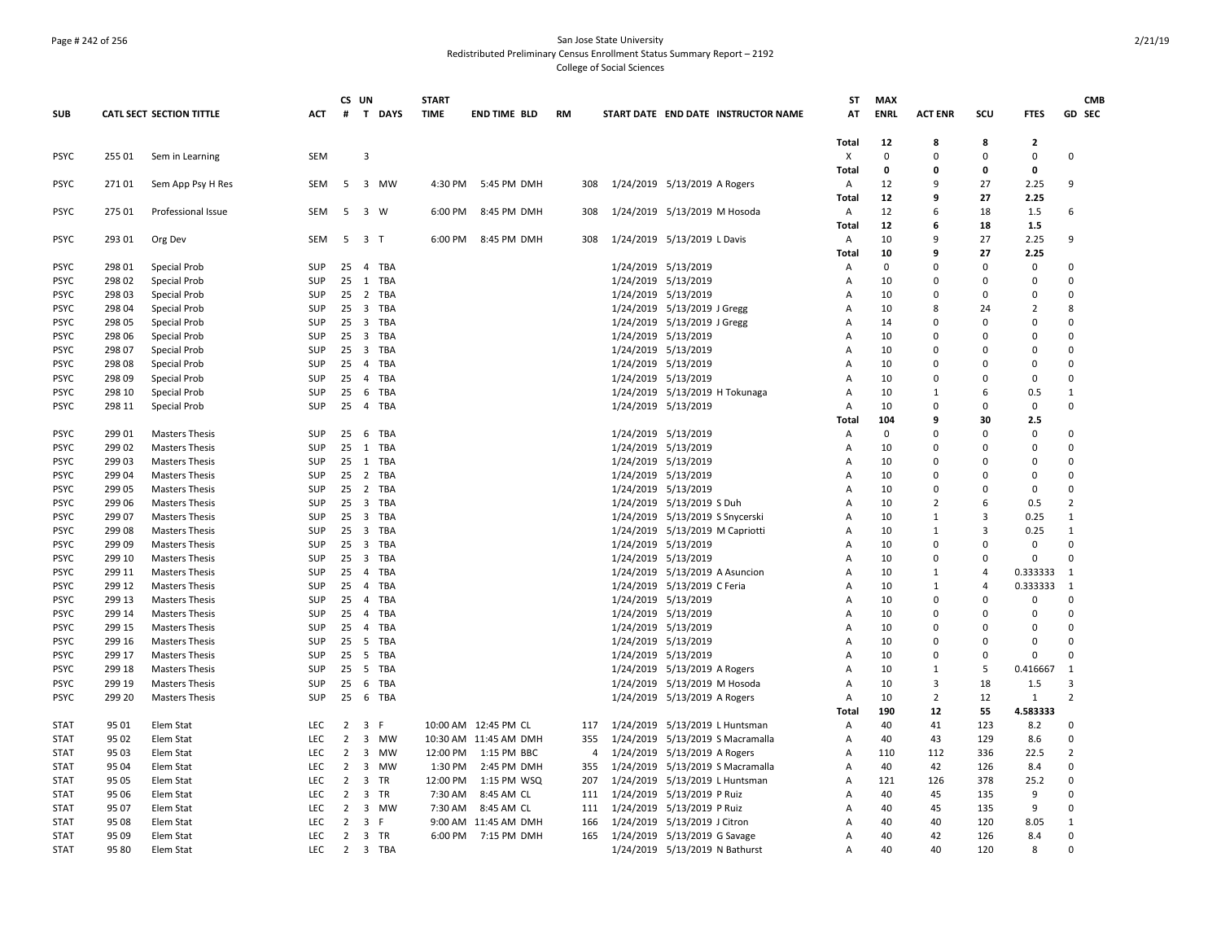### Page # 242 of 256 San Jose State University Redistributed Preliminary Census Enrollment Status Summary Report – 2192 College of Social Sciences

|             |        |                                 |            | CS UN           |                                      | <b>START</b> |                       |           |                |                              |                                     | <b>ST</b>    | <b>MAX</b>     |                |                      |                            | <b>CMB</b>            |
|-------------|--------|---------------------------------|------------|-----------------|--------------------------------------|--------------|-----------------------|-----------|----------------|------------------------------|-------------------------------------|--------------|----------------|----------------|----------------------|----------------------------|-----------------------|
| <b>SUB</b>  |        | <b>CATL SECT SECTION TITTLE</b> | <b>ACT</b> |                 | # T DAYS                             | <b>TIME</b>  | <b>END TIME BLD</b>   | <b>RM</b> |                |                              | START DATE END DATE INSTRUCTOR NAME | AT           | <b>ENRL</b>    | <b>ACT ENR</b> | scu                  | <b>FTES</b>                | GD SEC                |
|             |        |                                 |            |                 |                                      |              |                       |           |                |                              |                                     |              |                |                |                      |                            |                       |
|             |        |                                 |            |                 |                                      |              |                       |           |                |                              |                                     | <b>Total</b> | 12<br>$\Omega$ | 8<br>$\Omega$  | 8<br>$\mathbf 0$     | $\overline{2}$<br>$\Omega$ | $\Omega$              |
| <b>PSYC</b> | 255 01 | Sem in Learning                 | SEM        |                 | 3                                    |              |                       |           |                |                              |                                     | X            | 0              |                |                      |                            |                       |
|             |        |                                 |            |                 |                                      |              |                       |           |                |                              |                                     | Total        |                | 0<br>9         | 0                    | 0                          | 9                     |
| <b>PSYC</b> | 27101  | Sem App Psy H Res               | <b>SEM</b> | 5               | 3 MW                                 | 4:30 PM      | 5:45 PM DMH           |           | 308            | 1/24/2019 5/13/2019 A Rogers |                                     | Α            | 12             | 9              | 27<br>27             | 2.25                       |                       |
|             |        |                                 |            |                 |                                      |              |                       |           |                |                              |                                     | Total        | 12             |                |                      | 2.25                       |                       |
| <b>PSYC</b> | 275 01 | Professional Issue              | <b>SEM</b> | -5              | $\overline{3}$<br><b>W</b>           | 6:00 PM      | 8:45 PM DMH           |           | 308            | 1/24/2019 5/13/2019 M Hosoda |                                     | $\mathsf{A}$ | 12             | 6              | 18                   | 1.5                        | 6                     |
|             |        |                                 |            |                 |                                      |              |                       |           |                |                              |                                     | Total        | 12             | 6<br>9         | 18                   | $1.5\,$                    |                       |
| <b>PSYC</b> | 293 01 | Org Dev                         | SEM        |                 | 5 3 T                                | 6:00 PM      | 8:45 PM DMH           |           | 308            | 1/24/2019 5/13/2019 L Davis  |                                     | Α            | 10             | 9              | 27<br>27             | 2.25                       | 9                     |
|             |        |                                 |            |                 |                                      |              |                       |           |                |                              |                                     | Total        | 10             |                |                      | 2.25                       |                       |
| <b>PSYC</b> | 298 01 | Special Prob                    | SUP        | 25              | 4 TBA                                |              |                       |           |                | 1/24/2019 5/13/2019          |                                     | Α            | 0              | $\mathbf 0$    | $\mathbf 0$          | $\mathbf 0$                | $\mathbf 0$           |
| <b>PSYC</b> | 298 02 | Special Prob                    | SUP        | 25              | 1 TBA                                |              |                       |           |                | 1/24/2019 5/13/2019          |                                     | Α            | 10             | $\Omega$       | $\Omega$             | 0<br>$\Omega$              | 0<br>$\Omega$         |
| <b>PSYC</b> | 298 03 | Special Prob                    | SUP        |                 | 25 2 TBA                             |              |                       |           |                | 1/24/2019 5/13/2019          |                                     | Α            | 10             | $\mathbf 0$    | $\Omega$             | $\mathcal{P}$              | $\mathsf{\mathsf{R}}$ |
| <b>PSYC</b> | 298 04 | <b>Special Prob</b>             | <b>SUP</b> |                 | 25 3 TBA                             |              |                       |           |                | 1/24/2019 5/13/2019 J Gregg  |                                     | Α            | 10             | 8              | 24                   |                            |                       |
| <b>PSYC</b> | 298 05 | Special Prob                    | SUP        |                 | 25 3 TBA                             |              |                       |           |                | 1/24/2019 5/13/2019 J Gregg  |                                     | А            | 14             | $\Omega$       | $\Omega$             | $\Omega$                   | $\Omega$              |
| <b>PSYC</b> | 298 06 | Special Prob                    | SUP        |                 | 25 3 TBA                             |              |                       |           |                | 1/24/2019 5/13/2019          |                                     | Α            | 10             | $\Omega$       | $\Omega$<br>$\Omega$ | $\Omega$<br>$\Omega$       | $\Omega$              |
| <b>PSYC</b> | 298 07 | <b>Special Prob</b>             | SUP        |                 | 25 3 TBA                             |              |                       |           |                | 1/24/2019 5/13/2019          |                                     | A            | 10             | $\Omega$       |                      |                            | $\Omega$              |
| <b>PSYC</b> | 298 08 | Special Prob                    | <b>SUP</b> | 25              | 4 TBA                                |              |                       |           |                | 1/24/2019 5/13/2019          |                                     | Α            | 10             | $\mathbf 0$    | $\Omega$             | $\Omega$                   | $\Omega$              |
| <b>PSYC</b> | 298 09 | <b>Special Prob</b>             | SUP        | 25              | 4 TBA                                |              |                       |           |                | 1/24/2019 5/13/2019          |                                     | A            | 10             | $\Omega$       | $\Omega$             | $\Omega$                   | $\Omega$              |
| <b>PSYC</b> | 298 10 | Special Prob                    | SUP        |                 | 25 6 TBA                             |              |                       |           |                |                              | 1/24/2019 5/13/2019 H Tokunaga      | Α            | 10             | 1              | 6                    | 0.5                        | $\mathbf{1}$          |
| <b>PSYC</b> | 298 11 | Special Prob                    | SUP        | 25              | 4 TBA                                |              |                       |           |                | 1/24/2019 5/13/2019          |                                     | Α            | 10             | $\mathbf 0$    | $\Omega$             | $\mathbf 0$                | $\Omega$              |
|             |        |                                 |            |                 |                                      |              |                       |           |                |                              |                                     | Total        | 104            | 9              | 30                   | 2.5                        |                       |
| <b>PSYC</b> | 299 01 | <b>Masters Thesis</b>           | SUP        |                 | 25 6 TBA                             |              |                       |           |                | 1/24/2019 5/13/2019          |                                     | А            | $\mathbf 0$    | $\mathbf 0$    | $\mathbf 0$          | $\Omega$                   | $\Omega$              |
| <b>PSYC</b> | 29902  | <b>Masters Thesis</b>           | SUP        | 25              | 1 TBA                                |              |                       |           |                | 1/24/2019 5/13/2019          |                                     | A            | 10             | $\Omega$       | ŋ                    | $\Omega$                   | $\Omega$              |
| <b>PSYC</b> | 299 03 | <b>Masters Thesis</b>           | SUP        |                 | 25 1 TBA                             |              |                       |           |                | 1/24/2019 5/13/2019          |                                     | Α            | 10             | $\mathbf 0$    | $\Omega$             | $\Omega$                   | $\Omega$              |
| <b>PSYC</b> | 299 04 | <b>Masters Thesis</b>           | SUP        |                 | 25 2 TBA                             |              |                       |           |                | 1/24/2019 5/13/2019          |                                     | Α            | 10             | $\Omega$       | $\Omega$             | $\Omega$                   | $\Omega$              |
| <b>PSYC</b> | 299 05 | <b>Masters Thesis</b>           | SUP        |                 | 25 2 TBA                             |              |                       |           |                | 1/24/2019 5/13/2019          |                                     | A            | 10             | $\Omega$       | $\Omega$             | $\Omega$                   | $\Omega$              |
| <b>PSYC</b> | 299 06 | <b>Masters Thesis</b>           | SUP        |                 | 25 3 TBA                             |              |                       |           |                | 1/24/2019 5/13/2019 S Duh    |                                     | Α            | 10             | $\overline{2}$ | 6                    | 0.5                        | $\overline{2}$        |
| <b>PSYC</b> | 299 07 | <b>Masters Thesis</b>           | SUP        | 25              | 3 TBA                                |              |                       |           |                |                              | 1/24/2019 5/13/2019 S Snycerski     | Α            | 10             | 1              | 3                    | 0.25                       | 1                     |
| <b>PSYC</b> | 299 08 | <b>Masters Thesis</b>           | SUP        |                 | 25 3 TBA                             |              |                       |           |                |                              | 1/24/2019 5/13/2019 M Capriotti     | Α            | 10             | 1              | $\overline{3}$       | 0.25                       | $\mathbf{1}$          |
| <b>PSYC</b> | 299 09 | <b>Masters Thesis</b>           | <b>SUP</b> |                 | 25 3 TBA                             |              |                       |           |                | 1/24/2019 5/13/2019          |                                     | Α            | 10             | $\mathbf 0$    | $\Omega$             | $\mathbf 0$                | $\Omega$              |
| <b>PSYC</b> | 299 10 | <b>Masters Thesis</b>           | SUP        |                 | 25 3 TBA                             |              |                       |           |                | 1/24/2019 5/13/2019          |                                     | Α            | 10             | $\Omega$       | $\Omega$             | $\Omega$                   | O                     |
| <b>PSYC</b> | 299 11 | <b>Masters Thesis</b>           | SUP        | 25              | 4 TBA                                |              |                       |           |                |                              | 1/24/2019 5/13/2019 A Asuncion      | А            | 10             | 1              | $\overline{a}$       | 0.333333                   | $\mathbf{1}$          |
| <b>PSYC</b> | 299 12 | <b>Masters Thesis</b>           | SUP        |                 | 25 4 TBA                             |              |                       |           |                | 1/24/2019 5/13/2019 C Feria  |                                     | A            | 10             | 1              | $\overline{a}$       | 0.333333                   | 1                     |
| <b>PSYC</b> | 299 13 | <b>Masters Thesis</b>           | SUP        | 25              | 4 TBA                                |              |                       |           |                | 1/24/2019 5/13/2019          |                                     | Α            | 10             | $\mathbf{0}$   | $\mathbf 0$          | $\mathbf 0$                | $\Omega$              |
| <b>PSYC</b> | 299 14 | <b>Masters Thesis</b>           | <b>SUP</b> | 25              | 4 TBA                                |              |                       |           |                | 1/24/2019 5/13/2019          |                                     | А            | 10             | $\mathbf 0$    | $\Omega$             | $\Omega$                   | $\Omega$              |
| <b>PSYC</b> | 299 15 | <b>Masters Thesis</b>           | SUP        |                 | 25 4 TBA                             |              |                       |           |                | 1/24/2019 5/13/2019          |                                     | Α            | 10             | $\Omega$       | $\Omega$             | $\Omega$                   | $\Omega$              |
| <b>PSYC</b> | 299 16 | <b>Masters Thesis</b>           | SUP        | 25              | 5<br>TBA                             |              |                       |           |                | 1/24/2019 5/13/2019          |                                     | А            | 10             | $\Omega$       | $\Omega$             | $\Omega$                   | $\Omega$              |
| <b>PSYC</b> | 299 17 | <b>Masters Thesis</b>           | SUP        | 25 <sub>5</sub> | <b>TBA</b>                           |              |                       |           |                | 1/24/2019 5/13/2019          |                                     | Α            | 10             | $\Omega$       | $\Omega$             | $\mathbf 0$                | $\Omega$              |
| <b>PSYC</b> | 299 18 | <b>Masters Thesis</b>           | SUP        |                 | 25 5 TBA                             |              |                       |           |                | 1/24/2019 5/13/2019 A Rogers |                                     | Α            | 10             | 1              | 5                    | 0.416667                   | 1                     |
| <b>PSYC</b> | 299 19 | <b>Masters Thesis</b>           | <b>SUP</b> | 25              | 6<br><b>TBA</b>                      |              |                       |           |                | 1/24/2019 5/13/2019 M Hosoda |                                     | A            | 10             | 3              | 18                   | 1.5                        | 3                     |
| <b>PSYC</b> | 299 20 | <b>Masters Thesis</b>           | SUP        | 25              | 6 TBA                                |              |                       |           |                | 1/24/2019 5/13/2019 A Rogers |                                     | Α            | 10             | $\overline{2}$ | 12                   | 1                          | $\overline{2}$        |
|             |        |                                 |            |                 |                                      |              |                       |           |                |                              |                                     | Total        | 190            | 12             | 55                   | 4.583333                   |                       |
| <b>STAT</b> | 95 01  | Elem Stat                       | LEC.       | $\overline{2}$  | 3<br>F                               |              | 10:00 AM 12:45 PM CL  |           | 117            |                              | 1/24/2019 5/13/2019 L Huntsman      | Α            | 40             | 41             | 123                  | 8.2                        | $\Omega$              |
| <b>STAT</b> | 95 02  | Elem Stat                       | LEC        | 2               | $\overline{\mathbf{3}}$<br><b>MW</b> |              | 10:30 AM 11:45 AM DMH |           | 355            |                              | 1/24/2019 5/13/2019 S Macramalla    | Α            | 40             | 43             | 129                  | 8.6                        | 0                     |
| <b>STAT</b> | 95 03  | Elem Stat                       | <b>LEC</b> | 2               | $\overline{\mathbf{3}}$<br>MW        | 12:00 PM     | 1:15 PM BBC           |           | $\overline{4}$ | 1/24/2019 5/13/2019 A Rogers |                                     | A            | 110            | 112            | 336                  | 22.5                       | $\overline{2}$        |
| <b>STAT</b> | 95 04  | Elem Stat                       | LEC        | $\overline{2}$  | $\overline{3}$<br>MW                 | 1:30 PM      | 2:45 PM DMH           |           | 355            |                              | 1/24/2019 5/13/2019 S Macramalla    | Α            | 40             | 42             | 126                  | 8.4                        | $\Omega$              |
| <b>STAT</b> | 95 05  | Elem Stat                       | LEC        | 2               | 3 TR                                 | 12:00 PM     | 1:15 PM WSQ           |           | 207            |                              | 1/24/2019 5/13/2019 L Huntsman      | А            | 121            | 126            | 378                  | 25.2                       | $\Omega$              |
| <b>STAT</b> | 95 06  | Elem Stat                       | <b>LEC</b> | 2               | 3 TR                                 | 7:30 AM      | 8:45 AM CL            |           | 111            | 1/24/2019 5/13/2019 P Ruiz   |                                     | Α            | 40             | 45             | 135                  | 9                          | O                     |
| <b>STAT</b> | 95 07  | Elem Stat                       | LEC        | $\overline{2}$  | 3 MW                                 | 7:30 AM      | 8:45 AM CL            |           | 111            | 1/24/2019 5/13/2019 P Ruiz   |                                     | Α            | 40             | 45             | 135                  | 9                          | $\Omega$              |
| <b>STAT</b> | 95 08  | Elem Stat                       | <b>LEC</b> | $\overline{2}$  | 3 F                                  |              | 9:00 AM 11:45 AM DMH  |           | 166            | 1/24/2019 5/13/2019 J Citron |                                     | A            | 40             | 40             | 120                  | 8.05                       | $\mathbf{1}$          |
| <b>STAT</b> | 95 09  | Elem Stat                       | <b>LEC</b> | $\overline{2}$  | 3 TR                                 |              | 6:00 PM 7:15 PM DMH   |           | 165            | 1/24/2019 5/13/2019 G Savage |                                     | Α            | 40             | 42             | 126                  | 8.4                        | $\Omega$              |
| <b>STAT</b> | 95 80  | Elem Stat                       | <b>LEC</b> | $\overline{2}$  | 3 TBA                                |              |                       |           |                |                              | 1/24/2019 5/13/2019 N Bathurst      | A            | 40             | 40             | 120                  | 8                          | $\Omega$              |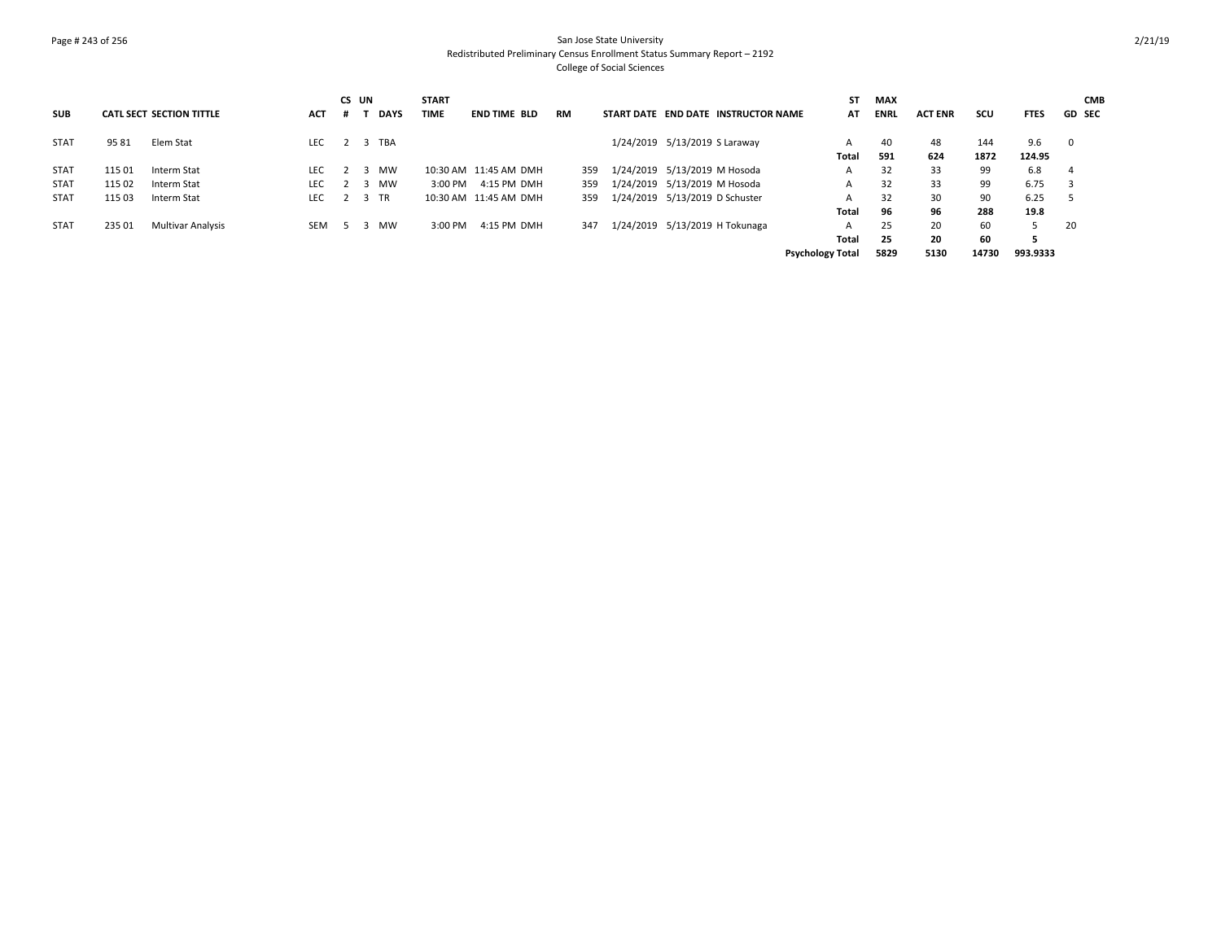### Page # 243 of 256 San Jose State University Redistributed Preliminary Census Enrollment Status Summary Report – 2192 College of Social Sciences

|             |        |                                 |            | CS UN |             | <b>START</b> |                       |    |     |                                |                               |                                     | SΤ                      | MAX         |                |             |               | <b>CMB</b>               |
|-------------|--------|---------------------------------|------------|-------|-------------|--------------|-----------------------|----|-----|--------------------------------|-------------------------------|-------------------------------------|-------------------------|-------------|----------------|-------------|---------------|--------------------------|
| <b>SUB</b>  |        | <b>CATL SECT SECTION TITTLE</b> | <b>ACT</b> |       | <b>DAYS</b> | <b>TIME</b>  | <b>END TIME BLD</b>   | RM |     |                                |                               | START DATE END DATE INSTRUCTOR NAME | AT                      | <b>ENRL</b> | <b>ACT ENR</b> | SCU         | <b>FTES</b>   | <b>GD SEC</b>            |
| <b>STAT</b> | 9581   | Elem Stat                       | <b>LEC</b> |       | TBA         |              |                       |    |     |                                | 1/24/2019 5/13/2019 S Laraway |                                     | $\mathsf{A}$<br>Total   | 40<br>591   | 48<br>624      | 144<br>1872 | 9.6<br>124.95 | $\overline{\phantom{0}}$ |
|             |        |                                 |            |       |             |              |                       |    |     |                                |                               |                                     |                         |             |                |             |               |                          |
| <b>STAT</b> | 115 01 | Interm Stat                     | LEC.       |       | MW          |              | 10:30 AM 11:45 AM DMH |    | 359 |                                | 1/24/2019 5/13/2019 M Hosoda  |                                     | A                       | 32          | 33             | 99          | 6.8           | $\overline{a}$           |
| <b>STAT</b> | 115 02 | Interm Stat                     | LEC.       |       | MW          | $3:00$ PM    | 4:15 PM DMH           |    | 359 | 1/24/2019 5/13/2019 M Hosoda   |                               |                                     | A                       | 32          | 33             | 99          | 6.75          |                          |
| <b>STAT</b> | 115 03 | Interm Stat                     | LEC.       |       | 3 TR        |              | 10:30 AM 11:45 AM DMH |    | 359 | 1/24/2019 5/13/2019 D Schuster |                               |                                     | $\mathsf{A}$            | 32          | 30             | 90          | 6.25          | -5                       |
|             |        |                                 |            |       |             |              |                       |    |     |                                |                               |                                     | Total                   | 96          | 96             | 288         | 19.8          |                          |
| <b>STAT</b> | 235 01 | <b>Multivar Analysis</b>        | <b>SEM</b> |       | MW          | 3:00 PM      | 4:15 PM DMH           |    | 347 |                                |                               | 1/24/2019 5/13/2019 H Tokunaga      | A                       | 25          | 20             | 60          | 5             | 20                       |
|             |        |                                 |            |       |             |              |                       |    |     |                                |                               |                                     | Total                   | 25          | 20             | 60          |               |                          |
|             |        |                                 |            |       |             |              |                       |    |     |                                |                               |                                     | <b>Psychology Total</b> | 5829        | 5130           | 14730       | 993.9333      |                          |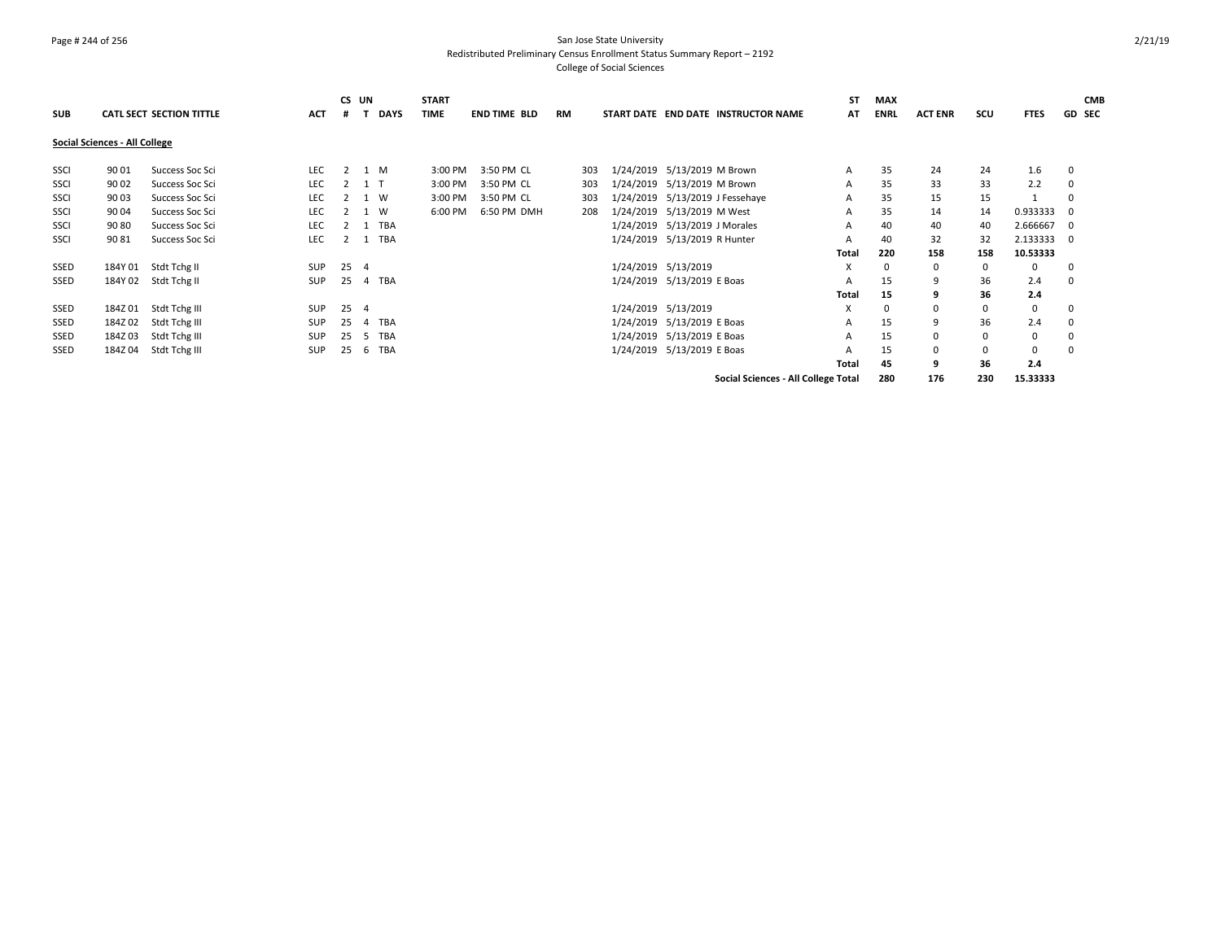### Page # 244 of 256 San Jose State University Redistributed Preliminary Census Enrollment Status Summary Report – 2192 College of Social Sciences

| <b>SUB</b>  |                               | <b>CATL SECT SECTION TITTLE</b> | <b>ACT</b> | #    | CS UN          | <b>DAYS</b> | <b>START</b><br><b>TIME</b> | <b>END TIME BLD</b> | <b>RM</b> |     | START DATE END DATE INSTRUCTOR NAME | SΤ<br>AT     | <b>MAX</b><br><b>ENRL</b> | <b>ACT ENR</b> | SCU         | <b>FTES</b> | <b>CMB</b><br><b>GD SEC</b> |
|-------------|-------------------------------|---------------------------------|------------|------|----------------|-------------|-----------------------------|---------------------|-----------|-----|-------------------------------------|--------------|---------------------------|----------------|-------------|-------------|-----------------------------|
|             | Social Sciences - All College |                                 |            |      |                |             |                             |                     |           |     |                                     |              |                           |                |             |             |                             |
| SSCI        | 90 01                         | Success Soc Sci                 | LEC.       | 2    | 1 M            |             | 3:00 PM                     | 3:50 PM CL          |           | 303 | 1/24/2019 5/13/2019 M Brown         | $\mathsf{A}$ | 35                        | 24             | 24          | 1.6         | 0                           |
| SSCI        | 90 02                         | Success Soc Sci                 | LEC        |      | 1 T            |             | 3:00 PM                     | 3:50 PM CL          |           | 303 | 1/24/2019 5/13/2019 M Brown         | $\mathsf{A}$ | 35                        | 33             | 33          | 2.2         | 0                           |
| SSCI        | 90 03                         | Success Soc Sci                 | LEC        |      | 1 W            |             | 3:00 PM                     | 3:50 PM CL          |           | 303 | 1/24/2019 5/13/2019 J Fessehaye     | $\mathsf{A}$ | 35                        | 15             | 15          |             | 0                           |
| SSCI        | 90 04                         | Success Soc Sci                 | <b>LEC</b> |      | 1 W            |             | 6:00 PM                     | 6:50 PM DMH         |           | 208 | 1/24/2019 5/13/2019 M West          | $\mathsf{A}$ | 35                        | 14             | 14          | 0.933333    | - 0                         |
| SSCI        | 90 80                         | Success Soc Sci                 | LEC        |      |                | 1 TBA       |                             |                     |           |     | 1/24/2019 5/13/2019 J Morales       | $\mathsf{A}$ | 40                        | 40             | 40          | 2.666667    | $\mathbf 0$                 |
| SSCI        | 9081                          | Success Soc Sci                 | <b>LEC</b> | 2    |                | 1 TBA       |                             |                     |           |     | 1/24/2019 5/13/2019 R Hunter        | Α            | 40                        | 32             | 32          | 2.133333    | $\mathbf 0$                 |
|             |                               |                                 |            |      |                |             |                             |                     |           |     |                                     | Total        | 220                       | 158            | 158         | 10.53333    |                             |
| SSED        | 184Y 01                       | Stdt Tchg II                    | <b>SUP</b> | 25 4 |                |             |                             |                     |           |     | 1/24/2019 5/13/2019                 | X            |                           | $\Omega$       | $\mathbf 0$ | $\Omega$    | 0                           |
| SSED        | 184Y 02                       | Stdt Tchg II                    | <b>SUP</b> | 25   |                | 4 TBA       |                             |                     |           |     | 1/24/2019 5/13/2019 E Boas          | Α            | 15                        | 9              | 36          | 2.4         | 0                           |
|             |                               |                                 |            |      |                |             |                             |                     |           |     |                                     | Total        | 15                        | 9              | 36          | 2.4         |                             |
| SSED        | 184Z01                        | Stdt Tchg III                   | <b>SUP</b> | 25 4 |                |             |                             |                     |           |     | 1/24/2019 5/13/2019                 | X            |                           | $\mathbf 0$    | $\mathbf 0$ | 0           | 0                           |
| <b>SSED</b> | 184Z 02                       | Stdt Tchg III                   | SUP        | 25   | $\overline{4}$ | TBA         |                             |                     |           |     | 1/24/2019 5/13/2019 E Boas          | A            | 15                        | 9              | 36          | 2.4         | $\Omega$                    |
| <b>SSED</b> | 184Z03                        | Stdt Tchg III                   | <b>SUP</b> | 25   |                | 5 TBA       |                             |                     |           |     | 1/24/2019 5/13/2019 E Boas          | A            | 15                        | $\mathbf 0$    | 0           | $\mathbf 0$ | 0                           |
| SSED        | 184Z04                        | Stdt Tchg III                   | <b>SUP</b> | 25   |                | 6 TBA       |                             |                     |           |     | 1/24/2019 5/13/2019 E Boas          | A            | 15                        | $\mathbf 0$    | 0           | $\mathbf 0$ | $\Omega$                    |
|             |                               |                                 |            |      |                |             |                             |                     |           |     |                                     | Total        | 45                        | 9              | 36          | 2.4         |                             |
|             |                               |                                 |            |      |                |             |                             |                     |           |     | Social Sciences - All College Total |              | 280                       | 176            | 230         | 15.33333    |                             |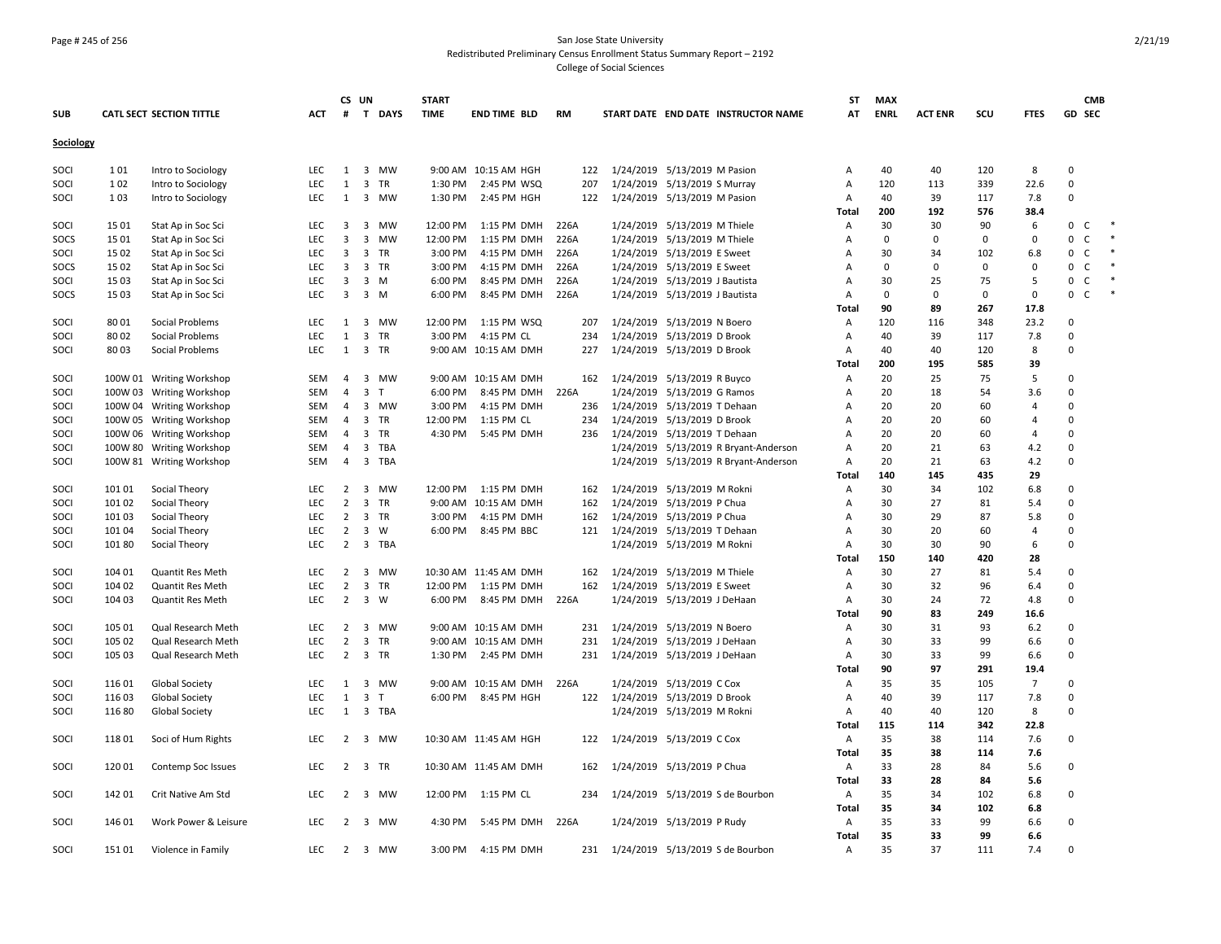### Page # 245 of 256 San Jose State University Redistributed Preliminary Census Enrollment Status Summary Report – 2192 College of Social Sciences

|            |        |                          |                   |                         | CS UN                         | <b>START</b> |                        |           |                              |                                |                                       | ST                           | <b>MAX</b>  |                |             |                |                   | <b>CMB</b> |        |
|------------|--------|--------------------------|-------------------|-------------------------|-------------------------------|--------------|------------------------|-----------|------------------------------|--------------------------------|---------------------------------------|------------------------------|-------------|----------------|-------------|----------------|-------------------|------------|--------|
| <b>SUB</b> |        | CATL SECT SECTION TITTLE | <b>ACT</b>        | #                       | T DAYS                        | <b>TIME</b>  | <b>END TIME BLD</b>    | <b>RM</b> |                              |                                | START DATE END DATE INSTRUCTOR NAME   | AT                           | <b>ENRL</b> | <b>ACT ENR</b> | SCU         | <b>FTES</b>    | GD SEC            |            |        |
| Sociology  |        |                          |                   |                         |                               |              |                        |           |                              |                                |                                       |                              |             |                |             |                |                   |            |        |
| SOCI       | 101    | Intro to Sociology       | <b>LEC</b>        |                         | 1 3 MW                        |              | 9:00 AM 10:15 AM HGH   | 122       | 1/24/2019 5/13/2019 M Pasion |                                |                                       | A                            | 40          | 40             | 120         | 8              | $\Omega$          |            |        |
| SOCI       | 102    | Intro to Sociology       | <b>LEC</b>        | 1                       | 3 TR                          | 1:30 PM      | 2:45 PM WSQ            | 207       |                              | 1/24/2019 5/13/2019 S Murray   |                                       | А                            | 120         | 113            | 339         | 22.6           | 0                 |            |        |
| SOCI       | 103    | Intro to Sociology       | LEC               | 1                       | 3 MW                          | 1:30 PM      | 2:45 PM HGH            | 122       |                              | 1/24/2019 5/13/2019 M Pasion   |                                       | Α                            | 40          | 39             | 117         | 7.8            | 0                 |            |        |
|            |        |                          |                   |                         |                               |              |                        |           |                              |                                |                                       | <b>Total</b>                 | 200         | 192            | 576         | 38.4           |                   |            |        |
| SOCI       | 15 01  | Stat Ap in Soc Sci       | LEC               | $\overline{\mathbf{3}}$ | 3 MW                          |              | 12:00 PM 1:15 PM DMH   | 226A      |                              | 1/24/2019 5/13/2019 M Thiele   |                                       | А                            | 30          | 30             | 90          | 6              | 0<br>C            |            | $\ast$ |
| SOCS       | 15 01  | Stat Ap in Soc Sci       | <b>LEC</b>        | 3                       | 3 MW                          | 12:00 PM     | 1:15 PM DMH            | 226A      |                              | 1/24/2019 5/13/2019 M Thiele   |                                       | А                            | $\Omega$    | $\Omega$       | 0           | 0              | 0<br>C            |            | $\ast$ |
| SOCI       | 15 02  | Stat Ap in Soc Sci       | <b>LEC</b>        | 3                       | 3 TR                          | 3:00 PM      | 4:15 PM DMH            | 226A      |                              | 1/24/2019 5/13/2019 E Sweet    |                                       | А                            | 30          | 34             | 102         | 6.8            | C<br>0            |            | $\ast$ |
| SOCS       | 15 02  | Stat Ap in Soc Sci       | LEC               | 3                       | 3 TR                          | 3:00 PM      | 4:15 PM DMH            | 226A      |                              | 1/24/2019 5/13/2019 E Sweet    |                                       | А                            | $\Omega$    | $\mathbf 0$    | 0           | $\mathbf 0$    | 0<br>$\mathsf{C}$ |            | $\ast$ |
| SOCI       | 15 03  | Stat Ap in Soc Sci       | <b>LEC</b>        | 3                       | 3 M                           | 6:00 PM      | 8:45 PM DMH            | 226A      |                              | 1/24/2019 5/13/2019 J Bautista |                                       | А                            | 30          | 25             | 75          | 5              | 0<br>C            |            | $\ast$ |
| SOCS       | 15 03  | Stat Ap in Soc Sci       | <b>LEC</b>        | $\overline{\mathbf{3}}$ | $3 \, M$                      | 6:00 PM      | 8:45 PM DMH            | 226A      |                              | 1/24/2019 5/13/2019 J Bautista |                                       | A                            | $\mathbf 0$ | $\Omega$       | $\mathbf 0$ | $\mathbf 0$    | C<br>0            |            |        |
|            |        |                          |                   |                         |                               |              |                        |           |                              |                                |                                       | Total                        | 90          | 89             | 267         | 17.8           |                   |            |        |
| SOCI       | 8001   | Social Problems          | <b>LEC</b>        | 1                       | 3 MW                          | 12:00 PM     | 1:15 PM WSQ            | 207       |                              | 1/24/2019 5/13/2019 N Boero    |                                       | Α                            | 120         | 116            | 348         | 23.2           | 0                 |            |        |
| SOCI       | 8002   | Social Problems          | LEC               | $\mathbf{1}$            | $\overline{\mathbf{3}}$<br>TR | 3:00 PM      | 4:15 PM CL             | 234       |                              | 1/24/2019 5/13/2019 D Brook    |                                       | Α                            | 40          | 39             | 117         | 7.8            | $\Omega$          |            |        |
| SOCI       | 8003   | Social Problems          | LEC               | 1                       | 3 TR                          |              | 9:00 AM 10:15 AM DMH   | 227       |                              | 1/24/2019 5/13/2019 D Brook    |                                       | Α                            | 40          | 40             | 120         | 8              | 0                 |            |        |
|            |        |                          |                   |                         |                               |              |                        |           |                              |                                |                                       | Total                        | 200         | 195            | 585         | 39             |                   |            |        |
| SOCI       |        | 100W 01 Writing Workshop | SEM               | $\overline{4}$          | 3 MW                          |              | 9:00 AM 10:15 AM DMH   | 162       | 1/24/2019 5/13/2019 R Buyco  |                                |                                       | Α                            | 20          | 25             | 75          | 5              | $\Omega$          |            |        |
| SOCI       |        | 100W 03 Writing Workshop | SEM               | $\overline{4}$          | 3 <sub>T</sub>                | 6:00 PM      | 8:45 PM DMH            | 226A      |                              | 1/24/2019 5/13/2019 G Ramos    |                                       | Α                            | 20          | 18             | 54          | 3.6            | 0                 |            |        |
| SOCI       |        | 100W 04 Writing Workshop | <b>SEM</b>        | $\overline{4}$          | 3 MW                          | 3:00 PM      | 4:15 PM DMH            | 236       | 1/24/2019 5/13/2019 T Dehaan |                                |                                       | A                            | 20          | 20             | 60          | $\overline{4}$ | $\Omega$          |            |        |
| SOCI       |        | 100W 05 Writing Workshop | SEM               | 4                       | 3 TR                          | 12:00 PM     | 1:15 PM CL             | 234       |                              | 1/24/2019 5/13/2019 D Brook    |                                       | А                            | 20          | 20             | 60          | 4              | 0                 |            |        |
| SOCI       |        | 100W 06 Writing Workshop | SEM               | 4                       | 3 TR                          | 4:30 PM      | 5:45 PM DMH            | 236       |                              | 1/24/2019 5/13/2019 T Dehaan   |                                       | Α                            | 20          | 20             | 60          | $\overline{4}$ | $\Omega$          |            |        |
| SOCI       |        | 100W 80 Writing Workshop | <b>SEM</b>        | $\overline{4}$          | 3 TBA                         |              |                        |           |                              |                                | 1/24/2019 5/13/2019 R Bryant-Anderson | $\mathsf{A}$                 | 20          | 21             | 63          | 4.2            | $\Omega$          |            |        |
| SOCI       |        | 100W 81 Writing Workshop | SEM               | 4                       | 3 TBA                         |              |                        |           |                              |                                | 1/24/2019 5/13/2019 R Bryant-Anderson | А                            | 20          | 21             | 63          | 4.2            | 0                 |            |        |
|            |        |                          |                   |                         |                               |              |                        |           |                              |                                |                                       | Total                        | 140         | 145            | 435         | 29             |                   |            |        |
| SOCI       | 101 01 | Social Theory            | <b>LEC</b>        | 2                       | 3 MW                          |              | 12:00 PM   1:15 PM DMH | 162       | 1/24/2019 5/13/2019 M Rokni  |                                |                                       | Α                            | 30          | 34             | 102         | 6.8            | $\Omega$          |            |        |
| SOCI       | 101 02 | Social Theory            | LEC               | $\overline{2}$          | 3 TR                          |              | 9:00 AM 10:15 AM DMH   | 162       |                              | 1/24/2019 5/13/2019 P Chua     |                                       | Α                            | 30          | 27             | 81          | 5.4            | 0                 |            |        |
| SOCI       | 101 03 | Social Theory            | <b>LEC</b>        | $\overline{2}$          | 3 TR                          | 3:00 PM      | 4:15 PM DMH            | 162       |                              | 1/24/2019 5/13/2019 P Chua     |                                       | Α                            | 30          | 29             | 87          | 5.8            | 0                 |            |        |
| SOCI       | 101 04 | Social Theory            | LEC               | $\overline{2}$          | 3 W                           | 6:00 PM      | 8:45 PM BBC            | 121       | 1/24/2019 5/13/2019 T Dehaan |                                |                                       | Α                            | 30          | 20             | 60          | 4              | 0                 |            |        |
| SOCI       | 101 80 | Social Theory            | <b>LEC</b>        |                         | 2 3 TBA                       |              |                        |           |                              | 1/24/2019 5/13/2019 M Rokni    |                                       | $\mathsf{A}$                 | 30          | 30             | 90          | 6              | $\Omega$          |            |        |
|            |        |                          |                   |                         |                               |              |                        |           |                              |                                |                                       | Total                        | 150         | 140            | 420         | 28             |                   |            |        |
| SOCI       | 104 01 | Quantit Res Meth         | <b>LEC</b>        | $\overline{2}$          | 3 MW                          |              | 10:30 AM 11:45 AM DMH  | 162       |                              | 1/24/2019 5/13/2019 M Thiele   |                                       | Α                            | 30          | 27             | 81          | 5.4            | 0                 |            |        |
| SOCI       | 104 02 | Quantit Res Meth         | LEC               | $\overline{2}$          | 3 TR                          |              | 12:00 PM 1:15 PM DMH   | 162       |                              | 1/24/2019 5/13/2019 E Sweet    |                                       | Α                            | 30          | 32             | 96          | 6.4            | 0                 |            |        |
| SOCI       | 104 03 | <b>Quantit Res Meth</b>  | <b>LEC</b>        | 2                       | 3 W                           | 6:00 PM      | 8:45 PM DMH            | 226A      |                              | 1/24/2019 5/13/2019 J DeHaan   |                                       | A                            | 30          | 24             | 72          | 4.8            | 0                 |            |        |
|            |        |                          |                   |                         |                               |              |                        |           |                              |                                |                                       | <b>Total</b>                 | 90          | 83             | 249         | 16.6           |                   |            |        |
| SOCI       | 105 01 | Qual Research Meth       | LEC               | $\overline{2}$          | 3 MW                          |              | 9:00 AM 10:15 AM DMH   | 231       |                              | 1/24/2019 5/13/2019 N Boero    |                                       | Α                            | 30          | 31             | 93          | 6.2            | 0                 |            |        |
| SOCI       | 105 02 | Qual Research Meth       | <b>LEC</b>        | $\overline{2}$          | 3 TR                          |              | 9:00 AM 10:15 AM DMH   | 231       |                              | 1/24/2019 5/13/2019 J DeHaan   |                                       | A                            | 30          | 33             | 99          | 6.6            | $\Omega$          |            |        |
| SOCI       | 105 03 | Qual Research Meth       | LEC               | $2^{\circ}$             | 3 TR                          |              | 1:30 PM 2:45 PM DMH    | 231       | 1/24/2019 5/13/2019 J DeHaan |                                |                                       | Α                            | 30          | 33             | 99          | 6.6            | 0                 |            |        |
|            |        |                          |                   |                         |                               |              |                        |           |                              |                                |                                       | Total                        | 90          | 97             | 291         | 19.4           | $\Omega$          |            |        |
| SOCI       | 116 01 | <b>Global Society</b>    | <b>LEC</b>        | 1                       | 3 MW                          |              | 9:00 AM 10:15 AM DMH   | 226A      |                              | 1/24/2019 5/13/2019 C Cox      |                                       | Α                            | 35          | 35             | 105         | $\overline{7}$ |                   |            |        |
| SOCI       | 116 03 | Global Society           | <b>LEC</b><br>LEC | 1<br>1                  | 3 <sub>T</sub>                |              | 6:00 PM 8:45 PM HGH    | 122       | 1/24/2019 5/13/2019 D Brook  |                                |                                       | А                            | 40<br>40    | 39<br>40       | 117<br>120  | 7.8<br>8       | 0<br>$\Omega$     |            |        |
| SOCI       | 116 80 | Global Society           |                   |                         | 3 TBA                         |              |                        |           |                              | 1/24/2019 5/13/2019 M Rokni    |                                       | $\mathsf{A}$<br><b>Total</b> | 115         | 114            | 342         | 22.8           |                   |            |        |
| SOCI       | 118 01 | Soci of Hum Rights       | LEC               | 2                       | 3 MW                          |              | 10:30 AM 11:45 AM HGH  | 122       |                              | 1/24/2019 5/13/2019 C Cox      |                                       | A                            | 35          | 38             | 114         | 7.6            | 0                 |            |        |
|            |        |                          |                   |                         |                               |              |                        |           |                              |                                |                                       | <b>Total</b>                 | 35          | 38             | 114         | 7.6            |                   |            |        |
| SOCI       | 120 01 | Contemp Soc Issues       | <b>LEC</b>        | $\overline{2}$          | 3 TR                          |              | 10:30 AM 11:45 AM DMH  | 162       |                              | 1/24/2019 5/13/2019 P Chua     |                                       | A                            | 33          | 28             | 84          | 5.6            | 0                 |            |        |
|            |        |                          |                   |                         |                               |              |                        |           |                              |                                |                                       | <b>Total</b>                 | 33          | 28             | 84          | 5.6            |                   |            |        |
| SOCI       | 142 01 | Crit Native Am Std       | LEC               | 2                       | 3 MW                          |              | 12:00 PM 1:15 PM CL    | 234       |                              |                                | 1/24/2019 5/13/2019 S de Bourbon      | Α                            | 35          | 34             | 102         | 6.8            | 0                 |            |        |
|            |        |                          |                   |                         |                               |              |                        |           |                              |                                |                                       | Total                        | 35          | 34             | 102         | 6.8            |                   |            |        |
| SOCI       | 146 01 | Work Power & Leisure     | <b>LEC</b>        | $\overline{2}$          | 3 MW                          | 4:30 PM      | 5:45 PM DMH            | 226A      |                              | 1/24/2019 5/13/2019 P Rudy     |                                       | $\mathsf{A}$                 | 35          | 33             | 99          | 6.6            | 0                 |            |        |
|            |        |                          |                   |                         |                               |              |                        |           |                              |                                |                                       | Total                        | 35          | 33             | 99          | 6.6            |                   |            |        |
| SOCI       | 151 01 | Violence in Family       | <b>LEC</b>        |                         | 2 3 MW                        | 3:00 PM      | 4:15 PM DMH            | 231       |                              |                                | 1/24/2019 5/13/2019 S de Bourbon      | $\mathsf{A}$                 | 35          | 37             | 111         | 7.4            | $\Omega$          |            |        |
|            |        |                          |                   |                         |                               |              |                        |           |                              |                                |                                       |                              |             |                |             |                |                   |            |        |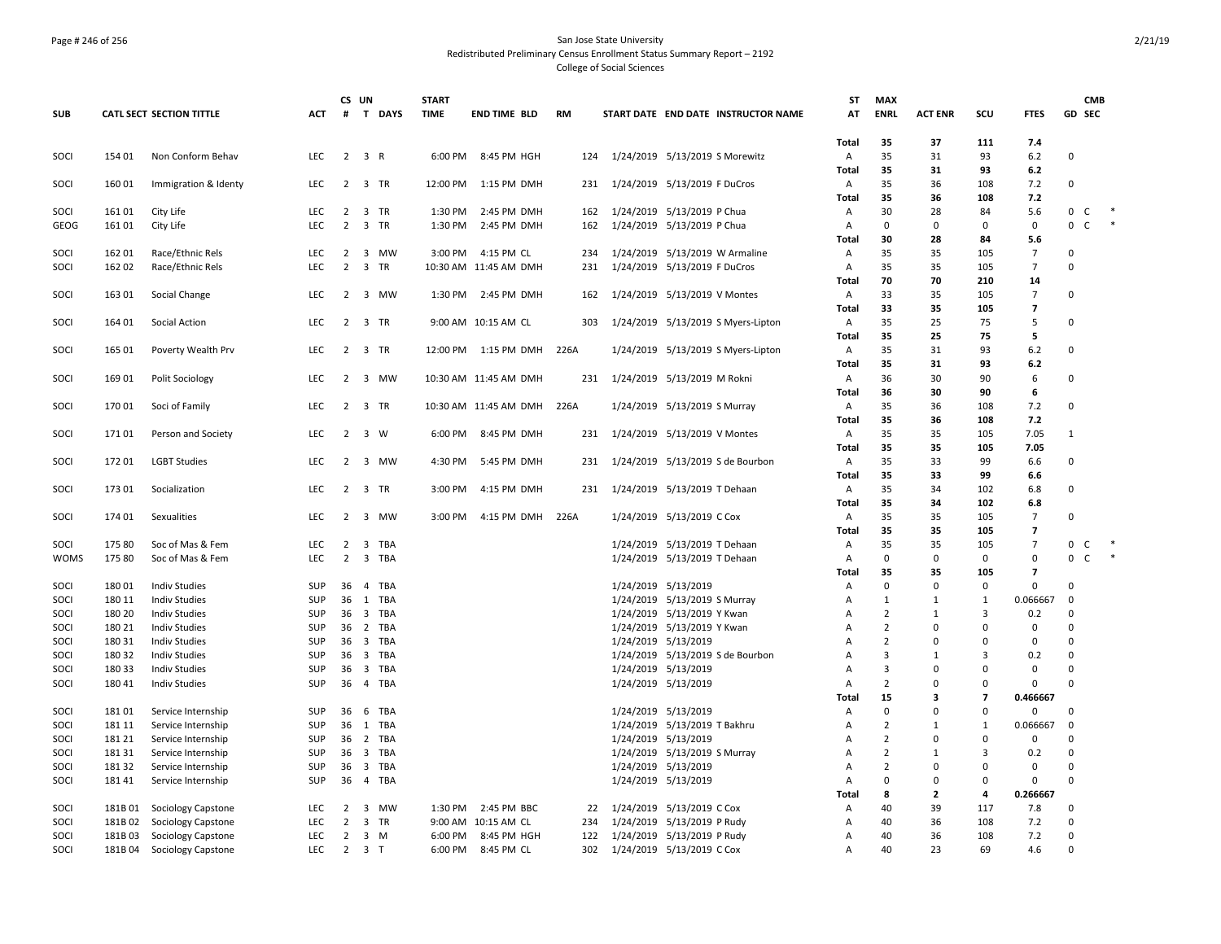### Page # 246 of 256 San Jose State University Redistributed Preliminary Census Enrollment Status Summary Report – 2192 College of Social Sciences

|             |         |                                 |            |                | CS UN                   |                | <b>START</b> |                           |           |     |                     |                                     | ST             | <b>MAX</b>     |                |                |                      |                   | <b>CMB</b> |  |
|-------------|---------|---------------------------------|------------|----------------|-------------------------|----------------|--------------|---------------------------|-----------|-----|---------------------|-------------------------------------|----------------|----------------|----------------|----------------|----------------------|-------------------|------------|--|
| <b>SUB</b>  |         | <b>CATL SECT SECTION TITTLE</b> | <b>ACT</b> |                |                         | # T DAYS       | <b>TIME</b>  | <b>END TIME BLD</b>       | <b>RM</b> |     |                     | START DATE END DATE INSTRUCTOR NAME | AT             | <b>ENRL</b>    | <b>ACT ENR</b> | SCU            | <b>FTES</b>          | <b>GD SEC</b>     |            |  |
|             |         |                                 |            |                |                         |                |              |                           |           |     |                     |                                     | Total          | 35             | 37             | 111            | 7.4                  |                   |            |  |
| SOCI        | 154 01  | Non Conform Behav               | <b>LEC</b> |                | 2 3 R                   |                |              | 6:00 PM 8:45 PM HGH       |           | 124 |                     | 1/24/2019 5/13/2019 S Morewitz      | $\mathsf{A}$   | 35             | 31             | 93             | 6.2                  | 0                 |            |  |
|             |         |                                 |            |                |                         |                |              |                           |           |     |                     |                                     | Total          | 35             | 31             | 93             | 6.2                  |                   |            |  |
| SOCI        | 160 01  | Immigration & Identy            | LEC        | $\overline{2}$ |                         | 3 TR           |              | 12:00 PM 1:15 PM DMH      |           | 231 |                     | 1/24/2019 5/13/2019 F DuCros        | A              | 35             | 36             | 108            | 7.2                  | $\mathbf 0$       |            |  |
|             |         |                                 |            |                |                         |                |              |                           |           |     |                     |                                     | Total          | 35             | 36             | 108            | 7.2                  |                   |            |  |
| SOCI        | 161 01  | City Life                       | <b>LEC</b> | $\overline{2}$ | $\overline{\mathbf{3}}$ | TR             | 1:30 PM      | 2:45 PM DMH               |           | 162 |                     | 1/24/2019 5/13/2019 P Chua          | Α              | 30             | 28             | 84             | 5.6                  | 0<br>C            |            |  |
| <b>GEOG</b> | 161 01  | City Life                       | <b>LEC</b> | $\overline{2}$ |                         | 3 TR           |              | 1:30 PM 2:45 PM DMH       |           | 162 |                     | 1/24/2019 5/13/2019 P Chua          | Α              | $\mathbf 0$    | $\mathbf 0$    | $\mathbf 0$    | $\mathbf 0$          | 0<br>C            |            |  |
|             |         |                                 |            |                |                         |                |              |                           |           |     |                     |                                     | Total          | 30             | 28             | 84             | 5.6                  |                   |            |  |
| SOCI        | 162 01  | Race/Ethnic Rels                | <b>LEC</b> | $\overline{2}$ | $\overline{\mathbf{3}}$ | <b>MW</b>      |              | 3:00 PM 4:15 PM CL        |           | 234 |                     | 1/24/2019 5/13/2019 W Armaline      | Α              | 35             | 35             | 105            | $\overline{7}$       | $\Omega$          |            |  |
| SOCI        | 162 02  | Race/Ethnic Rels                | LEC        | 2              |                         | 3 TR           |              | 10:30 AM 11:45 AM DMH     |           | 231 |                     | 1/24/2019 5/13/2019 F DuCros        | Α              | 35<br>70       | 35             | 105            | $\overline{7}$       | 0                 |            |  |
|             |         |                                 | <b>LEC</b> | 2              |                         | 3 MW           |              |                           |           |     |                     |                                     | Total          | 33             | 70<br>35       | 210<br>105     | 14<br>$\overline{7}$ | $\mathbf 0$       |            |  |
| SOCI        | 163 01  | Social Change                   |            |                |                         |                |              | 1:30 PM 2:45 PM DMH       |           | 162 |                     | 1/24/2019 5/13/2019 V Montes        | Α              | 33             | 35             | 105            | $\overline{7}$       |                   |            |  |
|             | 164 01  | Social Action                   | <b>LEC</b> | 2              |                         | 3 TR           |              | 9:00 AM 10:15 AM CL       |           | 303 |                     |                                     | Total<br>A     | 35             | 25             | 75             | 5                    | $\mathbf 0$       |            |  |
| SOCI        |         |                                 |            |                |                         |                |              |                           |           |     |                     | 1/24/2019 5/13/2019 S Myers-Lipton  | Total          | 35             | 25             | 75             | 5                    |                   |            |  |
| SOCI        | 165 01  | Poverty Wealth Prv              | <b>LEC</b> |                | 2 3 TR                  |                |              | 12:00 PM 1:15 PM DMH 226A |           |     |                     | 1/24/2019 5/13/2019 S Myers-Lipton  | A              | 35             | 31             | 93             | 6.2                  | $\mathbf 0$       |            |  |
|             |         |                                 |            |                |                         |                |              |                           |           |     |                     |                                     | Total          | 35             | 31             | 93             | 6.2                  |                   |            |  |
| SOCI        | 169 01  | Polit Sociology                 | <b>LEC</b> | $\overline{2}$ |                         | 3 MW           |              | 10:30 AM 11:45 AM DMH     |           | 231 |                     | 1/24/2019 5/13/2019 M Rokni         | $\overline{A}$ | 36             | 30             | 90             | 6                    | $\mathbf 0$       |            |  |
|             |         |                                 |            |                |                         |                |              |                           |           |     |                     |                                     | Total          | 36             | 30             | 90             | 6                    |                   |            |  |
| SOCI        | 17001   | Soci of Family                  | <b>LEC</b> | 2              |                         | 3 TR           |              | 10:30 AM 11:45 AM DMH     | 226A      |     |                     | 1/24/2019 5/13/2019 S Murray        | A              | 35             | 36             | 108            | 7.2                  | $\mathbf 0$       |            |  |
|             |         |                                 |            |                |                         |                |              |                           |           |     |                     |                                     | Total          | 35             | 36             | 108            | 7.2                  |                   |            |  |
| SOCI        | 17101   | Person and Society              | <b>LEC</b> |                | 2 3 W                   |                |              | 6:00 PM 8:45 PM DMH       |           | 231 |                     | 1/24/2019 5/13/2019 V Montes        | A              | 35             | 35             | 105            | 7.05                 | $\mathbf{1}$      |            |  |
|             |         |                                 |            |                |                         |                |              |                           |           |     |                     |                                     | <b>Total</b>   | 35             | 35             | 105            | 7.05                 |                   |            |  |
| SOCI        | 172 01  | <b>LGBT Studies</b>             | <b>LEC</b> | $\overline{2}$ |                         | 3 MW           | 4:30 PM      | 5:45 PM DMH               |           | 231 |                     | 1/24/2019 5/13/2019 S de Bourbon    | $\mathsf{A}$   | 35             | 33             | 99             | 6.6                  | 0                 |            |  |
|             |         |                                 |            |                |                         |                |              |                           |           |     |                     |                                     | Total          | 35             | 33             | 99             | 6.6                  |                   |            |  |
| SOCI        | 173 01  | Socialization                   | <b>LEC</b> | 2              |                         | 3 TR           | 3:00 PM      | 4:15 PM DMH               |           | 231 |                     | 1/24/2019 5/13/2019 T Dehaan        | A              | 35             | 34             | 102            | 6.8                  | $\mathbf 0$       |            |  |
|             |         |                                 |            |                |                         |                |              |                           |           |     |                     |                                     | Total          | 35             | 34             | 102            | 6.8                  |                   |            |  |
| SOCI        | 174 01  | Sexualities                     | <b>LEC</b> | 2              |                         | 3 MW           | 3:00 PM      | 4:15 PM DMH               | 226A      |     |                     | 1/24/2019 5/13/2019 C Cox           | A              | 35             | 35             | 105            | $\overline{7}$       | $\mathbf 0$       |            |  |
|             |         |                                 |            |                |                         |                |              |                           |           |     |                     |                                     | Total          | 35             | 35             | 105            | $\overline{7}$       |                   |            |  |
| SOCI        | 175 80  | Soc of Mas & Fem                | <b>LEC</b> | $\overline{2}$ |                         | 3 TBA          |              |                           |           |     |                     | 1/24/2019 5/13/2019 T Dehaan        | Α              | 35             | 35             | 105            | $\overline{7}$       | 0<br>C            |            |  |
| <b>WOMS</b> | 175 80  | Soc of Mas & Fem                | <b>LEC</b> | $\overline{2}$ |                         | 3 TBA          |              |                           |           |     |                     | 1/24/2019 5/13/2019 T Dehaan        | Α              | $\mathbf 0$    | $\mathbf 0$    | $\mathbf 0$    | $\mathbf 0$          | 0<br>$\mathsf{C}$ | $\ast$     |  |
|             |         |                                 |            |                |                         |                |              |                           |           |     |                     |                                     | Total          | 35             | 35             | 105            | $\overline{7}$       |                   |            |  |
| SOCI        | 180 01  | <b>Indiv Studies</b>            | SUP        |                |                         | 36 4 TBA       |              |                           |           |     | 1/24/2019 5/13/2019 |                                     | Α              | $\mathbf 0$    | $\mathbf 0$    | $\mathbf 0$    | 0                    | $\Omega$          |            |  |
| SOCI        | 180 11  | <b>Indiv Studies</b>            | <b>SUP</b> | 36             |                         | 1 TBA          |              |                           |           |     |                     | 1/24/2019 5/13/2019 S Murray        | Α              | 1              | 1              | 1              | 0.066667             | 0                 |            |  |
| SOCI        | 180 20  | <b>Indiv Studies</b>            | <b>SUP</b> |                |                         | 36 3 TBA       |              |                           |           |     |                     | 1/24/2019 5/13/2019 Y Kwan          | $\mathsf{A}$   | $\overline{2}$ | 1              | 3              | 0.2                  | O                 |            |  |
| SOCI        | 180 21  | <b>Indiv Studies</b>            | SUP        |                |                         | 36 2 TBA       |              |                           |           |     |                     | 1/24/2019 5/13/2019 Y Kwan          | Α              | $\overline{2}$ | $\Omega$       | $\Omega$       | $\mathbf 0$          | $\mathbf 0$       |            |  |
| SOCI        | 18031   | <b>Indiv Studies</b>            | <b>SUP</b> | 36             |                         | 3 TBA          |              |                           |           |     | 1/24/2019 5/13/2019 |                                     | Α              | 2              | $\Omega$       | $\Omega$       | 0                    | $\Omega$          |            |  |
| SOCI        | 180 32  | <b>Indiv Studies</b>            | <b>SUP</b> | 36             |                         | 3 TBA          |              |                           |           |     |                     | 1/24/2019 5/13/2019 S de Bourbon    | A              | 3              | $\mathbf{1}$   | 3              | 0.2                  | $\Omega$          |            |  |
| SOCI        | 180 33  | <b>Indiv Studies</b>            | SUP        | 36             |                         | 3 TBA          |              |                           |           |     | 1/24/2019 5/13/2019 |                                     | $\overline{A}$ | 3              | $\Omega$       | $\Omega$       | 0                    | $\mathbf 0$       |            |  |
| SOCI        | 18041   | <b>Indiv Studies</b>            | <b>SUP</b> | 36             | $\overline{4}$          | <b>TBA</b>     |              |                           |           |     | 1/24/2019 5/13/2019 |                                     | A              | $\overline{2}$ | $\Omega$       | $\Omega$       | 0                    | $\Omega$          |            |  |
|             |         |                                 |            |                |                         |                |              |                           |           |     |                     |                                     | Total          | 15             | 3              | $\overline{7}$ | 0.466667             |                   |            |  |
| SOCI        | 18101   | Service Internship              | <b>SUP</b> | 36             |                         | 6 TBA          |              |                           |           |     | 1/24/2019 5/13/2019 |                                     | Α              | 0              | $\Omega$       | $\Omega$       | 0                    | $\Omega$          |            |  |
| SOCI        | 181 11  | Service Internship              | <b>SUP</b> |                |                         | 36 1 TBA       |              |                           |           |     |                     | 1/24/2019 5/13/2019 T Bakhru        | Α              | $\overline{2}$ | 1              | $\mathbf{1}$   | 0.066667             | $\mathbf 0$       |            |  |
| SOCI        | 181 21  | Service Internship              | <b>SUP</b> |                |                         | 36 2 TBA       |              |                           |           |     | 1/24/2019 5/13/2019 |                                     | Α              | $\overline{2}$ | $\mathbf 0$    | $\mathbf 0$    | 0                    | $\Omega$          |            |  |
| SOCI        | 18131   | Service Internship              | SUP        | 36             |                         | 3 TBA          |              |                           |           |     |                     | 1/24/2019 5/13/2019 S Murray        | Α              | $\overline{2}$ | $\mathbf{1}$   | 3              | 0.2                  | $\Omega$          |            |  |
| SOCI        | 18132   | Service Internship              | <b>SUP</b> | 36             |                         | 3 TBA          |              |                           |           |     | 1/24/2019 5/13/2019 |                                     | Α              | $\overline{2}$ | $\Omega$       | $\Omega$       | 0                    | $\Omega$          |            |  |
| SOCI        | 18141   | Service Internship              | <b>SUP</b> |                |                         | 36 4 TBA       |              |                           |           |     | 1/24/2019 5/13/2019 |                                     | A              | 0              | $\Omega$       | $\Omega$       | 0                    | $\Omega$          |            |  |
|             |         |                                 |            |                |                         |                |              |                           |           |     |                     |                                     | <b>Total</b>   | 8              | $\overline{2}$ | 4              | 0.266667             |                   |            |  |
| SOCI        | 181B 01 | Sociology Capstone              | <b>LEC</b> | 2              | 3                       | MW             |              | 1:30 PM 2:45 PM BBC       |           | 22  |                     | 1/24/2019 5/13/2019 C Cox           | A              | 40             | 39             | 117            | 7.8                  | 0                 |            |  |
| SOCI        | 181B02  | Sociology Capstone              | <b>LEC</b> | 2              |                         | 3 TR           |              | 9:00 AM 10:15 AM CL       |           | 234 |                     | 1/24/2019 5/13/2019 P Rudy          | A              | 40             | 36             | 108            | 7.2                  | $\Omega$          |            |  |
| SOCI        | 181B03  | Sociology Capstone              | LEC        | $\overline{2}$ |                         | 3 M            |              | 6:00 PM 8:45 PM HGH       |           | 122 |                     | 1/24/2019 5/13/2019 P Rudy          | Α              | 40             | 36             | 108            | 7.2                  | 0                 |            |  |
| SOCI        |         | 181B 04 Sociology Capstone      | <b>LEC</b> | $\overline{2}$ |                         | 3 <sub>1</sub> |              | 6:00 PM 8:45 PM CL        |           | 302 |                     | 1/24/2019 5/13/2019 C Cox           | A              | 40             | 23             | 69             | 4.6                  | $\Omega$          |            |  |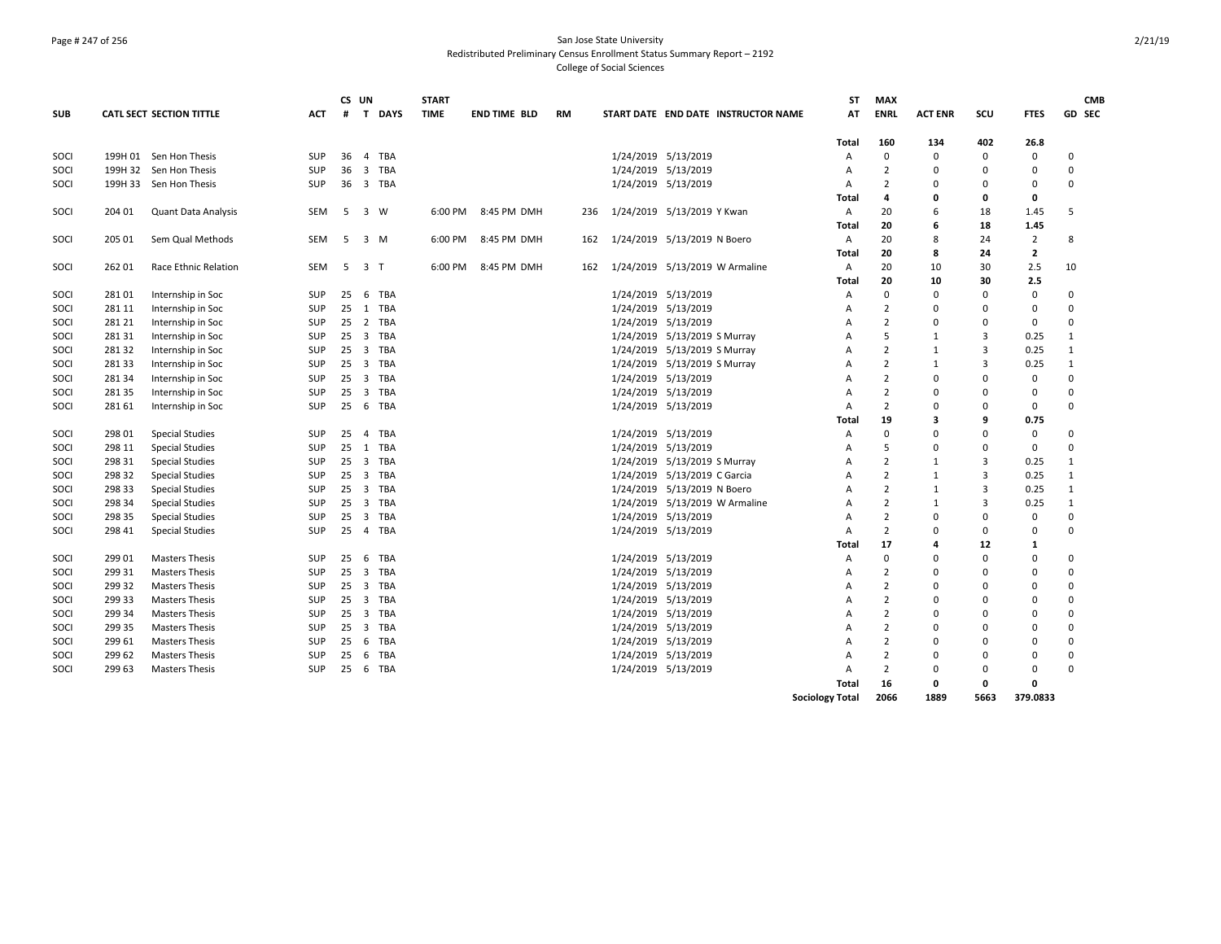### Page # 247 of 256 San Jose State University Redistributed Preliminary Census Enrollment Status Summary Report – 2192 College of Social Sciences

|            |        |                                 |            |    | CS UN                   |            | <b>START</b> |                     |           |     |                     |                                     | <b>ST</b>              | <b>MAX</b>     |                |                |                | <b>CMB</b>   |
|------------|--------|---------------------------------|------------|----|-------------------------|------------|--------------|---------------------|-----------|-----|---------------------|-------------------------------------|------------------------|----------------|----------------|----------------|----------------|--------------|
| <b>SUB</b> |        | <b>CATL SECT SECTION TITTLE</b> | <b>ACT</b> | #  |                         | T DAYS     | <b>TIME</b>  | <b>END TIME BLD</b> | <b>RM</b> |     |                     | START DATE END DATE INSTRUCTOR NAME | AT                     | <b>ENRL</b>    | <b>ACT ENR</b> | SCU            | <b>FTES</b>    | GD SEC       |
|            |        |                                 |            |    |                         |            |              |                     |           |     |                     |                                     | <b>Total</b>           | 160            | 134            | 402            | 26.8           |              |
| SOCI       |        | 199H 01 Sen Hon Thesis          | SUP        | 36 | 4 TBA                   |            |              |                     |           |     | 1/24/2019 5/13/2019 |                                     | Α                      | $\mathsf 0$    | $\mathbf 0$    | $\mathbf 0$    | $\mathbf 0$    | 0            |
| SOCI       |        | 199H 32 Sen Hon Thesis          | <b>SUP</b> | 36 | $\overline{\mathbf{3}}$ | <b>TBA</b> |              |                     |           |     | 1/24/2019 5/13/2019 |                                     | Α                      | $\overline{2}$ | $\mathbf 0$    | $\Omega$       | $\Omega$       | $\Omega$     |
| SOCI       |        | 199H 33 Sen Hon Thesis          | <b>SUP</b> |    | 36 3 TBA                |            |              |                     |           |     |                     | 1/24/2019 5/13/2019                 | A                      | $\overline{2}$ | $\Omega$       | $\Omega$       | 0              | $\Omega$     |
|            |        |                                 |            |    |                         |            |              |                     |           |     |                     |                                     | Total                  | 4              | 0              | 0              | 0              |              |
| SOCI       | 204 01 | Quant Data Analysis             | SEM        | 5  | 3 W                     |            | 6:00 PM      | 8:45 PM DMH         |           | 236 |                     | 1/24/2019 5/13/2019 Y Kwan          | А                      | 20             | 6              | 18             | 1.45           | 5            |
|            |        |                                 |            |    |                         |            |              |                     |           |     |                     |                                     | Total                  | 20             | 6              | 18             | 1.45           |              |
| SOCI       | 205 01 | Sem Qual Methods                | <b>SEM</b> | 5  | $3 \, M$                |            | 6:00 PM      | 8:45 PM DMH         |           | 162 |                     | 1/24/2019 5/13/2019 N Boero         | Α                      | 20             | 8              | 24             | $\overline{2}$ | 8            |
|            |        |                                 |            |    |                         |            |              |                     |           |     |                     |                                     | Total                  | 20             | 8              | 24             | $\overline{2}$ |              |
| SOCI       | 262 01 | Race Ethnic Relation            | SEM        |    | 5 3 T                   |            | 6:00 PM      | 8:45 PM DMH         |           | 162 |                     | 1/24/2019 5/13/2019 W Armaline      | A                      | 20             | 10             | 30             | 2.5            | 10           |
|            |        |                                 |            |    |                         |            |              |                     |           |     |                     |                                     | Total                  | 20             | 10             | 30             | 2.5            |              |
| SOCI       | 281 01 | Internship in Soc               | SUP        | 25 | 6                       | TBA        |              |                     |           |     | 1/24/2019 5/13/2019 |                                     | Α                      | $\mathbf 0$    | $\mathbf 0$    | $\mathbf 0$    | $\mathbf 0$    | 0            |
| SOCI       | 281 11 | Internship in Soc               | <b>SUP</b> |    | 25 1 TBA                |            |              |                     |           |     | 1/24/2019 5/13/2019 |                                     | Α                      | $\overline{2}$ | $\mathbf 0$    | $\mathbf 0$    | $\mathbf 0$    | $\mathbf 0$  |
| SOCI       | 281 21 | Internship in Soc               | SUP        |    | 25 2 TBA                |            |              |                     |           |     | 1/24/2019 5/13/2019 |                                     | A                      | $\overline{2}$ | $\mathbf 0$    | $\Omega$       | $\mathbf 0$    | $\Omega$     |
| SOCI       | 28131  | Internship in Soc               | SUP        |    | 25 3 TBA                |            |              |                     |           |     |                     | 1/24/2019 5/13/2019 S Murray        | Α                      | 5              | 1              | 3              | 0.25           | 1            |
| SOCI       | 28132  | Internship in Soc               | <b>SUP</b> |    | 25 3 TBA                |            |              |                     |           |     |                     | 1/24/2019 5/13/2019 S Murray        | A                      | $\overline{2}$ | 1              | $\overline{3}$ | 0.25           | 1            |
| SOCI       | 28133  | Internship in Soc               | SUP        |    | 25 3 TBA                |            |              |                     |           |     |                     | 1/24/2019 5/13/2019 S Murray        | Α                      | $\overline{2}$ | 1              | $\overline{3}$ | 0.25           | $\mathbf{1}$ |
| SOCI       | 28134  | Internship in Soc               | SUP        |    | 25 3 TBA                |            |              |                     |           |     | 1/24/2019 5/13/2019 |                                     | Α                      | $\overline{2}$ | $\mathbf 0$    | $\mathbf 0$    | $\mathbf 0$    | $\mathbf 0$  |
| SOCI       | 281 35 | Internship in Soc               | <b>SUP</b> | 25 | 3 TBA                   |            |              |                     |           |     | 1/24/2019 5/13/2019 |                                     | A                      | $\overline{2}$ | $\Omega$       | $\Omega$       | $\mathbf 0$    | $\mathbf 0$  |
| SOCI       | 281 61 | Internship in Soc               | <b>SUP</b> |    | 25 6 TBA                |            |              |                     |           |     | 1/24/2019 5/13/2019 |                                     | A                      | $\overline{2}$ | 0              | $\Omega$       | 0              | $\mathbf 0$  |
|            |        |                                 |            |    |                         |            |              |                     |           |     |                     |                                     | Total                  | 19             | з              | 9              | 0.75           |              |
| SOCI       | 298 01 | <b>Special Studies</b>          | SUP        | 25 | $\overline{4}$          | TBA        |              |                     |           |     | 1/24/2019 5/13/2019 |                                     | Α                      | $\mathbf 0$    | $\overline{0}$ | $\Omega$       | $\mathbf 0$    | 0            |
| SOCI       | 298 11 | <b>Special Studies</b>          | SUP        |    | 25 1 TBA                |            |              |                     |           |     | 1/24/2019 5/13/2019 |                                     | Α                      | 5              | $\mathbf 0$    | $\mathbf 0$    | $\mathbf{0}$   | $\mathbf 0$  |
| SOCI       | 298 31 | <b>Special Studies</b>          | SUP        |    | 25 3 TBA                |            |              |                     |           |     |                     | 1/24/2019 5/13/2019 S Murray        | A                      | $\overline{2}$ | $\mathbf{1}$   | $\overline{3}$ | 0.25           | $\mathbf{1}$ |
| SOCI       | 298 32 | <b>Special Studies</b>          | SUP        |    | 25 3 TBA                |            |              |                     |           |     |                     | 1/24/2019 5/13/2019 C Garcia        | Α                      | $\overline{2}$ | $\mathbf{1}$   | $\overline{3}$ | 0.25           | $\mathbf{1}$ |
| SOCI       | 298 33 | <b>Special Studies</b>          | <b>SUP</b> |    | 25 3 TBA                |            |              |                     |           |     |                     | 1/24/2019 5/13/2019 N Boero         | A                      | $\overline{2}$ | $\mathbf{1}$   | $\overline{3}$ | 0.25           | $\mathbf{1}$ |
| SOCI       | 298 34 | <b>Special Studies</b>          | SUP        |    | 25 3 TBA                |            |              |                     |           |     |                     | 1/24/2019 5/13/2019 W Armaline      | Α                      | $\overline{2}$ | 1              | 3              | 0.25           | $\mathbf{1}$ |
| SOCI       | 298 35 | <b>Special Studies</b>          | SUP        |    | 25 3 TBA                |            |              |                     |           |     | 1/24/2019 5/13/2019 |                                     | A                      | $\overline{2}$ | $\overline{0}$ | $\Omega$       | $\mathbf 0$    | $\mathbf 0$  |
| SOCI       | 298 41 | <b>Special Studies</b>          | <b>SUP</b> | 25 | $\overline{4}$          | <b>TBA</b> |              |                     |           |     | 1/24/2019 5/13/2019 |                                     | A                      | $\overline{2}$ | $\Omega$       | $\Omega$       | $\Omega$       | $\Omega$     |
|            |        |                                 |            |    |                         |            |              |                     |           |     |                     |                                     | Total                  | 17             | 4              | 12             | 1              |              |
| SOCI       | 299 01 | <b>Masters Thesis</b>           | SUP        | 25 |                         | 6 TBA      |              |                     |           |     | 1/24/2019 5/13/2019 |                                     | Α                      | $\mathbf 0$    | 0              | $\mathbf 0$    | 0              | 0            |
| SOCI       | 299 31 | <b>Masters Thesis</b>           | <b>SUP</b> |    | $25 \quad 3$            | TBA        |              |                     |           |     | 1/24/2019 5/13/2019 |                                     | Α                      | $\overline{2}$ | $\overline{0}$ | $\Omega$       | 0              | $\mathbf 0$  |
| SOCI       | 299 32 | <b>Masters Thesis</b>           | <b>SUP</b> |    | 25 3 TBA                |            |              |                     |           |     | 1/24/2019 5/13/2019 |                                     | Α                      | $\overline{2}$ | $\mathbf 0$    | $\mathbf 0$    | $\mathbf 0$    | $\mathbf 0$  |
| SOCI       | 299 33 | <b>Masters Thesis</b>           | <b>SUP</b> |    | 25 3 TBA                |            |              |                     |           |     | 1/24/2019 5/13/2019 |                                     | А                      | $\overline{2}$ | $\Omega$       | $\Omega$       | $\Omega$       | $\Omega$     |
| SOCI       | 299 34 | <b>Masters Thesis</b>           | SUP        |    | 25 3 TBA                |            |              |                     |           |     | 1/24/2019 5/13/2019 |                                     | Α                      | $\overline{2}$ | $\mathbf 0$    | $\Omega$       | $\Omega$       | $\mathbf 0$  |
| SOCI       | 299 35 | <b>Masters Thesis</b>           | <b>SUP</b> |    | 25 3 TBA                |            |              |                     |           |     | 1/24/2019 5/13/2019 |                                     | A                      | $\overline{2}$ | 0              | $\Omega$       | 0              | 0            |
| SOCI       | 299 61 | <b>Masters Thesis</b>           | <b>SUP</b> |    | 25 6 TBA                |            |              |                     |           |     | 1/24/2019 5/13/2019 |                                     | A                      | $\overline{2}$ | $\mathbf 0$    | $\Omega$       | $\Omega$       | $\mathbf 0$  |
| SOCI       | 299 62 | <b>Masters Thesis</b>           | <b>SUP</b> | 25 |                         | 6 TBA      |              |                     |           |     | 1/24/2019 5/13/2019 |                                     | A                      | $\overline{2}$ | $\mathbf 0$    | $\mathbf 0$    | $\mathbf 0$    | $\mathbf 0$  |
| SOCI       | 299 63 | <b>Masters Thesis</b>           | <b>SUP</b> | 25 |                         | 6 TBA      |              |                     |           |     | 1/24/2019 5/13/2019 |                                     | A                      | $\overline{2}$ | $\mathbf 0$    | $\mathbf 0$    | $\Omega$       | $\Omega$     |
|            |        |                                 |            |    |                         |            |              |                     |           |     |                     |                                     | Total                  | 16             | $\mathbf{0}$   | 0              | $\Omega$       |              |
|            |        |                                 |            |    |                         |            |              |                     |           |     |                     |                                     | <b>Sociology Total</b> | 2066           | 1889           | 5663           | 379.0833       |              |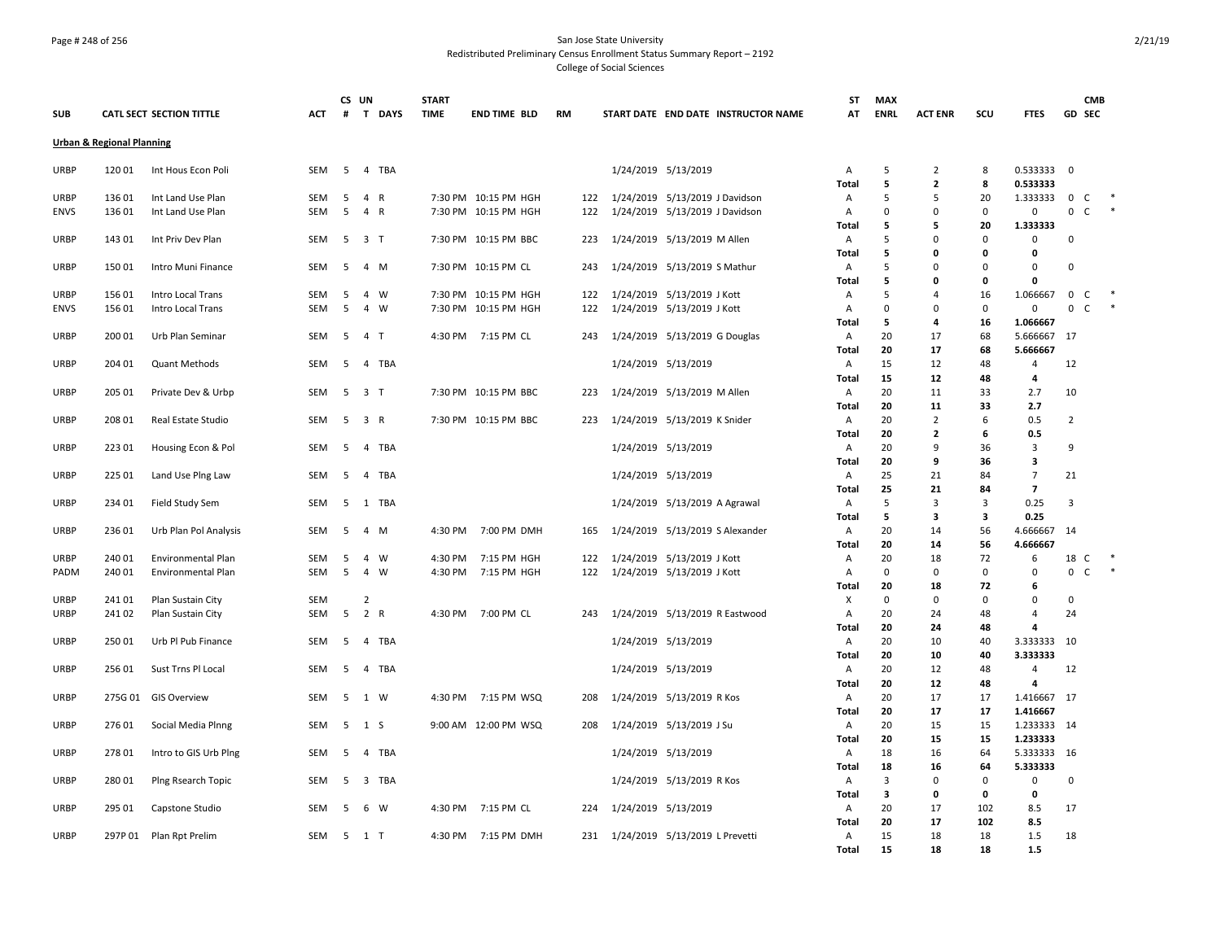### Page # 248 of 256 San Jose State University Redistributed Preliminary Census Enrollment Status Summary Report – 2192 College of Social Sciences

|              |                                      |                                                 |                   | CS UN   |                               | <b>START</b>       |                            |           |            |                     |                                                          | ST             | <b>MAX</b>        |                |                   |                         |                     | <b>CMB</b>   |  |
|--------------|--------------------------------------|-------------------------------------------------|-------------------|---------|-------------------------------|--------------------|----------------------------|-----------|------------|---------------------|----------------------------------------------------------|----------------|-------------------|----------------|-------------------|-------------------------|---------------------|--------------|--|
| <b>SUB</b>   |                                      | <b>CATL SECT SECTION TITTLE</b>                 | ACT               | #       | T DAYS                        | <b>TIME</b>        | <b>END TIME BLD</b>        | <b>RM</b> |            |                     | START DATE END DATE INSTRUCTOR NAME                      | AΤ             | ENRL              | <b>ACT ENR</b> | SCU               | <b>FTES</b>             | GD SEC              |              |  |
|              | <b>Urban &amp; Regional Planning</b> |                                                 |                   |         |                               |                    |                            |           |            |                     |                                                          |                |                   |                |                   |                         |                     |              |  |
| URBP         | 120 01                               | Int Hous Econ Poli                              | <b>SEM</b>        | 5       | 4 TBA                         |                    |                            |           |            | 1/24/2019 5/13/2019 |                                                          | A              | 5                 | $\overline{2}$ | 8                 | 0.533333 0              |                     |              |  |
|              |                                      |                                                 |                   |         |                               |                    |                            |           |            |                     |                                                          | <b>Total</b>   | 5                 | $\overline{2}$ | 8                 | 0.533333                |                     |              |  |
| <b>URBP</b>  | 136 01                               | Int Land Use Plan                               | SEM               | 5       | 4 R                           |                    | 7:30 PM 10:15 PM HGH       |           | 122        |                     | 1/24/2019 5/13/2019 J Davidson                           | Α              | .5                | 5              | 20                | 1.333333                | $\mathbf 0$         | C            |  |
| ENVS         | 136 01                               | Int Land Use Plan                               | <b>SEM</b>        | 5       | 4 R                           |                    | 7:30 PM 10:15 PM HGH       |           | 122        |                     | 1/24/2019 5/13/2019 J Davidson                           | A              | $\mathbf 0$       | $\Omega$       | $\mathbf 0$       | $\mathbf 0$             | $\mathbf 0$         | C            |  |
|              |                                      |                                                 |                   | 5       |                               |                    | 7:30 PM 10:15 PM BBC       |           |            |                     |                                                          | <b>Total</b>   | 5<br>5            | 5<br>$\Omega$  | 20<br>$\mathbf 0$ | 1.333333                |                     |              |  |
| <b>URBP</b>  | 143 01                               | Int Priv Dev Plan                               | SEM               |         | 3 <sub>1</sub>                |                    |                            |           | 223        |                     | 1/24/2019 5/13/2019 M Allen                              | A<br>Total     | 5                 | 0              | O                 | 0<br>0                  | 0                   |              |  |
| <b>URBP</b>  | 15001                                | Intro Muni Finance                              | SEM               | 5       | 4 M                           |                    | 7:30 PM 10:15 PM CL        |           | 243        |                     | 1/24/2019 5/13/2019 S Mathur                             | A              | 5                 | $\Omega$       | $\Omega$          | $\overline{0}$          | $\Omega$            |              |  |
|              |                                      |                                                 |                   |         |                               |                    |                            |           |            |                     |                                                          | Total          | 5                 | 0              | 0                 | $\mathbf{0}$            |                     |              |  |
| <b>URBP</b>  | 156 01                               | Intro Local Trans                               | SEM               | 5       | 4<br>W                        |                    | 7:30 PM 10:15 PM HGH       |           | 122        |                     | 1/24/2019 5/13/2019 J Kott                               | A              | 5                 | $\Delta$       | 16                | 1.066667                | $\mathbf 0$         | C            |  |
| ENVS         | 156 01                               | Intro Local Trans                               | SEM               | 5       | 4 W                           |                    | 7:30 PM 10:15 PM HGH       |           | 122        |                     | 1/24/2019 5/13/2019 J Kott                               | A              | $\mathbf 0$       | $\Omega$       | $\mathbf 0$       | 0                       | 0                   | C            |  |
|              |                                      |                                                 |                   |         |                               |                    |                            |           |            |                     |                                                          | Total          | 5                 | 4              | 16                | 1.066667                |                     |              |  |
| <b>URBP</b>  | 200 01                               | Urb Plan Seminar                                | SEM               | 5       | 4 T                           |                    | 4:30 PM 7:15 PM CL         |           | 243        |                     | 1/24/2019 5/13/2019 G Douglas                            | Α              | 20                | 17             | 68                | 5.666667                | 17                  |              |  |
|              |                                      |                                                 |                   |         |                               |                    |                            |           |            |                     |                                                          | Total          | 20                | 17             | 68                | 5.666667                |                     |              |  |
| <b>URBP</b>  | 204 01                               | <b>Quant Methods</b>                            | <b>SEM</b>        | 5       | $\overline{4}$<br>TBA         |                    |                            |           |            | 1/24/2019 5/13/2019 |                                                          | $\overline{A}$ | 15                | 12             | 48                | $\overline{4}$          | 12                  |              |  |
|              |                                      |                                                 |                   |         |                               |                    |                            |           |            |                     |                                                          | Total          | 15                | 12             | 48                | $\overline{\mathbf{a}}$ |                     |              |  |
| URBP         | 205 01                               | Private Dev & Urbp                              | SEM               | 5       | 3 <sub>1</sub>                |                    | 7:30 PM 10:15 PM BBC       |           | 223        |                     | 1/24/2019 5/13/2019 M Allen                              | A              | 20                | 11             | 33                | 2.7                     | 10                  |              |  |
|              |                                      |                                                 |                   |         |                               |                    |                            |           |            |                     |                                                          | <b>Total</b>   | 20                | 11             | 33                | 2.7                     |                     |              |  |
| <b>URBP</b>  | 208 01                               | Real Estate Studio                              | SEM               |         | 5 3 R                         |                    | 7:30 PM 10:15 PM BBC       |           | 223        |                     | 1/24/2019 5/13/2019 K Snider                             | A              | 20                | 2              | 6                 | 0.5                     | $\overline{2}$      |              |  |
|              |                                      |                                                 |                   |         |                               |                    |                            |           |            |                     |                                                          | Total          | 20                | $\overline{2}$ | 6                 | 0.5                     |                     |              |  |
| <b>URBP</b>  | 223 01                               | Housing Econ & Pol                              | SEM               | 5       | <b>TBA</b><br>4               |                    |                            |           |            | 1/24/2019 5/13/2019 |                                                          | Α              | 20                | 9              | 36                | 3                       | 9                   |              |  |
|              |                                      |                                                 |                   |         |                               |                    |                            |           |            |                     |                                                          | Total          | 20                | 9              | 36                | 3                       |                     |              |  |
| <b>URBP</b>  | 225 01                               | Land Use Plng Law                               | SEM               | -5      | $\overline{4}$<br>TBA         |                    |                            |           |            | 1/24/2019 5/13/2019 |                                                          | Α              | 25                | 21             | 84                | $\overline{7}$          | 21                  |              |  |
|              |                                      |                                                 |                   |         |                               |                    |                            |           |            |                     |                                                          | Total          | 25                | 21             | 84                | $\overline{7}$          |                     |              |  |
| <b>URBP</b>  | 234 01                               | Field Study Sem                                 | SEM               |         | 5 1 TBA                       |                    |                            |           |            |                     | 1/24/2019 5/13/2019 A Agrawal                            | A              | 5                 | 3              | 3                 | 0.25                    | $\overline{3}$      |              |  |
|              |                                      |                                                 |                   |         |                               |                    |                            |           |            |                     |                                                          | Total          | 5                 | 3              | 3                 | 0.25                    |                     |              |  |
| <b>URBP</b>  | 23601                                | Urb Plan Pol Analysis                           | SEM               | 5       | $\overline{4}$<br>M           | 4:30 PM            | 7:00 PM DMH                |           | 165        |                     | 1/24/2019 5/13/2019 S Alexander                          | Α              | 20                | 14             | 56                | 4.666667 14             |                     |              |  |
|              |                                      |                                                 |                   |         |                               |                    |                            |           |            |                     |                                                          | Total          | 20                | 14             | 56                | 4.666667                |                     |              |  |
| URBP<br>PADM | 240 01<br>240 01                     | Environmental Plan<br><b>Environmental Plan</b> | SEM<br><b>SEM</b> | .5<br>5 | 4<br>W<br>$\overline{4}$<br>W | 4:30 PM<br>4:30 PM | 7:15 PM HGH<br>7:15 PM HGH |           | 122<br>122 |                     | 1/24/2019 5/13/2019 J Kott<br>1/24/2019 5/13/2019 J Kott | Α<br>Α         | 20<br>$\mathbf 0$ | 18<br>$\Omega$ | 72<br>$\mathbf 0$ | 6<br>$\mathbf 0$        | 18 C<br>$\mathbf 0$ | <sub>c</sub> |  |
|              |                                      |                                                 |                   |         |                               |                    |                            |           |            |                     |                                                          | Total          | 20                | 18             | 72                | 6                       |                     |              |  |
| <b>URBP</b>  | 24101                                | Plan Sustain City                               | <b>SEM</b>        |         | $\overline{2}$                |                    |                            |           |            |                     |                                                          | X              | $\Omega$          | $\Omega$       | $\Omega$          | $\Omega$                | $\Omega$            |              |  |
| URBP         | 241 02                               | Plan Sustain City                               | SEM               | 5       | 2 R                           |                    | 4:30 PM 7:00 PM CL         |           | 243        |                     | 1/24/2019 5/13/2019 R Eastwood                           | A              | 20                | 24             | 48                | $\overline{4}$          | 24                  |              |  |
|              |                                      |                                                 |                   |         |                               |                    |                            |           |            |                     |                                                          | Total          | 20                | 24             | 48                | 4                       |                     |              |  |
| <b>URBP</b>  | 250 01                               | Urb Pl Pub Finance                              | SEM               | -5      | <b>TBA</b><br>$\overline{4}$  |                    |                            |           |            | 1/24/2019 5/13/2019 |                                                          | Α              | 20                | 10             | 40                | 3.333333                | 10                  |              |  |
|              |                                      |                                                 |                   |         |                               |                    |                            |           |            |                     |                                                          | Total          | 20                | 10             | 40                | 3.333333                |                     |              |  |
| <b>URBP</b>  | 25601                                | Sust Trns Pl Local                              | <b>SEM</b>        | 5       | $\overline{4}$<br>TBA         |                    |                            |           |            | 1/24/2019 5/13/2019 |                                                          | A              | 20                | 12             | 48                | $\overline{4}$          | 12                  |              |  |
|              |                                      |                                                 |                   |         |                               |                    |                            |           |            |                     |                                                          | <b>Total</b>   | 20                | 12             | 48                | $\overline{a}$          |                     |              |  |
| <b>URBP</b>  |                                      | 275G 01 GIS Overview                            | SEM               | 5       | 1 W                           |                    | 4:30 PM 7:15 PM WSQ        |           | 208        |                     | 1/24/2019 5/13/2019 R Kos                                | A              | 20                | 17             | 17                | 1.416667 17             |                     |              |  |
|              |                                      |                                                 |                   |         |                               |                    |                            |           |            |                     |                                                          | <b>Total</b>   | 20                | 17             | 17                | 1.416667                |                     |              |  |
| <b>URBP</b>  | 276 01                               | Social Media Plnng                              | SEM               | 5       | 1 S                           |                    | 9:00 AM 12:00 PM WSQ       |           | 208        |                     | 1/24/2019 5/13/2019 J Su                                 | A              | 20                | 15             | 15                | 1.233333 14             |                     |              |  |
|              |                                      |                                                 |                   |         |                               |                    |                            |           |            |                     |                                                          | <b>Total</b>   | 20                | 15             | 15                | 1.233333                |                     |              |  |
| <b>URBP</b>  | 278 01                               | Intro to GIS Urb Ping                           | SEM               | 5       | <b>TBA</b><br>$\overline{4}$  |                    |                            |           |            | 1/24/2019 5/13/2019 |                                                          | Α              | 18                | 16             | 64                | 5.333333                | 16                  |              |  |
|              |                                      |                                                 |                   |         |                               |                    |                            |           |            |                     |                                                          | Total          | 18                | 16             | 64                | 5.333333                |                     |              |  |
| <b>URBP</b>  | 280 01                               | Plng Rsearch Topic                              | SEM               |         | 5 3 TBA                       |                    |                            |           |            |                     | 1/24/2019 5/13/2019 R Kos                                | A              | 3                 | $\mathbf 0$    | $\mathbf 0$       | 0                       | 0                   |              |  |
|              |                                      |                                                 |                   |         |                               |                    |                            |           |            |                     |                                                          | Total          | 3                 | 0              | 0                 | 0                       |                     |              |  |
| <b>URBP</b>  | 295 01                               | Capstone Studio                                 | SEM               | -5      | 6<br>w                        | 4:30 PM            | 7:15 PM CL                 |           | 224        | 1/24/2019 5/13/2019 |                                                          | Α              | 20                | 17             | 102               | 8.5                     | 17                  |              |  |
|              |                                      |                                                 |                   |         |                               |                    |                            |           |            |                     |                                                          | Total          | 20                | 17             | 102               | 8.5                     |                     |              |  |
| URBP         |                                      | 297P 01 Plan Rpt Prelim                         | SEM               | 5       | 1 T                           | 4:30 PM            | 7:15 PM DMH                |           | 231        |                     | 1/24/2019 5/13/2019 L Prevetti                           | Α              | 15<br>15          | 18<br>18       | 18<br>18          | 1.5<br>1.5              | 18                  |              |  |
|              |                                      |                                                 |                   |         |                               |                    |                            |           |            |                     |                                                          | Total          |                   |                |                   |                         |                     |              |  |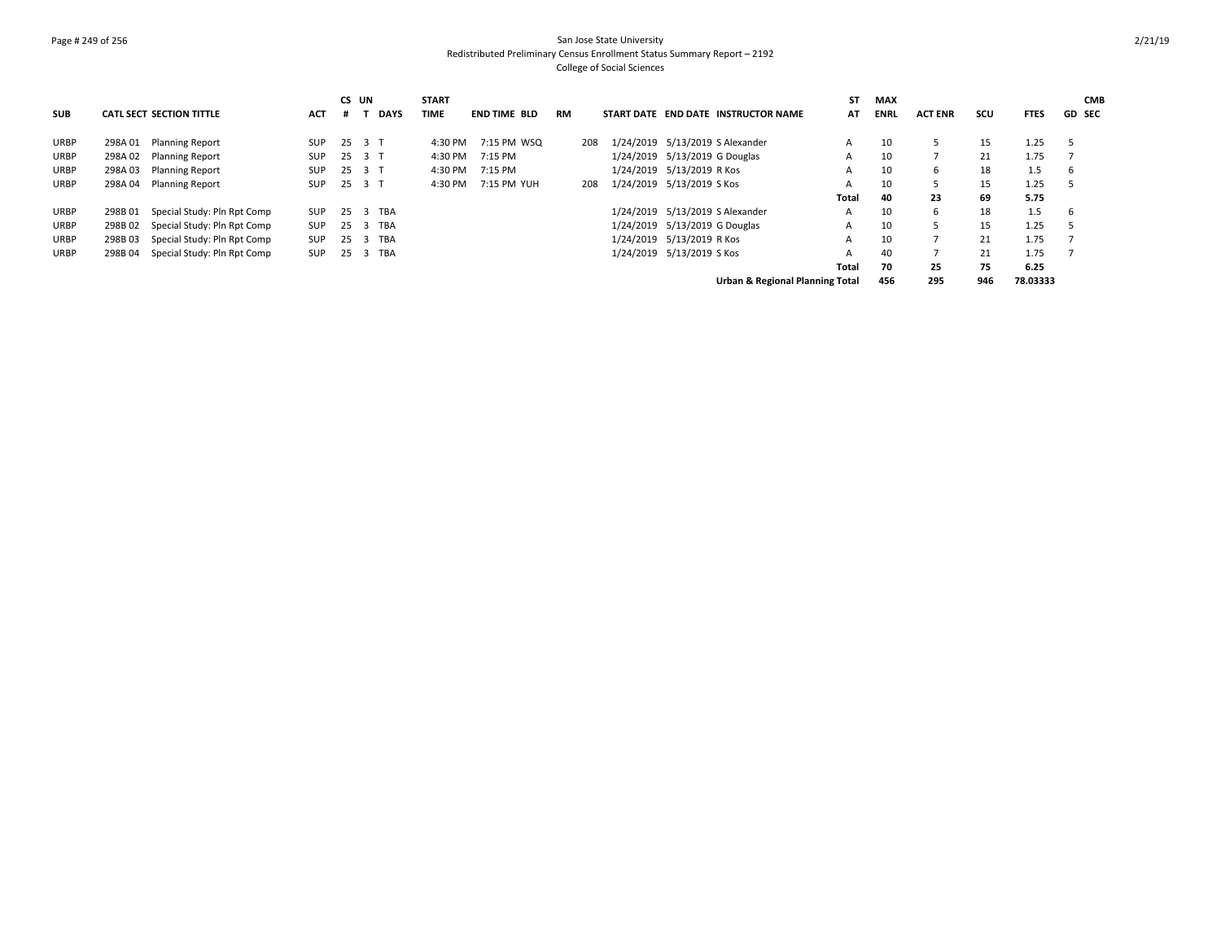### Page # 249 of 256 San Jose State University Redistributed Preliminary Census Enrollment Status Summary Report – 2192 College of Social Sciences

|             |         |                             |            |    | CS UN                                 | <b>START</b> |                     |    |     |                                            | SΤ    | <b>MAX</b>  |                |     |             | <b>CMB</b>    |
|-------------|---------|-----------------------------|------------|----|---------------------------------------|--------------|---------------------|----|-----|--------------------------------------------|-------|-------------|----------------|-----|-------------|---------------|
| <b>SUB</b>  |         | CATL SECT SECTION TITTLE    | <b>ACT</b> |    | <b>DAYS</b>                           | <b>TIME</b>  | <b>END TIME BLD</b> | RM |     | START DATE END DATE INSTRUCTOR NAME        | AT    | <b>ENRL</b> | <b>ACT ENR</b> | scu | <b>FTES</b> | <b>GD SEC</b> |
| URBP        | 298A 01 | <b>Planning Report</b>      | <b>SUP</b> |    | 25 3 T                                | 4:30 PM      | 7:15 PM WSQ         |    | 208 | 1/24/2019 5/13/2019 S Alexander            | A     | 10          | 5              | 15  | 1.25        |               |
| URBP        | 298A 02 | <b>Planning Report</b>      | <b>SUP</b> |    | 25 3 T                                | 4:30 PM      | 7:15 PM             |    |     | 1/24/2019 5/13/2019 G Douglas              | A     | 10          |                | 21  | 1.75        |               |
| <b>URBP</b> | 298A 03 | <b>Planning Report</b>      | <b>SUP</b> |    | 25 3 T                                | 4:30 PM      | 7:15 PM             |    |     | 1/24/2019 5/13/2019 R Kos                  | A     | 10          | 6              | 18  | 1.5         | -6            |
| <b>URBP</b> | 298A 04 | <b>Planning Report</b>      | <b>SUP</b> |    | 25 3 T                                | 4:30 PM      | 7:15 PM YUH         |    | 208 | 1/24/2019 5/13/2019 S Kos                  | A     | 10          | 5              | 15  | 1.25        |               |
|             |         |                             |            |    |                                       |              |                     |    |     |                                            | Total | 40          | 23             | 69  | 5.75        |               |
| <b>URBP</b> | 298B 01 | Special Study: Pln Rpt Comp | <b>SUP</b> | 25 | TBA<br>$\overline{\mathbf{3}}$        |              |                     |    |     | 1/24/2019 5/13/2019 S Alexander            | A     | 10          | 6              | 18  | 1.5         | 6             |
| <b>URBP</b> | 298B 02 | Special Study: Pln Rpt Comp | <b>SUP</b> | 25 | <b>TBA</b><br>$\overline{\mathbf{3}}$ |              |                     |    |     | 1/24/2019 5/13/2019 G Douglas              | A     | 10          | ь              | 15  | 1.25        |               |
| URBP        | 298B 03 | Special Study: Pln Rpt Comp | <b>SUP</b> | 25 | TBA<br>$\overline{3}$                 |              |                     |    |     | 1/24/2019 5/13/2019 R Kos                  | А     | 10          |                | 21  | 1.75        |               |
| <b>URBP</b> | 298B 04 | Special Study: Pln Rpt Comp | <b>SUP</b> | 25 | 3 TBA                                 |              |                     |    |     | 1/24/2019 5/13/2019 S Kos                  | A     | 40          |                | 21  | 1.75        |               |
|             |         |                             |            |    |                                       |              |                     |    |     |                                            | Total | 70          | 25             | 75  | 6.25        |               |
|             |         |                             |            |    |                                       |              |                     |    |     | <b>Urban &amp; Regional Planning Total</b> |       | 456         | 295            | 946 | 78.03333    |               |